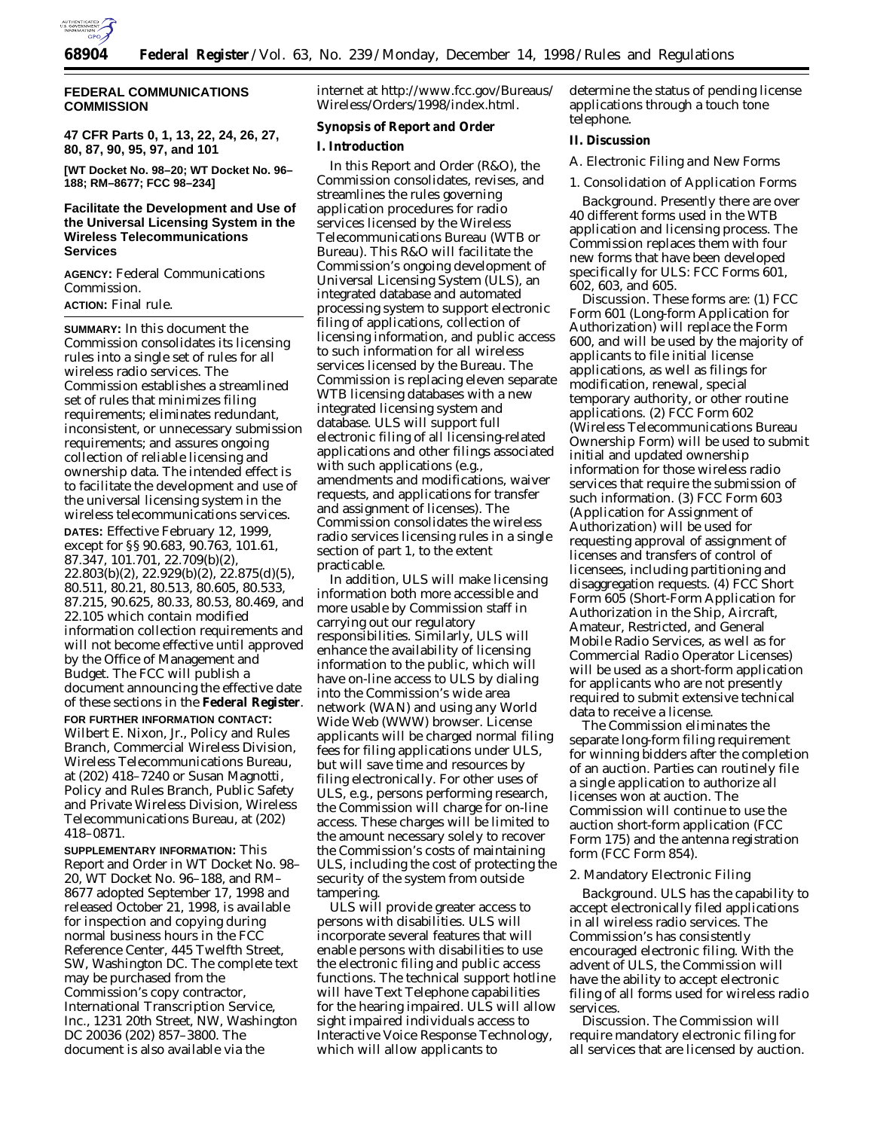

# **FEDERAL COMMUNICATIONS COMMISSION**

**47 CFR Parts 0, 1, 13, 22, 24, 26, 27, 80, 87, 90, 95, 97, and 101**

**[WT Docket No. 98–20; WT Docket No. 96– 188; RM–8677; FCC 98–234]**

# **Facilitate the Development and Use of the Universal Licensing System in the Wireless Telecommunications Services**

**AGENCY:** Federal Communications **Commission** 

# **ACTION:** Final rule.

**SUMMARY:** In this document the Commission consolidates its licensing rules into a single set of rules for all wireless radio services. The Commission establishes a streamlined set of rules that minimizes filing requirements; eliminates redundant, inconsistent, or unnecessary submission requirements; and assures ongoing collection of reliable licensing and ownership data. The intended effect is to facilitate the development and use of the universal licensing system in the wireless telecommunications services. **DATES:** Effective February 12, 1999, except for §§ 90.683, 90.763, 101.61, 87.347, 101.701, 22.709(b)(2), 22.803(b)(2), 22.929(b)(2), 22.875(d)(5), 80.511, 80.21, 80.513, 80.605, 80.533, 87.215, 90.625, 80.33, 80.53, 80.469, and 22.105 which contain modified information collection requirements and will not become effective until approved by the Office of Management and Budget. The FCC will publish a document announcing the effective date of these sections in the **Federal Register**. **FOR FURTHER INFORMATION CONTACT:** Wilbert E. Nixon, Jr., Policy and Rules Branch, Commercial Wireless Division, Wireless Telecommunications Bureau, at (202) 418–7240 or Susan Magnotti, Policy and Rules Branch, Public Safety and Private Wireless Division, Wireless Telecommunications Bureau, at (202) 418–0871.

**SUPPLEMENTARY INFORMATION:** This Report and Order in WT Docket No. 98– 20, WT Docket No. 96–188, and RM– 8677 adopted September 17, 1998 and released October 21, 1998, is available for inspection and copying during normal business hours in the FCC Reference Center, 445 Twelfth Street, SW, Washington DC. The complete text may be purchased from the Commission's copy contractor, International Transcription Service, Inc., 1231 20th Street, NW, Washington DC 20036 (202) 857–3800. The document is also available via the

internet at http://www.fcc.gov/Bureaus/ Wireless/Orders/1998/index.html.

# **Synopsis of Report and Order**

# **I. Introduction**

In this Report and Order (*R&O*), the Commission consolidates, revises, and streamlines the rules governing application procedures for radio services licensed by the Wireless Telecommunications Bureau (WTB or Bureau). This *R&O* will facilitate the Commission's ongoing development of Universal Licensing System (ULS), an integrated database and automated processing system to support electronic filing of applications, collection of licensing information, and public access to such information for all wireless services licensed by the Bureau. The Commission is replacing eleven separate WTB licensing databases with a new integrated licensing system and database. ULS will support full electronic filing of all licensing-related applications and other filings associated with such applications (*e.g.,* amendments and modifications, waiver requests, and applications for transfer and assignment of licenses). The Commission consolidates the wireless radio services licensing rules in a single section of part 1, to the extent practicable.

In addition, ULS will make licensing information both more accessible and more usable by Commission staff in carrying out our regulatory responsibilities. Similarly, ULS will enhance the availability of licensing information to the public, which will have on-line access to ULS by dialing into the Commission's wide area network (WAN) and using any World Wide Web (WWW) browser. License applicants will be charged normal filing fees for filing applications under ULS, but will save time and resources by filing electronically. For other uses of ULS, *e.g.,* persons performing research, the Commission will charge for on-line access. These charges will be limited to the amount necessary solely to recover the Commission's costs of maintaining ULS, including the cost of protecting the security of the system from outside tampering.

ULS will provide greater access to persons with disabilities. ULS will incorporate several features that will enable persons with disabilities to use the electronic filing and public access functions. The technical support hotline will have Text Telephone capabilities for the hearing impaired. ULS will allow sight impaired individuals access to Interactive Voice Response Technology, which will allow applicants to

determine the status of pending license applications through a touch tone telephone.

# **II. Discussion**

# *A. Electronic Filing and New Forms*

### 1. Consolidation of Application Forms

*Background.* Presently there are over 40 different forms used in the WTB application and licensing process. The Commission replaces them with four new forms that have been developed specifically for ULS: FCC Forms 601, 602, 603, and 605.

*Discussion.* These forms are: (1) FCC Form 601 (Long-form Application for Authorization) will replace the Form 600, and will be used by the majority of applicants to file initial license applications, as well as filings for modification, renewal, special temporary authority, or other routine applications. (2) FCC Form 602 (Wireless Telecommunications Bureau Ownership Form) will be used to submit initial and updated ownership information for those wireless radio services that require the submission of such information. (3) FCC Form 603 (Application for Assignment of Authorization) will be used for requesting approval of assignment of licenses and transfers of control of licensees, including partitioning and disaggregation requests. (4) FCC Short Form 605 (Short-Form Application for Authorization in the Ship, Aircraft, Amateur, Restricted, and General Mobile Radio Services, as well as for Commercial Radio Operator Licenses) will be used as a short-form application for applicants who are not presently required to submit extensive technical data to receive a license.

The Commission eliminates the separate long-form filing requirement for winning bidders after the completion of an auction. Parties can routinely file a single application to authorize all licenses won at auction. The Commission will continue to use the auction short-form application (FCC Form 175) and the antenna registration form (FCC Form 854).

### 2. Mandatory Electronic Filing

*Background.* ULS has the capability to accept electronically filed applications in all wireless radio services. The Commission's has consistently encouraged electronic filing. With the advent of ULS, the Commission will have the ability to accept electronic filing of all forms used for wireless radio services.

*Discussion.* The Commission will require mandatory electronic filing for all services that are licensed by auction.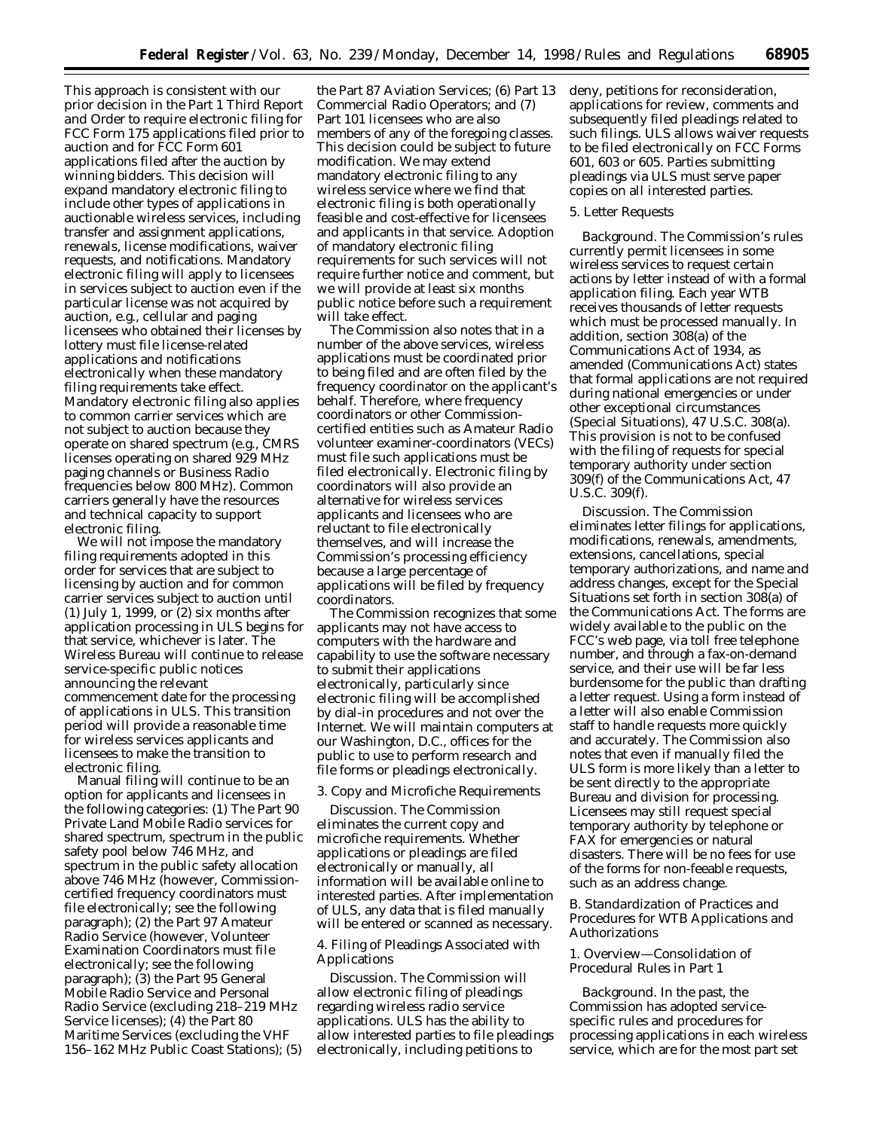This approach is consistent with our prior decision in the *Part 1 Third Report and Order* to require electronic filing for FCC Form 175 applications filed prior to auction and for FCC Form 601 applications filed after the auction by winning bidders. This decision will expand mandatory electronic filing to include other types of applications in auctionable wireless services, including transfer and assignment applications, renewals, license modifications, waiver requests, and notifications. Mandatory electronic filing will apply to licensees in services subject to auction even if the particular license was not acquired by auction, *e.g.,* cellular and paging licensees who obtained their licenses by lottery must file license-related applications and notifications electronically when these mandatory filing requirements take effect. Mandatory electronic filing also applies to common carrier services which are not subject to auction because they operate on shared spectrum (*e.g.,* CMRS licenses operating on shared 929 MHz paging channels or Business Radio frequencies below 800 MHz). Common carriers generally have the resources and technical capacity to support electronic filing.

We will not impose the mandatory filing requirements adopted in this order for services that are subject to licensing by auction and for common carrier services subject to auction until (1) July 1, 1999, or (2) six months after application processing in ULS begins for that service, whichever is later. The Wireless Bureau will continue to release service-specific public notices announcing the relevant commencement date for the processing of applications in ULS. This transition period will provide a reasonable time for wireless services applicants and licensees to make the transition to electronic filing.

Manual filing will continue to be an option for applicants and licensees in the following categories: (1) The Part 90 Private Land Mobile Radio services for shared spectrum, spectrum in the public safety pool below 746 MHz, and spectrum in the public safety allocation above 746 MHz (however, Commissioncertified frequency coordinators must file electronically; *see* the following paragraph); (2) the Part 97 Amateur Radio Service (however, Volunteer Examination Coordinators must file electronically; *see* the following paragraph); (3) the Part 95 General Mobile Radio Service and Personal Radio Service (excluding 218–219 MHz Service licenses); (4) the Part 80 Maritime Services (excluding the VHF 156–162 MHz Public Coast Stations); (5)

the Part 87 Aviation Services; (6) Part 13 Commercial Radio Operators; and (7) Part 101 licensees who are also members of any of the foregoing classes. This decision could be subject to future modification. We may extend mandatory electronic filing to any wireless service where we find that electronic filing is both operationally feasible and cost-effective for licensees and applicants in that service. Adoption of mandatory electronic filing requirements for such services will not require further notice and comment, but we will provide at least six months public notice before such a requirement will take effect.

The Commission also notes that in a number of the above services, wireless applications must be coordinated prior to being filed and are often filed by the frequency coordinator on the applicant's behalf. Therefore, where frequency coordinators or other Commissioncertified entities such as Amateur Radio volunteer examiner-coordinators (VECs) must file such applications must be filed electronically. Electronic filing by coordinators will also provide an alternative for wireless services applicants and licensees who are reluctant to file electronically themselves, and will increase the Commission's processing efficiency because a large percentage of applications will be filed by frequency coordinators.

The Commission recognizes that some applicants may not have access to computers with the hardware and capability to use the software necessary to submit their applications electronically, particularly since electronic filing will be accomplished by dial-in procedures and not over the Internet. We will maintain computers at our Washington, D.C., offices for the public to use to perform research and file forms or pleadings electronically.

# 3. Copy and Microfiche Requirements

*Discussion.* The Commission eliminates the current copy and microfiche requirements. Whether applications or pleadings are filed electronically or manually, all information will be available online to interested parties. After implementation of ULS, any data that is filed manually will be entered or scanned as necessary.

# 4. Filing of Pleadings Associated with Applications

*Discussion.* The Commission will allow electronic filing of pleadings regarding wireless radio service applications. ULS has the ability to allow interested parties to file pleadings electronically, including petitions to

deny, petitions for reconsideration, applications for review, comments and subsequently filed pleadings related to such filings. ULS allows waiver requests to be filed electronically on FCC Forms 601, 603 or 605. Parties submitting pleadings via ULS must serve paper copies on all interested parties.

### 5. Letter Requests

*Background.* The Commission's rules currently permit licensees in some wireless services to request certain actions by letter instead of with a formal application filing. Each year WTB receives thousands of letter requests which must be processed manually. In addition, section 308(a) of the Communications Act of 1934, as amended (Communications Act) states that formal applications are not required during national emergencies or under other exceptional circumstances (Special Situations), 47 U.S.C. 308(a). This provision is not to be confused with the filing of requests for special temporary authority under section 309(f) of the Communications Act, 47 U.S.C. 309(f).

*Discussion.* The Commission eliminates letter filings for applications, modifications, renewals, amendments, extensions, cancellations, special temporary authorizations, and name and address changes, except for the Special Situations set forth in section 308(a) of the Communications Act. The forms are widely available to the public on the FCC's web page, via toll free telephone number, and through a fax-on-demand service, and their use will be far less burdensome for the public than drafting a letter request. Using a form instead of a letter will also enable Commission staff to handle requests more quickly and accurately. The Commission also notes that even if manually filed the ULS form is more likely than a letter to be sent directly to the appropriate Bureau and division for processing. Licensees may still request special temporary authority by telephone or FAX for emergencies or natural disasters. There will be no fees for use of the forms for non-feeable requests, such as an address change.

# *B. Standardization of Practices and Procedures for WTB Applications and Authorizations*

# 1. Overview—Consolidation of Procedural Rules in Part 1

*Background.* In the past, the Commission has adopted servicespecific rules and procedures for processing applications in each wireless service, which are for the most part set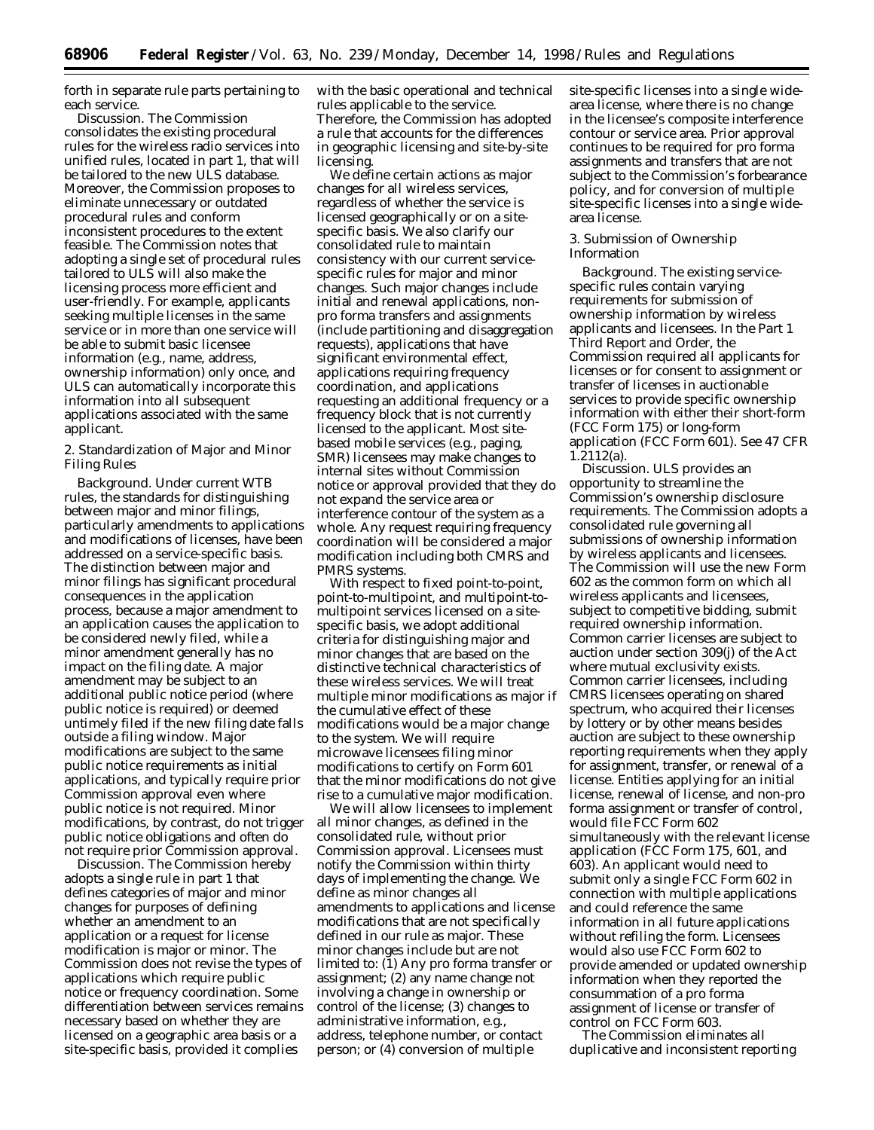forth in separate rule parts pertaining to each service.

*Discussion.* The Commission consolidates the existing procedural rules for the wireless radio services into unified rules, located in part 1, that will be tailored to the new ULS database. Moreover, the Commission proposes to eliminate unnecessary or outdated procedural rules and conform inconsistent procedures to the extent feasible. The Commission notes that adopting a single set of procedural rules tailored to ULS will also make the licensing process more efficient and user-friendly. For example, applicants seeking multiple licenses in the same service or in more than one service will be able to submit basic licensee information (*e.g.,* name, address, ownership information) only once, and ULS can automatically incorporate this information into all subsequent applications associated with the same applicant.

2. Standardization of Major and Minor Filing Rules

*Background.* Under current WTB rules, the standards for distinguishing between major and minor filings, particularly amendments to applications and modifications of licenses, have been addressed on a service-specific basis. The distinction between major and minor filings has significant procedural consequences in the application process, because a major amendment to an application causes the application to be considered newly filed, while a minor amendment generally has no impact on the filing date. A major amendment may be subject to an additional public notice period (where public notice is required) or deemed untimely filed if the new filing date falls outside a filing window. Major modifications are subject to the same public notice requirements as initial applications, and typically require prior Commission approval even where public notice is not required. Minor modifications, by contrast, do not trigger public notice obligations and often do not require prior Commission approval.

*Discussion.* The Commission hereby adopts a single rule in part 1 that defines categories of major and minor changes for purposes of defining whether an amendment to an application or a request for license modification is major or minor. The Commission does not revise the types of applications which require public notice or frequency coordination. Some differentiation between services remains necessary based on whether they are licensed on a geographic area basis or a site-specific basis, provided it complies

with the basic operational and technical rules applicable to the service. Therefore, the Commission has adopted a rule that accounts for the differences in geographic licensing and site-by-site licensing.

We define certain actions as major changes for all wireless services, regardless of whether the service is licensed geographically or on a sitespecific basis. We also clarify our consolidated rule to maintain consistency with our current servicespecific rules for major and minor changes. Such major changes include initial and renewal applications, *nonpro forma* transfers and assignments (include partitioning and disaggregation requests), applications that have significant environmental effect, applications requiring frequency coordination, and applications requesting an additional frequency or a frequency block that is not currently licensed to the applicant. Most sitebased mobile services (*e.g.,* paging, SMR) licensees may make changes to internal sites without Commission notice or approval provided that they do not expand the service area or interference contour of the system as a whole. Any request requiring frequency coordination will be considered a major modification including both CMRS and PMRS systems.

With respect to fixed point-to-point, point-to-multipoint, and multipoint-tomultipoint services licensed on a sitespecific basis, we adopt additional criteria for distinguishing major and minor changes that are based on the distinctive technical characteristics of these wireless services. We will treat multiple minor modifications as major if the cumulative effect of these modifications would be a major change to the system. We will require microwave licensees filing minor modifications to certify on Form 601 that the minor modifications do not give rise to a cumulative major modification.

We will allow licensees to implement all minor changes, as defined in the consolidated rule, without prior Commission approval. Licensees must notify the Commission within thirty days of implementing the change. We define as minor changes all amendments to applications and license modifications that are not specifically defined in our rule as major. These minor changes include but are not limited to: (1) Any *pro forma* transfer or assignment; (2) any name change not involving a change in ownership or control of the license; (3) changes to administrative information, *e.g.,* address, telephone number, or contact person; or (4) conversion of multiple

site-specific licenses into a single widearea license, where there is no change in the licensee's composite interference contour or service area. Prior approval continues to be required for *pro forma* assignments and transfers that are not subject to the Commission's forbearance policy, and for conversion of multiple site-specific licenses into a single widearea license.

### 3. Submission of Ownership Information

*Background.* The existing servicespecific rules contain varying requirements for submission of ownership information by wireless applicants and licensees. In the *Part 1 Third Report and Order,* the Commission required all applicants for licenses or for consent to assignment or transfer of licenses in auctionable services to provide specific ownership information with either their short-form (FCC Form 175) or long-form application (FCC Form 601). *See* 47 CFR 1.2112(a).

*Discussion.* ULS provides an opportunity to streamline the Commission's ownership disclosure requirements. The Commission adopts a consolidated rule governing all submissions of ownership information by wireless applicants and licensees. The Commission will use the new Form 602 as the common form on which all wireless applicants and licensees, subject to competitive bidding, submit required ownership information. Common carrier licenses are subject to auction under section 309(j) of the Act where mutual exclusivity exists. Common carrier licensees, including CMRS licensees operating on shared spectrum, who acquired their licenses by lottery or by other means besides auction are subject to these ownership reporting requirements when they apply for assignment, transfer, or renewal of a license. Entities applying for an initial license, renewal of license, and *non-pro forma* assignment or transfer of control, would file FCC Form 602 simultaneously with the relevant license application (FCC Form 175, 601, and 603). An applicant would need to submit only a single FCC Form 602 in connection with multiple applications and could reference the same information in all future applications without refiling the form. Licensees would also use FCC Form 602 to provide amended or updated ownership information when they reported the consummation of a *pro forma* assignment of license or transfer of control on FCC Form 603.

The Commission eliminates all duplicative and inconsistent reporting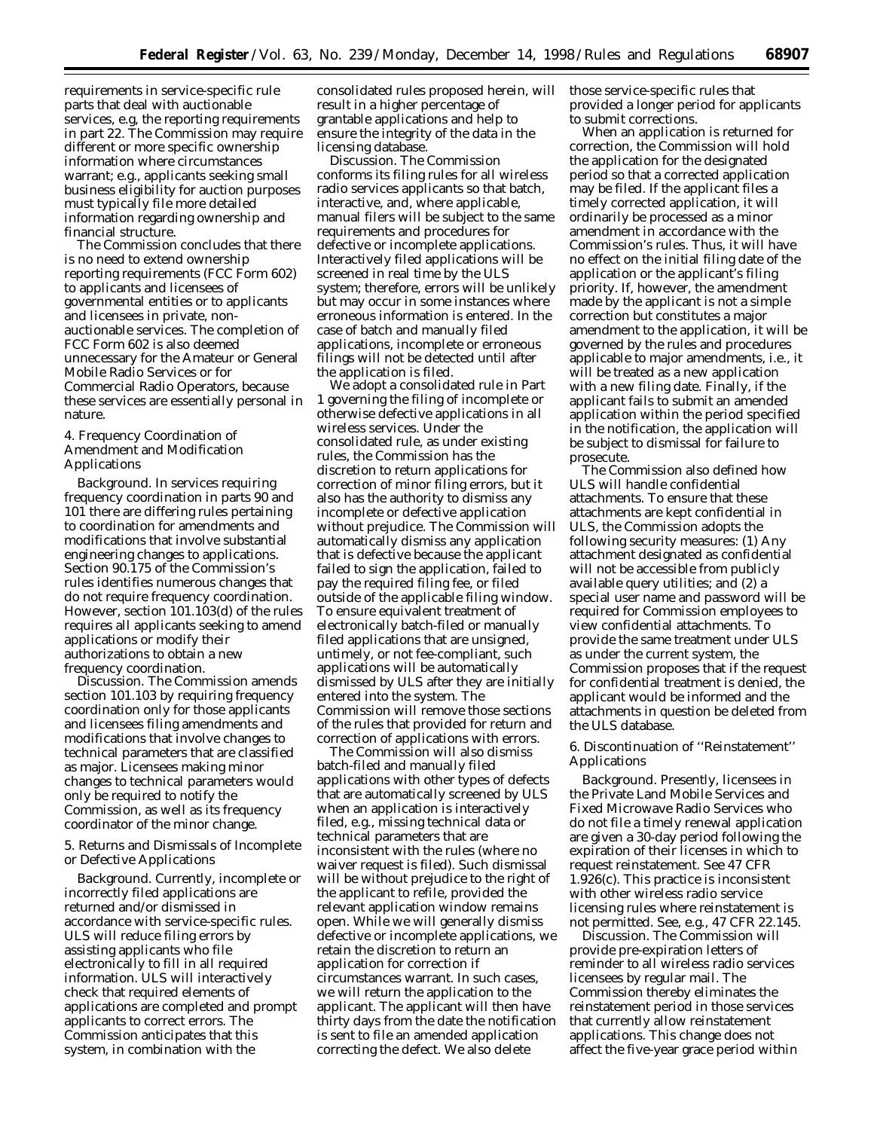requirements in service-specific rule parts that deal with auctionable services, *e.g*, the reporting requirements in part 22. The Commission may require different or more specific ownership information where circumstances warrant; *e.g.,* applicants seeking small business eligibility for auction purposes must typically file more detailed information regarding ownership and financial structure.

The Commission concludes that there is no need to extend ownership reporting requirements (FCC Form 602) to applicants and licensees of governmental entities or to applicants and licensees in private, nonauctionable services. The completion of FCC Form 602 is also deemed unnecessary for the Amateur or General Mobile Radio Services or for Commercial Radio Operators, because these services are essentially personal in nature.

# 4. Frequency Coordination of Amendment and Modification Applications

*Background.* In services requiring frequency coordination in parts 90 and 101 there are differing rules pertaining to coordination for amendments and modifications that involve substantial engineering changes to applications. Section 90.175 of the Commission's rules identifies numerous changes that do not require frequency coordination. However, section 101.103(d) of the rules requires all applicants seeking to amend applications or modify their authorizations to obtain a new frequency coordination.

*Discussion.* The Commission amends section 101.103 by requiring frequency coordination only for those applicants and licensees filing amendments and modifications that involve changes to technical parameters that are classified as major. Licensees making minor changes to technical parameters would only be required to notify the Commission, as well as its frequency coordinator of the minor change.

5. Returns and Dismissals of Incomplete or Defective Applications

*Background.* Currently, incomplete or incorrectly filed applications are returned and/or dismissed in accordance with service-specific rules. ULS will reduce filing errors by assisting applicants who file electronically to fill in all required information. ULS will interactively check that required elements of applications are completed and prompt applicants to correct errors. The Commission anticipates that this system, in combination with the

consolidated rules proposed herein, will result in a higher percentage of grantable applications and help to ensure the integrity of the data in the licensing database.

*Discussion.* The Commission conforms its filing rules for all wireless radio services applicants so that batch, interactive, and, where applicable, manual filers will be subject to the same requirements and procedures for defective or incomplete applications. Interactively filed applications will be screened in real time by the ULS system; therefore, errors will be unlikely but may occur in some instances where erroneous information is entered. In the case of batch and manually filed applications, incomplete or erroneous filings will not be detected until after the application is filed.

We adopt a consolidated rule in Part 1 governing the filing of incomplete or otherwise defective applications in all wireless services. Under the consolidated rule, as under existing rules, the Commission has the discretion to return applications for correction of minor filing errors, but it also has the authority to dismiss any incomplete or defective application without prejudice. The Commission will automatically dismiss any application that is defective because the applicant failed to sign the application, failed to pay the required filing fee, or filed outside of the applicable filing window. To ensure equivalent treatment of electronically batch-filed or manually filed applications that are unsigned, untimely, or not fee-compliant, such applications will be automatically dismissed by ULS after they are initially entered into the system. The Commission will remove those sections of the rules that provided for return and correction of applications with errors.

The Commission will also dismiss batch-filed and manually filed applications with other types of defects that are automatically screened by ULS when an application is interactively filed, *e.g.,* missing technical data or technical parameters that are inconsistent with the rules (where no waiver request is filed). Such dismissal will be without prejudice to the right of the applicant to refile, provided the relevant application window remains open. While we will generally dismiss defective or incomplete applications, we retain the discretion to return an application for correction if circumstances warrant. In such cases, we will return the application to the applicant. The applicant will then have thirty days from the date the notification is sent to file an amended application correcting the defect. We also delete

those service-specific rules that provided a longer period for applicants to submit corrections.

When an application is returned for correction, the Commission will hold the application for the designated period so that a corrected application may be filed. If the applicant files a timely corrected application, it will ordinarily be processed as a minor amendment in accordance with the Commission's rules. Thus, it will have no effect on the initial filing date of the application or the applicant's filing priority. If, however, the amendment made by the applicant is not a simple correction but constitutes a major amendment to the application, it will be governed by the rules and procedures applicable to major amendments, *i.e.,* it will be treated as a new application with a new filing date. Finally, if the applicant fails to submit an amended application within the period specified in the notification, the application will be subject to dismissal for failure to prosecute.

The Commission also defined how ULS will handle confidential attachments. To ensure that these attachments are kept confidential in ULS, the Commission adopts the following security measures: (1) Any attachment designated as confidential will not be accessible from publicly available query utilities; and (2) a special user name and password will be required for Commission employees to view confidential attachments. To provide the same treatment under ULS as under the current system, the Commission proposes that if the request for confidential treatment is denied, the applicant would be informed and the attachments in question be deleted from the ULS database.

6. Discontinuation of ''Reinstatement'' Applications

*Background.* Presently, licensees in the Private Land Mobile Services and Fixed Microwave Radio Services who do not file a timely renewal application are given a 30-day period following the expiration of their licenses in which to request reinstatement. *See* 47 CFR 1.926(c). This practice is inconsistent with other wireless radio service licensing rules where reinstatement is not permitted. *See, e.g.,* 47 CFR 22.145.

*Discussion.* The Commission will provide pre-expiration letters of reminder to all wireless radio services licensees by regular mail. The Commission thereby eliminates the reinstatement period in those services that currently allow reinstatement applications. This change does not affect the five-year grace period within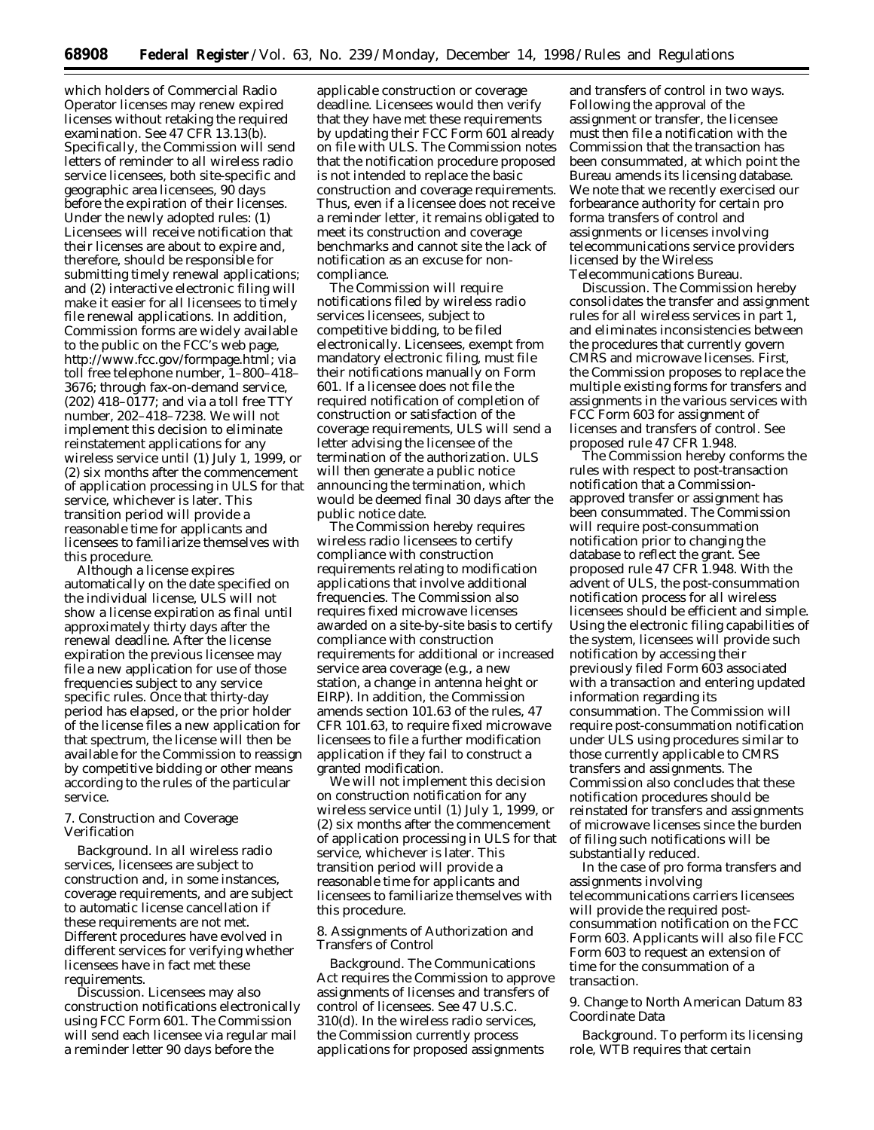which holders of Commercial Radio Operator licenses may renew expired licenses without retaking the required examination. *See* 47 CFR 13.13(b). Specifically, the Commission will send letters of reminder to all wireless radio service licensees, both site-specific and geographic area licensees, 90 days before the expiration of their licenses. Under the newly adopted rules: (1) Licensees will receive notification that their licenses are about to expire and, therefore, should be responsible for submitting timely renewal applications; and (2) interactive electronic filing will make it easier for all licensees to timely file renewal applications. In addition, Commission forms are widely available to the public on the FCC's web page, http://www.fcc.gov/formpage.html; via toll free telephone number, 1–800–418– 3676; through fax-on-demand service, (202) 418–0177; and via a toll free TTY number, 202–418–7238. We will not implement this decision to eliminate reinstatement applications for any wireless service until (1) July 1, 1999, or (2) six months after the commencement of application processing in ULS for that service, whichever is later. This transition period will provide a reasonable time for applicants and licensees to familiarize themselves with this procedure.

Although a license expires automatically on the date specified on the individual license, ULS will not show a license expiration as final until approximately thirty days after the renewal deadline. After the license expiration the previous licensee may file a new application for use of those frequencies subject to any service specific rules. Once that thirty-day period has elapsed, or the prior holder of the license files a new application for that spectrum, the license will then be available for the Commission to reassign by competitive bidding or other means according to the rules of the particular service.

# 7. Construction and Coverage Verification

*Background.* In all wireless radio services, licensees are subject to construction and, in some instances, coverage requirements, and are subject to automatic license cancellation if these requirements are not met. Different procedures have evolved in different services for verifying whether licensees have in fact met these requirements.

*Discussion.* Licensees may also construction notifications electronically using FCC Form 601. The Commission will send each licensee via regular mail a reminder letter 90 days before the

applicable construction or coverage deadline. Licensees would then verify that they have met these requirements by updating their FCC Form 601 already on file with ULS. The Commission notes that the notification procedure proposed is not intended to replace the basic construction and coverage requirements. Thus, even if a licensee does not receive a reminder letter, it remains obligated to meet its construction and coverage benchmarks and cannot site the lack of notification as an excuse for noncompliance.

The Commission will require notifications filed by wireless radio services licensees, subject to competitive bidding, to be filed electronically. Licensees, exempt from mandatory electronic filing, must file their notifications manually on Form 601. If a licensee does not file the required notification of completion of construction or satisfaction of the coverage requirements, ULS will send a letter advising the licensee of the termination of the authorization. ULS will then generate a public notice announcing the termination, which would be deemed final 30 days after the public notice date.

The Commission hereby requires wireless radio licensees to certify compliance with construction requirements relating to modification applications that involve additional frequencies. The Commission also requires fixed microwave licenses awarded on a site-by-site basis to certify compliance with construction requirements for additional or increased service area coverage (*e.g.,* a new station, a change in antenna height or EIRP). In addition, the Commission amends section 101.63 of the rules, 47 CFR 101.63, to require fixed microwave licensees to file a further modification application if they fail to construct a granted modification.

We will not implement this decision on construction notification for any wireless service until (1) July 1, 1999, or (2) six months after the commencement of application processing in ULS for that service, whichever is later. This transition period will provide a reasonable time for applicants and licensees to familiarize themselves with this procedure.

# 8. Assignments of Authorization and Transfers of Control

*Background.* The Communications Act requires the Commission to approve assignments of licenses and transfers of control of licensees. *See* 47 U.S.C. 310(d). In the wireless radio services, the Commission currently process applications for proposed assignments

and transfers of control in two ways. Following the approval of the assignment or transfer, the licensee must then file a notification with the Commission that the transaction has been consummated, at which point the Bureau amends its licensing database. We note that we recently exercised our forbearance authority for certain *pro forma* transfers of control and assignments or licenses involving telecommunications service providers licensed by the Wireless Telecommunications Bureau.

*Discussion.* The Commission hereby consolidates the transfer and assignment rules for all wireless services in part 1, and eliminates inconsistencies between the procedures that currently govern CMRS and microwave licenses. First, the Commission proposes to replace the multiple existing forms for transfers and assignments in the various services with FCC Form 603 for assignment of licenses and transfers of control. *See* proposed rule 47 CFR 1.948.

The Commission hereby conforms the rules with respect to post-transaction notification that a Commissionapproved transfer or assignment has been consummated. The Commission will require post-consummation notification prior to changing the database to reflect the grant. *See* proposed rule 47 CFR 1.948. With the advent of ULS, the post-consummation notification process for all wireless licensees should be efficient and simple. Using the electronic filing capabilities of the system, licensees will provide such notification by accessing their previously filed Form 603 associated with a transaction and entering updated information regarding its consummation. The Commission will require post-consummation notification under ULS using procedures similar to those currently applicable to CMRS transfers and assignments. The Commission also concludes that these notification procedures should be reinstated for transfers and assignments of microwave licenses since the burden of filing such notifications will be substantially reduced.

In the case of *pro forma* transfers and assignments involving telecommunications carriers licensees will provide the required postconsummation notification on the FCC Form 603. Applicants will also file FCC Form 603 to request an extension of time for the consummation of a transaction.

# 9. Change to North American Datum 83 Coordinate Data

*Background.* To perform its licensing role, WTB requires that certain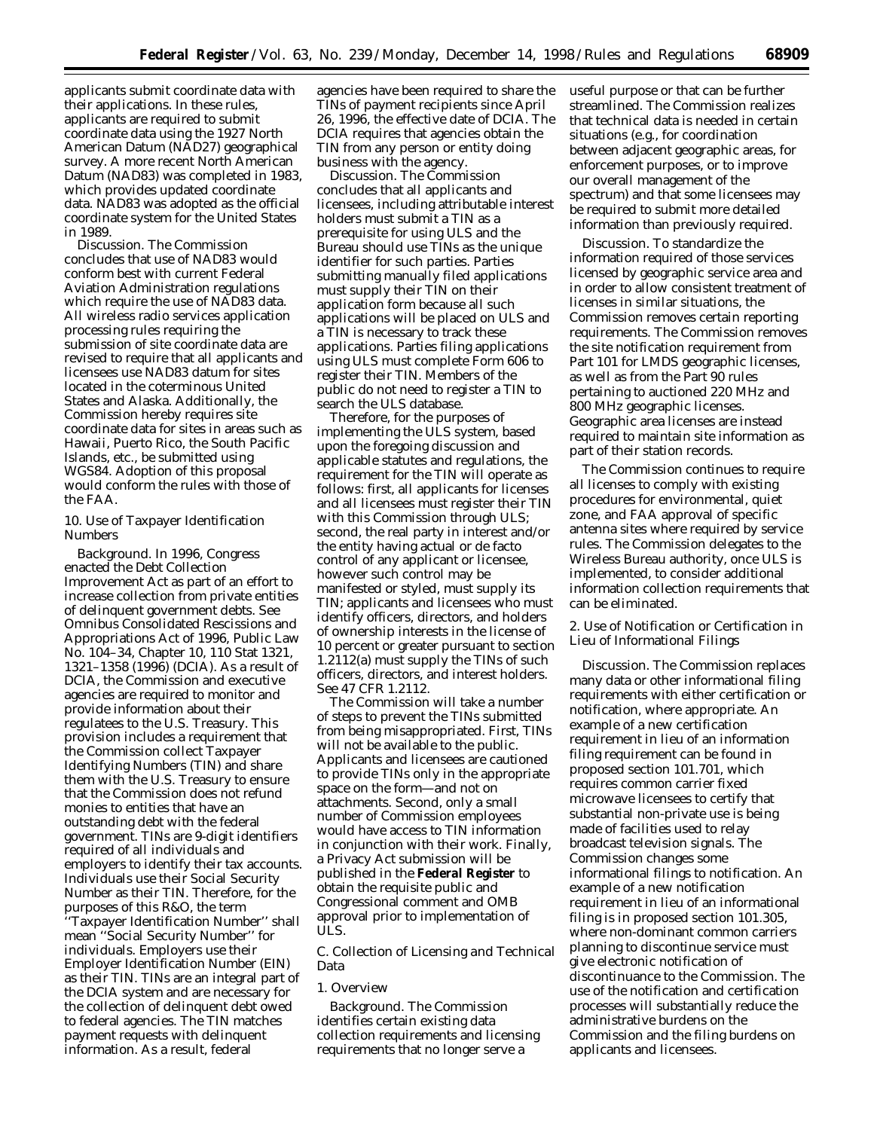applicants submit coordinate data with their applications. In these rules, applicants are required to submit coordinate data using the 1927 North American Datum (NAD27) geographical survey. A more recent North American Datum (NAD83) was completed in 1983, which provides updated coordinate data. NAD83 was adopted as the official coordinate system for the United States in 1989.

*Discussion.* The Commission concludes that use of NAD83 would conform best with current Federal Aviation Administration regulations which require the use of NAD83 data. All wireless radio services application processing rules requiring the submission of site coordinate data are revised to require that all applicants and licensees use NAD83 datum for sites located in the coterminous United States and Alaska. Additionally, the Commission hereby requires site coordinate data for sites in areas such as Hawaii, Puerto Rico, the South Pacific Islands, etc., be submitted using WGS84. Adoption of this proposal would conform the rules with those of the FAA.

# 10. Use of Taxpayer Identification Numbers

*Background.* In 1996, Congress enacted the Debt Collection Improvement Act as part of an effort to increase collection from private entities of delinquent government debts. *See* Omnibus Consolidated Rescissions and Appropriations Act of 1996, Public Law No. 104–34, Chapter 10, 110 Stat 1321, 1321–1358 (1996) (DCIA). As a result of DCIA, the Commission and executive agencies are required to monitor and provide information about their regulatees to the U.S. Treasury. This provision includes a requirement that the Commission collect Taxpayer Identifying Numbers (TIN) and share them with the U.S. Treasury to ensure that the Commission does not refund monies to entities that have an outstanding debt with the federal government. TINs are 9-digit identifiers required of all individuals and employers to identify their tax accounts. Individuals use their Social Security Number as their TIN. Therefore, for the purposes of this *R&O,* the term

''Taxpayer Identification Number'' shall mean ''Social Security Number'' for individuals. Employers use their Employer Identification Number (EIN) as their TIN. TINs are an integral part of the DCIA system and are necessary for the collection of delinquent debt owed to federal agencies. The TIN matches payment requests with delinquent information. As a result, federal

agencies have been required to share the TINs of payment recipients since April 26, 1996, the effective date of DCIA. The DCIA requires that agencies obtain the TIN from any person or entity doing business with the agency.

*Discussion.* The Commission concludes that all applicants and licensees, including attributable interest holders must submit a TIN as a prerequisite for using ULS and the Bureau should use TINs as the unique identifier for such parties. Parties submitting manually filed applications must supply their TIN on their application form because all such applications will be placed on ULS and a TIN is necessary to track these applications. Parties filing applications using ULS must complete Form 606 to register their TIN. Members of the public do not need to register a TIN to search the ULS database.

Therefore, for the purposes of implementing the ULS system, based upon the foregoing discussion and applicable statutes and regulations, the requirement for the TIN will operate as follows: first, all applicants for licenses and all licensees must register their TIN with this Commission through ULS; second, the real party in interest and/or the entity having actual or de facto control of any applicant or licensee, however such control may be manifested or styled, must supply its TIN; applicants and licensees who must identify officers, directors, and holders of ownership interests in the license of 10 percent or greater pursuant to section 1.2112(a) must supply the TINs of such officers, directors, and interest holders. *See* 47 CFR 1.2112.

The Commission will take a number of steps to prevent the TINs submitted from being misappropriated. First, TINs will not be available to the public. Applicants and licensees are cautioned to provide TINs only in the appropriate space on the form—and *not* on attachments. Second, only a small number of Commission employees would have access to TIN information in conjunction with their work. Finally, a Privacy Act submission will be published in the **Federal Register** to obtain the requisite public and Congressional comment and OMB approval prior to implementation of ULS.

# *C. Collection of Licensing and Technical Data*

## 1. Overview

*Background.* The Commission identifies certain existing data collection requirements and licensing requirements that no longer serve a

useful purpose or that can be further streamlined. The Commission realizes that technical data is needed in certain situations (*e.g.,* for coordination between adjacent geographic areas, for enforcement purposes, or to improve our overall management of the spectrum) and that some licensees may be required to submit more detailed information than previously required.

*Discussion.* To standardize the information required of those services licensed by geographic service area and in order to allow consistent treatment of licenses in similar situations, the Commission removes certain reporting requirements. The Commission removes the site notification requirement from Part 101 for LMDS geographic licenses, as well as from the Part 90 rules pertaining to auctioned 220 MHz and 800 MHz geographic licenses. Geographic area licenses are instead required to maintain site information as part of their station records.

The Commission continues to require all licenses to comply with existing procedures for environmental, quiet zone, and FAA approval of specific antenna sites where required by service rules. The Commission delegates to the Wireless Bureau authority, once ULS is implemented, to consider additional information collection requirements that can be eliminated.

2. Use of Notification or Certification in Lieu of Informational Filings

*Discussion.* The Commission replaces many data or other informational filing requirements with either certification or notification, where appropriate. An example of a new certification requirement in lieu of an information filing requirement can be found in proposed section 101.701, which requires common carrier fixed microwave licensees to certify that substantial non-private use is being made of facilities used to relay broadcast television signals. The Commission changes some informational filings to notification. An example of a new notification requirement in lieu of an informational filing is in proposed section 101.305, where non-dominant common carriers planning to discontinue service must give electronic notification of discontinuance to the Commission. The use of the notification and certification processes will substantially reduce the administrative burdens on the Commission and the filing burdens on applicants and licensees.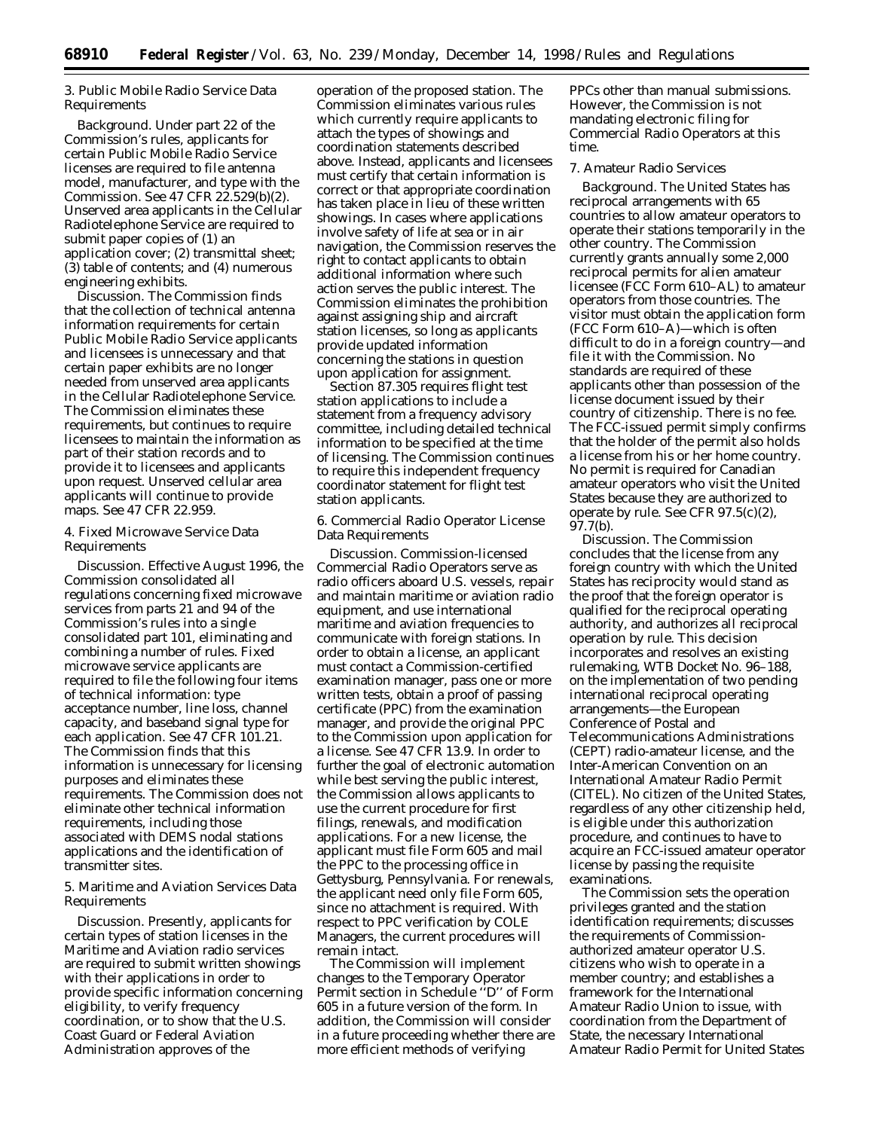3. Public Mobile Radio Service Data Requirements

*Background.* Under part 22 of the Commission's rules, applicants for certain Public Mobile Radio Service licenses are required to file antenna model, manufacturer, and type with the Commission. *See* 47 CFR 22.529(b)(2). Unserved area applicants in the Cellular Radiotelephone Service are required to submit paper copies of (1) an application cover; (2) transmittal sheet; (3) table of contents; and (4) numerous engineering exhibits.

*Discussion.* The Commission finds that the collection of technical antenna information requirements for certain Public Mobile Radio Service applicants and licensees is unnecessary and that certain paper exhibits are no longer needed from unserved area applicants in the Cellular Radiotelephone Service. The Commission eliminates these requirements, but continues to require licensees to maintain the information as part of their station records and to provide it to licensees and applicants upon request. Unserved cellular area applicants will continue to provide maps. *See* 47 CFR 22.959.

# 4. Fixed Microwave Service Data Requirements

*Discussion.* Effective August 1996, the Commission consolidated all regulations concerning fixed microwave services from parts 21 and 94 of the Commission's rules into a single consolidated part 101, eliminating and combining a number of rules. Fixed microwave service applicants are required to file the following four items of technical information: type acceptance number, line loss, channel capacity, and baseband signal type for each application. *See* 47 CFR 101.21. The Commission finds that this information is unnecessary for licensing purposes and eliminates these requirements. The Commission does not eliminate other technical information requirements, including those associated with DEMS nodal stations applications and the identification of transmitter sites.

5. Maritime and Aviation Services Data Requirements

*Discussion.* Presently, applicants for certain types of station licenses in the Maritime and Aviation radio services are required to submit written showings with their applications in order to provide specific information concerning eligibility, to verify frequency coordination, or to show that the U.S. Coast Guard or Federal Aviation Administration approves of the

operation of the proposed station. The Commission eliminates various rules which currently require applicants to attach the types of showings and coordination statements described above. Instead, applicants and licensees must certify that certain information is correct or that appropriate coordination has taken place in lieu of these written showings. In cases where applications involve safety of life at sea or in air navigation, the Commission reserves the right to contact applicants to obtain additional information where such action serves the public interest. The Commission eliminates the prohibition against assigning ship and aircraft station licenses, so long as applicants provide updated information concerning the stations in question upon application for assignment.

Section 87.305 requires flight test station applications to include a statement from a frequency advisory committee, including detailed technical information to be specified at the time of licensing. The Commission continues to require this independent frequency coordinator statement for flight test station applicants.

6. Commercial Radio Operator License Data Requirements

*Discussion.* Commission-licensed Commercial Radio Operators serve as radio officers aboard U.S. vessels, repair and maintain maritime or aviation radio equipment, and use international maritime and aviation frequencies to communicate with foreign stations. In order to obtain a license, an applicant must contact a Commission-certified examination manager, pass one or more written tests, obtain a proof of passing certificate (PPC) from the examination manager, and provide the original PPC to the Commission upon application for a license. *See* 47 CFR 13.9. In order to further the goal of electronic automation while best serving the public interest, the Commission allows applicants to use the current procedure for first filings, renewals, and modification applications. For a new license, the applicant must file Form 605 and mail the PPC to the processing office in Gettysburg, Pennsylvania. For renewals, the applicant need only file Form 605, since no attachment is required. With respect to PPC verification by COLE Managers, the current procedures will remain intact.

The Commission will implement changes to the Temporary Operator Permit section in Schedule ''D'' of Form 605 in a future version of the form. In addition, the Commission will consider in a future proceeding whether there are more efficient methods of verifying

PPCs other than manual submissions. However, the Commission is not mandating electronic filing for Commercial Radio Operators at this time.

### 7. Amateur Radio Services

*Background.* The United States has reciprocal arrangements with 65 countries to allow amateur operators to operate their stations temporarily in the other country. The Commission currently grants annually some 2,000 reciprocal permits for alien amateur licensee (FCC Form 610–AL) to amateur operators from those countries. The visitor must obtain the application form (FCC Form 610–A)—which is often difficult to do in a foreign country—and file it with the Commission. No standards are required of these applicants other than possession of the license document issued by their country of citizenship. There is no fee. The FCC-issued permit simply confirms that the holder of the permit also holds a license from his or her home country. No permit is required for Canadian amateur operators who visit the United States because they are authorized to operate by rule. *See* CFR 97.5(c)(2), 97.7(b).

*Discussion.* The Commission concludes that the license from any foreign country with which the United States has reciprocity would stand as the proof that the foreign operator is qualified for the reciprocal operating authority, and authorizes all reciprocal operation by rule. This decision incorporates and resolves an existing rulemaking, WTB Docket No. 96–188, on the implementation of two pending international reciprocal operating arrangements—the European Conference of Postal and Telecommunications Administrations (CEPT) radio-amateur license, and the Inter-American Convention on an International Amateur Radio Permit (CITEL). No citizen of the United States, regardless of any other citizenship held, is eligible under this authorization procedure, and continues to have to acquire an FCC-issued amateur operator license by passing the requisite examinations.

The Commission sets the operation privileges granted and the station identification requirements; discusses the requirements of Commissionauthorized amateur operator U.S. citizens who wish to operate in a member country; and establishes a framework for the International Amateur Radio Union to issue, with coordination from the Department of State, the necessary International Amateur Radio Permit for United States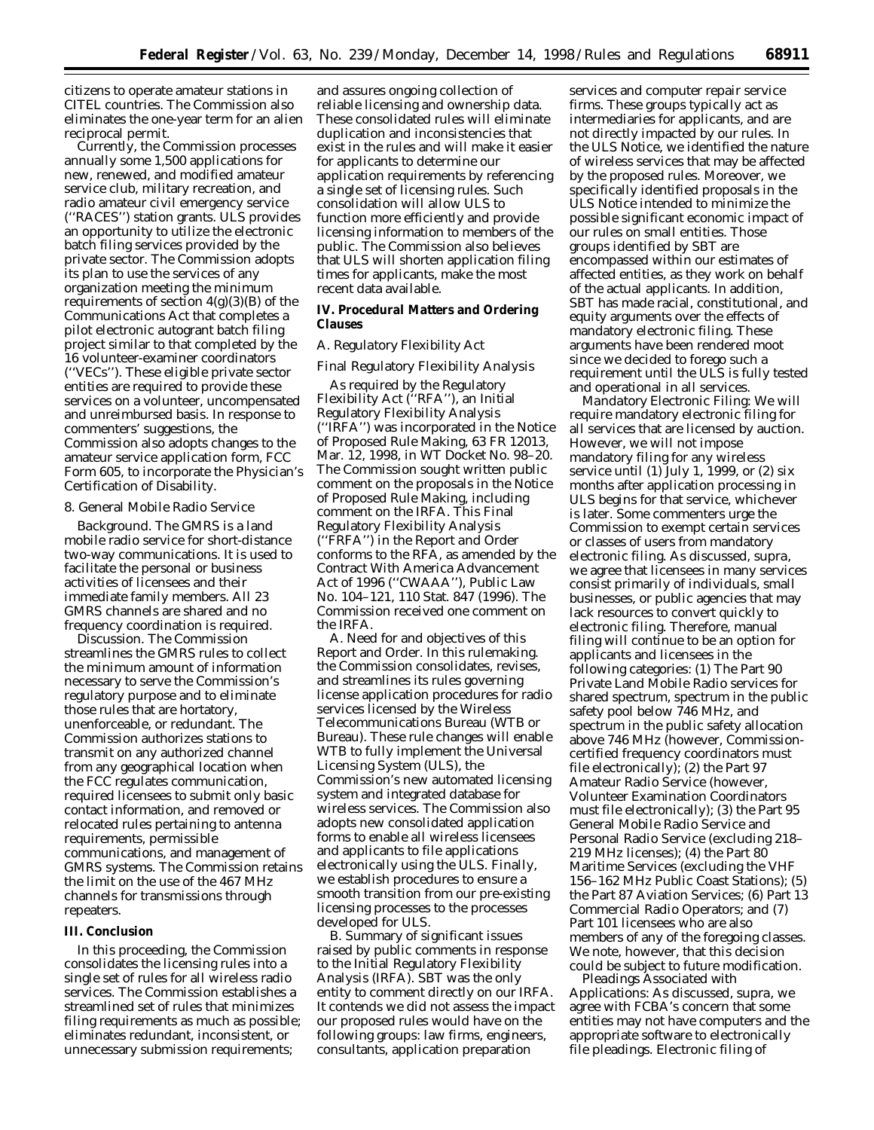citizens to operate amateur stations in CITEL countries. The Commission also eliminates the one-year term for an alien reciprocal permit.

Currently, the Commission processes annually some 1,500 applications for new, renewed, and modified amateur service club, military recreation, and radio amateur civil emergency service (''RACES'') station grants. ULS provides an opportunity to utilize the electronic batch filing services provided by the private sector. The Commission adopts its plan to use the services of any organization meeting the minimum requirements of section 4(g)(3)(B) of the Communications Act that completes a pilot electronic autogrant batch filing project similar to that completed by the 16 volunteer-examiner coordinators (''VECs''). These eligible private sector entities are required to provide these services on a volunteer, uncompensated and unreimbursed basis. In response to commenters' suggestions, the Commission also adopts changes to the amateur service application form, FCC Form 605, to incorporate the Physician's Certification of Disability.

### 8. General Mobile Radio Service

*Background.* The GMRS is a land mobile radio service for short-distance two-way communications. It is used to facilitate the personal or business activities of licensees and their immediate family members. All 23 GMRS channels are shared and no frequency coordination is required.

*Discussion.* The Commission streamlines the GMRS rules to collect the minimum amount of information necessary to serve the Commission's regulatory purpose and to eliminate those rules that are hortatory, unenforceable, or redundant. The Commission authorizes stations to transmit on any authorized channel from any geographical location when the FCC regulates communication, required licensees to submit only basic contact information, and removed or relocated rules pertaining to antenna requirements, permissible communications, and management of GMRS systems. The Commission retains the limit on the use of the 467 MHz channels for transmissions through repeaters.

# **III. Conclusion**

In this proceeding, the Commission consolidates the licensing rules into a single set of rules for all wireless radio services. The Commission establishes a streamlined set of rules that minimizes filing requirements as much as possible; eliminates redundant, inconsistent, or unnecessary submission requirements;

and assures ongoing collection of reliable licensing and ownership data. These consolidated rules will eliminate duplication and inconsistencies that exist in the rules and will make it easier for applicants to determine our application requirements by referencing a single set of licensing rules. Such consolidation will allow ULS to function more efficiently and provide licensing information to members of the public. The Commission also believes that ULS will shorten application filing times for applicants, make the most recent data available.

## **IV. Procedural Matters and Ordering Clauses**

## *A. Regulatory Flexibility Act*

Final Regulatory Flexibility Analysis

As required by the Regulatory Flexibility Act (''RFA''), an Initial Regulatory Flexibility Analysis (''IRFA'') was incorporated in the *Notice of Proposed Rule Making,* 63 FR 12013, Mar. 12, 1998, in WT Docket No. 98–20. The Commission sought written public comment on the proposals in the *Notice of Proposed Rule Making,* including comment on the IRFA. This Final Regulatory Flexibility Analysis (''FRFA'') in the *Report and Order* conforms to the RFA, as amended by the Contract With America Advancement Act of 1996 (''CWAAA''), Public Law No. 104–121, 110 Stat. 847 (1996). The Commission received one comment on the IRFA.

A. Need for and objectives of this Report and Order. In this rulemaking. the Commission consolidates, revises, and streamlines its rules governing license application procedures for radio services licensed by the Wireless Telecommunications Bureau (WTB or Bureau). These rule changes will enable WTB to fully implement the Universal Licensing System (ULS), the Commission's new automated licensing system and integrated database for wireless services. The Commission also adopts new consolidated application forms to enable all wireless licensees and applicants to file applications electronically using the ULS. Finally, we establish procedures to ensure a smooth transition from our pre-existing licensing processes to the processes developed for ULS.

B. Summary of significant issues raised by public comments in response to the Initial Regulatory Flexibility Analysis (IRFA). SBT was the only entity to comment directly on our IRFA. It contends we did not assess the impact our proposed rules would have on the following groups: law firms, engineers, consultants, application preparation

services and computer repair service firms. These groups typically act as intermediaries for applicants, and are not directly impacted by our rules. In the ULS Notice, we identified the nature of wireless services that may be affected by the proposed rules. Moreover, we specifically identified proposals in the *ULS Notice* intended to minimize the possible significant economic impact of our rules on small entities. Those groups identified by SBT are encompassed within our estimates of affected entities, as they work on behalf of the actual applicants. In addition, SBT has made racial, constitutional, and equity arguments over the effects of mandatory electronic filing. These arguments have been rendered moot since we decided to forego such a requirement until the ULS is fully tested and operational in all services.

*Mandatory Electronic Filing:* We will require mandatory electronic filing for all services that are licensed by auction. However, we will not impose mandatory filing for any wireless service until (1) July 1, 1999, or (2) six months after application processing in ULS begins for that service, whichever is later. Some commenters urge the Commission to exempt certain services or classes of users from mandatory electronic filing. As discussed, *supra,* we agree that licensees in many services consist primarily of individuals, small businesses, or public agencies that may lack resources to convert quickly to electronic filing. Therefore, manual filing will continue to be an option for applicants and licensees in the following categories: (1) The Part 90 Private Land Mobile Radio services for shared spectrum, spectrum in the public safety pool below 746 MHz, and spectrum in the public safety allocation above 746 MHz (however, Commissioncertified frequency coordinators must file electronically); (2) the Part 97 Amateur Radio Service (however, Volunteer Examination Coordinators must file electronically); (3) the Part 95 General Mobile Radio Service and Personal Radio Service (excluding 218– 219 MHz licenses); (4) the Part 80 Maritime Services (excluding the VHF 156–162 MHz Public Coast Stations); (5) the Part 87 Aviation Services; (6) Part 13 Commercial Radio Operators; and (7) Part 101 licensees who are also members of any of the foregoing classes. We note, however, that this decision could be subject to future modification.

*Pleadings Associated with Applications:* As discussed, *supra,* we agree with FCBA's concern that some entities may not have computers and the appropriate software to electronically file pleadings. Electronic filing of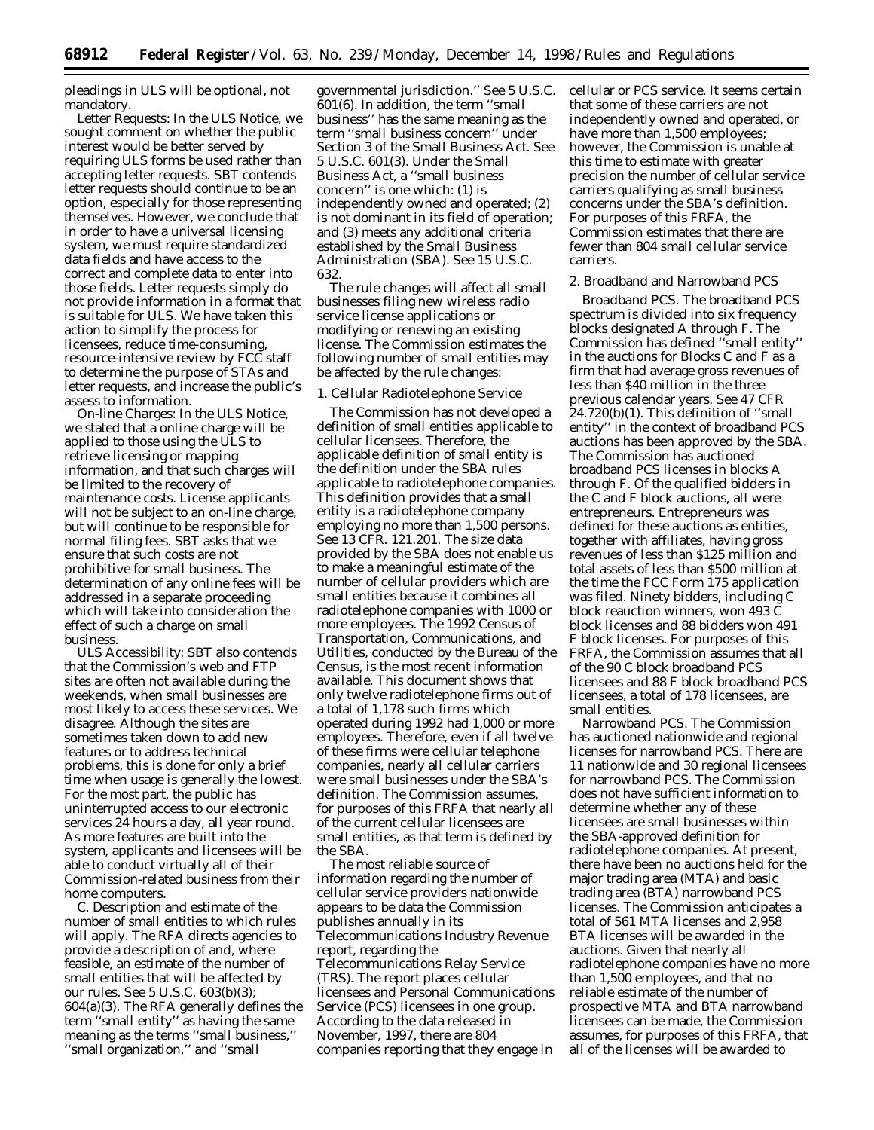pleadings in ULS will be optional, not mandatory.

*Letter Requests:* In the *ULS Notice,* we sought comment on whether the public interest would be better served by requiring ULS forms be used rather than accepting letter requests. SBT contends letter requests should continue to be an option, especially for those representing themselves. However, we conclude that in order to have a universal licensing system, we must require standardized data fields and have access to the correct and complete data to enter into those fields. Letter requests simply do not provide information in a format that is suitable for ULS. We have taken this action to simplify the process for licensees, reduce time-consuming, resource-intensive review by FCC staff to determine the purpose of STAs and letter requests, and increase the public's assess to information.

*On-line Charges:* In the ULS Notice, we stated that a online charge will be applied to those using the ULS to retrieve licensing or mapping information, and that such charges will be limited to the recovery of maintenance costs. License applicants will not be subject to an on-line charge, but will continue to be responsible for normal filing fees. SBT asks that we ensure that such costs are not prohibitive for small business. The determination of any online fees will be addressed in a separate proceeding which will take into consideration the effect of such a charge on small business.

*ULS Accessibility:* SBT also contends that the Commission's web and FTP sites are often not available during the weekends, when small businesses are most likely to access these services. We disagree. Although the sites are sometimes taken down to add new features or to address technical problems, this is done for only a brief time when usage is generally the lowest. For the most part, the public has uninterrupted access to our electronic services 24 hours a day, all year round. As more features are built into the system, applicants and licensees will be able to conduct virtually all of their Commission-related business from their home computers.

C. Description and estimate of the number of small entities to which rules will apply. The RFA directs agencies to provide a description of and, where feasible, an estimate of the number of small entities that will be affected by our rules. *See* 5 U.S.C. 603(b)(3); 604(a)(3). The RFA generally defines the term ''small entity'' as having the same meaning as the terms ''small business,'' ''small organization,'' and ''small

governmental jurisdiction.'' *See* 5 U.S.C. 601(6). In addition, the term ''small business'' has the same meaning as the term ''small business concern'' under Section 3 of the Small Business Act. *See* 5 U.S.C. 601(3). Under the Small Business Act, a ''small business concern'' is one which: (1) is independently owned and operated; (2) is not dominant in its field of operation; and (3) meets any additional criteria established by the Small Business Administration (SBA). *See* 15 U.S.C. 632.

The rule changes will affect all small businesses filing new wireless radio service license applications or modifying or renewing an existing license. The Commission estimates the following number of small entities may be affected by the rule changes:

### 1. Cellular Radiotelephone Service

The Commission has not developed a definition of small entities applicable to cellular licensees. Therefore, the applicable definition of small entity is the definition under the SBA rules applicable to radiotelephone companies. This definition provides that a small entity is a radiotelephone company employing no more than 1,500 persons. *See* 13 CFR. 121.201. The size data provided by the SBA does not enable us to make a meaningful estimate of the number of cellular providers which are small entities because it combines all radiotelephone companies with 1000 or more employees. The 1992 Census of Transportation, Communications, and Utilities, conducted by the Bureau of the Census, is the most recent information available. This document shows that only twelve radiotelephone firms out of a total of 1,178 such firms which operated during 1992 had 1,000 or more employees. Therefore, even if all twelve of these firms were cellular telephone companies, nearly all cellular carriers were small businesses under the SBA's definition. The Commission assumes, for purposes of this FRFA that nearly all of the current cellular licensees are small entities, as that term is defined by the SBA.

The most reliable source of information regarding the number of cellular service providers nationwide appears to be data the Commission publishes annually in its *Telecommunications Industry Revenue* report, regarding the Telecommunications Relay Service (TRS). The report places cellular licensees and Personal Communications Service (PCS) licensees in one group. According to the data released in November, 1997, there are 804 companies reporting that they engage in

cellular or PCS service. It seems certain that some of these carriers are not independently owned and operated, or have more than 1,500 employees; however, the Commission is unable at this time to estimate with greater precision the number of cellular service carriers qualifying as small business concerns under the SBA's definition. For purposes of this FRFA, the Commission estimates that there are fewer than 804 small cellular service carriers.

### 2. Broadband and Narrowband PCS

*Broadband PCS*. The broadband PCS spectrum is divided into six frequency blocks designated A through F. The Commission has defined ''small entity'' in the auctions for Blocks C and F as a firm that had average gross revenues of less than \$40 million in the three previous calendar years. *See* 47 CFR 24.720(b)(1). This definition of ''small entity'' in the context of broadband PCS auctions has been approved by the SBA. The Commission has auctioned broadband PCS licenses in blocks A through F. Of the qualified bidders in the C and F block auctions, all were entrepreneurs. Entrepreneurs was defined for these auctions as entities, together with affiliates, having gross revenues of less than \$125 million and total assets of less than \$500 million at the time the FCC Form 175 application was filed. Ninety bidders, including C block reauction winners, won 493 C block licenses and 88 bidders won 491 F block licenses. For purposes of this FRFA, the Commission assumes that all of the 90 C block broadband PCS licensees and 88 F block broadband PCS licensees, a total of 178 licensees, are small entities.

*Narrowband PCS*. The Commission has auctioned nationwide and regional licenses for narrowband PCS. There are 11 nationwide and 30 regional licensees for narrowband PCS. The Commission does not have sufficient information to determine whether any of these licensees are small businesses within the SBA-approved definition for radiotelephone companies. At present, there have been no auctions held for the major trading area (MTA) and basic trading area (BTA) narrowband PCS licenses. The Commission anticipates a total of 561 MTA licenses and 2,958 BTA licenses will be awarded in the auctions. Given that nearly all radiotelephone companies have no more than 1,500 employees, and that no reliable estimate of the number of prospective MTA and BTA narrowband licensees can be made, the Commission assumes, for purposes of this FRFA, that all of the licenses will be awarded to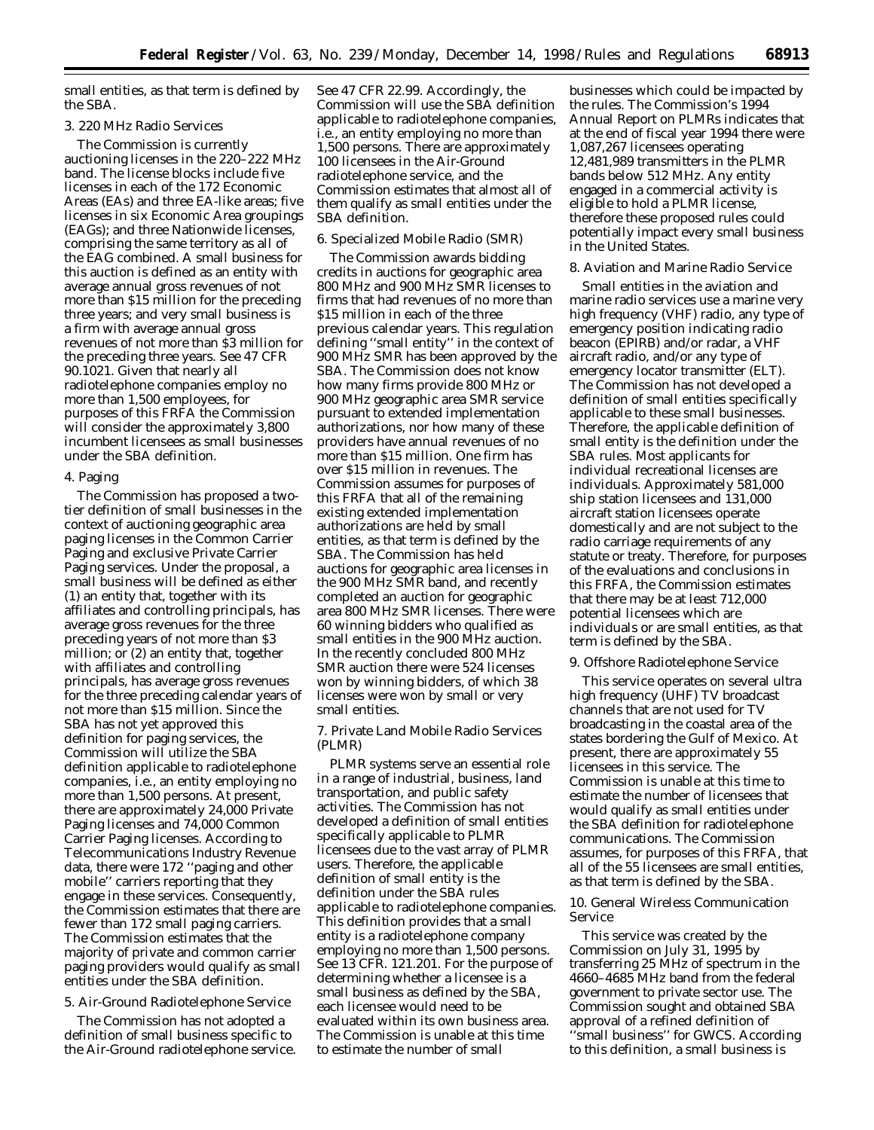small entities, as that term is defined by the SBA.

## 3. 220 MHz Radio Services

The Commission is currently auctioning licenses in the 220–222 MHz band. The license blocks include five licenses in each of the 172 Economic Areas (EAs) and three EA-like areas; five licenses in six Economic Area groupings (EAGs); and three Nationwide licenses, comprising the same territory as all of the EAG combined. A small business for this auction is defined as an entity with average annual gross revenues of not more than \$15 million for the preceding three years; and very small business is a firm with average annual gross revenues of not more than \$3 million for the preceding three years. *See* 47 CFR 90.1021. Given that nearly all radiotelephone companies employ no more than 1,500 employees, for purposes of this FRFA the Commission will consider the approximately 3,800 incumbent licensees as small businesses under the SBA definition.

### 4. Paging

The Commission has proposed a twotier definition of small businesses in the context of auctioning geographic area paging licenses in the Common Carrier Paging and exclusive Private Carrier Paging services. Under the proposal, a small business will be defined as either (1) an entity that, together with its affiliates and controlling principals, has average gross revenues for the three preceding years of not more than \$3 million; or (2) an entity that, together with affiliates and controlling principals, has average gross revenues for the three preceding calendar years of not more than \$15 million. Since the SBA has not yet approved this definition for paging services, the Commission will utilize the SBA definition applicable to radiotelephone companies, *i.e.*, an entity employing no more than 1,500 persons. At present, there are approximately 24,000 Private Paging licenses and 74,000 Common Carrier Paging licenses. According to *Telecommunications Industry Revenue* data, there were 172 ''paging and other mobile'' carriers reporting that they engage in these services. Consequently, the Commission estimates that there are fewer than 172 small paging carriers. The Commission estimates that the majority of private and common carrier paging providers would qualify as small entities under the SBA definition.

# 5. Air-Ground Radiotelephone Service

The Commission has not adopted a definition of small business specific to the Air-Ground radiotelephone service.

*See* 47 CFR 22.99. Accordingly, the Commission will use the SBA definition applicable to radiotelephone companies, *i.e.*, an entity employing no more than 1,500 persons. There are approximately 100 licensees in the Air-Ground radiotelephone service, and the Commission estimates that almost all of them qualify as small entities under the SBA definition.

### 6. Specialized Mobile Radio (SMR)

The Commission awards bidding credits in auctions for geographic area 800 MHz and 900 MHz SMR licenses to firms that had revenues of no more than \$15 million in each of the three previous calendar years. This regulation defining ''small entity'' in the context of 900 MHz SMR has been approved by the SBA. The Commission does not know how many firms provide 800 MHz or 900 MHz geographic area SMR service pursuant to extended implementation authorizations, nor how many of these providers have annual revenues of no more than \$15 million. One firm has over \$15 million in revenues. The Commission assumes for purposes of this FRFA that all of the remaining existing extended implementation authorizations are held by small entities, as that term is defined by the SBA. The Commission has held auctions for geographic area licenses in the 900 MHz SMR band, and recently completed an auction for geographic area 800 MHz SMR licenses. There were 60 winning bidders who qualified as small entities in the 900 MHz auction. In the recently concluded 800 MHz SMR auction there were 524 licenses won by winning bidders, of which 38 licenses were won by small or very small entities.

7. Private Land Mobile Radio Services (PLMR)

PLMR systems serve an essential role in a range of industrial, business, land transportation, and public safety activities. The Commission has not developed a definition of small entities specifically applicable to PLMR licensees due to the vast array of PLMR users. Therefore, the applicable definition of small entity is the definition under the SBA rules applicable to radiotelephone companies. This definition provides that a small entity is a radiotelephone company employing no more than 1,500 persons. *See* 13 CFR. 121.201. For the purpose of determining whether a licensee is a small business as defined by the SBA, each licensee would need to be evaluated within its own business area. The Commission is unable at this time to estimate the number of small

businesses which could be impacted by the rules. The Commission's 1994 Annual Report on PLMRs indicates that at the end of fiscal year 1994 there were 1,087,267 licensees operating 12,481,989 transmitters in the PLMR bands below 512 MHz. Any entity engaged in a commercial activity is eligible to hold a PLMR license, therefore these proposed rules could potentially impact every small business in the United States.

## 8. Aviation and Marine Radio Service

Small entities in the aviation and marine radio services use a marine very high frequency (VHF) radio, any type of emergency position indicating radio beacon (EPIRB) and/or radar, a VHF aircraft radio, and/or any type of emergency locator transmitter (ELT). The Commission has not developed a definition of small entities specifically applicable to these small businesses. Therefore, the applicable definition of small entity is the definition under the SBA rules. Most applicants for individual recreational licenses are individuals. Approximately 581,000 ship station licensees and 131,000 aircraft station licensees operate domestically and are not subject to the radio carriage requirements of any statute or treaty. Therefore, for purposes of the evaluations and conclusions in this FRFA, the Commission estimates that there may be at least 712,000 potential licensees which are individuals or are small entities, as that term is defined by the SBA.

### 9. Offshore Radiotelephone Service

This service operates on several ultra high frequency (UHF) TV broadcast channels that are not used for TV broadcasting in the coastal area of the states bordering the Gulf of Mexico. At present, there are approximately 55 licensees in this service. The Commission is unable at this time to estimate the number of licensees that would qualify as small entities under the SBA definition for radiotelephone communications. The Commission assumes, for purposes of this FRFA, that all of the 55 licensees are small entities, as that term is defined by the SBA.

# 10. General Wireless Communication Service

This service was created by the Commission on July 31, 1995 by transferring 25 MHz of spectrum in the 4660–4685 MHz band from the federal government to private sector use. The Commission sought and obtained SBA approval of a refined definition of 'small business" for GWCS. According to this definition, a small business is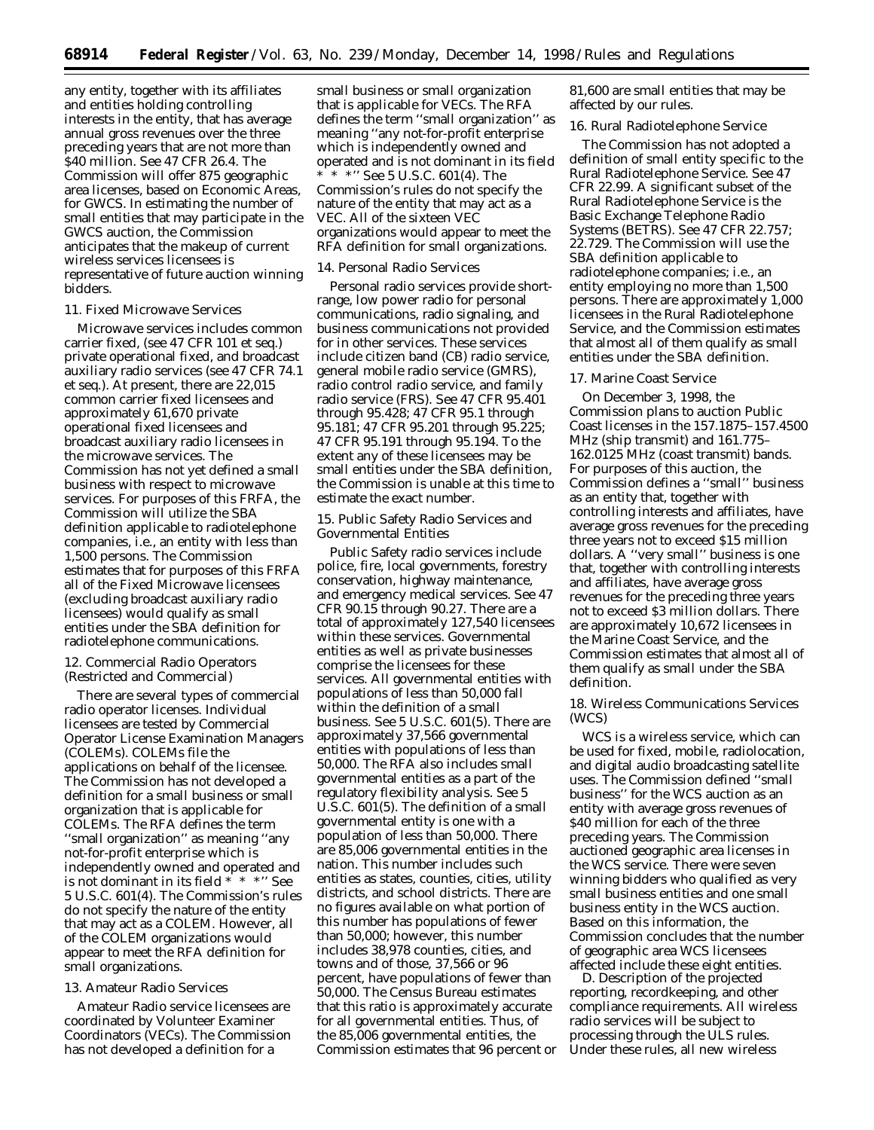any entity, together with its affiliates and entities holding controlling interests in the entity, that has average annual gross revenues over the three preceding years that are not more than \$40 million. *See* 47 CFR 26.4. The Commission will offer 875 geographic area licenses, based on Economic Areas, for GWCS. In estimating the number of small entities that may participate in the GWCS auction, the Commission anticipates that the makeup of current wireless services licensees is representative of future auction winning bidders.

### 11. Fixed Microwave Services

Microwave services includes common carrier fixed, (*see* 47 CFR 101 *et seq.*) private operational fixed, and broadcast auxiliary radio services (*see* 47 CFR 74.1 *et seq.*). At present, there are 22,015 common carrier fixed licensees and approximately 61,670 private operational fixed licensees and broadcast auxiliary radio licensees in the microwave services. The Commission has not yet defined a small business with respect to microwave services. For purposes of this FRFA, the Commission will utilize the SBA definition applicable to radiotelephone companies, *i.e.*, an entity with less than 1,500 persons. The Commission estimates that for purposes of this FRFA all of the Fixed Microwave licensees (excluding broadcast auxiliary radio licensees) would qualify as small entities under the SBA definition for radiotelephone communications.

12. Commercial Radio Operators (Restricted and Commercial)

There are several types of commercial radio operator licenses. Individual licensees are tested by Commercial Operator License Examination Managers (COLEMs). COLEMs file the applications on behalf of the licensee. The Commission has not developed a definition for a small business or small organization that is applicable for COLEMs. The RFA defines the term ''small organization'' as meaning ''any not-for-profit enterprise which is independently owned and operated and is not dominant in its field \* \* \*'' *See* 5 U.S.C. 601(4). The Commission's rules do not specify the nature of the entity that may act as a COLEM. However, all of the COLEM organizations would appear to meet the RFA definition for small organizations.

# 13. Amateur Radio Services

Amateur Radio service licensees are coordinated by Volunteer Examiner Coordinators (VECs). The Commission has not developed a definition for a

small business or small organization that is applicable for VECs. The RFA defines the term ''small organization'' as meaning ''any not-for-profit enterprise which is independently owned and operated and is not dominant in its field \* \* \*'' *See* 5 U.S.C. 601(4). The Commission's rules do not specify the nature of the entity that may act as a VEC. All of the sixteen VEC organizations would appear to meet the RFA definition for small organizations.

# 14. Personal Radio Services

Personal radio services provide shortrange, low power radio for personal communications, radio signaling, and business communications not provided for in other services. These services include citizen band (CB) radio service, general mobile radio service (GMRS), radio control radio service, and family radio service (FRS). *See* 47 CFR 95.401 through 95.428; 47 CFR 95.1 through 95.181; 47 CFR 95.201 through 95.225; 47 CFR 95.191 through 95.194. To the extent any of these licensees may be small entities under the SBA definition, the Commission is unable at this time to estimate the exact number.

15. Public Safety Radio Services and Governmental Entities

Public Safety radio services include police, fire, local governments, forestry conservation, highway maintenance, and emergency medical services. *See* 47 CFR 90.15 through 90.27. There are a total of approximately 127,540 licensees within these services. Governmental entities as well as private businesses comprise the licensees for these services. All governmental entities with populations of less than 50,000 fall within the definition of a small business. *See* 5 U.S.C. 601(5). There are approximately 37,566 governmental entities with populations of less than 50,000. The RFA also includes small governmental entities as a part of the regulatory flexibility analysis. *See* 5 U.S.C. 601(5). The definition of a small governmental entity is one with a population of less than 50,000. There are 85,006 governmental entities in the nation. This number includes such entities as states, counties, cities, utility districts, and school districts. There are no figures available on what portion of this number has populations of fewer than 50,000; however, this number includes 38,978 counties, cities, and towns and of those, 37,566 or 96 percent, have populations of fewer than 50,000. The Census Bureau estimates that this ratio is approximately accurate for all governmental entities. Thus, of the 85,006 governmental entities, the Commission estimates that 96 percent or 81,600 are small entities that may be affected by our rules.

### 16. Rural Radiotelephone Service

The Commission has not adopted a definition of small entity specific to the Rural Radiotelephone Service. *See* 47 CFR 22.99. A significant subset of the Rural Radiotelephone Service is the Basic Exchange Telephone Radio Systems (BETRS). *See* 47 CFR 22.757; 22.729. The Commission will use the SBA definition applicable to radiotelephone companies; *i.e.*, an entity employing no more than 1,500 persons. There are approximately 1,000 licensees in the Rural Radiotelephone Service, and the Commission estimates that almost all of them qualify as small entities under the SBA definition.

### 17. Marine Coast Service

On December 3, 1998, the Commission plans to auction Public Coast licenses in the 157.1875–157.4500 MHz (ship transmit) and 161.775– 162.0125 MHz (coast transmit) bands. For purposes of this auction, the Commission defines a ''small'' business as an entity that, together with controlling interests and affiliates, have average gross revenues for the preceding three years not to exceed \$15 million dollars. A ''very small'' business is one that, together with controlling interests and affiliates, have average gross revenues for the preceding three years not to exceed \$3 million dollars. There are approximately 10,672 licensees in the Marine Coast Service, and the Commission estimates that almost all of them qualify as small under the SBA definition.

18. Wireless Communications Services (WCS)

WCS is a wireless service, which can be used for fixed, mobile, radiolocation, and digital audio broadcasting satellite uses. The Commission defined ''small business'' for the WCS auction as an entity with average gross revenues of \$40 million for each of the three preceding years. The Commission auctioned geographic area licenses in the WCS service. There were seven winning bidders who qualified as very small business entities and one small business entity in the WCS auction. Based on this information, the Commission concludes that the number of geographic area WCS licensees affected include these eight entities.

D. Description of the projected reporting, recordkeeping, and other compliance requirements. All wireless radio services will be subject to processing through the ULS rules. Under these rules, all new wireless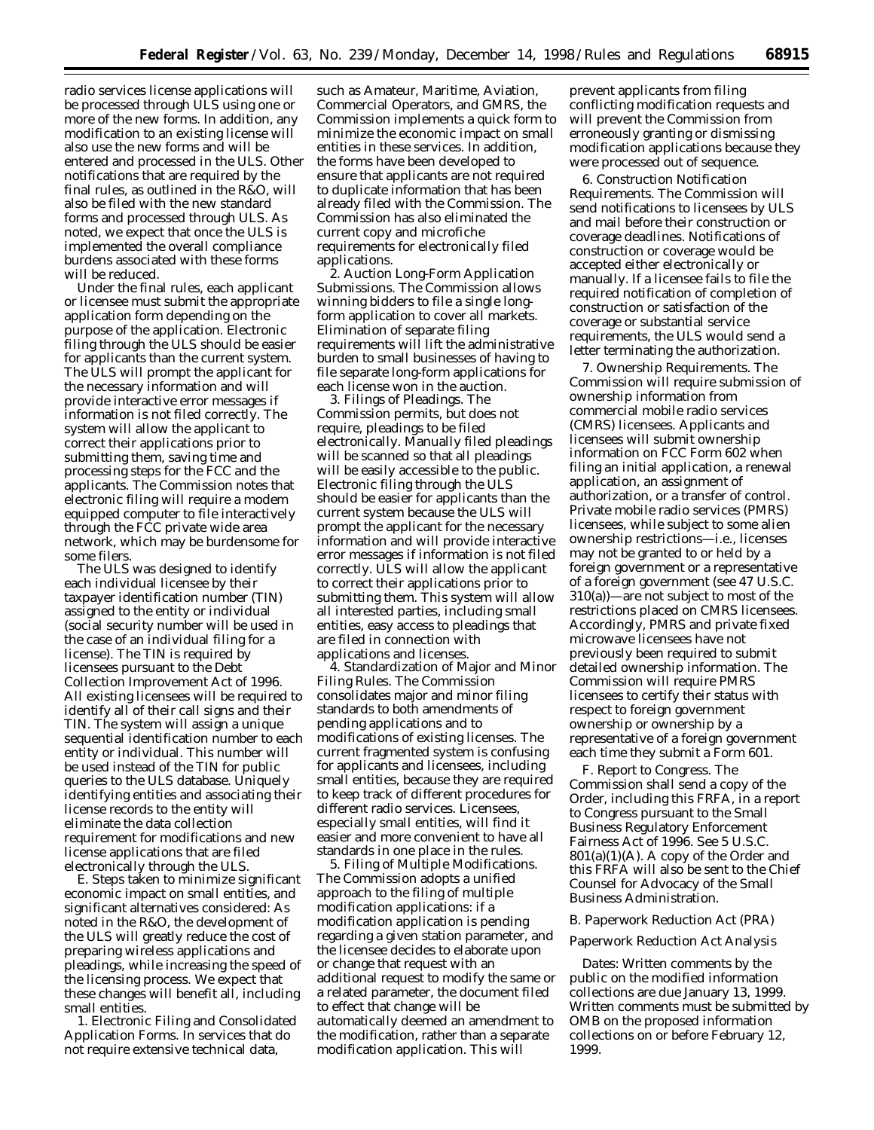radio services license applications will be processed through ULS using one or more of the new forms. In addition, any modification to an existing license will also use the new forms and will be entered and processed in the ULS. Other notifications that are required by the final rules, as outlined in the *R&O*, will also be filed with the new standard forms and processed through ULS. As noted, we expect that once the ULS is implemented the overall compliance burdens associated with these forms will be reduced.

Under the final rules, each applicant or licensee must submit the appropriate application form depending on the purpose of the application. Electronic filing through the ULS should be easier for applicants than the current system. The ULS will prompt the applicant for the necessary information and will provide interactive error messages if information is not filed correctly. The system will allow the applicant to correct their applications prior to submitting them, saving time and processing steps for the FCC and the applicants. The Commission notes that electronic filing will require a modem equipped computer to file interactively through the FCC private wide area network, which may be burdensome for some filers.

The ULS was designed to identify each individual licensee by their taxpayer identification number (TIN) assigned to the entity or individual (social security number will be used in the case of an individual filing for a license). The TIN is required by licensees pursuant to the Debt Collection Improvement Act of 1996. All existing licensees will be required to identify all of their call signs and their TIN. The system will assign a unique sequential identification number to each entity or individual. This number will be used instead of the TIN for public queries to the ULS database. Uniquely identifying entities and associating their license records to the entity will eliminate the data collection requirement for modifications and new license applications that are filed electronically through the ULS.

E. Steps taken to minimize significant economic impact on small entities, and significant alternatives considered: As noted in the *R&O*, the development of the ULS will greatly reduce the cost of preparing wireless applications and pleadings, while increasing the speed of the licensing process. We expect that these changes will benefit all, including small entities.

1. Electronic Filing and Consolidated Application Forms. In services that do not require extensive technical data,

such as Amateur, Maritime, Aviation, Commercial Operators, and GMRS, the Commission implements a quick form to minimize the economic impact on small entities in these services. In addition, the forms have been developed to ensure that applicants are not required to duplicate information that has been already filed with the Commission. The Commission has also eliminated the current copy and microfiche requirements for electronically filed applications.

2. Auction Long-Form Application Submissions. The Commission allows winning bidders to file a single longform application to cover all markets. Elimination of separate filing requirements will lift the administrative burden to small businesses of having to file separate long-form applications for each license won in the auction.

3. Filings of Pleadings. The Commission permits, but does not require, pleadings to be filed electronically. Manually filed pleadings will be scanned so that all pleadings will be easily accessible to the public. Electronic filing through the ULS should be easier for applicants than the current system because the ULS will prompt the applicant for the necessary information and will provide interactive error messages if information is not filed correctly. ULS will allow the applicant to correct their applications prior to submitting them. This system will allow all interested parties, including small entities, easy access to pleadings that are filed in connection with applications and licenses.

4. Standardization of Major and Minor Filing Rules. The Commission consolidates major and minor filing standards to both amendments of pending applications and to modifications of existing licenses. The current fragmented system is confusing for applicants and licensees, including small entities, because they are required to keep track of different procedures for different radio services. Licensees, especially small entities, will find it easier and more convenient to have all standards in one place in the rules.

5. Filing of Multiple Modifications. The Commission adopts a unified approach to the filing of multiple modification applications: if a modification application is pending regarding a given station parameter, and the licensee decides to elaborate upon or change that request with an additional request to modify the same or a related parameter, the document filed to effect that change will be automatically deemed an amendment to the modification, rather than a separate modification application. This will

prevent applicants from filing conflicting modification requests and will prevent the Commission from erroneously granting or dismissing modification applications because they were processed out of sequence.

6. Construction Notification Requirements. The Commission will send notifications to licensees by ULS and mail before their construction or coverage deadlines. Notifications of construction or coverage would be accepted either electronically or manually. If a licensee fails to file the required notification of completion of construction or satisfaction of the coverage or substantial service requirements, the ULS would send a letter terminating the authorization.

7. Ownership Requirements. The Commission will require submission of ownership information from commercial mobile radio services (CMRS) licensees. Applicants and licensees will submit ownership information on FCC Form 602 when filing an initial application, a renewal application, an assignment of authorization, or a transfer of control. Private mobile radio services (PMRS) licensees, while subject to some alien ownership restrictions—*i.e.*, licenses may not be granted to or held by a foreign government or a representative of a foreign government (*see* 47 U.S.C. 310(a))—are not subject to most of the restrictions placed on CMRS licensees. Accordingly, PMRS and private fixed microwave licensees have not previously been required to submit detailed ownership information. The Commission will require PMRS licensees to certify their status with respect to foreign government ownership or ownership by a representative of a foreign government each time they submit a Form 601.

F. Report to Congress. The Commission shall send a copy of the Order, including this FRFA, in a report to Congress pursuant to the Small Business Regulatory Enforcement Fairness Act of 1996. *See* 5 U.S.C.  $801(a)(1)(A)$ . A copy of the Order and this FRFA will also be sent to the Chief Counsel for Advocacy of the Small Business Administration.

### *B. Paperwork Reduction Act (PRA)*

## Paperwork Reduction Act Analysis

*Dates*: Written comments by the public on the modified information collections are due January 13, 1999. Written comments must be submitted by OMB on the proposed information collections on or before February 12, 1999.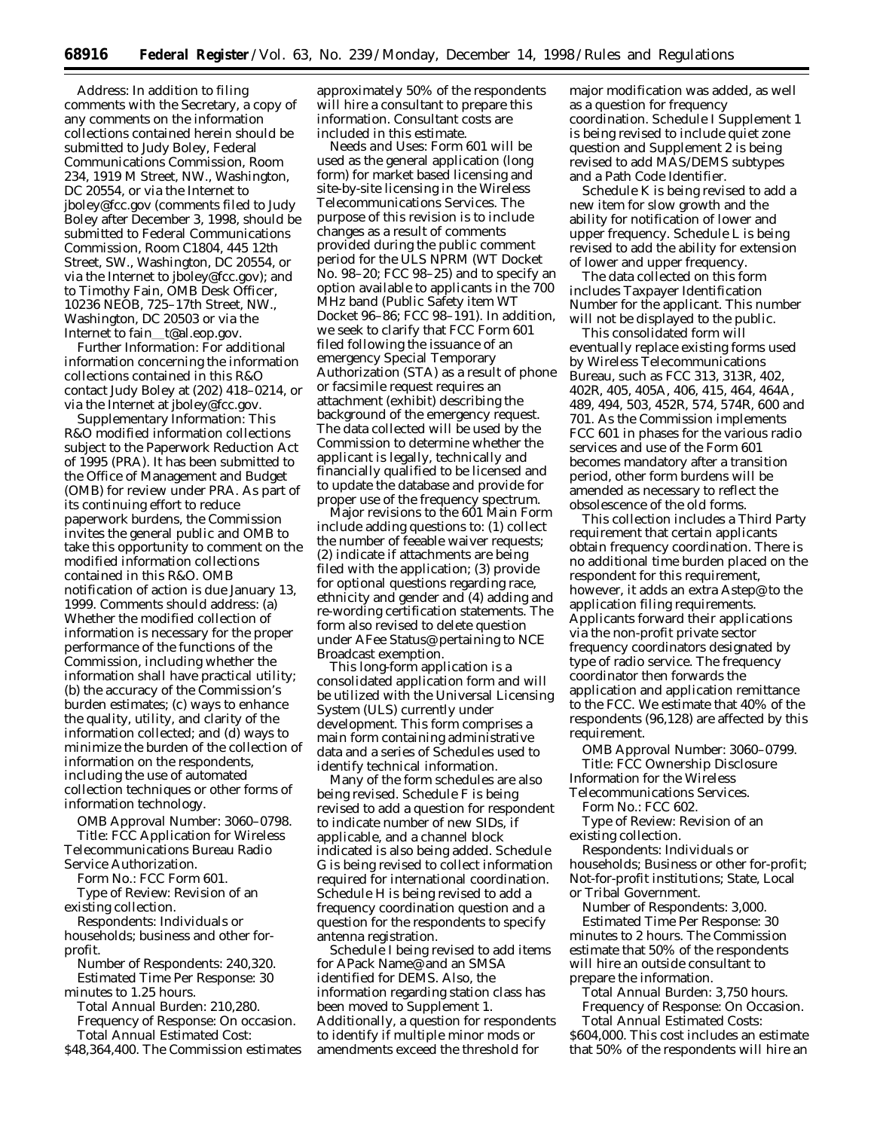*Address*: In addition to filing comments with the Secretary, a copy of any comments on the information collections contained herein should be submitted to Judy Boley, Federal Communications Commission, Room 234, 1919 M Street, NW., Washington, DC 20554, or via the Internet to jboley@fcc.gov (comments filed to Judy Boley after December 3, 1998, should be submitted to Federal Communications Commission, Room C1804, 445 12th Street, SW., Washington, DC 20554, or via the Internet to jboley@fcc.gov); and to Timothy Fain, OMB Desk Officer, 10236 NEOB, 725–17th Street, NW., Washington, DC 20503 or via the Internet to fain $_t$ @al.eop.gov.

*Further Information*: For additional information concerning the information collections contained in this *R&O* contact Judy Boley at (202) 418–0214, or via the Internet at jboley@fcc.gov.

*Supplementary Information*: This *R&O* modified information collections subject to the Paperwork Reduction Act of 1995 (PRA). It has been submitted to the Office of Management and Budget (OMB) for review under PRA. As part of its continuing effort to reduce paperwork burdens, the Commission invites the general public and OMB to take this opportunity to comment on the modified information collections contained in this *R&O*. OMB notification of action is due January 13, 1999. Comments should address: (a) Whether the modified collection of information is necessary for the proper performance of the functions of the Commission, including whether the information shall have practical utility; (b) the accuracy of the Commission's burden estimates; (c) ways to enhance the quality, utility, and clarity of the information collected; and (d) ways to minimize the burden of the collection of information on the respondents, including the use of automated collection techniques or other forms of information technology.

*OMB Approval Number*: 3060–0798. *Title:* FCC Application for Wireless Telecommunications Bureau Radio

Service Authorization.

*Form No.:* FCC Form 601.

*Type of Review:* Revision of an existing collection.

*Respondents:* Individuals or households; business and other forprofit.

*Number of Respondents:* 240,320. *Estimated Time Per Response:* 30 minutes to 1.25 hours.

*Total Annual Burden:* 210,280. *Frequency of Response:* On occasion. *Total Annual Estimated Cost:*

\$48,364,400. The Commission estimates

approximately 50% of the respondents will hire a consultant to prepare this information. Consultant costs are included in this estimate.

*Needs and Uses:* Form 601 will be used as the general application (long form) for market based licensing and site-by-site licensing in the Wireless Telecommunications Services. The purpose of this revision is to include changes as a result of comments provided during the public comment period for the ULS NPRM (WT Docket No. 98–20; FCC 98–25) and to specify an option available to applicants in the 700 MHz band (Public Safety item WT Docket 96–86; FCC 98–191). In addition, we seek to clarify that FCC Form 601 filed following the issuance of an emergency Special Temporary Authorization (STA) as a result of phone or facsimile request requires an attachment (exhibit) describing the background of the emergency request. The data collected will be used by the Commission to determine whether the applicant is legally, technically and financially qualified to be licensed and to update the database and provide for proper use of the frequency spectrum.

Major revisions to the 601 Main Form include adding questions to: (1) collect the number of feeable waiver requests; (2) indicate if attachments are being filed with the application; (3) provide for optional questions regarding race, ethnicity and gender and (4) adding and re-wording certification statements. The form also revised to delete question under AFee Status@ pertaining to NCE Broadcast exemption.

This long-form application is a consolidated application form and will be utilized with the Universal Licensing System (ULS) currently under development. This form comprises a main form containing administrative data and a series of Schedules used to identify technical information.

Many of the form schedules are also being revised. Schedule F is being revised to add a question for respondent to indicate number of new SIDs, if applicable, and a channel block indicated is also being added. Schedule G is being revised to collect information required for international coordination. Schedule H is being revised to add a frequency coordination question and a question for the respondents to specify antenna registration.

Schedule I being revised to add items for APack Name@ and an SMSA identified for DEMS. Also, the information regarding station class has been moved to Supplement 1. Additionally, a question for respondents to identify if multiple minor mods or amendments exceed the threshold for

major modification was added, as well as a question for frequency coordination. Schedule I Supplement 1 is being revised to include quiet zone question and Supplement 2 is being revised to add MAS/DEMS subtypes and a Path Code Identifier.

Schedule K is being revised to add a new item for slow growth and the ability for notification of lower and upper frequency. Schedule L is being revised to add the ability for extension of lower and upper frequency.

The data collected on this form includes Taxpayer Identification Number for the applicant. This number will not be displayed to the public.

This consolidated form will eventually replace existing forms used by Wireless Telecommunications Bureau, such as FCC 313, 313R, 402, 402R, 405, 405A, 406, 415, 464, 464A, 489, 494, 503, 452R, 574, 574R, 600 and 701. As the Commission implements FCC 601 in phases for the various radio services and use of the Form 601 becomes mandatory after a transition period, other form burdens will be amended as necessary to reflect the obsolescence of the old forms.

This collection includes a Third Party requirement that certain applicants obtain frequency coordination. There is no additional time burden placed on the respondent for this requirement, however, it adds an extra Astep@ to the application filing requirements. Applicants forward their applications via the non-profit private sector frequency coordinators designated by type of radio service. The frequency coordinator then forwards the application and application remittance to the FCC. We estimate that 40% of the respondents (96,128) are affected by this requirement.

*OMB Approval Number:* 3060–0799. *Title:* FCC Ownership Disclosure Information for the Wireless

Telecommunications Services.

*Form No.:* FCC 602.

*Type of Review:* Revision of an existing collection.

*Respondents:* Individuals or households; Business or other for-profit; Not-for-profit institutions; State, Local or Tribal Government.

*Number of Respondents:* 3,000. *Estimated Time Per Response:* 30 minutes to 2 hours. The Commission estimate that 50% of the respondents will hire an outside consultant to

prepare the information.

*Total Annual Burden:* 3,750 hours. *Frequency of Response:* On Occasion.

*Total Annual Estimated Costs:* \$604,000. This cost includes an estimate that 50% of the respondents will hire an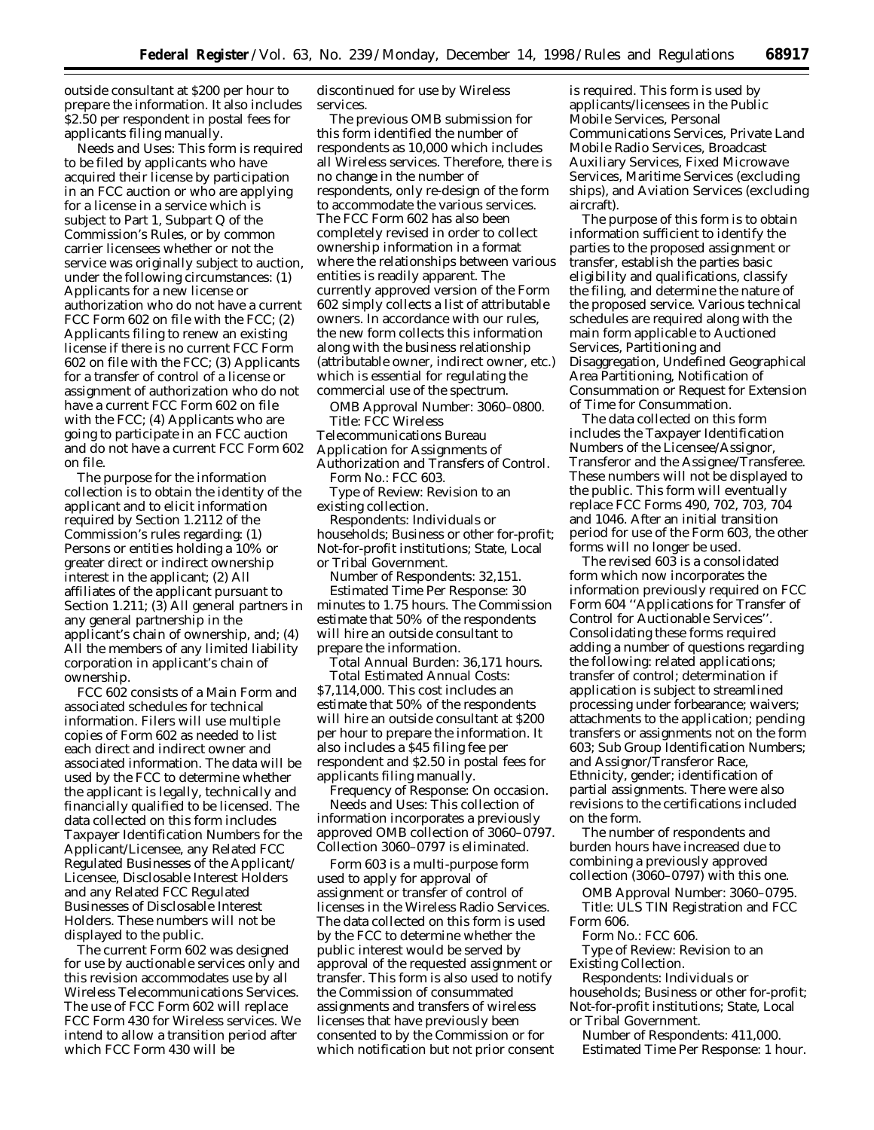outside consultant at \$200 per hour to prepare the information. It also includes \$2.50 per respondent in postal fees for applicants filing manually.

*Needs and Uses:* This form is required to be filed by applicants who have acquired their license by participation in an FCC auction or who are applying for a license in a service which is subject to Part 1, Subpart Q of the Commission's Rules, or by common carrier licensees whether or not the service was originally subject to auction, under the following circumstances: (1) Applicants for a new license or authorization who do not have a current FCC Form 602 on file with the FCC; (2) Applicants filing to renew an existing license if there is no current FCC Form 602 on file with the FCC; (3) Applicants for a transfer of control of a license or assignment of authorization who do not have a current FCC Form 602 on file with the FCC; (4) Applicants who are going to participate in an FCC auction and do not have a current FCC Form 602 on file.

The purpose for the information collection is to obtain the identity of the applicant and to elicit information required by Section 1.2112 of the Commission's rules regarding: (1) Persons or entities holding a 10% or greater direct or indirect ownership interest in the applicant; (2) All affiliates of the applicant pursuant to Section 1.211; (3) All general partners in any general partnership in the applicant's chain of ownership, and; (4) All the members of any limited liability corporation in applicant's chain of ownership.

FCC 602 consists of a Main Form and associated schedules for technical information. Filers will use multiple copies of Form 602 as needed to list each direct and indirect owner and associated information. The data will be used by the FCC to determine whether the applicant is legally, technically and financially qualified to be licensed. The data collected on this form includes Taxpayer Identification Numbers for the Applicant/Licensee, any Related FCC Regulated Businesses of the Applicant/ Licensee, Disclosable Interest Holders and any Related FCC Regulated Businesses of Disclosable Interest Holders. These numbers will not be displayed to the public.

The current Form 602 was designed for use by auctionable services only and this revision accommodates use by all Wireless Telecommunications Services. The use of FCC Form 602 will replace FCC Form 430 for Wireless services. We intend to allow a transition period after which FCC Form 430 will be

discontinued for use by Wireless services.

The previous OMB submission for this form identified the number of respondents as 10,000 which includes all Wireless services. Therefore, there is no change in the number of respondents, only re-design of the form to accommodate the various services. The FCC Form 602 has also been completely revised in order to collect ownership information in a format where the relationships between various entities is readily apparent. The currently approved version of the Form 602 simply collects a list of attributable owners. In accordance with our rules, the new form collects this information along with the business relationship (attributable owner, indirect owner, etc.) which is essential for regulating the commercial use of the spectrum.

*OMB Approval Number:* 3060–0800. *Title:* FCC Wireless

Telecommunications Bureau Application for Assignments of Authorization and Transfers of Control.

*Form No.:* FCC 603. *Type of Review:* Revision to an existing collection.

*Respondents:* Individuals or households; Business or other for-profit; Not-for-profit institutions; State, Local or Tribal Government.

*Number of Respondents:* 32,151. *Estimated Time Per Response:* 30 minutes to 1.75 hours. The Commission estimate that 50% of the respondents will hire an outside consultant to prepare the information.

*Total Annual Burden:* 36,171 hours. *Total Estimated Annual Costs:* \$7,114,000. This cost includes an estimate that 50% of the respondents will hire an outside consultant at \$200 per hour to prepare the information. It also includes a \$45 filing fee per respondent and \$2.50 in postal fees for applicants filing manually.

*Frequency of Response:* On occasion. *Needs and Uses:* This collection of information incorporates a previously approved OMB collection of 3060–0797. Collection 3060–0797 is eliminated.

Form 603 is a multi-purpose form used to apply for approval of assignment or transfer of control of licenses in the Wireless Radio Services. The data collected on this form is used by the FCC to determine whether the public interest would be served by approval of the requested assignment or transfer. This form is also used to notify the Commission of consummated assignments and transfers of wireless licenses that have previously been consented to by the Commission or for which notification but not prior consent is required. This form is used by applicants/licensees in the Public Mobile Services, Personal Communications Services, Private Land Mobile Radio Services, Broadcast Auxiliary Services, Fixed Microwave Services, Maritime Services (excluding ships), and Aviation Services (excluding aircraft).

The purpose of this form is to obtain information sufficient to identify the parties to the proposed assignment or transfer, establish the parties basic eligibility and qualifications, classify the filing, and determine the nature of the proposed service. Various technical schedules are required along with the main form applicable to Auctioned Services, Partitioning and Disaggregation, Undefined Geographical Area Partitioning, Notification of Consummation or Request for Extension of Time for Consummation.

The data collected on this form includes the Taxpayer Identification Numbers of the Licensee/Assignor, Transferor and the Assignee/Transferee. These numbers will not be displayed to the public. This form will eventually replace FCC Forms 490, 702, 703, 704 and 1046. After an initial transition period for use of the Form 603, the other forms will no longer be used.

The revised 603 is a consolidated form which now incorporates the information previously required on FCC Form 604 ''Applications for Transfer of Control for Auctionable Services''. Consolidating these forms required adding a number of questions regarding the following: related applications; transfer of control; determination if application is subject to streamlined processing under forbearance; waivers; attachments to the application; pending transfers or assignments not on the form 603; Sub Group Identification Numbers; and Assignor/Transferor Race, Ethnicity, gender; identification of partial assignments. There were also revisions to the certifications included on the form.

The number of respondents and burden hours have increased due to combining a previously approved collection (3060–0797) with this one.

*OMB Approval Number:* 3060–0795. *Title:* ULS TIN Registration and FCC Form 606.

*Form No.:* FCC 606.

*Type of Review:* Revision to an Existing Collection.

*Respondents:* Individuals or households; Business or other for-profit; Not-for-profit institutions; State, Local or Tribal Government.

*Number of Respondents:* 411,000. *Estimated Time Per Response:* 1 hour.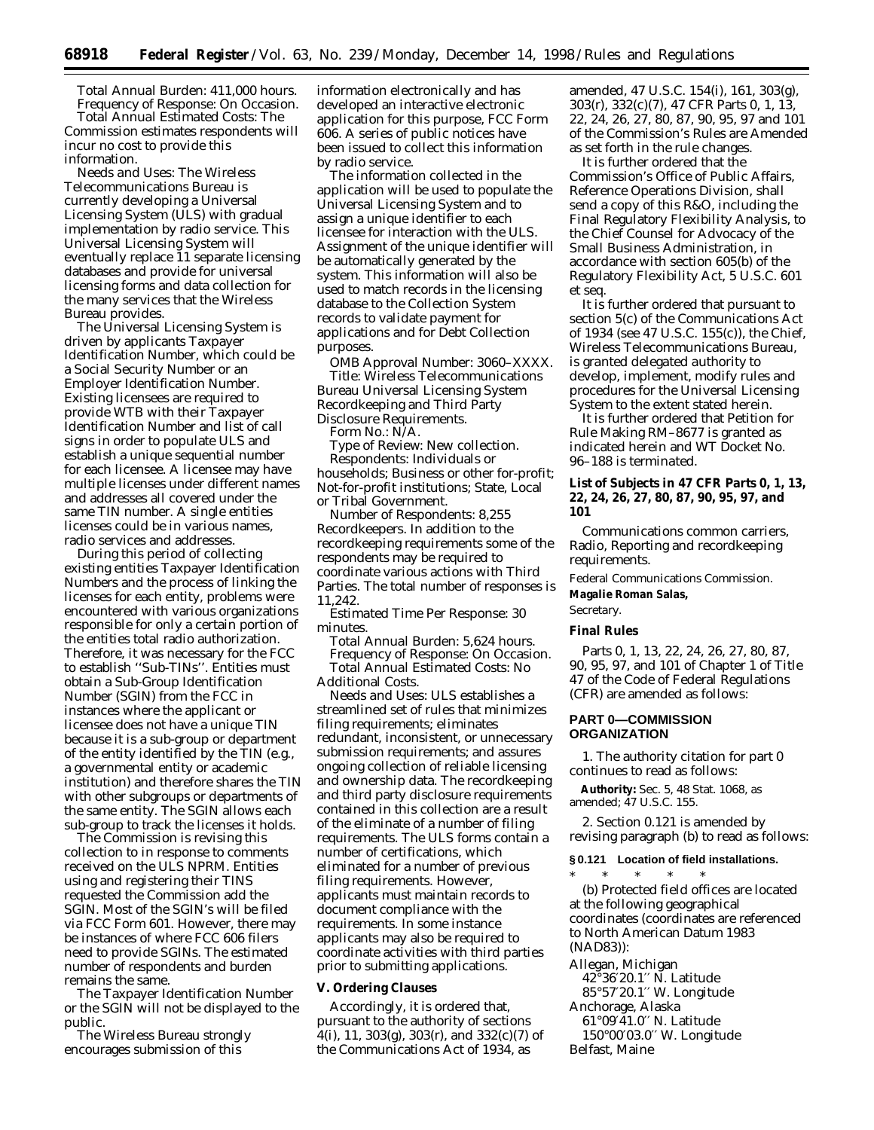*Total Annual Burden:* 411,000 hours. *Frequency of Response:* On Occasion. *Total Annual Estimated Costs:* The Commission estimates respondents will incur no cost to provide this

information.

*Needs and Uses:* The Wireless Telecommunications Bureau is currently developing a Universal Licensing System (ULS) with gradual implementation by radio service. This Universal Licensing System will eventually replace 11 separate licensing databases and provide for universal licensing forms and data collection for the many services that the Wireless Bureau provides.

The Universal Licensing System is driven by applicants Taxpayer Identification Number, which could be a Social Security Number or an Employer Identification Number. Existing licensees are required to provide WTB with their Taxpayer Identification Number and list of call signs in order to populate ULS and establish a unique sequential number for each licensee. A licensee may have multiple licenses under different names and addresses all covered under the same TIN number. A single entities licenses could be in various names, radio services and addresses.

During this period of collecting existing entities Taxpayer Identification Numbers and the process of linking the licenses for each entity, problems were encountered with various organizations responsible for only a certain portion of the entities total radio authorization. Therefore, it was necessary for the FCC to establish ''Sub-TINs''. Entities must obtain a Sub-Group Identification Number (SGIN) from the FCC in instances where the applicant or licensee does not have a unique TIN because it is a sub-group or department of the entity identified by the TIN (e.g., a governmental entity or academic institution) and therefore shares the TIN with other subgroups or departments of the same entity. The SGIN allows each sub-group to track the licenses it holds.

The Commission is revising this collection to in response to comments received on the ULS NPRM. Entities using and registering their TINS requested the Commission add the SGIN. Most of the SGIN's will be filed via FCC Form 601. However, there may be instances of where FCC 606 filers need to provide SGINs. The estimated number of respondents and burden remains the same.

The Taxpayer Identification Number or the SGIN will not be displayed to the public.

The Wireless Bureau strongly encourages submission of this

information electronically and has developed an interactive electronic application for this purpose, FCC Form 606. A series of public notices have been issued to collect this information by radio service.

The information collected in the application will be used to populate the Universal Licensing System and to assign a unique identifier to each licensee for interaction with the ULS. Assignment of the unique identifier will be automatically generated by the system. This information will also be used to match records in the licensing database to the Collection System records to validate payment for applications and for Debt Collection purposes.

*OMB Approval Number:* 3060–XXXX. *Title:* Wireless Telecommunications Bureau Universal Licensing System Recordkeeping and Third Party Disclosure Requirements.

*Form No.:* N/A.

*Type of Review:* New collection. *Respondents:* Individuals or households; Business or other for-profit; Not-for-profit institutions; State, Local or Tribal Government.

*Number of Respondents:* 8,255 Recordkeepers. In addition to the recordkeeping requirements some of the respondents may be required to coordinate various actions with Third Parties. The total number of responses is 11,242.

*Estimated Time Per Response:* 30 minutes.

*Total Annual Burden:* 5,624 hours. *Frequency of Response:* On Occasion. *Total Annual Estimated Costs:* No Additional Costs.

*Needs and Uses:* ULS establishes a streamlined set of rules that minimizes filing requirements; eliminates redundant, inconsistent, or unnecessary submission requirements; and assures ongoing collection of reliable licensing and ownership data. The recordkeeping and third party disclosure requirements contained in this collection are a result of the eliminate of a number of filing requirements. The ULS forms contain a number of certifications, which eliminated for a number of previous filing requirements. However, applicants must maintain records to document compliance with the requirements. In some instance applicants may also be required to coordinate activities with third parties prior to submitting applications.

### **V. Ordering Clauses**

Accordingly, *it is ordered* that, pursuant to the authority of sections 4(i), 11, 303(g), 303(r), and 332(c)(7) of the Communications Act of 1934, as

amended, 47 U.S.C. 154(i), 161, 303(g), 303(r), 332(c)(7), 47 CFR Parts 0, 1, 13, 22, 24, 26, 27, 80, 87, 90, 95, 97 and 101 of the Commission's Rules are *Amended* as set forth in the rule changes.

*It is further ordered* that the Commission's Office of Public Affairs, Reference Operations Division, shall send a copy of this *R&O*, including the Final Regulatory Flexibility Analysis, to the Chief Counsel for Advocacy of the Small Business Administration, in accordance with section 605(b) of the Regulatory Flexibility Act, 5 U.S.C. 601 *et seq.*

*It is further ordered* that pursuant to section 5(c) of the Communications Act of 1934 (*see* 47 U.S.C. 155(c)), the Chief, Wireless Telecommunications Bureau, *is granted delegated authority* to develop, implement, modify rules and procedures for the Universal Licensing System to the extent stated herein.

*It is further ordered* that Petition for Rule Making RM–8677 is granted as indicated herein and WT Docket No. 96–188 is *terminated.*

# **List of Subjects in 47 CFR Parts 0, 1, 13, 22, 24, 26, 27, 80, 87, 90, 95, 97, and 101**

Communications common carriers, Radio, Reporting and recordkeeping requirements.

Federal Communications Commission. **Magalie Roman Salas,**

### *Secretary.*

### **Final Rules**

Parts 0, 1, 13, 22, 24, 26, 27, 80, 87, 90, 95, 97, and 101 of Chapter 1 of Title 47 of the Code of Federal Regulations (CFR) are amended as follows:

# **PART 0—COMMISSION ORGANIZATION**

1. The authority citation for part 0 continues to read as follows:

**Authority:** Sec. 5, 48 Stat. 1068, as amended; 47 U.S.C. 155.

2. Section 0.121 is amended by revising paragraph (b) to read as follows:

**§ 0.121 Location of field installations.**

\* \* \* \* \* (b) Protected field offices are located at the following geographical coordinates (coordinates are referenced to North American Datum 1983 (NAD83)):

Allegan, Michigan

42°36′20.1′′ N. Latitude

85°57′20.1′′ W. Longitude

Anchorage, Alaska

61°09′41.0′′ N. Latitude

150°00′03.0′′ W. Longitude

Belfast, Maine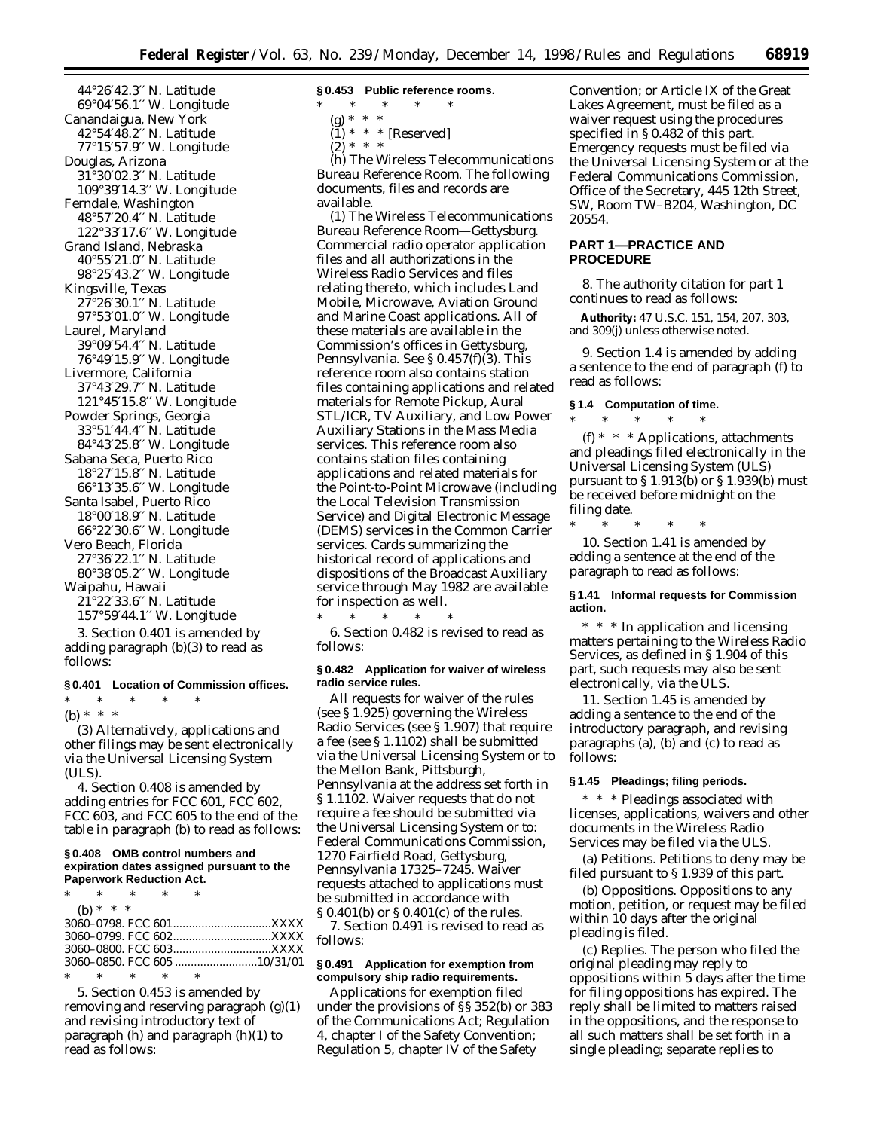°26′42.3′′ N. Latitude °04′56.1′′ W. Longitude Canandaigua, New York °54′48.2′′ N. Latitude °15′57.9′′ W. Longitude Douglas, Arizona °30′02.3′′ N. Latitude °39′14.3′′ W. Longitude Ferndale, Washington °57′20.4′′ N. Latitude °33′17.6′′ W. Longitude Grand Island, Nebraska °55′21.0′′ N. Latitude °25′43.2′′ W. Longitude Kingsville, Texas °26′30.1′′ N. Latitude °53′01.0′′ W. Longitude Laurel, Maryland °09′54.4′′ N. Latitude °49′15.9′′ W. Longitude Livermore, California °43′29.7′′ N. Latitude °45′15.8′′ W. Longitude Powder Springs, Georgia °51′44.4′′ N. Latitude °43′25.8′′ W. Longitude Sabana Seca, Puerto Rico °27′15.8′′ N. Latitude °13′35.6′′ W. Longitude Santa Isabel, Puerto Rico °00′18.9′′ N. Latitude °22′30.6′′ W. Longitude Vero Beach, Florida °36′22.1′′ N. Latitude °38′05.2′′ W. Longitude Waipahu, Hawaii °22′33.6′′ N. Latitude °59′44.1′′ W. Longitude 3. Section 0.401 is amended by

adding paragraph (b)(3) to read as follows:

### **§ 0.401 Location of Commission offices.**

\* \* \* \* \* (b) \* \* \*

(3) Alternatively, applications and other filings may be sent electronically via the Universal Licensing System (ULS).

4. Section 0.408 is amended by adding entries for FCC 601, FCC 602, FCC 603, and FCC 605 to the end of the table in paragraph (b) to read as follows:

### **§ 0.408 OMB control numbers and expiration dates assigned pursuant to the Paperwork Reduction Act.**

|        | $*$ $*$ $*$ $*$             |  |  |
|--------|-----------------------------|--|--|
|        | (b) * * *                   |  |  |
|        |                             |  |  |
|        |                             |  |  |
|        |                             |  |  |
|        |                             |  |  |
| $\ast$ | $\ast$ $\ast$ $\ast$ $\ast$ |  |  |
|        |                             |  |  |

5. Section 0.453 is amended by removing and reserving paragraph (g)(1) and revising introductory text of paragraph (h) and paragraph (h)(1) to read as follows:

# **§ 0.453 Public reference rooms.** \* \* \* \* \*

(g) \* \* \*

 $(1) * * *$  [Reserved]

 $(2)^* * * *$ 

(h) *The Wireless Telecommunications Bureau Reference Room.* The following documents, files and records are available.

(1) *The Wireless Telecommunications Bureau Reference Room—*Gettysburg. Commercial radio operator application files and all authorizations in the Wireless Radio Services and files relating thereto, which includes Land Mobile, Microwave, Aviation Ground and Marine Coast applications. All of these materials are available in the Commission's offices in Gettysburg, Pennsylvania. See § 0.457(f)(3). This reference room also contains station files containing applications and related materials for Remote Pickup, Aural STL/ICR, TV Auxiliary, and Low Power Auxiliary Stations in the Mass Media services. This reference room also contains station files containing applications and related materials for the Point-to-Point Microwave (including the Local Television Transmission Service) and Digital Electronic Message (DEMS) services in the Common Carrier services. Cards summarizing the historical record of applications and dispositions of the Broadcast Auxiliary service through May 1982 are available for inspection as well.

6. Section 0.482 is revised to read as follows:

 $*$  \* \*

### **§ 0.482 Application for waiver of wireless radio service rules.**

All requests for waiver of the rules (*see* § 1.925) governing the Wireless Radio Services (*see* § 1.907) that require a fee (*see* § 1.1102) shall be submitted via the Universal Licensing System or to the Mellon Bank, Pittsburgh, Pennsylvania at the address set forth in § 1.1102. Waiver requests that do not require a fee should be submitted via the Universal Licensing System or to: Federal Communications Commission, 1270 Fairfield Road, Gettysburg, Pennsylvania 17325–7245. Waiver requests attached to applications must be submitted in accordance with § 0.401(b) or § 0.401(c) of the rules.

7. Section 0.491 is revised to read as follows:

### **§ 0.491 Application for exemption from compulsory ship radio requirements.**

Applications for exemption filed under the provisions of §§ 352(b) or 383 of the Communications Act; Regulation 4, chapter I of the Safety Convention; Regulation 5, chapter IV of the Safety

Convention; or Article IX of the Great Lakes Agreement, must be filed as a waiver request using the procedures specified in § 0.482 of this part. Emergency requests must be filed via the Universal Licensing System or at the Federal Communications Commission, Office of the Secretary, 445 12th Street, SW, Room TW–B204, Washington, DC 20554.

# **PART 1—PRACTICE AND PROCEDURE**

8. The authority citation for part 1 continues to read as follows:

**Authority:** 47 U.S.C. 151, 154, 207, 303, and 309(j) unless otherwise noted.

9. Section 1.4 is amended by adding a sentence to the end of paragraph (f) to read as follows:

### **§ 1.4 Computation of time.**

\* \* \* \* \*

(f) \* \* \* Applications, attachments and pleadings filed electronically in the Universal Licensing System (ULS) pursuant to  $\S 1.913(b)$  or  $\S 1.939(b)$  must be received before midnight on the filing date.  $*$ 

\* \* \* \* \* 10. Section 1.41 is amended by adding a sentence at the end of the paragraph to read as follows:

## **§ 1.41 Informal requests for Commission action.**

\* \* \* In application and licensing matters pertaining to the Wireless Radio Services, as defined in § 1.904 of this part, such requests may also be sent electronically, via the ULS.

11. Section 1.45 is amended by adding a sentence to the end of the introductory paragraph, and revising paragraphs (a), (b) and (c) to read as follows:

### **§ 1.45 Pleadings; filing periods.**

\* \* \* Pleadings associated with licenses, applications, waivers and other documents in the Wireless Radio Services may be filed via the ULS.

(a) *Petitions.* Petitions to deny may be filed pursuant to § 1.939 of this part.

(b) *Oppositions.* Oppositions to any motion, petition, or request may be filed within 10 days after the original pleading is filed.

(c) *Replies.* The person who filed the original pleading may reply to oppositions within 5 days after the time for filing oppositions has expired. The reply shall be limited to matters raised in the oppositions, and the response to all such matters shall be set forth in a single pleading; separate replies to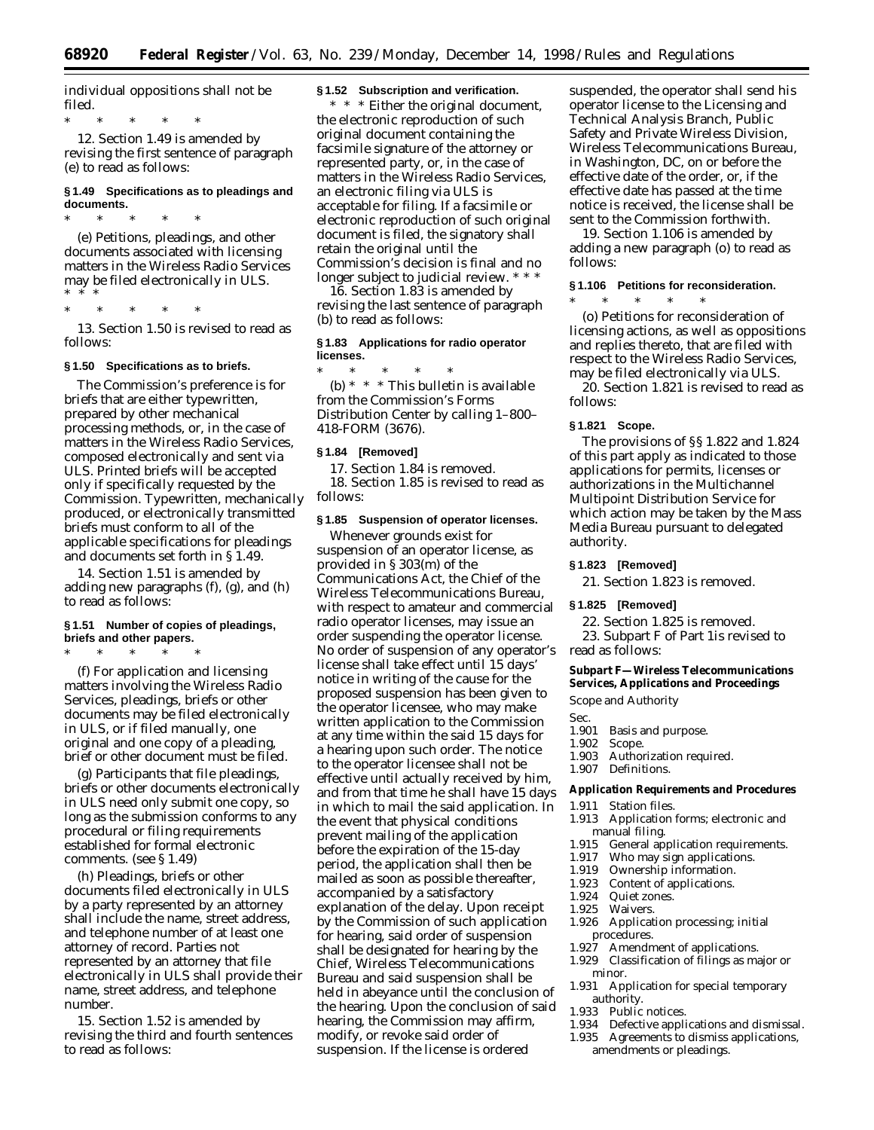individual oppositions shall not be filed.

\* \* \* \* \* 12. Section 1.49 is amended by revising the first sentence of paragraph (e) to read as follows:

### **§ 1.49 Specifications as to pleadings and documents.**

\* \* \* \* \* (e) Petitions, pleadings, and other documents associated with licensing matters in the Wireless Radio Services may be filed electronically in ULS. \* \* \*

\* \* \* \* \*

13. Section 1.50 is revised to read as follows:

# **§ 1.50 Specifications as to briefs.**

The Commission's preference is for briefs that are either typewritten, prepared by other mechanical processing methods, or, in the case of matters in the Wireless Radio Services, composed electronically and sent via ULS. Printed briefs will be accepted only if specifically requested by the Commission. Typewritten, mechanically produced, or electronically transmitted briefs must conform to all of the applicable specifications for pleadings and documents set forth in § 1.49.

14. Section 1.51 is amended by adding new paragraphs (f), (g), and (h) to read as follows:

# **§ 1.51 Number of copies of pleadings, briefs and other papers.**

\* \* \* \* \*

(f) For application and licensing matters involving the Wireless Radio Services, pleadings, briefs or other documents may be filed electronically in ULS, or if filed manually, one original and one copy of a pleading, brief or other document must be filed.

(g) Participants that file pleadings, briefs or other documents electronically in ULS need only submit one copy, so long as the submission conforms to any procedural or filing requirements established for formal electronic comments. (see § 1.49)

(h) Pleadings, briefs or other documents filed electronically in ULS by a party represented by an attorney shall include the name, street address, and telephone number of at least one attorney of record. Parties not represented by an attorney that file electronically in ULS shall provide their name, street address, and telephone number.

15. Section 1.52 is amended by revising the third and fourth sentences to read as follows:

### **§ 1.52 Subscription and verification.**

\* \* \* Either the original document, the electronic reproduction of such original document containing the facsimile signature of the attorney or represented party, or, in the case of matters in the Wireless Radio Services, an electronic filing via ULS is acceptable for filing. If a facsimile or electronic reproduction of such original document is filed, the signatory shall retain the original until the Commission's decision is final and no longer subject to judicial review. \*

16. Section 1.83 is amended by revising the last sentence of paragraph (b) to read as follows:

# **§ 1.83 Applications for radio operator licenses.**

\* \* \* \* \* (b) \* \* \* This bulletin is available from the Commission's Forms Distribution Center by calling 1–800– 418-FORM (3676).

## **§ 1.84 [Removed]**

17. Section 1.84 is removed. 18. Section 1.85 is revised to read as follows:

# **§ 1.85 Suspension of operator licenses.**

Whenever grounds exist for suspension of an operator license, as provided in § 303(m) of the Communications Act, the Chief of the Wireless Telecommunications Bureau, with respect to amateur and commercial radio operator licenses, may issue an order suspending the operator license. No order of suspension of any operator's license shall take effect until 15 days' notice in writing of the cause for the proposed suspension has been given to the operator licensee, who may make written application to the Commission at any time within the said 15 days for a hearing upon such order. The notice to the operator licensee shall not be effective until actually received by him, and from that time he shall have 15 days in which to mail the said application. In the event that physical conditions prevent mailing of the application before the expiration of the 15-day period, the application shall then be mailed as soon as possible thereafter, accompanied by a satisfactory explanation of the delay. Upon receipt by the Commission of such application for hearing, said order of suspension shall be designated for hearing by the Chief, Wireless Telecommunications Bureau and said suspension shall be held in abeyance until the conclusion of the hearing. Upon the conclusion of said hearing, the Commission may affirm, modify, or revoke said order of suspension. If the license is ordered

suspended, the operator shall send his operator license to the Licensing and Technical Analysis Branch, Public Safety and Private Wireless Division, Wireless Telecommunications Bureau, in Washington, DC, on or before the effective date of the order, or, if the effective date has passed at the time notice is received, the license shall be sent to the Commission forthwith.

19. Section 1.106 is amended by adding a new paragraph (o) to read as follows:

### **§ 1.106 Petitions for reconsideration.**

\* \* \* \* \* (o) Petitions for reconsideration of licensing actions, as well as oppositions and replies thereto, that are filed with respect to the Wireless Radio Services, may be filed electronically via ULS.

20. Section 1.821 is revised to read as follows:

## **§ 1.821 Scope.**

The provisions of §§ 1.822 and 1.824 of this part apply as indicated to those applications for permits, licenses or authorizations in the Multichannel Multipoint Distribution Service for which action may be taken by the Mass Media Bureau pursuant to delegated authority.

### **§ 1.823 [Removed]**

21. Section 1.823 is removed.

### **§ 1.825 [Removed]**

22. Section 1.825 is removed. 23. Subpart F of Part 1is revised to read as follows:

# **Subpart F—Wireless Telecommunications Services, Applications and Proceedings**

Scope and Authority

- Sec.<br>1.901
- Basis and purpose. 1.902 Scope.
- 1.903 Authorization required.
- 1.907 Definitions.

### **Application Requirements and Procedures**

- 1.911 Station files.<br>1.913 Application
- Application forms; electronic and manual filing.<br>1.915 General ap
- 1.915 General application requirements.<br>1.917 Who may sign applications.
- 
- 1.917 Who may sign applications.<br>1.919 Ownership information. 1.919 Ownership information.<br>1.923 Content of applications
- 1.923 Content of applications.<br>1.924 Quiet zones.
- 1.924 Quiet zones.<br>1.925 Waivers
- 1.925 Waivers.<br>1.926 Applicat
- Application processing; initial procedures.<br>1.927 Amendn
- 
- 1.927 Amendment of applications.<br>1.929 Classification of filings as ma Classification of filings as major or minor.
- 1.931 Application for special temporary authority.
- 1.933 Public notices.<br>1.934 Defective appli
- Defective applications and dismissal.
- 1.935 Agreements to dismiss applications, amendments or pleadings.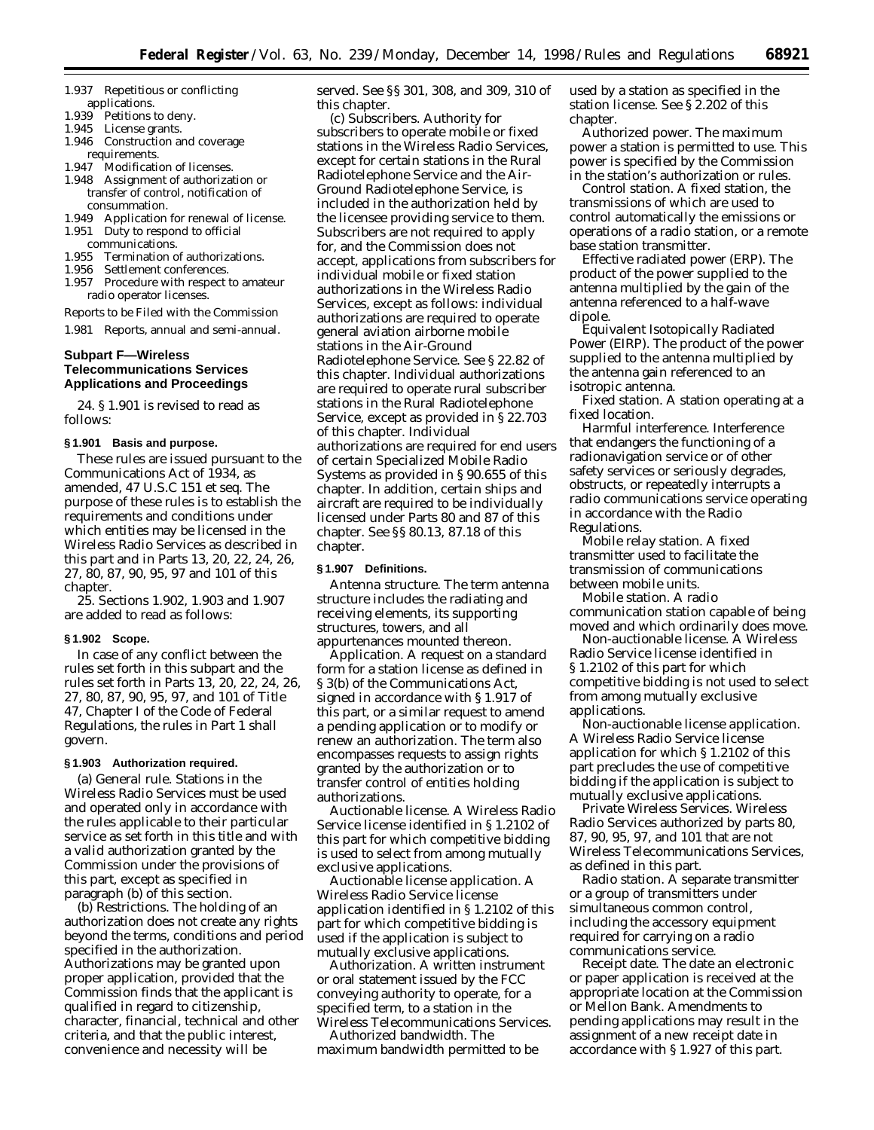- 1.937 Repetitious or conflicting applications.
- 1.939 Petitions to deny.
- 1.945 License grants.
- 1.946 Construction and coverage requirements.<br>1.947 Modification
- Modification of licenses.
- 1.948 Assignment of authorization or transfer of control, notification of consummation.<br>1.949 Application
- Application for renewal of license.
- 1.951 Duty to respond to official
- communications.
- 1.955 Termination of authorizations.
- 1.956 Settlement conferences.
- 1.957 Procedure with respect to amateur radio operator licenses.

Reports to be Filed with the Commission

1.981 Reports, annual and semi-annual.

# **Subpart F—Wireless Telecommunications Services Applications and Proceedings**

24. § 1.901 is revised to read as follows:

### **§ 1.901 Basis and purpose.**

These rules are issued pursuant to the Communications Act of 1934, as amended, 47 U.S.C 151 *et seq.* The purpose of these rules is to establish the requirements and conditions under which entities may be licensed in the Wireless Radio Services as described in this part and in Parts 13, 20, 22, 24, 26, 27, 80, 87, 90, 95, 97 and 101 of this chapter.

25. Sections 1.902, 1.903 and 1.907 are added to read as follows:

### **§ 1.902 Scope.**

In case of any conflict between the rules set forth in this subpart and the rules set forth in Parts 13, 20, 22, 24, 26, 27, 80, 87, 90, 95, 97, and 101 of Title 47, Chapter I of the Code of Federal Regulations, the rules in Part 1 shall govern.

### **§ 1.903 Authorization required.**

(a) *General rule.* Stations in the Wireless Radio Services must be used and operated only in accordance with the rules applicable to their particular service as set forth in this title and with a valid authorization granted by the Commission under the provisions of this part, except as specified in paragraph (b) of this section.

(b) *Restrictions.* The holding of an authorization does not create any rights beyond the terms, conditions and period specified in the authorization. Authorizations may be granted upon proper application, provided that the Commission finds that the applicant is qualified in regard to citizenship, character, financial, technical and other criteria, and that the public interest, convenience and necessity will be

served. *See* §§ 301, 308, and 309, 310 of this chapter.

(c) *Subscribers.* Authority for subscribers to operate mobile or fixed stations in the Wireless Radio Services, except for certain stations in the Rural Radiotelephone Service and the Air-Ground Radiotelephone Service, is included in the authorization held by the licensee providing service to them. Subscribers are not required to apply for, and the Commission does not accept, applications from subscribers for individual mobile or fixed station authorizations in the Wireless Radio Services, except as follows: individual authorizations are required to operate general aviation airborne mobile stations in the Air-Ground Radiotelephone Service. *See* § 22.82 of this chapter. Individual authorizations are required to operate rural subscriber stations in the Rural Radiotelephone Service, except as provided in § 22.703 of this chapter. Individual authorizations are required for end users of certain Specialized Mobile Radio Systems as provided in § 90.655 of this chapter. In addition, certain ships and aircraft are required to be individually licensed under Parts 80 and 87 of this chapter. *See* §§ 80.13, 87.18 of this chapter.

## **§ 1.907 Definitions.**

*Antenna structure.* The term antenna structure includes the radiating and receiving elements, its supporting structures, towers, and all appurtenances mounted thereon.

*Application.* A request on a standard form for a station license as defined in § 3(b) of the Communications Act, signed in accordance with § 1.917 of this part, or a similar request to amend a pending application or to modify or renew an authorization. The term also encompasses requests to assign rights granted by the authorization or to transfer control of entities holding authorizations.

*Auctionable license.* A Wireless Radio Service license identified in § 1.2102 of this part for which competitive bidding is used to select from among mutually exclusive applications.

*Auctionable license application.* A Wireless Radio Service license application identified in § 1.2102 of this part for which competitive bidding is used if the application is subject to mutually exclusive applications.

*Authorization.* A written instrument or oral statement issued by the FCC conveying authority to operate, for a specified term, to a station in the Wireless Telecommunications Services.

*Authorized bandwidth.* The maximum bandwidth permitted to be used by a station as specified in the station license. *See* § 2.202 of this chapter.

*Authorized power.* The maximum power a station is permitted to use. This power is specified by the Commission in the station's authorization or rules.

*Control station.* A fixed station, the transmissions of which are used to control automatically the emissions or operations of a radio station, or a remote base station transmitter.

*Effective radiated power (ERP).* The product of the power supplied to the antenna multiplied by the gain of the antenna referenced to a half-wave dipole.

*Equivalent Isotopically Radiated Power (EIRP).* The product of the power supplied to the antenna multiplied by the antenna gain referenced to an isotropic antenna.

*Fixed station.* A station operating at a fixed location.

*Harmful interference.* Interference that endangers the functioning of a radionavigation service or of other safety services or seriously degrades, obstructs, or repeatedly interrupts a radio communications service operating in accordance with the Radio Regulations.

*Mobile relay station.* A fixed transmitter used to facilitate the transmission of communications between mobile units.

*Mobile station.* A radio communication station capable of being moved and which ordinarily does move.

*Non-auctionable license.* A Wireless Radio Service license identified in § 1.2102 of this part for which competitive bidding is not used to select from among mutually exclusive applications.

*Non-auctionable license application.* A Wireless Radio Service license application for which § 1.2102 of this part precludes the use of competitive bidding if the application is subject to mutually exclusive applications.

*Private Wireless Services.* Wireless Radio Services authorized by parts 80, 87, 90, 95, 97, and 101 that are not Wireless Telecommunications Services, as defined in this part.

*Radio station.* A separate transmitter or a group of transmitters under simultaneous common control, including the accessory equipment required for carrying on a radio communications service.

*Receipt date.* The date an electronic or paper application is received at the appropriate location at the Commission or Mellon Bank. Amendments to pending applications may result in the assignment of a new receipt date in accordance with § 1.927 of this part.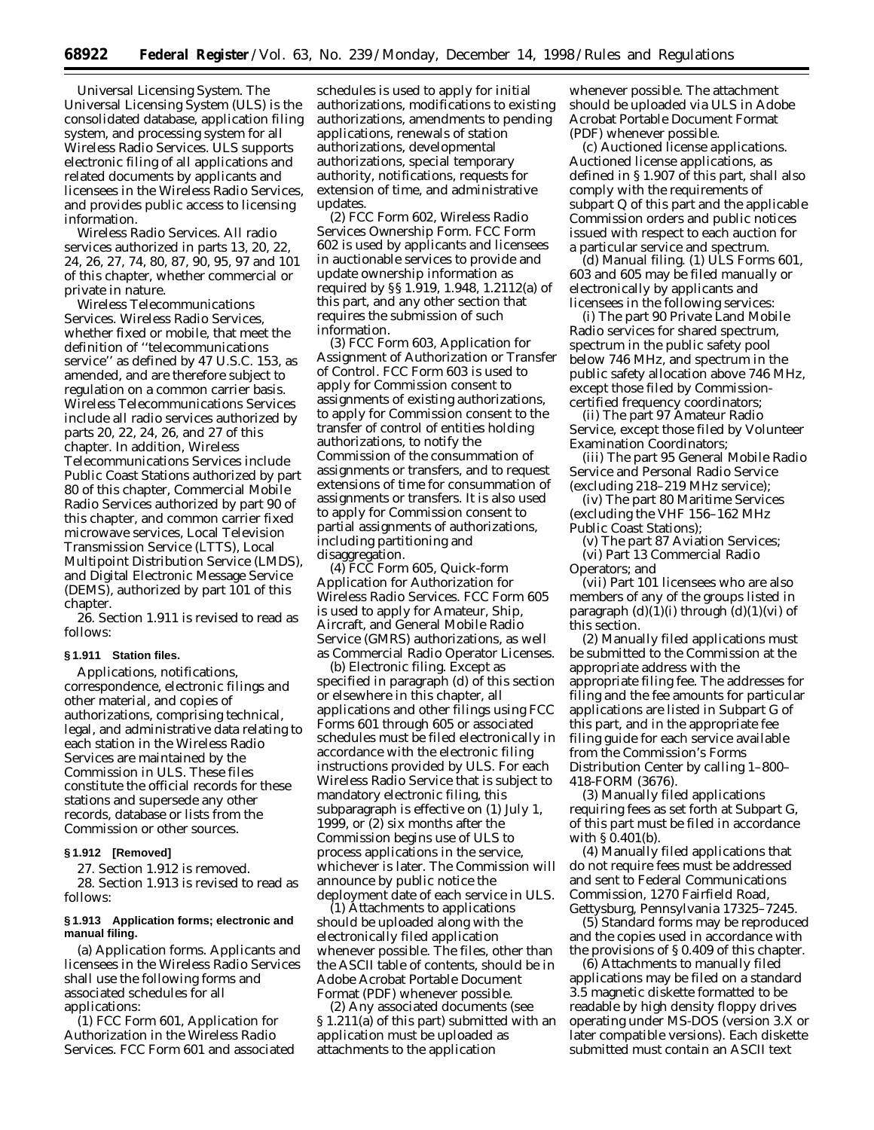*Universal Licensing System.* The Universal Licensing System (ULS) is the consolidated database, application filing system, and processing system for all Wireless Radio Services. ULS supports electronic filing of all applications and related documents by applicants and licensees in the Wireless Radio Services, and provides public access to licensing information.

*Wireless Radio Services.* All radio services authorized in parts 13, 20, 22, 24, 26, 27, 74, 80, 87, 90, 95, 97 and 101 of this chapter, whether commercial or private in nature.

*Wireless Telecommunications Services.* Wireless Radio Services, whether fixed or mobile, that meet the definition of ''telecommunications service'' as defined by 47 U.S.C. 153, as amended, and are therefore subject to regulation on a common carrier basis. Wireless Telecommunications Services include all radio services authorized by parts 20, 22, 24, 26, and 27 of this chapter. In addition, Wireless Telecommunications Services include Public Coast Stations authorized by part 80 of this chapter, Commercial Mobile Radio Services authorized by part 90 of this chapter, and common carrier fixed microwave services, Local Television Transmission Service (LTTS), Local Multipoint Distribution Service (LMDS), and Digital Electronic Message Service (DEMS), authorized by part 101 of this chapter.

26. Section 1.911 is revised to read as follows:

# **§ 1.911 Station files.**

Applications, notifications, correspondence, electronic filings and other material, and copies of authorizations, comprising technical, legal, and administrative data relating to each station in the Wireless Radio Services are maintained by the Commission in ULS. These files constitute the official records for these stations and supersede any other records, database or lists from the Commission or other sources.

## **§ 1.912 [Removed]**

27. Section 1.912 is removed. 28. Section 1.913 is revised to read as follows:

### **§ 1.913 Application forms; electronic and manual filing.**

(a) *Application forms.* Applicants and licensees in the Wireless Radio Services shall use the following forms and associated schedules for all applications:

(1) *FCC Form 601, Application for Authorization in the Wireless Radio Services.* FCC Form 601 and associated

schedules is used to apply for initial authorizations, modifications to existing authorizations, amendments to pending applications, renewals of station authorizations, developmental authorizations, special temporary authority, notifications, requests for extension of time, and administrative updates.

(2) *FCC Form 602, Wireless Radio Services Ownership Form.* FCC Form 602 is used by applicants and licensees in auctionable services to provide and update ownership information as required by §§ 1.919, 1.948, 1.2112(a) of this part, and any other section that requires the submission of such information.

(3) *FCC Form 603, Application for Assignment of Authorization or Transfer of Control.* FCC Form 603 is used to apply for Commission consent to assignments of existing authorizations, to apply for Commission consent to the transfer of control of entities holding authorizations, to notify the Commission of the consummation of assignments or transfers, and to request extensions of time for consummation of assignments or transfers. It is also used to apply for Commission consent to partial assignments of authorizations, including partitioning and disaggregation.

(4) *FCC Form 605, Quick-form Application for Authorization for Wireless Radio Services.* FCC Form 605 is used to apply for Amateur, Ship, Aircraft, and General Mobile Radio Service (GMRS) authorizations, as well as Commercial Radio Operator Licenses.

(b) *Electronic filing.* Except as specified in paragraph (d) of this section or elsewhere in this chapter, all applications and other filings using FCC Forms 601 through 605 or associated schedules must be filed electronically in accordance with the electronic filing instructions provided by ULS. For each Wireless Radio Service that is subject to mandatory electronic filing, this subparagraph is effective on (1) July 1, 1999, or (2) six months after the Commission begins use of ULS to process applications in the service, whichever is later. The Commission will announce by public notice the deployment date of each service in ULS.

(1) Attachments to applications should be uploaded along with the electronically filed application whenever possible. The files, other than the ASCII table of contents, should be in Adobe Acrobat Portable Document Format (PDF) whenever possible.

(2) Any associated documents (see § 1.211(a) of this part) submitted with an application must be uploaded as attachments to the application

whenever possible. The attachment should be uploaded via ULS in Adobe Acrobat Portable Document Format (PDF) whenever possible.

(c) *Auctioned license applications.* Auctioned license applications, as defined in § 1.907 of this part, shall also comply with the requirements of subpart Q of this part and the applicable Commission orders and public notices issued with respect to each auction for a particular service and spectrum.

(d) *Manual filing.* (1) ULS Forms 601, 603 and 605 may be filed manually or electronically by applicants and licensees in the following services:

(i) The part 90 Private Land Mobile Radio services for shared spectrum, spectrum in the public safety pool below 746 MHz, and spectrum in the public safety allocation above 746 MHz, except those filed by Commissioncertified frequency coordinators;

(ii) The part 97 Amateur Radio Service, except those filed by Volunteer Examination Coordinators;

(iii) The part 95 General Mobile Radio Service and Personal Radio Service (excluding 218–219 MHz service);

(iv) The part 80 Maritime Services (excluding the VHF 156–162 MHz Public Coast Stations);

(v) The part 87 Aviation Services; (vi) Part 13 Commercial Radio Operators; and

(vii) Part 101 licensees who are also members of any of the groups listed in paragraph  $(d)(1)(i)$  through  $(d)(1)(vi)$  of this section.

(2) Manually filed applications must be submitted to the Commission at the appropriate address with the appropriate filing fee. The addresses for filing and the fee amounts for particular applications are listed in Subpart G of this part, and in the appropriate fee filing guide for each service available from the Commission's Forms Distribution Center by calling 1–800– 418-FORM (3676).

(3) Manually filed applications requiring fees as set forth at Subpart G, of this part must be filed in accordance with § 0.401(b).

(4) Manually filed applications that do not require fees must be addressed and sent to Federal Communications Commission, 1270 Fairfield Road, Gettysburg, Pennsylvania 17325–7245.

(5) Standard forms may be reproduced and the copies used in accordance with the provisions of § 0.409 of this chapter.

(6) Attachments to manually filed applications may be filed on a standard 3.5 magnetic diskette formatted to be readable by high density floppy drives operating under MS-DOS (version 3.X or later compatible versions). Each diskette submitted must contain an ASCII text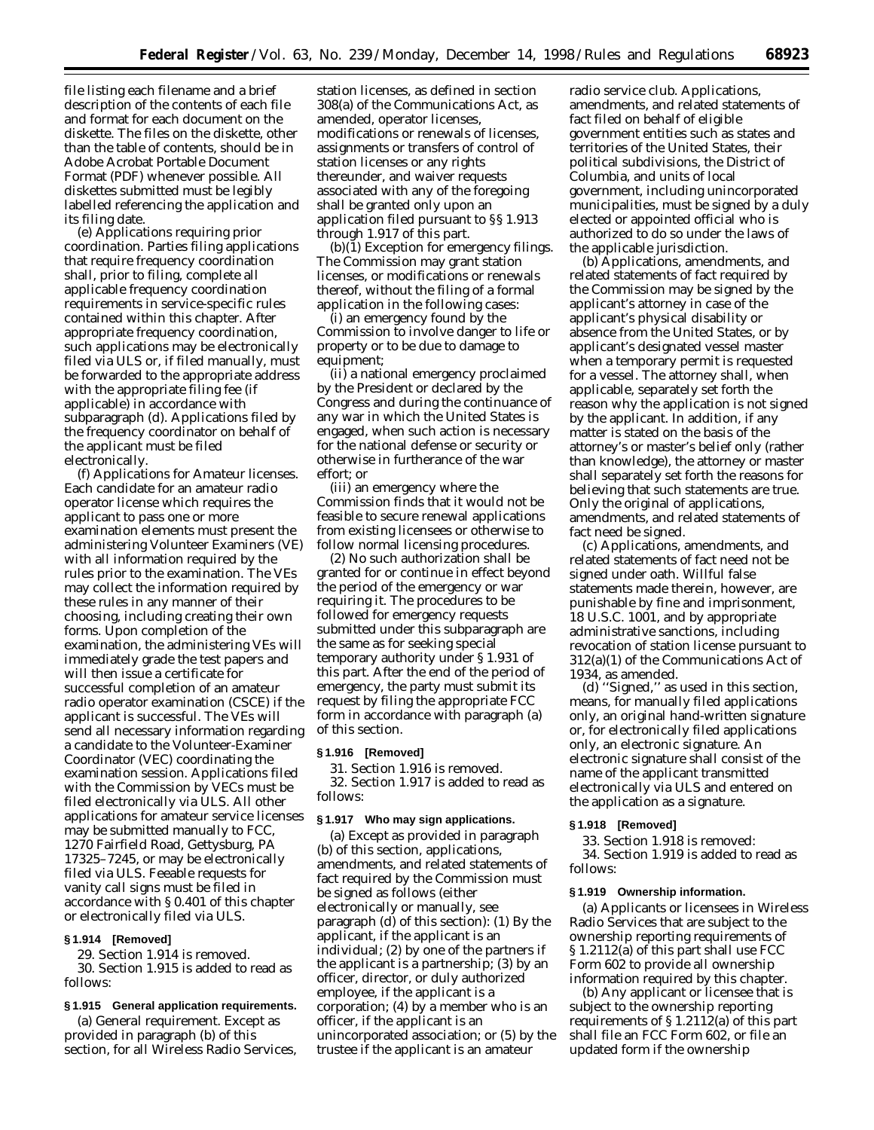file listing each filename and a brief description of the contents of each file and format for each document on the diskette. The files on the diskette, other than the table of contents, should be in Adobe Acrobat Portable Document Format (PDF) whenever possible. All diskettes submitted must be legibly labelled referencing the application and its filing date.

(e) *Applications requiring prior coordination.* Parties filing applications that require frequency coordination shall, prior to filing, complete all applicable frequency coordination requirements in service-specific rules contained within this chapter. After appropriate frequency coordination, such applications may be electronically filed via ULS or, if filed manually, must be forwarded to the appropriate address with the appropriate filing fee (if applicable) in accordance with subparagraph (d). Applications filed by the frequency coordinator on behalf of the applicant must be filed electronically.

(f) *Applications for Amateur licenses.* Each candidate for an amateur radio operator license which requires the applicant to pass one or more examination elements must present the administering Volunteer Examiners (VE) with all information required by the rules prior to the examination. The VEs may collect the information required by these rules in any manner of their choosing, including creating their own forms. Upon completion of the examination, the administering VEs will immediately grade the test papers and will then issue a certificate for successful completion of an amateur radio operator examination (CSCE) if the applicant is successful. The VEs will send all necessary information regarding a candidate to the Volunteer-Examiner Coordinator (VEC) coordinating the examination session. Applications filed with the Commission by VECs must be filed electronically via ULS. All other applications for amateur service licenses may be submitted manually to FCC, 1270 Fairfield Road, Gettysburg, PA 17325–7245, or may be electronically filed via ULS. Feeable requests for vanity call signs must be filed in accordance with § 0.401 of this chapter or electronically filed via ULS.

### **§ 1.914 [Removed]**

29. Section 1.914 is removed. 30. Section 1.915 is added to read as follows:

## **§ 1.915 General application requirements.**

(a) *General requirement.* Except as provided in paragraph (b) of this section, for all Wireless Radio Services,

station licenses, as defined in section 308(a) of the Communications Act, as amended, operator licenses, modifications or renewals of licenses, assignments or transfers of control of station licenses or any rights thereunder, and waiver requests associated with any of the foregoing shall be granted only upon an application filed pursuant to §§ 1.913 through 1.917 of this part.

(b)(1) *Exception for emergency filings.* The Commission may grant station licenses, or modifications or renewals thereof, without the filing of a formal application in the following cases:

(i) an emergency found by the Commission to involve danger to life or property or to be due to damage to equipment;

(ii) a national emergency proclaimed by the President or declared by the Congress and during the continuance of any war in which the United States is engaged, when such action is necessary for the national defense or security or otherwise in furtherance of the war effort; or

(iii) an emergency where the Commission finds that it would not be feasible to secure renewal applications from existing licensees or otherwise to follow normal licensing procedures.

(2) No such authorization shall be granted for or continue in effect beyond the period of the emergency or war requiring it. The procedures to be followed for emergency requests submitted under this subparagraph are the same as for seeking special temporary authority under § 1.931 of this part. After the end of the period of emergency, the party must submit its request by filing the appropriate FCC form in accordance with paragraph (a) of this section.

# **§ 1.916 [Removed]**

31. Section 1.916 is removed. 32. Section 1.917 is added to read as follows:

### **§ 1.917 Who may sign applications.**

(a) Except as provided in paragraph (b) of this section, applications, amendments, and related statements of fact required by the Commission must be signed as follows (either electronically or manually, *see* paragraph (d) of this section): (1) By the applicant, if the applicant is an individual; (2) by one of the partners if the applicant is a partnership; (3) by an officer, director, or duly authorized employee, if the applicant is a corporation; (4) by a member who is an officer, if the applicant is an unincorporated association; or (5) by the trustee if the applicant is an amateur

radio service club. Applications, amendments, and related statements of fact filed on behalf of eligible government entities such as states and territories of the United States, their political subdivisions, the District of Columbia, and units of local government, including unincorporated municipalities, must be signed by a duly elected or appointed official who is authorized to do so under the laws of the applicable jurisdiction.

(b) Applications, amendments, and related statements of fact required by the Commission may be signed by the applicant's attorney in case of the applicant's physical disability or absence from the United States, or by applicant's designated vessel master when a temporary permit is requested for a vessel. The attorney shall, when applicable, separately set forth the reason why the application is not signed by the applicant. In addition, if any matter is stated on the basis of the attorney's or master's belief only (rather than knowledge), the attorney or master shall separately set forth the reasons for believing that such statements are true. Only the original of applications, amendments, and related statements of fact need be signed.

(c) Applications, amendments, and related statements of fact need not be signed under oath. Willful false statements made therein, however, are punishable by fine and imprisonment, 18 U.S.C. 1001, and by appropriate administrative sanctions, including revocation of station license pursuant to 312(a)(1) of the Communications Act of 1934, as amended.

(d) ''Signed,'' as used in this section, means, for manually filed applications only, an original hand-written signature or, for electronically filed applications only, an electronic signature. An electronic signature shall consist of the name of the applicant transmitted electronically via ULS and entered on the application as a signature.

# **§ 1.918 [Removed]**

33. Section 1.918 is removed: 34. Section 1.919 is added to read as follows:

### **§ 1.919 Ownership information.**

(a) Applicants or licensees in Wireless Radio Services that are subject to the ownership reporting requirements of § 1.2112(a) of this part shall use FCC Form 602 to provide all ownership information required by this chapter.

(b) Any applicant or licensee that is subject to the ownership reporting requirements of § 1.2112(a) of this part shall file an FCC Form 602, or file an updated form if the ownership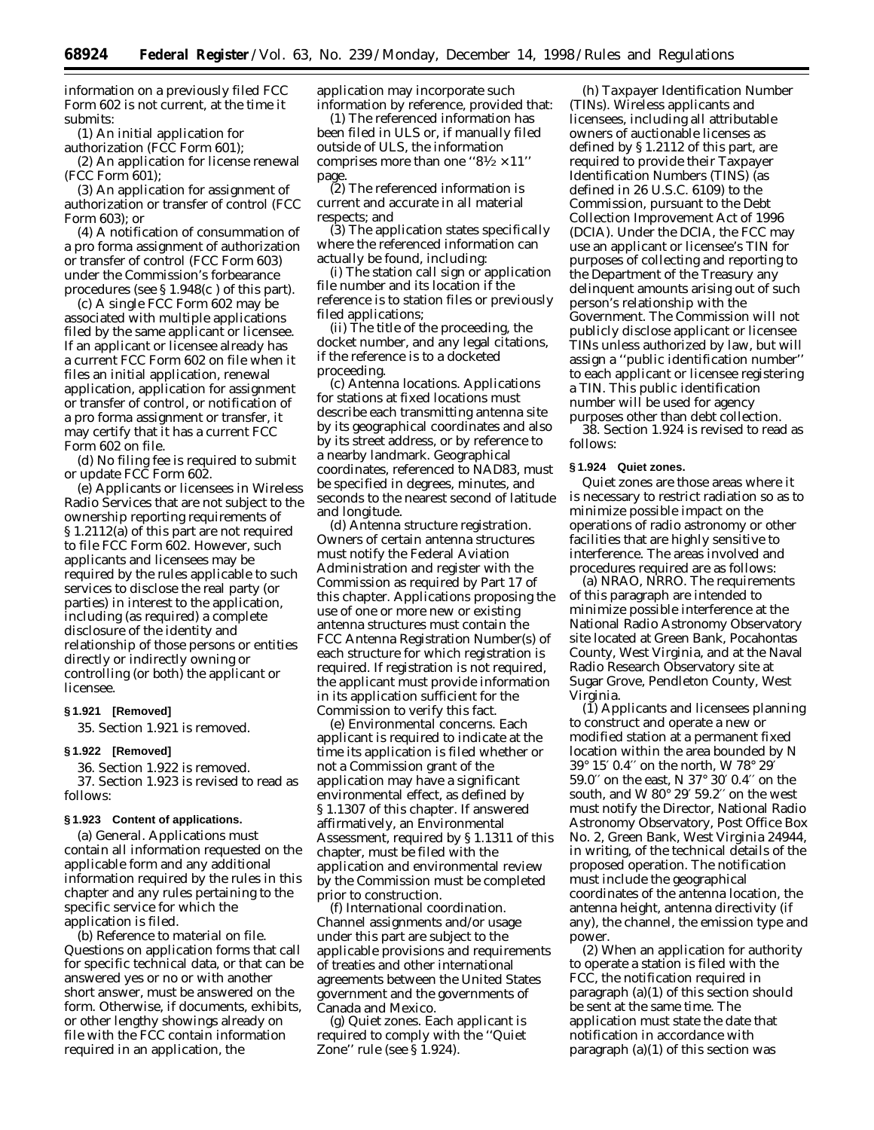information on a previously filed FCC Form 602 is not current, at the time it submits:

(1) An initial application for authorization (FCC Form 601);

(2) An application for license renewal (FCC Form 601);

(3) An application for assignment of authorization or transfer of control (FCC Form 603); or

(4) A notification of consummation of a *pro forma* assignment of authorization or transfer of control (FCC Form 603) under the Commission's forbearance procedures (see § 1.948(c ) of this part).

(c) A single FCC Form 602 may be associated with multiple applications filed by the same applicant or licensee. If an applicant or licensee already has a current FCC Form 602 on file when it files an initial application, renewal application, application for assignment or transfer of control, or notification of a *pro forma* assignment or transfer, it may certify that it has a current FCC Form 602 on file.

(d) No filing fee is required to submit or update FCC Form 602.

(e) Applicants or licensees in Wireless Radio Services that are not subject to the ownership reporting requirements of § 1.2112(a) of this part are not required to file FCC Form 602. However, such applicants and licensees may be required by the rules applicable to such services to disclose the real party (or parties) in interest to the application, including (as required) a complete disclosure of the identity and relationship of those persons or entities directly or indirectly owning or controlling (or both) the applicant or licensee.

# **§ 1.921 [Removed]**

35. Section 1.921 is removed.

# **§ 1.922 [Removed]**

36. Section 1.922 is removed. 37. Section 1.923 is revised to read as follows:

### **§ 1.923 Content of applications.**

(a) *General.* Applications must contain all information requested on the applicable form and any additional information required by the rules in this chapter and any rules pertaining to the specific service for which the application is filed.

(b) *Reference to material on file.* Questions on application forms that call for specific technical data, or that can be answered yes or no or with another short answer, must be answered on the form. Otherwise, if documents, exhibits, or other lengthy showings already on file with the FCC contain information required in an application, the

application may incorporate such information by reference, provided that:

(1) The referenced information has been filed in ULS or, if manually filed outside of ULS, the information comprises more than one " $8\frac{1}{2} \times 11$ " page.

(2) The referenced information is current and accurate in all material respects; and

(3) The application states specifically where the referenced information can actually be found, including:

(i) The station call sign or application file number and its location if the reference is to station files or previously filed applications;

(ii) The title of the proceeding, the docket number, and any legal citations, if the reference is to a docketed proceeding.

(c) *Antenna locations.* Applications for stations at fixed locations must describe each transmitting antenna site by its geographical coordinates and also by its street address, or by reference to a nearby landmark. Geographical coordinates, referenced to NAD83, must be specified in degrees, minutes, and seconds to the nearest second of latitude and longitude.

(d) *Antenna structure registration.* Owners of certain antenna structures must notify the Federal Aviation Administration and register with the Commission as required by Part 17 of this chapter. Applications proposing the use of one or more new or existing antenna structures must contain the FCC Antenna Registration Number(s) of each structure for which registration is required. If registration is not required, the applicant must provide information in its application sufficient for the Commission to verify this fact.

(e) *Environmental concerns.* Each applicant is required to indicate at the time its application is filed whether or not a Commission grant of the application may have a significant environmental effect, as defined by § 1.1307 of this chapter. If answered affirmatively, an Environmental Assessment, required by § 1.1311 of this chapter, must be filed with the application and environmental review by the Commission must be completed prior to construction.

(f) *International coordination.* Channel assignments and/or usage under this part are subject to the applicable provisions and requirements of treaties and other international agreements between the United States government and the governments of Canada and Mexico.

(g) *Quiet zones.* Each applicant is required to comply with the ''Quiet Zone'' rule (see § 1.924).

(h) *Taxpayer Identification Number (TINs).* Wireless applicants and licensees, including all attributable owners of auctionable licenses as defined by § 1.2112 of this part, are required to provide their Taxpayer Identification Numbers (TINS) (as defined in 26 U.S.C. 6109) to the Commission, pursuant to the Debt Collection Improvement Act of 1996 (DCIA). Under the DCIA, the FCC may use an applicant or licensee's TIN for purposes of collecting and reporting to the Department of the Treasury any delinquent amounts arising out of such person's relationship with the Government. The Commission will not publicly disclose applicant or licensee TINs unless authorized by law, but will assign a ''public identification number'' to each applicant or licensee registering a TIN. This public identification number will be used for agency purposes other than debt collection.

38. Section 1.924 is revised to read as follows:

### **§ 1.924 Quiet zones.**

Quiet zones are those areas where it is necessary to restrict radiation so as to minimize possible impact on the operations of radio astronomy or other facilities that are highly sensitive to interference. The areas involved and procedures required are as follows:

(a) *NRAO, NRRO.* The requirements of this paragraph are intended to minimize possible interference at the National Radio Astronomy Observatory site located at Green Bank, Pocahontas County, West Virginia, and at the Naval Radio Research Observatory site at Sugar Grove, Pendleton County, West Virginia.

 $(1)$  Applicants and licensees planning to construct and operate a new or modified station at a permanent fixed location within the area bounded by N 39° 15′ 0.4′′ on the north, W 78° 29′ 59.0′′ on the east, N 37° 30′ 0.4′′ on the south, and W 80° 29′ 59.2′′ on the west must notify the Director, National Radio Astronomy Observatory, Post Office Box No. 2, Green Bank, West Virginia 24944, in writing, of the technical details of the proposed operation. The notification must include the geographical coordinates of the antenna location, the antenna height, antenna directivity (if any), the channel, the emission type and power.

(2) When an application for authority to operate a station is filed with the FCC, the notification required in paragraph (a)(1) of this section should be sent at the same time. The application must state the date that notification in accordance with paragraph  $(a)(1)$  of this section was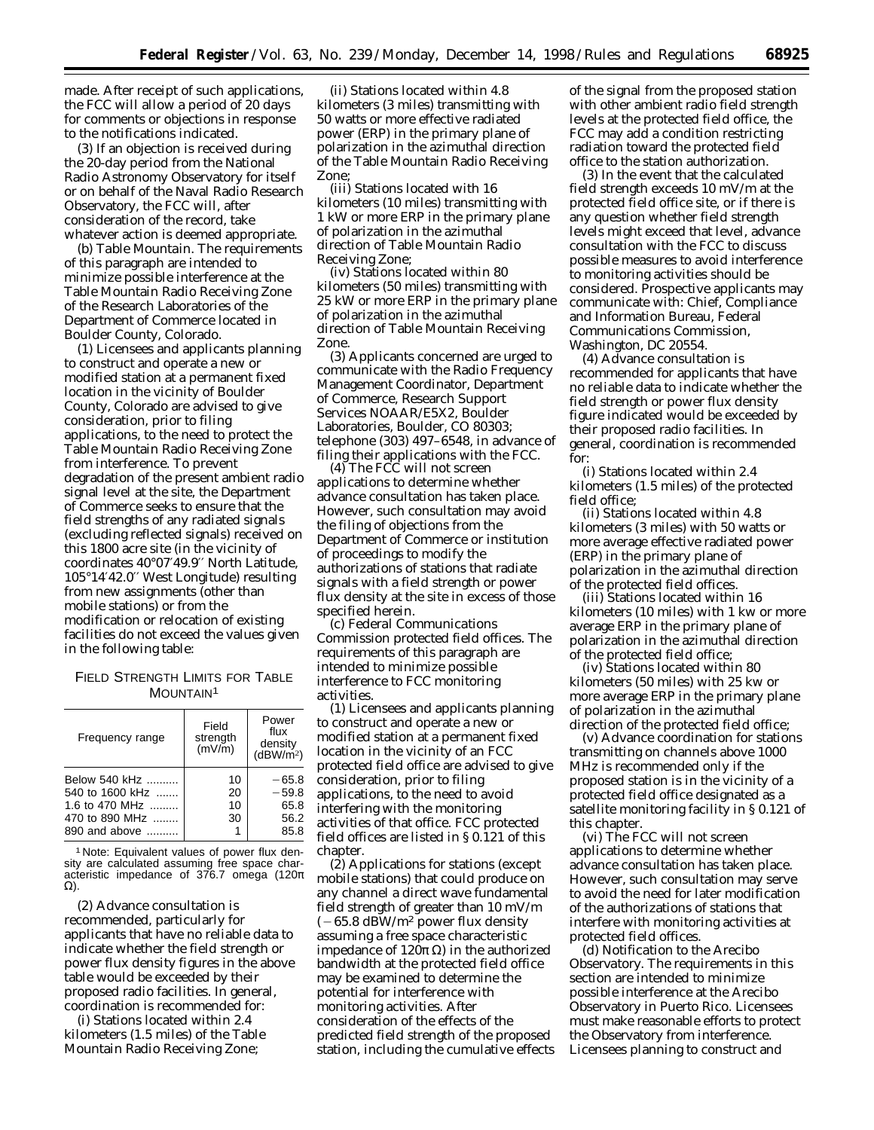made. After receipt of such applications, the FCC will allow a period of 20 days for comments or objections in response to the notifications indicated.

(3) If an objection is received during the 20-day period from the National Radio Astronomy Observatory for itself or on behalf of the Naval Radio Research Observatory, the FCC will, after consideration of the record, take whatever action is deemed appropriate.

(b) *Table Mountain.* The requirements of this paragraph are intended to minimize possible interference at the Table Mountain Radio Receiving Zone of the Research Laboratories of the Department of Commerce located in Boulder County, Colorado.

(1) Licensees and applicants planning to construct and operate a new or modified station at a permanent fixed location in the vicinity of Boulder County, Colorado are advised to give consideration, prior to filing applications, to the need to protect the Table Mountain Radio Receiving Zone from interference. To prevent degradation of the present ambient radio signal level at the site, the Department of Commerce seeks to ensure that the field strengths of any radiated signals (excluding reflected signals) received on this 1800 acre site (in the vicinity of coordinates 40°07′49.9′′ North Latitude, 105°14′42.0′′ West Longitude) resulting from new assignments (other than mobile stations) or from the modification or relocation of existing facilities do not exceed the values given in the following table:

# FIELD STRENGTH LIMITS FOR TABLE MOUNTAIN<sup>1</sup>

| Frequency range | Field<br>strength<br>(mV/m) | Power<br>flux<br>density<br>(dBW/m <sup>2</sup> ) |
|-----------------|-----------------------------|---------------------------------------------------|
| Below 540 kHz   | 10                          | $-65.8$                                           |
| 540 to 1600 kHz | 20                          | $-59.8$                                           |
| 1.6 to 470 MHz  | 10                          | 65.8                                              |
| 470 to 890 MHz  | 30                          | 56.2                                              |
| 890 and above   |                             | 85.8                                              |

1 Note: Equivalent values of power flux density are calculated assuming free space characteristic impedance of 376.7 omega (120 $\pi$ Ω).

(2) Advance consultation is recommended, particularly for applicants that have no reliable data to indicate whether the field strength or power flux density figures in the above table would be exceeded by their proposed radio facilities. In general, coordination is recommended for:

(i) Stations located within 2.4 kilometers (1.5 miles) of the Table Mountain Radio Receiving Zone;

(ii) Stations located within 4.8 kilometers (3 miles) transmitting with 50 watts or more effective radiated power (ERP) in the primary plane of polarization in the azimuthal direction of the Table Mountain Radio Receiving Zone;

(iii) Stations located with 16 kilometers (10 miles) transmitting with 1 kW or more ERP in the primary plane of polarization in the azimuthal direction of Table Mountain Radio Receiving Zone;

(iv) Stations located within 80 kilometers (50 miles) transmitting with 25 kW or more ERP in the primary plane of polarization in the azimuthal direction of Table Mountain Receiving Zone.

(3) Applicants concerned are urged to communicate with the Radio Frequency Management Coordinator, Department of Commerce, Research Support Services NOAAR/E5X2, Boulder Laboratories, Boulder, CO 80303; telephone (303) 497–6548, in advance of filing their applications with the FCC.

(4) The FCC will not screen applications to determine whether advance consultation has taken place. However, such consultation may avoid the filing of objections from the Department of Commerce or institution of proceedings to modify the authorizations of stations that radiate signals with a field strength or power flux density at the site in excess of those specified herein.

(c) *Federal Communications Commission protected field offices.* The requirements of this paragraph are intended to minimize possible interference to FCC monitoring activities.

(1) Licensees and applicants planning to construct and operate a new or modified station at a permanent fixed location in the vicinity of an FCC protected field office are advised to give consideration, prior to filing applications, to the need to avoid interfering with the monitoring activities of that office. FCC protected field offices are listed in § 0.121 of this chapter.

(2) Applications for stations (except mobile stations) that could produce on any channel a direct wave fundamental field strength of greater than 10 mV/m  $(-65.8$  dBW/m<sup>2</sup> power flux density assuming a free space characteristic impedance of  $120π Ω$ ) in the authorized bandwidth at the protected field office may be examined to determine the potential for interference with monitoring activities. After consideration of the effects of the predicted field strength of the proposed station, including the cumulative effects

of the signal from the proposed station with other ambient radio field strength levels at the protected field office, the FCC may add a condition restricting radiation toward the protected field office to the station authorization.

(3) In the event that the calculated field strength exceeds 10 mV/m at the protected field office site, or if there is any question whether field strength levels might exceed that level, advance consultation with the FCC to discuss possible measures to avoid interference to monitoring activities should be considered. Prospective applicants may communicate with: Chief, Compliance and Information Bureau, Federal Communications Commission, Washington, DC 20554.

(4) Advance consultation is recommended for applicants that have no reliable data to indicate whether the field strength or power flux density figure indicated would be exceeded by their proposed radio facilities. In general, coordination is recommended for:

(i) Stations located within 2.4 kilometers (1.5 miles) of the protected field office;

(ii) Stations located within 4.8 kilometers (3 miles) with 50 watts or more average effective radiated power (ERP) in the primary plane of polarization in the azimuthal direction of the protected field offices.

(iii) Stations located within 16 kilometers (10 miles) with 1 kw or more average ERP in the primary plane of polarization in the azimuthal direction of the protected field office;

(iv) Stations located within 80 kilometers (50 miles) with 25 kw or more average ERP in the primary plane of polarization in the azimuthal direction of the protected field office;

(v) Advance coordination for stations transmitting on channels above 1000 MHz is recommended only if the proposed station is in the vicinity of a protected field office designated as a satellite monitoring facility in § 0.121 of this chapter.

(vi) The FCC will not screen applications to determine whether advance consultation has taken place. However, such consultation may serve to avoid the need for later modification of the authorizations of stations that interfere with monitoring activities at protected field offices.

(d) *Notification to the Arecibo Observatory.* The requirements in this section are intended to minimize possible interference at the Arecibo Observatory in Puerto Rico. Licensees must make reasonable efforts to protect the Observatory from interference. Licensees planning to construct and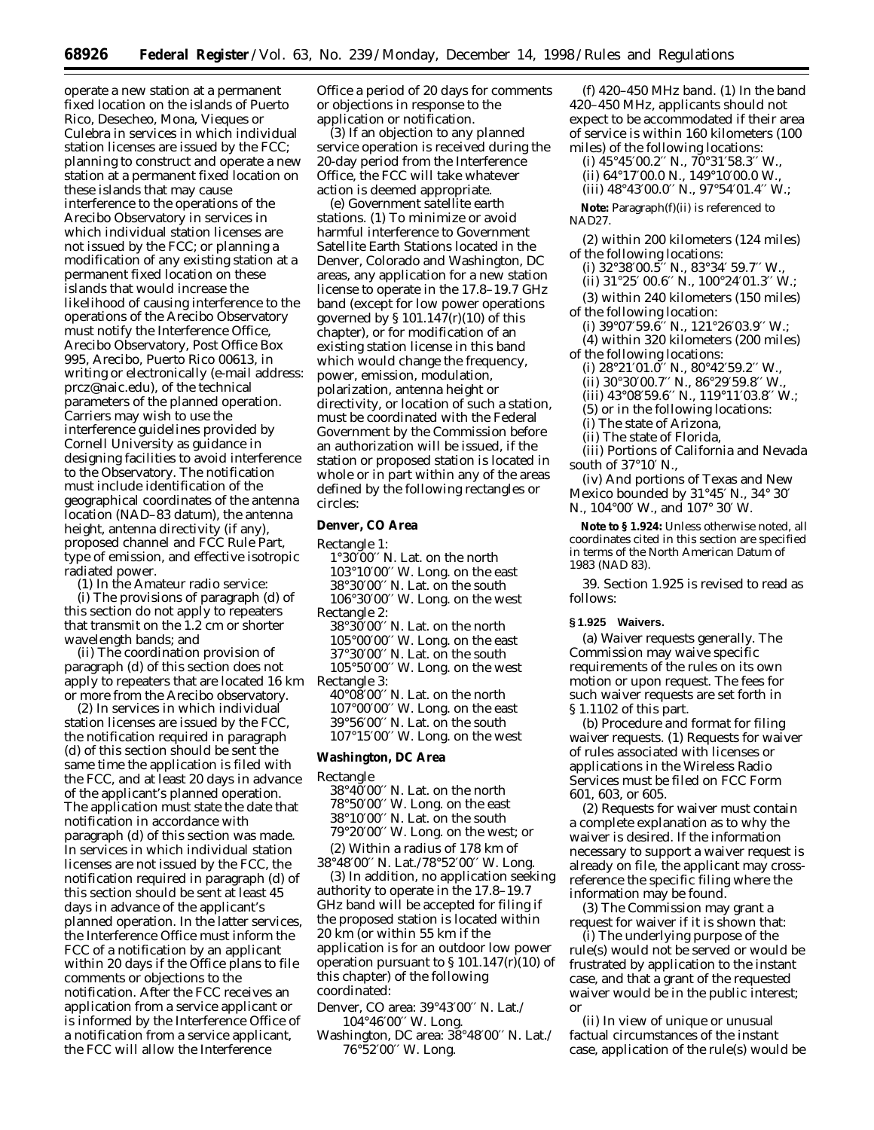operate a new station at a permanent fixed location on the islands of Puerto Rico, Desecheo, Mona, Vieques or Culebra in services in which individual station licenses are issued by the FCC; planning to construct and operate a new station at a permanent fixed location on these islands that may cause interference to the operations of the Arecibo Observatory in services in which individual station licenses are not issued by the FCC; or planning a modification of any existing station at a permanent fixed location on these islands that would increase the likelihood of causing interference to the operations of the Arecibo Observatory must notify the Interference Office, Arecibo Observatory, Post Office Box 995, Arecibo, Puerto Rico 00613, in writing or electronically (e-mail address: prcz@naic.edu), of the technical parameters of the planned operation. Carriers may wish to use the interference guidelines provided by Cornell University as guidance in designing facilities to avoid interference to the Observatory. The notification must include identification of the geographical coordinates of the antenna location (NAD–83 datum), the antenna height, antenna directivity (if any), proposed channel and FCC Rule Part, type of emission, and effective isotropic radiated power.

(1) In the Amateur radio service:

(i) The provisions of paragraph (d) of this section do not apply to repeaters that transmit on the 1.2 cm or shorter wavelength bands; and

(ii) The coordination provision of paragraph (d) of this section does not apply to repeaters that are located 16 km or more from the Arecibo observatory.

(2) In services in which individual station licenses are issued by the FCC, the notification required in paragraph (d) of this section should be sent the same time the application is filed with the FCC, and at least 20 days in advance of the applicant's planned operation. The application must state the date that notification in accordance with paragraph (d) of this section was made. In services in which individual station licenses are not issued by the FCC, the notification required in paragraph (d) of this section should be sent at least 45 days in advance of the applicant's planned operation. In the latter services, the Interference Office must inform the FCC of a notification by an applicant within 20 days if the Office plans to file comments or objections to the notification. After the FCC receives an application from a service applicant or is informed by the Interference Office of a notification from a service applicant, the FCC will allow the Interference

Office a period of 20 days for comments or objections in response to the application or notification.

(3) If an objection to any planned service operation is received during the 20-day period from the Interference Office, the FCC will take whatever action is deemed appropriate.

(e) *Government satellite earth stations.* (1) To minimize or avoid harmful interference to Government Satellite Earth Stations located in the Denver, Colorado and Washington, DC areas, any application for a new station license to operate in the 17.8–19.7 GHz band (except for low power operations governed by  $\S 101.147(r)(10)$  of this chapter), or for modification of an existing station license in this band which would change the frequency, power, emission, modulation, polarization, antenna height or directivity, or location of such a station, must be coordinated with the Federal Government by the Commission before an authorization will be issued, if the station or proposed station is located in whole or in part within any of the areas defined by the following rectangles or circles:

# **Denver, CO Area**

Rectangle 1: °30′00′′ N. Lat. on the north °10′00′′ W. Long. on the east °30′00′′ N. Lat. on the south °30′00′′ W. Long. on the west Rectangle 2: °30′00′′ N. Lat. on the north °00′00′′ W. Long. on the east °30′00′′ N. Lat. on the south  $105^{\circ}50'00''$  W. Long. on the west Rectangle 3: °08′00′′ N. Lat. on the north °00′00′′ W. Long. on the east °56′00′′ N. Lat. on the south °15′00′′ W. Long. on the west

## **Washington, DC Area**

Rectangle

°40′00′′ N. Lat. on the north °50′00′′ W. Long. on the east °10′00′′ N. Lat. on the south °20′00′′ W. Long. on the west; or (2) Within a radius of 178 km of

38°48′00′′ N. Lat./78°52′00′′ W. Long. (3) In addition, no application seeking

authority to operate in the 17.8–19.7 GHz band will be accepted for filing if the proposed station is located within 20 km (or within 55 km if the application is for an outdoor low power operation pursuant to § 101.147(r)(10) of this chapter) of the following coordinated:

Denver, CO area: 39°43′00′′ N. Lat./ 104°46′00′′ W. Long.

Washington, DC area: 38°48′00′′ N. Lat./ 76°52′00′′ W. Long.

(f) *420–450 MHz band.* (1) In the band 420–450 MHz, applicants should not expect to be accommodated if their area of service is within 160 kilometers (100 miles) of the following locations:

- (i)  $45^{\circ}45'00.2''$  N.,  $70^{\circ}31'58.3''$  W., (ii) 64°17′00.0 N., 149°10′00.0 W.,
- (iii) 48°43′00.0′′ N., 97°54′01.4′′ W.;

**Note:** Paragraph(f)(ii) is referenced to NAD27.

- (2) within 200 kilometers (124 miles) of the following locations:
	- (i) 32°38′00.5′′ N., 83°34′ 59.7′′ W.,
- (ii) 31°25′ 00.6′′ N., 100°24′01.3′′ W.;
- (3) within 240 kilometers (150 miles) of the following location:
- (i) 39°07′59.6′′ N., 121°26′03.9′′ W.;
- (4) within 320 kilometers (200 miles) of the following locations:
- (i)  $28^{\circ}21'01.0'$  N.,  $80^{\circ}42'59.2''$  W. (ii) 30°30′00.7′′ N., 86°29′59.8′′ W., (iii) 43°08′59.6′′ N., 119°11′03.8′′ W.;
- 
- (5) or in the following locations:
- (i) The state of Arizona, (ii) The state of Florida,
- (iii) Portions of California and Nevada south of 37°10′ N.,

(iv) And portions of Texas and New Mexico bounded by 31°45′ N., 34° 30′ N., 104°00′ W., and 107° 30′ W.

**Note to § 1.924:** Unless otherwise noted, all coordinates cited in this section are specified in terms of the North American Datum of 1983 (NAD 83).

39. Section 1.925 is revised to read as follows:

## **§ 1.925 Waivers.**

(a) *Waiver requests generally.* The Commission may waive specific requirements of the rules on its own motion or upon request. The fees for such waiver requests are set forth in § 1.1102 of this part.

(b) *Procedure and format for filing waiver requests.* (1) Requests for waiver of rules associated with licenses or applications in the Wireless Radio Services must be filed on FCC Form 601, 603, or 605.

(2) Requests for waiver must contain a complete explanation as to why the waiver is desired. If the information necessary to support a waiver request is already on file, the applicant may crossreference the specific filing where the information may be found.

(3) The Commission may grant a request for waiver if it is shown that:

(i) The underlying purpose of the rule(s) would not be served or would be frustrated by application to the instant case, and that a grant of the requested waiver would be in the public interest; or

(ii) In view of unique or unusual factual circumstances of the instant case, application of the rule(s) would be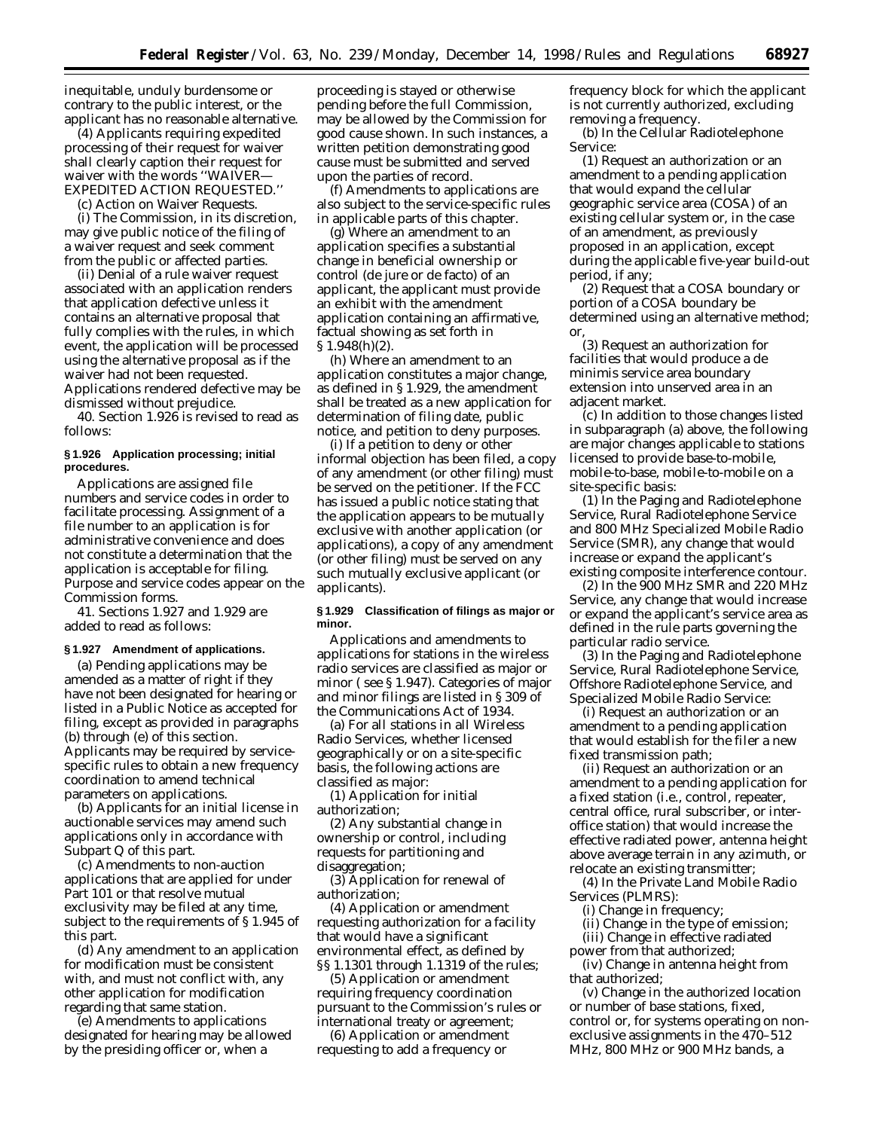inequitable, unduly burdensome or contrary to the public interest, or the applicant has no reasonable alternative.

(4) Applicants requiring expedited processing of their request for waiver shall clearly caption their request for waiver with the words ''WAIVER— EXPEDITED ACTION REQUESTED.''

(c) *Action on Waiver Requests.*

(i) The Commission, in its discretion, may give public notice of the filing of a waiver request and seek comment from the public or affected parties.

(ii) Denial of a rule waiver request associated with an application renders that application defective unless it contains an alternative proposal that fully complies with the rules, in which event, the application will be processed using the alternative proposal as if the waiver had not been requested. Applications rendered defective may be dismissed without prejudice.

40. Section 1.926 is revised to read as follows:

# **§ 1.926 Application processing; initial procedures.**

Applications are assigned file numbers and service codes in order to facilitate processing. Assignment of a file number to an application is for administrative convenience and does not constitute a determination that the application is acceptable for filing. Purpose and service codes appear on the Commission forms.

41. Sections 1.927 and 1.929 are added to read as follows:

### **§ 1.927 Amendment of applications.**

(a) Pending applications may be amended as a matter of right if they have not been designated for hearing or listed in a Public Notice as accepted for filing, except as provided in paragraphs (b) through (e) of this section. Applicants may be required by servicespecific rules to obtain a new frequency coordination to amend technical parameters on applications.

(b) Applicants for an initial license in auctionable services may amend such applications only in accordance with Subpart Q of this part.

(c) Amendments to non-auction applications that are applied for under Part 101 or that resolve mutual exclusivity may be filed at any time, subject to the requirements of § 1.945 of this part.

(d) Any amendment to an application for modification must be consistent with, and must not conflict with, any other application for modification regarding that same station.

(e) Amendments to applications designated for hearing may be allowed by the presiding officer or, when a

proceeding is stayed or otherwise pending before the full Commission, may be allowed by the Commission for good cause shown. In such instances, a written petition demonstrating good cause must be submitted and served upon the parties of record.

(f) Amendments to applications are also subject to the service-specific rules in applicable parts of this chapter.

(g) Where an amendment to an application specifies a substantial change in beneficial ownership or control (*de jure* or de facto) of an applicant, the applicant must provide an exhibit with the amendment application containing an affirmative, factual showing as set forth in  $$1.948(h)(2).$ 

(h) Where an amendment to an application constitutes a major change, as defined in § 1.929, the amendment shall be treated as a new application for determination of filing date, public notice, and petition to deny purposes.

(i) If a petition to deny or other informal objection has been filed, a copy of any amendment (or other filing) must be served on the petitioner. If the FCC has issued a public notice stating that the application appears to be mutually exclusive with another application (or applications), a copy of any amendment (or other filing) must be served on any such mutually exclusive applicant (or applicants).

### **§ 1.929 Classification of filings as major or minor.**

Applications and amendments to applications for stations in the wireless radio services are classified as major or minor ( see § 1.947). Categories of major and minor filings are listed in § 309 of the Communications Act of 1934.

(a) For all stations in all Wireless Radio Services, whether licensed geographically or on a site-specific basis, the following actions are classified as major:

(1) Application for initial authorization;

(2) Any substantial change in ownership or control, including requests for partitioning and disaggregation;

(3) Application for renewal of authorization;

(4) Application or amendment requesting authorization for a facility that would have a significant environmental effect, as defined by §§ 1.1301 through 1.1319 of the rules;

(5) Application or amendment requiring frequency coordination pursuant to the Commission's rules or international treaty or agreement;

(6) Application or amendment requesting to add a frequency or

frequency block for which the applicant is not currently authorized, excluding removing a frequency.

(b) In the Cellular Radiotelephone Service:

(1) Request an authorization or an amendment to a pending application that would expand the cellular geographic service area (COSA) of an existing cellular system or, in the case of an amendment, as previously proposed in an application, except during the applicable five-year build-out period, if any;

(2) Request that a COSA boundary or portion of a COSA boundary be determined using an alternative method; or,

(3) Request an authorization for facilities that would produce a *de minimis* service area boundary extension into unserved area in an adjacent market.

(c) In addition to those changes listed in subparagraph (a) above, the following are major changes applicable to stations licensed to provide base-to-mobile, mobile-to-base, mobile-to-mobile on a site-specific basis:

(1) In the Paging and Radiotelephone Service, Rural Radiotelephone Service and 800 MHz Specialized Mobile Radio Service (SMR), any change that would increase or expand the applicant's existing composite interference contour.

(2) In the 900 MHz SMR and 220 MHz Service, any change that would increase or expand the applicant's service area as defined in the rule parts governing the particular radio service.

(3) In the Paging and Radiotelephone Service, Rural Radiotelephone Service, Offshore Radiotelephone Service, and Specialized Mobile Radio Service:

(i) Request an authorization or an amendment to a pending application that would establish for the filer a new fixed transmission path;

(ii) Request an authorization or an amendment to a pending application for a fixed station (i.e., control, repeater, central office, rural subscriber, or interoffice station) that would increase the effective radiated power, antenna height above average terrain in any azimuth, or relocate an existing transmitter;

(4) In the Private Land Mobile Radio Services (PLMRS):

(i) Change in frequency;

(ii) Change in the type of emission; (iii) Change in effective radiated

power from that authorized;

(iv) Change in antenna height from that authorized;

(v) Change in the authorized location or number of base stations, fixed, control or, for systems operating on nonexclusive assignments in the 470–512 MHz, 800 MHz or 900 MHz bands, a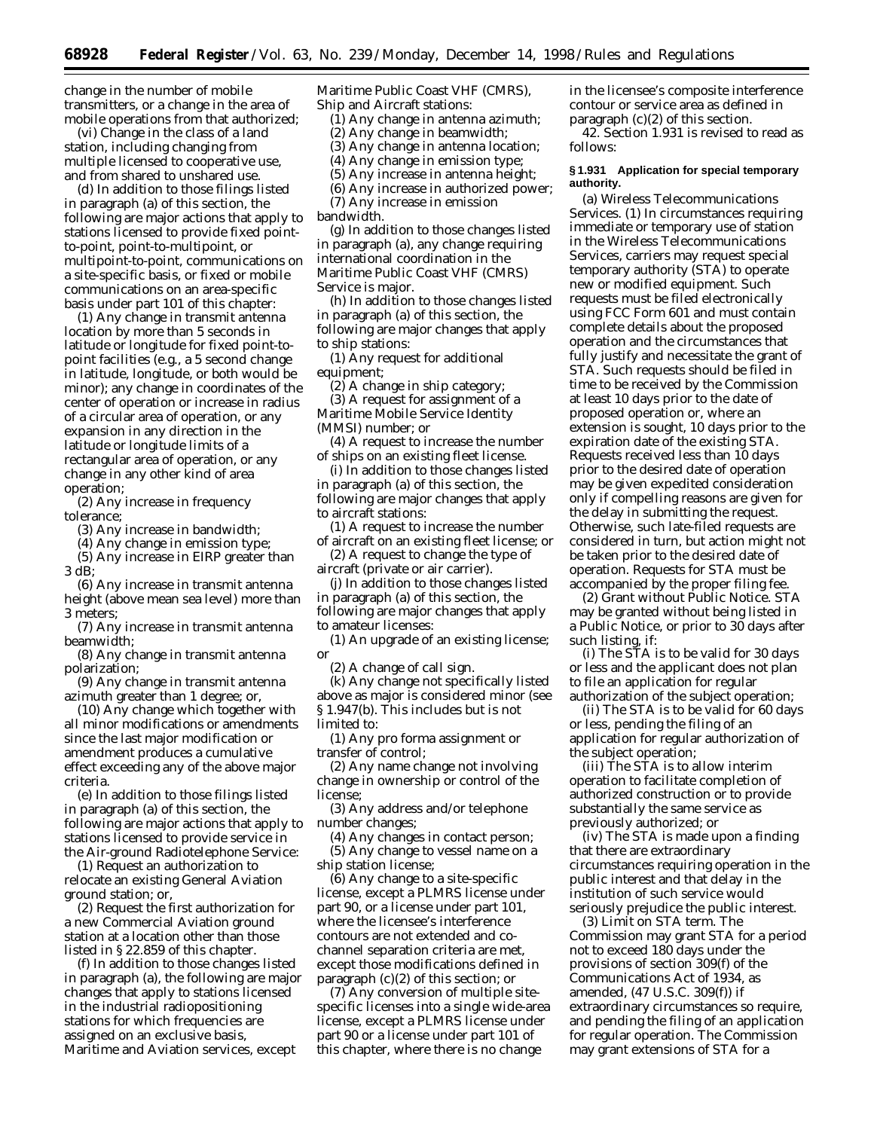change in the number of mobile transmitters, or a change in the area of mobile operations from that authorized;

(vi) Change in the class of a land station, including changing from multiple licensed to cooperative use, and from shared to unshared use.

(d) In addition to those filings listed in paragraph (a) of this section, the following are major actions that apply to stations licensed to provide fixed pointto-point, point-to-multipoint, or multipoint-to-point, communications on a site-specific basis, or fixed or mobile communications on an area-specific basis under part 101 of this chapter:

(1) Any change in transmit antenna location by more than 5 seconds in latitude or longitude for fixed point-topoint facilities (*e.g.*, a 5 second change in latitude, longitude, or both would be minor); any change in coordinates of the center of operation or increase in radius of a circular area of operation, or any expansion in any direction in the latitude or longitude limits of a rectangular area of operation, or any change in any other kind of area operation;

(2) Any increase in frequency tolerance;

(3) Any increase in bandwidth;

(4) Any change in emission type;

(5) Any increase in EIRP greater than 3 dB;

(6) Any increase in transmit antenna height (above mean sea level) more than 3 meters;

(7) Any increase in transmit antenna beamwidth;

(8) Any change in transmit antenna polarization;

(9) Any change in transmit antenna azimuth greater than 1 degree; or,

(10) Any change which together with all minor modifications or amendments since the last major modification or amendment produces a cumulative effect exceeding any of the above major criteria.

(e) In addition to those filings listed in paragraph (a) of this section, the following are major actions that apply to stations licensed to provide service in the Air-ground Radiotelephone Service:

(1) Request an authorization to relocate an existing General Aviation ground station; or,

(2) Request the first authorization for a new Commercial Aviation ground station at a location other than those listed in § 22.859 of this chapter.

(f) In addition to those changes listed in paragraph (a), the following are major changes that apply to stations licensed in the industrial radiopositioning stations for which frequencies are assigned on an exclusive basis, Maritime and Aviation services, except

Maritime Public Coast VHF (CMRS), Ship and Aircraft stations:

(1) Any change in antenna azimuth;

(2) Any change in beamwidth;

(3) Any change in antenna location;

(4) Any change in emission type;

(5) Any increase in antenna height;

(6) Any increase in authorized power;

(7) Any increase in emission bandwidth.

(g) In addition to those changes listed in paragraph (a), any change requiring international coordination in the Maritime Public Coast VHF (CMRS)

Service is major.

(h) In addition to those changes listed in paragraph (a) of this section, the following are major changes that apply to ship stations:

(1) Any request for additional equipment;

(2) A change in ship category;

(3) A request for assignment of a Maritime Mobile Service Identity (MMSI) number; or

(4) A request to increase the number of ships on an existing fleet license.

(i) In addition to those changes listed in paragraph (a) of this section, the following are major changes that apply to aircraft stations:

(1) A request to increase the number of aircraft on an existing fleet license; or

(2) A request to change the type of aircraft (private or air carrier).

(j) In addition to those changes listed in paragraph (a) of this section, the following are major changes that apply to amateur licenses:

(1) An upgrade of an existing license; or

(2) A change of call sign.

(k) Any change not specifically listed above as major is considered minor (*see* § 1.947(b). This includes but is not limited to:

(1) Any pro forma assignment or transfer of control;

(2) Any name change not involving change in ownership or control of the license;

(3) Any address and/or telephone number changes;

(4) Any changes in contact person; (5) Any change to vessel name on a ship station license;

(6) Any change to a site-specific license, except a PLMRS license under part 90, or a license under part 101, where the licensee's interference contours are not extended and cochannel separation criteria are met, except those modifications defined in paragraph (c)(2) of this section; or

(7) Any conversion of multiple sitespecific licenses into a single wide-area license, except a PLMRS license under part 90 or a license under part 101 of this chapter, where there is no change

in the licensee's composite interference contour or service area as defined in paragraph (c)(2) of this section.

42. Section 1.931 is revised to read as follows:

## **§ 1.931 Application for special temporary authority.**

(a) *Wireless Telecommunications Services.* (1) In circumstances requiring immediate or temporary use of station in the Wireless Telecommunications Services, carriers may request special temporary authority (STA) to operate new or modified equipment. Such requests must be filed electronically using FCC Form 601 and must contain complete details about the proposed operation and the circumstances that fully justify and necessitate the grant of STA. Such requests should be filed in time to be received by the Commission at least 10 days prior to the date of proposed operation or, where an extension is sought, 10 days prior to the expiration date of the existing STA. Requests received less than 10 days prior to the desired date of operation may be given expedited consideration only if compelling reasons are given for the delay in submitting the request. Otherwise, such late-filed requests are considered in turn, but action might not be taken prior to the desired date of operation. Requests for STA must be accompanied by the proper filing fee.

(2) Grant without Public Notice. STA may be granted without being listed in a Public Notice, or prior to 30 days after such listing, if:

(i) The STA is to be valid for 30 days or less and the applicant does not plan to file an application for regular authorization of the subject operation;

(ii) The STA is to be valid for 60 days or less, pending the filing of an application for regular authorization of the subject operation;

(iii) The STA is to allow interim operation to facilitate completion of authorized construction or to provide substantially the same service as previously authorized; or

(iv) The STA is made upon a finding that there are extraordinary circumstances requiring operation in the public interest and that delay in the institution of such service would seriously prejudice the public interest.

(3) Limit on STA term. The Commission may grant STA for a period not to exceed 180 days under the provisions of section 309(f) of the Communications Act of 1934, as amended, (47 U.S.C. 309(f)) if extraordinary circumstances so require, and pending the filing of an application for regular operation. The Commission may grant extensions of STA for a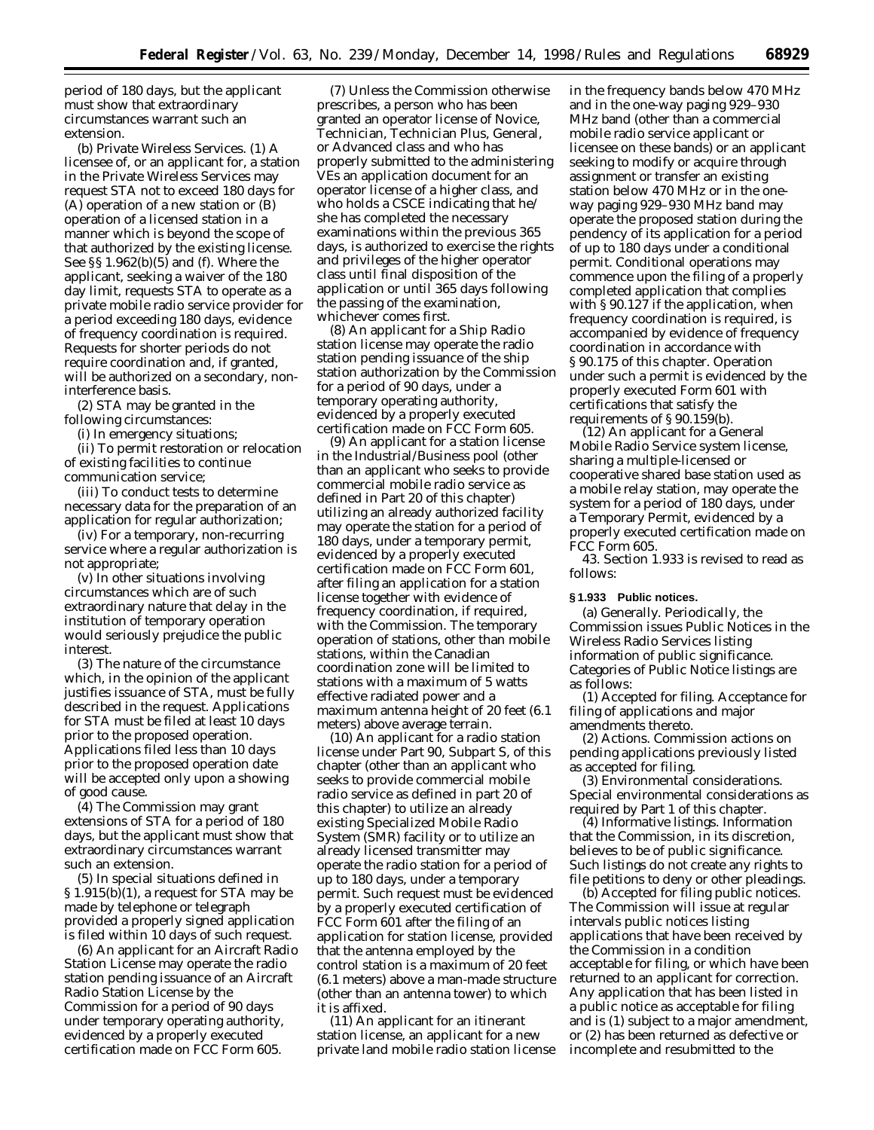period of 180 days, but the applicant must show that extraordinary circumstances warrant such an extension.

(b) *Private Wireless Services.* (1) A licensee of, or an applicant for, a station in the Private Wireless Services may request STA not to exceed 180 days for (A) operation of a new station or (B) operation of a licensed station in a manner which is beyond the scope of that authorized by the existing license. *See* §§ 1.962(b)(5) and (f). Where the applicant, seeking a waiver of the 180 day limit, requests STA to operate as a private mobile radio service provider for a period exceeding 180 days, evidence of frequency coordination is required. Requests for shorter periods do not require coordination and, if granted, will be authorized on a secondary, noninterference basis.

(2) STA may be granted in the following circumstances:

(i) In emergency situations;

(ii) To permit restoration or relocation of existing facilities to continue communication service;

(iii) To conduct tests to determine necessary data for the preparation of an application for regular authorization;

(iv) For a temporary, non-recurring service where a regular authorization is not appropriate;

(v) In other situations involving circumstances which are of such extraordinary nature that delay in the institution of temporary operation would seriously prejudice the public interest.

(3) The nature of the circumstance which, in the opinion of the applicant justifies issuance of STA, must be fully described in the request. Applications for STA must be filed at least 10 days prior to the proposed operation. Applications filed less than 10 days prior to the proposed operation date will be accepted only upon a showing of good cause.

(4) The Commission may grant extensions of STA for a period of 180 days, but the applicant must show that extraordinary circumstances warrant such an extension.

(5) In special situations defined in § 1.915(b)(1), a request for STA may be made by telephone or telegraph provided a properly signed application is filed within 10 days of such request.

(6) An applicant for an Aircraft Radio Station License may operate the radio station pending issuance of an Aircraft Radio Station License by the Commission for a period of 90 days under temporary operating authority, evidenced by a properly executed certification made on FCC Form 605.

(7) Unless the Commission otherwise prescribes, a person who has been granted an operator license of Novice, Technician, Technician Plus, General, or Advanced class and who has properly submitted to the administering VEs an application document for an operator license of a higher class, and who holds a CSCE indicating that he/ she has completed the necessary examinations within the previous 365 days, is authorized to exercise the rights and privileges of the higher operator class until final disposition of the application or until 365 days following the passing of the examination, whichever comes first.

(8) An applicant for a Ship Radio station license may operate the radio station pending issuance of the ship station authorization by the Commission for a period of 90 days, under a temporary operating authority, evidenced by a properly executed certification made on FCC Form 605.

(9) An applicant for a station license in the Industrial/Business pool (other than an applicant who seeks to provide commercial mobile radio service as defined in Part 20 of this chapter) utilizing an already authorized facility may operate the station for a period of 180 days, under a temporary permit, evidenced by a properly executed certification made on FCC Form 601, after filing an application for a station license together with evidence of frequency coordination, if required, with the Commission. The temporary operation of stations, other than mobile stations, within the Canadian coordination zone will be limited to stations with a maximum of 5 watts effective radiated power and a maximum antenna height of 20 feet (6.1 meters) above average terrain.

(10) An applicant for a radio station license under Part 90, Subpart S, of this chapter (other than an applicant who seeks to provide commercial mobile radio service as defined in part 20 of this chapter) to utilize an already existing Specialized Mobile Radio System (SMR) facility or to utilize an already licensed transmitter may operate the radio station for a period of up to 180 days, under a temporary permit. Such request must be evidenced by a properly executed certification of FCC Form 601 after the filing of an application for station license, provided that the antenna employed by the control station is a maximum of 20 feet (6.1 meters) above a man-made structure (other than an antenna tower) to which it is affixed.

(11) An applicant for an itinerant station license, an applicant for a new private land mobile radio station license

in the frequency bands below 470 MHz and in the one-way paging 929–930 MHz band (other than a commercial mobile radio service applicant or licensee on these bands) or an applicant seeking to modify or acquire through assignment or transfer an existing station below 470 MHz or in the oneway paging 929–930 MHz band may operate the proposed station during the pendency of its application for a period of up to 180 days under a conditional permit. Conditional operations may commence upon the filing of a properly completed application that complies with § 90.127 if the application, when frequency coordination is required, is accompanied by evidence of frequency coordination in accordance with § 90.175 of this chapter. Operation under such a permit is evidenced by the properly executed Form 601 with certifications that satisfy the requirements of § 90.159(b).

(12) An applicant for a General Mobile Radio Service system license, sharing a multiple-licensed or cooperative shared base station used as a mobile relay station, may operate the system for a period of 180 days, under a Temporary Permit, evidenced by a properly executed certification made on FCC Form 605.

43. Section 1.933 is revised to read as follows:

### **§ 1.933 Public notices.**

(a) *Generally.* Periodically, the Commission issues Public Notices in the Wireless Radio Services listing information of public significance. Categories of Public Notice listings are as follows:

(1) *Accepted for filing.* Acceptance for filing of applications and major amendments thereto.

(2) *Actions.* Commission actions on pending applications previously listed as accepted for filing.

(3) *Environmental considerations.* Special environmental considerations as required by Part 1 of this chapter.

(4) *Informative listings.* Information that the Commission, in its discretion, believes to be of public significance. Such listings do not create any rights to file petitions to deny or other pleadings.

(b) *Accepted for filing public notices.* The Commission will issue at regular intervals public notices listing applications that have been received by the Commission in a condition acceptable for filing, or which have been returned to an applicant for correction. Any application that has been listed in a public notice as acceptable for filing and is (1) subject to a major amendment, or (2) has been returned as defective or incomplete and resubmitted to the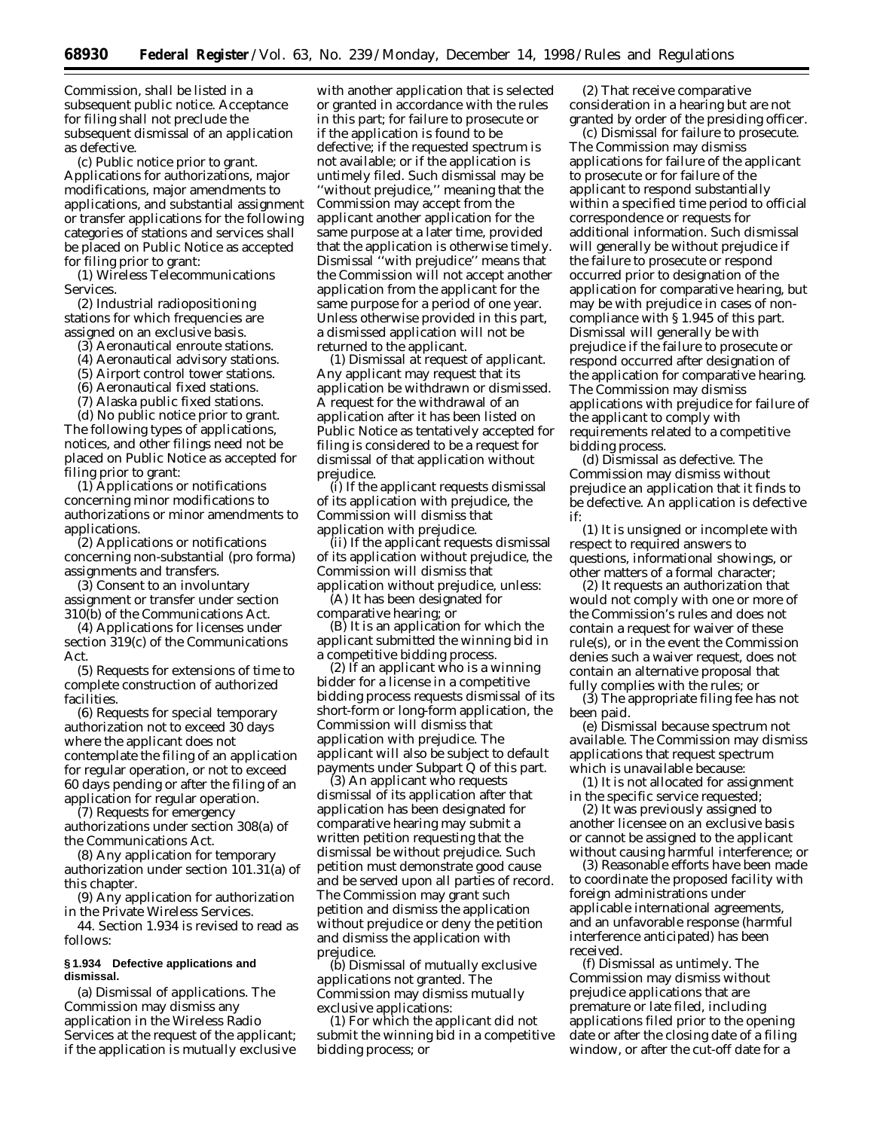Commission, shall be listed in a subsequent public notice. Acceptance for filing shall not preclude the subsequent dismissal of an application as defective.

(c) *Public notice prior to grant.* Applications for authorizations, major modifications, major amendments to applications, and substantial assignment or transfer applications for the following categories of stations and services shall be placed on Public Notice as accepted for filing prior to grant:

(1) Wireless Telecommunications Services.

(2) Industrial radiopositioning stations for which frequencies are assigned on an exclusive basis.

- (3) Aeronautical enroute stations.
- (4) Aeronautical advisory stations.

(5) Airport control tower stations.

(6) Aeronautical fixed stations.

(7) Alaska public fixed stations.

(d) *No public notice prior to grant.* The following types of applications, notices, and other filings need not be placed on Public Notice as accepted for filing prior to grant:

(1) Applications or notifications concerning minor modifications to authorizations or minor amendments to applications.

(2) Applications or notifications concerning non-substantial (*pro forma*) assignments and transfers.

(3) Consent to an involuntary assignment or transfer under section 310(b) of the Communications Act.

(4) Applications for licenses under section 319(c) of the Communications Act.

(5) Requests for extensions of time to complete construction of authorized facilities.

(6) Requests for special temporary authorization not to exceed 30 days where the applicant does not contemplate the filing of an application for regular operation, or not to exceed 60 days pending or after the filing of an application for regular operation.

(7) Requests for emergency authorizations under section 308(a) of the Communications Act.

(8) Any application for temporary authorization under section 101.31(a) of this chapter.

(9) Any application for authorization in the Private Wireless Services.

44. Section 1.934 is revised to read as follows:

## **§ 1.934 Defective applications and dismissal.**

(a) *Dismissal of applications.* The Commission may dismiss any application in the Wireless Radio Services at the request of the applicant; if the application is mutually exclusive

with another application that is selected or granted in accordance with the rules in this part; for failure to prosecute or if the application is found to be defective; if the requested spectrum is not available; or if the application is untimely filed. Such dismissal may be ''without prejudice,'' meaning that the Commission may accept from the applicant another application for the same purpose at a later time, provided that the application is otherwise timely. Dismissal ''with prejudice'' means that the Commission will not accept another application from the applicant for the same purpose for a period of one year. Unless otherwise provided in this part, a dismissed application will not be returned to the applicant.

(1) *Dismissal at request of applicant.* Any applicant may request that its application be withdrawn or dismissed. A request for the withdrawal of an application after it has been listed on Public Notice as tentatively accepted for filing is considered to be a request for dismissal of that application without prejudice.

(i) If the applicant requests dismissal of its application with prejudice, the Commission will dismiss that application with prejudice.

(ii) If the applicant requests dismissal of its application without prejudice, the Commission will dismiss that application without prejudice, unless:

(A) It has been designated for comparative hearing; or

(B) It is an application for which the applicant submitted the winning bid in a competitive bidding process.

(2) If an applicant who is a winning bidder for a license in a competitive bidding process requests dismissal of its short-form or long-form application, the Commission will dismiss that application with prejudice. The applicant will also be subject to default payments under Subpart Q of this part.

(3) An applicant who requests dismissal of its application after that application has been designated for comparative hearing may submit a written petition requesting that the dismissal be without prejudice. Such petition must demonstrate good cause and be served upon all parties of record. The Commission may grant such petition and dismiss the application without prejudice or deny the petition and dismiss the application with prejudice.

(b) *Dismissal of mutually exclusive applications not granted.* The Commission may dismiss mutually exclusive applications:

(1) For which the applicant did not submit the winning bid in a competitive bidding process; or

(2) That receive comparative consideration in a hearing but are not granted by order of the presiding officer.

(c) *Dismissal for failure to prosecute.* The Commission may dismiss applications for failure of the applicant to prosecute or for failure of the applicant to respond substantially within a specified time period to official correspondence or requests for additional information. Such dismissal will generally be without prejudice if the failure to prosecute or respond occurred prior to designation of the application for comparative hearing, but may be with prejudice in cases of noncompliance with § 1.945 of this part. Dismissal will generally be with prejudice if the failure to prosecute or respond occurred after designation of the application for comparative hearing. The Commission may dismiss applications with prejudice for failure of the applicant to comply with requirements related to a competitive bidding process.

(d) *Dismissal as defective.* The Commission may dismiss without prejudice an application that it finds to be defective. An application is defective if:

(1) It is unsigned or incomplete with respect to required answers to questions, informational showings, or other matters of a formal character;

(2) It requests an authorization that would not comply with one or more of the Commission's rules and does not contain a request for waiver of these rule(s), or in the event the Commission denies such a waiver request, does not contain an alternative proposal that fully complies with the rules; or

(3) The appropriate filing fee has not been paid.

(e) *Dismissal because spectrum not available.* The Commission may dismiss applications that request spectrum which is unavailable because:

(1) It is not allocated for assignment in the specific service requested;

(2) It was previously assigned to another licensee on an exclusive basis or cannot be assigned to the applicant without causing harmful interference; or

(3) Reasonable efforts have been made to coordinate the proposed facility with foreign administrations under applicable international agreements, and an unfavorable response (harmful interference anticipated) has been received.

(f) *Dismissal as untimely.* The Commission may dismiss without prejudice applications that are premature or late filed, including applications filed prior to the opening date or after the closing date of a filing window, or after the cut-off date for a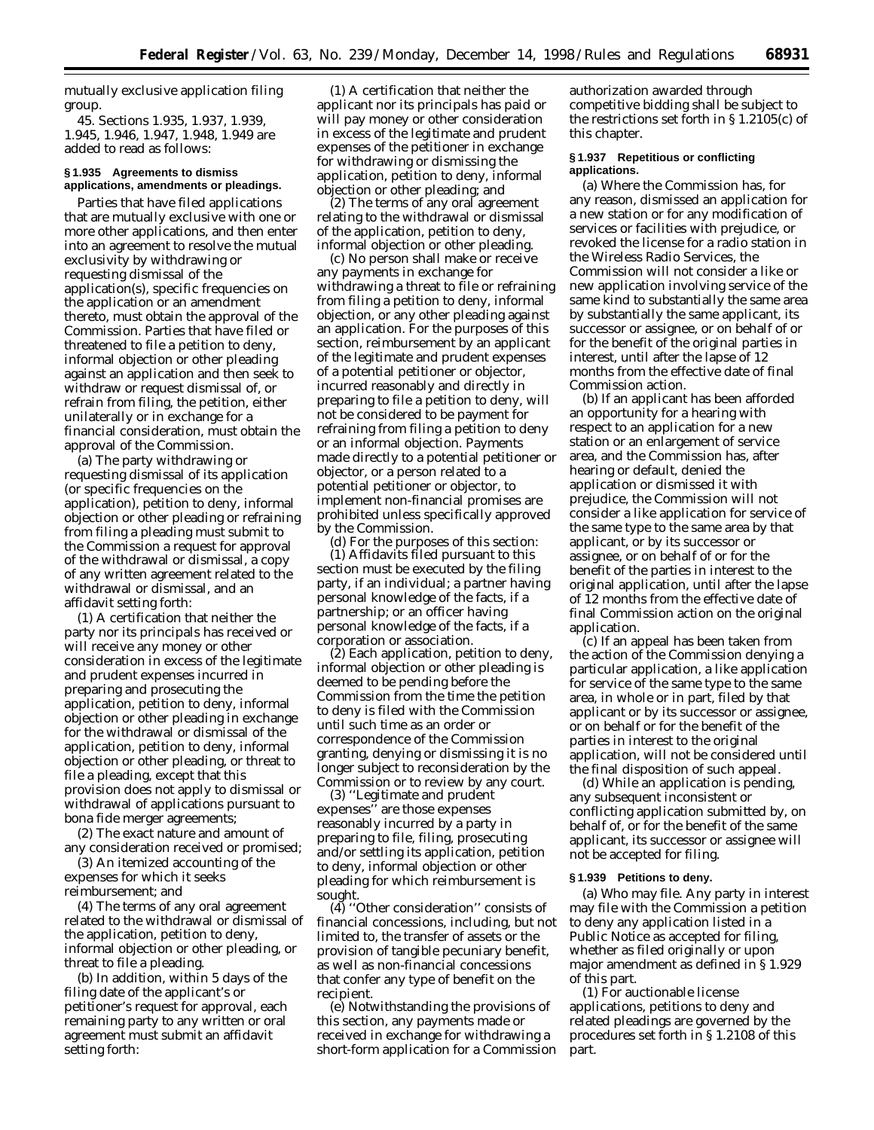mutually exclusive application filing group.

45. Sections 1.935, 1.937, 1.939, 1.945, 1.946, 1.947, 1.948, 1.949 are added to read as follows:

# **§ 1.935 Agreements to dismiss applications, amendments or pleadings.**

Parties that have filed applications that are mutually exclusive with one or more other applications, and then enter into an agreement to resolve the mutual exclusivity by withdrawing or requesting dismissal of the application(s), specific frequencies on the application or an amendment thereto, must obtain the approval of the Commission. Parties that have filed or threatened to file a petition to deny, informal objection or other pleading against an application and then seek to withdraw or request dismissal of, or refrain from filing, the petition, either unilaterally or in exchange for a financial consideration, must obtain the approval of the Commission.

(a) The party withdrawing or requesting dismissal of its application (or specific frequencies on the application), petition to deny, informal objection or other pleading or refraining from filing a pleading must submit to the Commission a request for approval of the withdrawal or dismissal, a copy of any written agreement related to the withdrawal or dismissal, and an affidavit setting forth:

(1) A certification that neither the party nor its principals has received or will receive any money or other consideration in excess of the legitimate and prudent expenses incurred in preparing and prosecuting the application, petition to deny, informal objection or other pleading in exchange for the withdrawal or dismissal of the application, petition to deny, informal objection or other pleading, or threat to file a pleading, except that this provision does not apply to dismissal or withdrawal of applications pursuant to bona fide merger agreements;

(2) The exact nature and amount of any consideration received or promised;

(3) An itemized accounting of the expenses for which it seeks reimbursement; and

(4) The terms of any oral agreement related to the withdrawal or dismissal of the application, petition to deny, informal objection or other pleading, or threat to file a pleading.

(b) In addition, within 5 days of the filing date of the applicant's or petitioner's request for approval, each remaining party to any written or oral agreement must submit an affidavit setting forth:

(1) A certification that neither the applicant nor its principals has paid or will pay money or other consideration in excess of the legitimate and prudent expenses of the petitioner in exchange for withdrawing or dismissing the application, petition to deny, informal objection or other pleading; and

(2) The terms of any oral agreement relating to the withdrawal or dismissal of the application, petition to deny, informal objection or other pleading.

(c) No person shall make or receive any payments in exchange for withdrawing a threat to file or refraining from filing a petition to deny, informal objection, or any other pleading against an application. For the purposes of this section, reimbursement by an applicant of the legitimate and prudent expenses of a potential petitioner or objector, incurred reasonably and directly in preparing to file a petition to deny, will not be considered to be payment for refraining from filing a petition to deny or an informal objection. Payments made directly to a potential petitioner or objector, or a person related to a potential petitioner or objector, to implement non-financial promises are prohibited unless specifically approved by the Commission.

(d) For the purposes of this section: (1) Affidavits filed pursuant to this section must be executed by the filing party, if an individual; a partner having personal knowledge of the facts, if a partnership; or an officer having personal knowledge of the facts, if a corporation or association.

(2) Each application, petition to deny, informal objection or other pleading is deemed to be pending before the Commission from the time the petition to deny is filed with the Commission until such time as an order or correspondence of the Commission granting, denying or dismissing it is no longer subject to reconsideration by the Commission or to review by any court.

(3) ''Legitimate and prudent expenses'' are those expenses reasonably incurred by a party in preparing to file, filing, prosecuting and/or settling its application, petition to deny, informal objection or other pleading for which reimbursement is sought.

(4) ''Other consideration'' consists of financial concessions, including, but not limited to, the transfer of assets or the provision of tangible pecuniary benefit, as well as non-financial concessions that confer any type of benefit on the recipient.

(e) Notwithstanding the provisions of this section, any payments made or received in exchange for withdrawing a short-form application for a Commission authorization awarded through competitive bidding shall be subject to the restrictions set forth in § 1.2105(c) of this chapter.

## **§ 1.937 Repetitious or conflicting applications.**

(a) Where the Commission has, for any reason, dismissed an application for a new station or for any modification of services or facilities with prejudice, or revoked the license for a radio station in the Wireless Radio Services, the Commission will not consider a like or new application involving service of the same kind to substantially the same area by substantially the same applicant, its successor or assignee, or on behalf of or for the benefit of the original parties in interest, until after the lapse of 12 months from the effective date of final Commission action.

(b) If an applicant has been afforded an opportunity for a hearing with respect to an application for a new station or an enlargement of service area, and the Commission has, after hearing or default, denied the application or dismissed it with prejudice, the Commission will not consider a like application for service of the same type to the same area by that applicant, or by its successor or assignee, or on behalf of or for the benefit of the parties in interest to the original application, until after the lapse of 12 months from the effective date of final Commission action on the original application.

(c) If an appeal has been taken from the action of the Commission denying a particular application, a like application for service of the same type to the same area, in whole or in part, filed by that applicant or by its successor or assignee, or on behalf or for the benefit of the parties in interest to the original application, will not be considered until the final disposition of such appeal.

(d) While an application is pending, any subsequent inconsistent or conflicting application submitted by, on behalf of, or for the benefit of the same applicant, its successor or assignee will not be accepted for filing.

# **§ 1.939 Petitions to deny.**

(a) *Who may file.* Any party in interest may file with the Commission a petition to deny any application listed in a Public Notice as accepted for filing, whether as filed originally or upon major amendment as defined in § 1.929 of this part.

(1) For auctionable license applications, petitions to deny and related pleadings are governed by the procedures set forth in § 1.2108 of this part.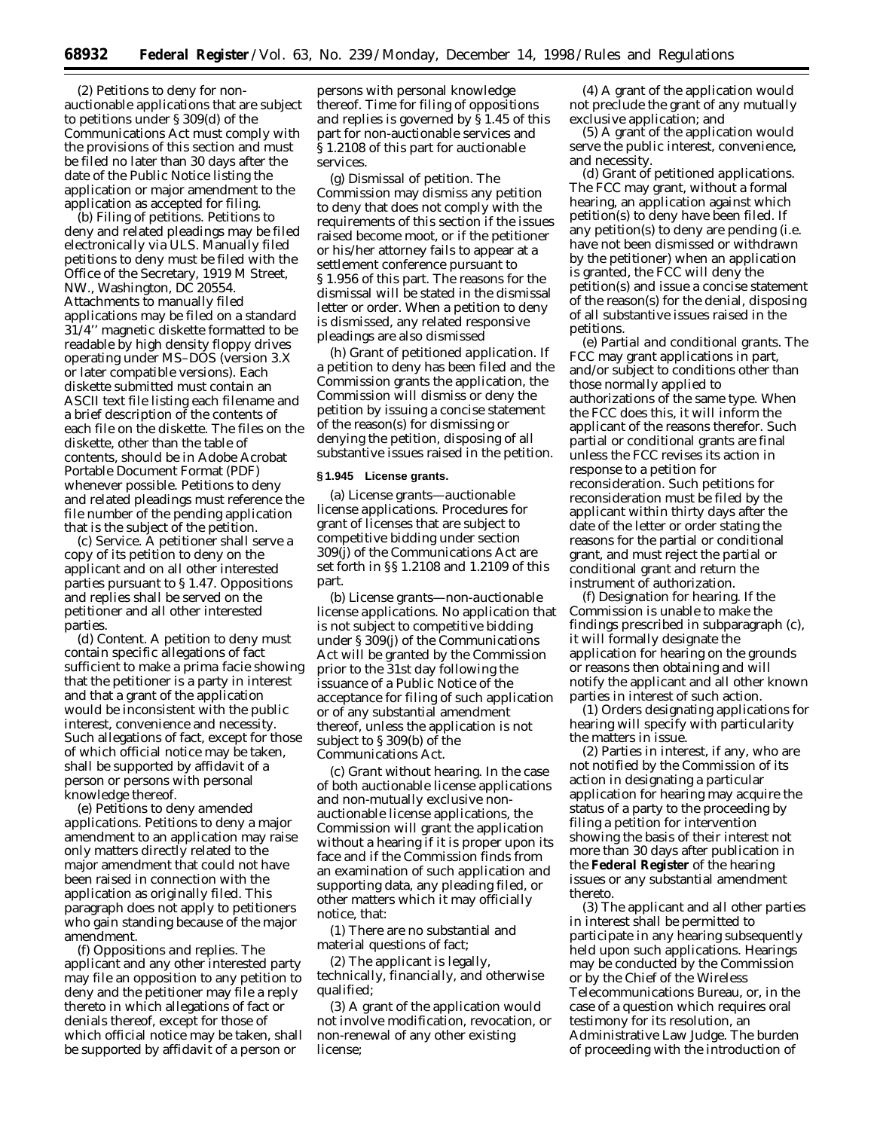(2) Petitions to deny for nonauctionable applications that are subject to petitions under § 309(d) of the Communications Act must comply with the provisions of this section and must be filed no later than 30 days after the date of the Public Notice listing the application or major amendment to the application as accepted for filing.

(b) *Filing of petitions.* Petitions to deny and related pleadings may be filed electronically via ULS. Manually filed petitions to deny must be filed with the Office of the Secretary, 1919 M Street, NW., Washington, DC 20554. Attachments to manually filed applications may be filed on a standard 31/4'' magnetic diskette formatted to be readable by high density floppy drives operating under MS–DOS (version 3.X or later compatible versions). Each diskette submitted must contain an ASCII text file listing each filename and a brief description of the contents of each file on the diskette. The files on the diskette, other than the table of contents, should be in Adobe Acrobat Portable Document Format (PDF) whenever possible. Petitions to deny and related pleadings must reference the file number of the pending application that is the subject of the petition.

(c) *Service.* A petitioner shall serve a copy of its petition to deny on the applicant and on all other interested parties pursuant to § 1.47. Oppositions and replies shall be served on the petitioner and all other interested parties.

(d) *Content.* A petition to deny must contain specific allegations of fact sufficient to make a *prima facie* showing that the petitioner is a party in interest and that a grant of the application would be inconsistent with the public interest, convenience and necessity. Such allegations of fact, except for those of which official notice may be taken, shall be supported by affidavit of a person or persons with personal knowledge thereof.

(e) *Petitions to deny amended applications.* Petitions to deny a major amendment to an application may raise only matters directly related to the major amendment that could not have been raised in connection with the application as originally filed. This paragraph does not apply to petitioners who gain standing because of the major amendment.

(f) *Oppositions and replies.* The applicant and any other interested party may file an opposition to any petition to deny and the petitioner may file a reply thereto in which allegations of fact or denials thereof, except for those of which official notice may be taken, shall be supported by affidavit of a person or

persons with personal knowledge thereof. Time for filing of oppositions and replies is governed by § 1.45 of this part for non-auctionable services and § 1.2108 of this part for auctionable services.

(g) *Dismissal of petition.* The Commission may dismiss any petition to deny that does not comply with the requirements of this section if the issues raised become moot, or if the petitioner or his/her attorney fails to appear at a settlement conference pursuant to § 1.956 of this part. The reasons for the dismissal will be stated in the dismissal letter or order. When a petition to deny is dismissed, any related responsive pleadings are also dismissed

(h) *Grant of petitioned application.* If a petition to deny has been filed and the Commission grants the application, the Commission will dismiss or deny the petition by issuing a concise statement of the reason(s) for dismissing or denying the petition, disposing of all substantive issues raised in the petition.

### **§ 1.945 License grants.**

(a) *License grants—auctionable license applications.* Procedures for grant of licenses that are subject to competitive bidding under section 309(j) of the Communications Act are set forth in §§ 1.2108 and 1.2109 of this part.

(b) *License grants—non-auctionable license applications.* No application that is not subject to competitive bidding under § 309(j) of the Communications Act will be granted by the Commission prior to the 31st day following the issuance of a Public Notice of the acceptance for filing of such application or of any substantial amendment thereof, unless the application is not subject to § 309(b) of the Communications Act.

(c) *Grant without hearing.* In the case of both auctionable license applications and non-mutually exclusive nonauctionable license applications, the Commission will grant the application without a hearing if it is proper upon its face and if the Commission finds from an examination of such application and supporting data, any pleading filed, or other matters which it may officially notice, that:

(1) There are no substantial and material questions of fact;

(2) The applicant is legally, technically, financially, and otherwise qualified;

(3) A grant of the application would not involve modification, revocation, or non-renewal of any other existing license;

(4) A grant of the application would not preclude the grant of any mutually exclusive application; and

(5) A grant of the application would serve the public interest, convenience, and necessity.

(d) *Grant of petitioned applications.* The FCC may grant, without a formal hearing, an application against which petition(s) to deny have been filed. If any petition(s) to deny are pending (i.e. have not been dismissed or withdrawn by the petitioner) when an application is granted, the FCC will deny the petition(s) and issue a concise statement of the reason(s) for the denial, disposing of all substantive issues raised in the petitions.

(e) *Partial and conditional grants.* The FCC may grant applications in part, and/or subject to conditions other than those normally applied to authorizations of the same type. When the FCC does this, it will inform the applicant of the reasons therefor. Such partial or conditional grants are final unless the FCC revises its action in response to a petition for reconsideration. Such petitions for reconsideration must be filed by the applicant within thirty days after the date of the letter or order stating the reasons for the partial or conditional grant, and must reject the partial or conditional grant and return the instrument of authorization.

(f) *Designation for hearing.* If the Commission is unable to make the findings prescribed in subparagraph (c), it will formally designate the application for hearing on the grounds or reasons then obtaining and will notify the applicant and all other known parties in interest of such action.

(1) Orders designating applications for hearing will specify with particularity the matters in issue.

(2) Parties in interest, if any, who are not notified by the Commission of its action in designating a particular application for hearing may acquire the status of a party to the proceeding by filing a petition for intervention showing the basis of their interest not more than 30 days after publication in the **Federal Register** of the hearing issues or any substantial amendment thereto.

(3) The applicant and all other parties in interest shall be permitted to participate in any hearing subsequently held upon such applications. Hearings may be conducted by the Commission or by the Chief of the Wireless Telecommunications Bureau, or, in the case of a question which requires oral testimony for its resolution, an Administrative Law Judge. The burden of proceeding with the introduction of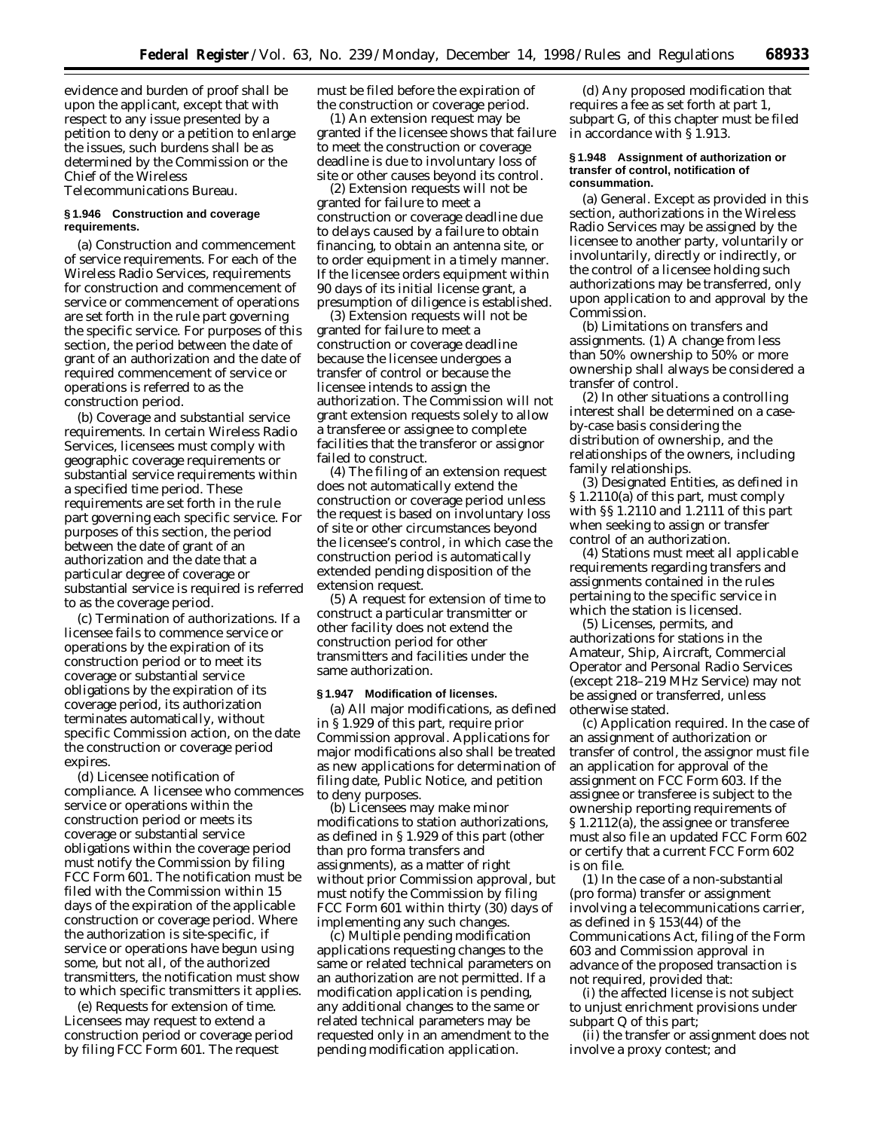evidence and burden of proof shall be upon the applicant, except that with respect to any issue presented by a petition to deny or a petition to enlarge the issues, such burdens shall be as determined by the Commission or the Chief of the Wireless Telecommunications Bureau.

## **§ 1.946 Construction and coverage requirements.**

(a) *Construction and commencement of service requirements.* For each of the Wireless Radio Services, requirements for construction and commencement of service or commencement of operations are set forth in the rule part governing the specific service. For purposes of this section, the period between the date of grant of an authorization and the date of required commencement of service or operations is referred to as the construction period.

(b) *Coverage and substantial service requirements.* In certain Wireless Radio Services, licensees must comply with geographic coverage requirements or substantial service requirements within a specified time period. These requirements are set forth in the rule part governing each specific service. For purposes of this section, the period between the date of grant of an authorization and the date that a particular degree of coverage or substantial service is required is referred to as the coverage period.

(c) *Termination of authorizations.* If a licensee fails to commence service or operations by the expiration of its construction period or to meet its coverage or substantial service obligations by the expiration of its coverage period, its authorization terminates automatically, without specific Commission action, on the date the construction or coverage period expires.

(d) *Licensee notification of compliance.* A licensee who commences service or operations within the construction period or meets its coverage or substantial service obligations within the coverage period must notify the Commission by filing FCC Form 601. The notification must be filed with the Commission within 15 days of the expiration of the applicable construction or coverage period. Where the authorization is site-specific, if service or operations have begun using some, but not all, of the authorized transmitters, the notification must show to which specific transmitters it applies.

(e) *Requests for extension of time.* Licensees may request to extend a construction period or coverage period by filing FCC Form 601. The request

must be filed before the expiration of the construction or coverage period.

(1) An extension request may be granted if the licensee shows that failure to meet the construction or coverage deadline is due to involuntary loss of site or other causes beyond its control.

(2) Extension requests will not be granted for failure to meet a construction or coverage deadline due to delays caused by a failure to obtain financing, to obtain an antenna site, or to order equipment in a timely manner. If the licensee orders equipment within 90 days of its initial license grant, a presumption of diligence is established.

(3) Extension requests will not be granted for failure to meet a construction or coverage deadline because the licensee undergoes a transfer of control or because the licensee intends to assign the authorization. The Commission will not grant extension requests solely to allow a transferee or assignee to complete facilities that the transferor or assignor failed to construct.

(4) The filing of an extension request does not automatically extend the construction or coverage period unless the request is based on involuntary loss of site or other circumstances beyond the licensee's control, in which case the construction period is automatically extended pending disposition of the extension request.

(5) A request for extension of time to construct a particular transmitter or other facility does not extend the construction period for other transmitters and facilities under the same authorization.

## **§ 1.947 Modification of licenses.**

(a) All major modifications, as defined in § 1.929 of this part, require prior Commission approval. Applications for major modifications also shall be treated as new applications for determination of filing date, Public Notice, and petition to deny purposes.

(b) Licensees may make minor modifications to station authorizations, as defined in § 1.929 of this part (other than *pro forma* transfers and assignments), as a matter of right without prior Commission approval, but must notify the Commission by filing FCC Form 601 within thirty (30) days of implementing any such changes.

(c) Multiple pending modification applications requesting changes to the same or related technical parameters on an authorization are not permitted. If a modification application is pending, any additional changes to the same or related technical parameters may be requested only in an amendment to the pending modification application.

(d) Any proposed modification that requires a fee as set forth at part 1, subpart G, of this chapter must be filed in accordance with § 1.913.

### **§ 1.948 Assignment of authorization or transfer of control, notification of consummation.**

(a) *General.* Except as provided in this section, authorizations in the Wireless Radio Services may be assigned by the licensee to another party, voluntarily or involuntarily, directly or indirectly, or the control of a licensee holding such authorizations may be transferred, only upon application to and approval by the Commission.

(b) *Limitations on transfers and assignments.* (1) A change from less than 50% ownership to 50% or more ownership shall always be considered a transfer of control.

(2) In other situations a controlling interest shall be determined on a caseby-case basis considering the distribution of ownership, and the relationships of the owners, including family relationships.

(3) Designated Entities, as defined in § 1.2110(a) of this part, must comply with §§ 1.2110 and 1.2111 of this part when seeking to assign or transfer control of an authorization.

(4) Stations must meet all applicable requirements regarding transfers and assignments contained in the rules pertaining to the specific service in which the station is licensed.

(5) Licenses, permits, and authorizations for stations in the Amateur, Ship, Aircraft, Commercial Operator and Personal Radio Services (except 218–219 MHz Service) may not be assigned or transferred, unless otherwise stated.

(c) *Application required.* In the case of an assignment of authorization or transfer of control, the assignor must file an application for approval of the assignment on FCC Form 603. If the assignee or transferee is subject to the ownership reporting requirements of § 1.2112(a), the assignee or transferee must also file an updated FCC Form 602 or certify that a current FCC Form 602 is on file.

(1) In the case of a non-substantial (*pro forma*) transfer or assignment involving a telecommunications carrier, as defined in § 153(44) of the Communications Act, filing of the Form 603 and Commission approval in advance of the proposed transaction is not required, provided that:

(i) the affected license is not subject to unjust enrichment provisions under subpart Q of this part;

(ii) the transfer or assignment does not involve a proxy contest; and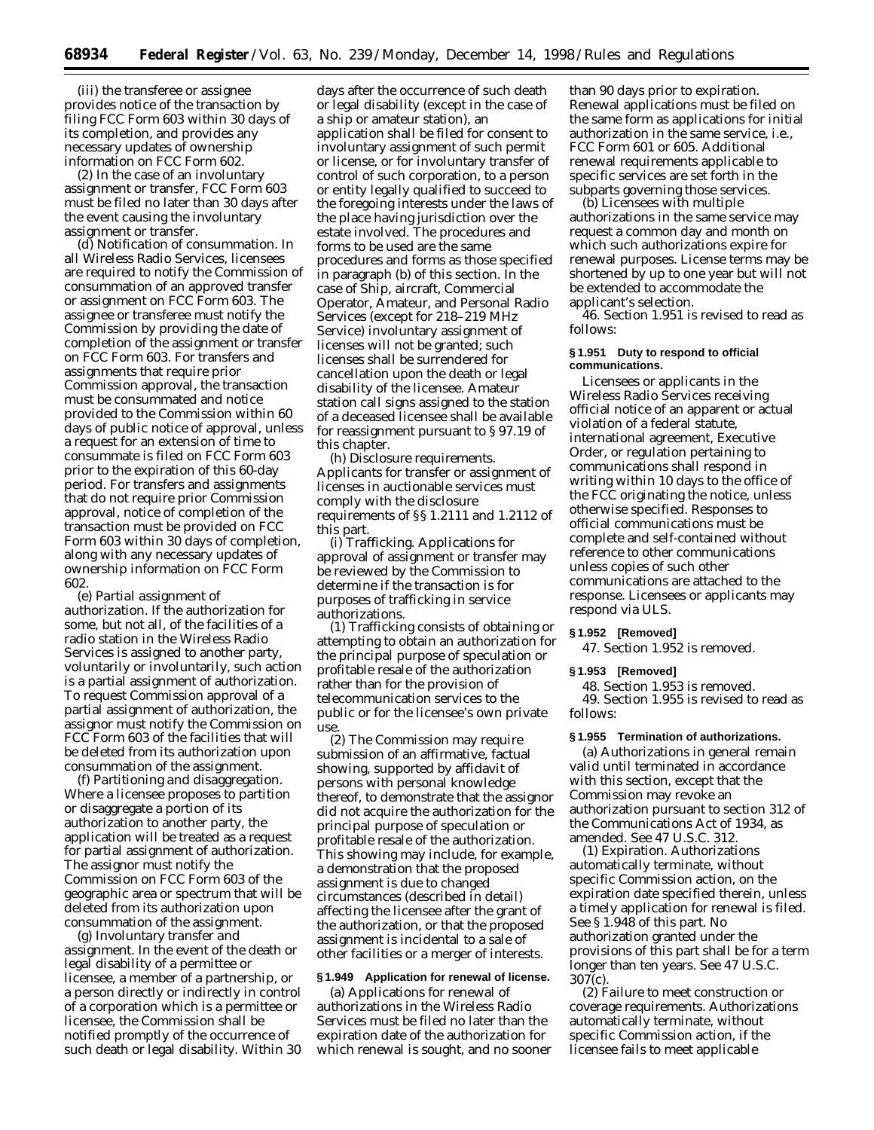(iii) the transferee or assignee provides notice of the transaction by filing FCC Form 603 within 30 days of its completion, and provides any necessary updates of ownership information on FCC Form 602.

(2) In the case of an involuntary assignment or transfer, FCC Form 603 must be filed no later than 30 days after the event causing the involuntary assignment or transfer.

(d) *Notification of consummation.* In all Wireless Radio Services, licensees are required to notify the Commission of consummation of an approved transfer or assignment on FCC Form 603. The assignee or transferee must notify the Commission by providing the date of completion of the assignment or transfer on FCC Form 603. For transfers and assignments that require prior Commission approval, the transaction must be consummated and notice provided to the Commission within 60 days of public notice of approval, unless a request for an extension of time to consummate is filed on FCC Form 603 prior to the expiration of this 60-day period. For transfers and assignments that do not require prior Commission approval, notice of completion of the transaction must be provided on FCC Form 603 within 30 days of completion, along with any necessary updates of ownership information on FCC Form 602.

(e) *Partial assignment of authorization.* If the authorization for some, but not all, of the facilities of a radio station in the Wireless Radio Services is assigned to another party, voluntarily or involuntarily, such action is a partial assignment of authorization. To request Commission approval of a partial assignment of authorization, the assignor must notify the Commission on FCC Form 603 of the facilities that will be deleted from its authorization upon consummation of the assignment.

(f) *Partitioning and disaggregation.* Where a licensee proposes to partition or disaggregate a portion of its authorization to another party, the application will be treated as a request for partial assignment of authorization. The assignor must notify the Commission on FCC Form 603 of the geographic area or spectrum that will be deleted from its authorization upon consummation of the assignment.

(g) *Involuntary transfer and assignment.* In the event of the death or legal disability of a permittee or licensee, a member of a partnership, or a person directly or indirectly in control of a corporation which is a permittee or licensee, the Commission shall be notified promptly of the occurrence of such death or legal disability. Within 30

days after the occurrence of such death or legal disability (except in the case of a ship or amateur station), an application shall be filed for consent to involuntary assignment of such permit or license, or for involuntary transfer of control of such corporation, to a person or entity legally qualified to succeed to the foregoing interests under the laws of the place having jurisdiction over the estate involved. The procedures and forms to be used are the same procedures and forms as those specified in paragraph (b) of this section. In the case of Ship, aircraft, Commercial Operator, Amateur, and Personal Radio Services (except for 218–219 MHz Service) involuntary assignment of licenses will not be granted; such licenses shall be surrendered for cancellation upon the death or legal disability of the licensee. Amateur station call signs assigned to the station of a deceased licensee shall be available for reassignment pursuant to § 97.19 of this chapter.

(h) *Disclosure requirements.* Applicants for transfer or assignment of licenses in auctionable services must comply with the disclosure requirements of §§ 1.2111 and 1.2112 of this part.

(i) *Trafficking.* Applications for approval of assignment or transfer may be reviewed by the Commission to determine if the transaction is for purposes of trafficking in service authorizations.

(1) Trafficking consists of obtaining or attempting to obtain an authorization for the principal purpose of speculation or profitable resale of the authorization rather than for the provision of telecommunication services to the public or for the licensee's own private use.

(2) The Commission may require submission of an affirmative, factual showing, supported by affidavit of persons with personal knowledge thereof, to demonstrate that the assignor did not acquire the authorization for the principal purpose of speculation or profitable resale of the authorization. This showing may include, for example, a demonstration that the proposed assignment is due to changed circumstances (described in detail) affecting the licensee after the grant of the authorization, or that the proposed assignment is incidental to a sale of other facilities or a merger of interests.

### **§ 1.949 Application for renewal of license.**

(a) Applications for renewal of authorizations in the Wireless Radio Services must be filed no later than the expiration date of the authorization for which renewal is sought, and no sooner

than 90 days prior to expiration. Renewal applications must be filed on the same form as applications for initial authorization in the same service, *i.e.,* FCC Form 601 or 605. Additional renewal requirements applicable to specific services are set forth in the subparts governing those services.

(b) Licensees with multiple authorizations in the same service may request a common day and month on which such authorizations expire for renewal purposes. License terms may be shortened by up to one year but will not be extended to accommodate the applicant's selection.

46. Section 1.951 is revised to read as follows:

# **§ 1.951 Duty to respond to official communications.**

Licensees or applicants in the Wireless Radio Services receiving official notice of an apparent or actual violation of a federal statute, international agreement, Executive Order, or regulation pertaining to communications shall respond in writing within 10 days to the office of the FCC originating the notice, unless otherwise specified. Responses to official communications must be complete and self-contained without reference to other communications unless copies of such other communications are attached to the response. Licensees or applicants may respond via ULS.

# **§ 1.952 [Removed]**

47. Section 1.952 is removed.

#### **§ 1.953 [Removed]**

48. Section 1.953 is removed. 49. Section 1.955 is revised to read as follows:

### **§ 1.955 Termination of authorizations.**

(a) Authorizations in general remain valid until terminated in accordance with this section, except that the Commission may revoke an authorization pursuant to section 312 of the Communications Act of 1934, as amended. *See* 47 U.S.C. 312.

(1) *Expiration.* Authorizations automatically terminate, without specific Commission action, on the expiration date specified therein, unless a timely application for renewal is filed. *See* § 1.948 of this part. No authorization granted under the provisions of this part shall be for a term longer than ten years. *See* 47 U.S.C. 307(c).

(2) *Failure to meet construction or coverage requirements.* Authorizations automatically terminate, without specific Commission action, if the licensee fails to meet applicable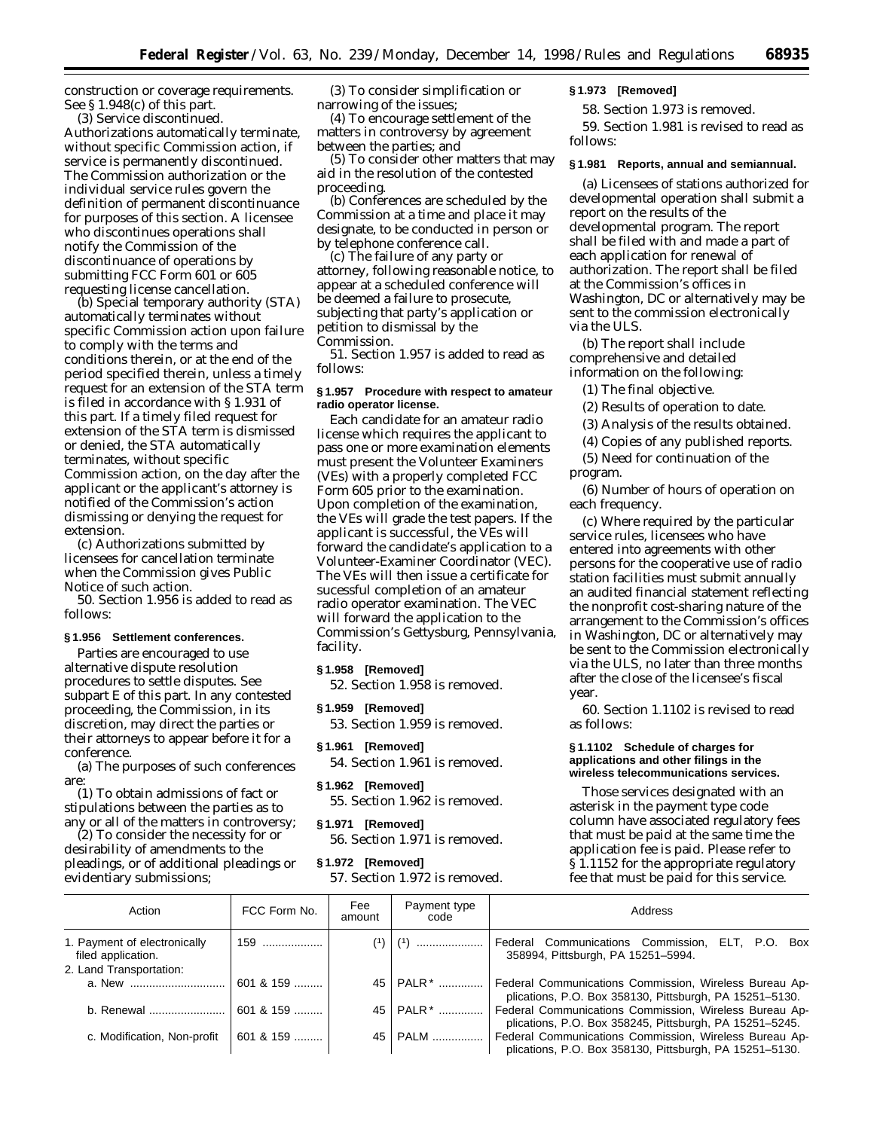construction or coverage requirements. *See* § 1.948(c) of this part.

(3) *Service discontinued.* Authorizations automatically terminate, without specific Commission action, if service is permanently discontinued. The Commission authorization or the individual service rules govern the definition of permanent discontinuance for purposes of this section. A licensee who discontinues operations shall notify the Commission of the discontinuance of operations by submitting FCC Form 601 or 605 requesting license cancellation.

(b) Special temporary authority (STA) automatically terminates without specific Commission action upon failure to comply with the terms and conditions therein, or at the end of the period specified therein, unless a timely request for an extension of the STA term is filed in accordance with § 1.931 of this part. If a timely filed request for extension of the STA term is dismissed or denied, the STA automatically terminates, without specific Commission action, on the day after the applicant or the applicant's attorney is notified of the Commission's action dismissing or denying the request for extension.

(c) Authorizations submitted by licensees for cancellation terminate when the Commission gives Public Notice of such action.

50. Section 1.956 is added to read as follows:

# **§ 1.956 Settlement conferences.**

Parties are encouraged to use alternative dispute resolution procedures to settle disputes. *See* subpart E of this part. In any contested proceeding, the Commission, in its discretion, may direct the parties or their attorneys to appear before it for a conference.

(a) The purposes of such conferences are:

(1) To obtain admissions of fact or stipulations between the parties as to any or all of the matters in controversy;

(2) To consider the necessity for or desirability of amendments to the pleadings, or of additional pleadings or evidentiary submissions;

(3) To consider simplification or narrowing of the issues;

(4) To encourage settlement of the matters in controversy by agreement between the parties; and

(5) To consider other matters that may aid in the resolution of the contested proceeding.

(b) Conferences are scheduled by the Commission at a time and place it may designate, to be conducted in person or by telephone conference call.

(c) The failure of any party or attorney, following reasonable notice, to appear at a scheduled conference will be deemed a failure to prosecute, subjecting that party's application or petition to dismissal by the Commission.

51. Section 1.957 is added to read as follows:

# **§ 1.957 Procedure with respect to amateur radio operator license.**

Each candidate for an amateur radio license which requires the applicant to pass one or more examination elements must present the Volunteer Examiners (VEs) with a properly completed FCC Form 605 prior to the examination. Upon completion of the examination, the VEs will grade the test papers. If the applicant is successful, the VEs will forward the candidate's application to a Volunteer-Examiner Coordinator (VEC). The VEs will then issue a certificate for sucessful completion of an amateur radio operator examination. The VEC will forward the application to the Commission's Gettysburg, Pennsylvania, facility.

## **§ 1.958 [Removed]**

52. Section 1.958 is removed.

**§ 1.959 [Removed]** 53. Section 1.959 is removed.

- **§ 1.961 [Removed]** 54. Section 1.961 is removed.
- **§ 1.962 [Removed]** 55. Section 1.962 is removed.
- **§ 1.971 [Removed]**

56. Section 1.971 is removed.

**§ 1.972 [Removed]**

57. Section 1.972 is removed.

# **§ 1.973 [Removed]**

58. Section 1.973 is removed.

59. Section 1.981 is revised to read as follows:

# **§ 1.981 Reports, annual and semiannual.**

(a) Licensees of stations authorized for developmental operation shall submit a report on the results of the developmental program. The report shall be filed with and made a part of each application for renewal of authorization. The report shall be filed at the Commission's offices in Washington, DC or alternatively may be sent to the commission electronically via the ULS.

(b) The report shall include comprehensive and detailed information on the following:

(1) The final objective.

(2) Results of operation to date.

(3) Analysis of the results obtained.

(4) Copies of any published reports.

(5) Need for continuation of the program.

(6) Number of hours of operation on each frequency.

(c) Where required by the particular service rules, licensees who have entered into agreements with other persons for the cooperative use of radio station facilities must submit annually an audited financial statement reflecting the nonprofit cost-sharing nature of the arrangement to the Commission's offices in Washington, DC or alternatively may be sent to the Commission electronically via the ULS, no later than three months after the close of the licensee's fiscal year.

60. Section 1.1102 is revised to read as follows:

### **§ 1.1102 Schedule of charges for applications and other filings in the wireless telecommunications services.**

Those services designated with an asterisk in the payment type code column have associated regulatory fees that must be paid at the same time the application fee is paid. Please refer to § 1.1152 for the appropriate regulatory fee that must be paid for this service.

| Action                                                                        | FCC Form No. | Fee<br>amount   | Payment type<br>code | Address                                                                                                           |
|-------------------------------------------------------------------------------|--------------|-----------------|----------------------|-------------------------------------------------------------------------------------------------------------------|
| 1. Payment of electronically<br>filed application.<br>2. Land Transportation: | 159          |                 |                      | Federal Communications Commission, ELT, P.O.<br>Box<br>358994, Pittsburgh, PA 15251-5994.                         |
| a. New                                                                        | $601$ & 159  |                 | 45   PALR *          | Federal Communications Commission, Wireless Bureau Ap-<br>plications, P.O. Box 358130, Pittsburgh, PA 15251-5130. |
| b. Renewal                                                                    | 601 & 159    | 45 <sub>1</sub> | PALR *               | Federal Communications Commission, Wireless Bureau Ap-<br>plications, P.O. Box 358245, Pittsburgh, PA 15251-5245. |
| c. Modification, Non-profit                                                   | 601 & 159    |                 | 45   PALM            | Federal Communications Commission, Wireless Bureau Ap-<br>plications, P.O. Box 358130, Pittsburgh, PA 15251-5130. |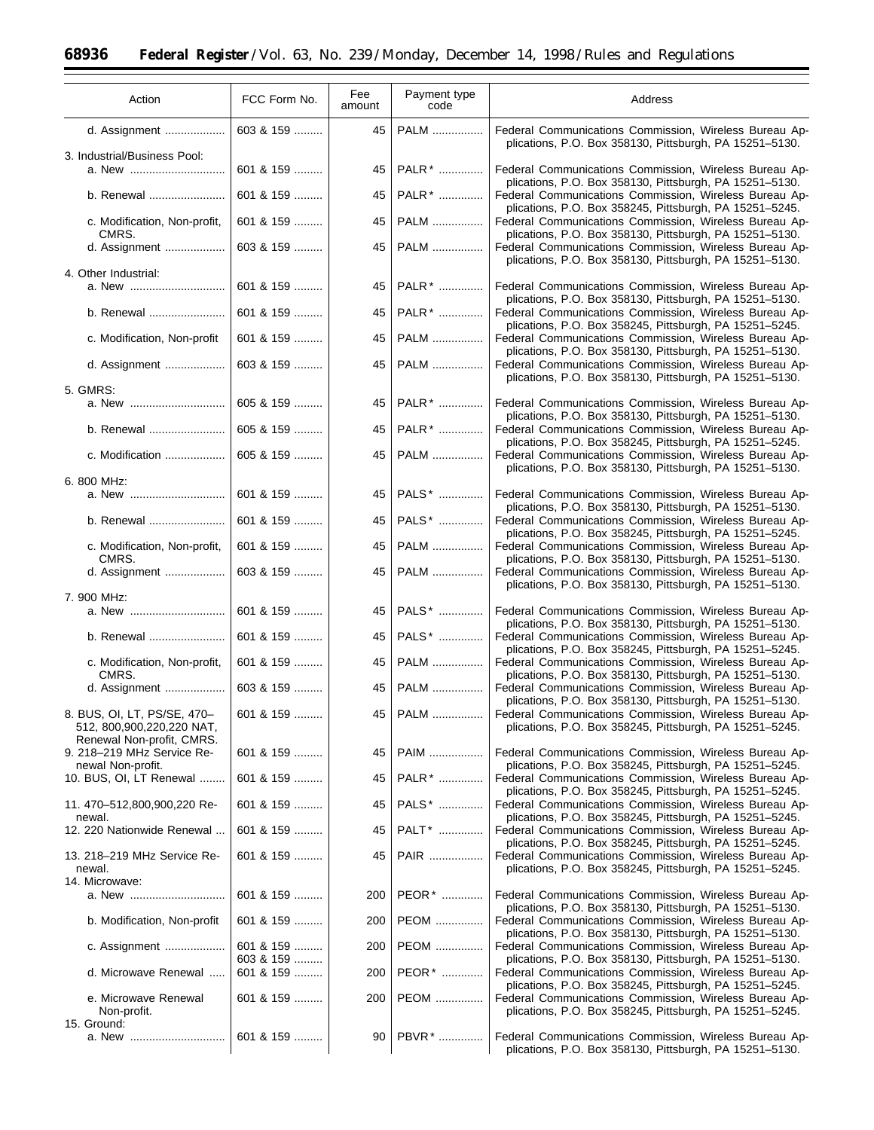÷.

 $\equiv$ 

| Action                                                                                | FCC Form No.           | Fee<br>amount | Payment type<br>code       | Address                                                                                                                                                                      |
|---------------------------------------------------------------------------------------|------------------------|---------------|----------------------------|------------------------------------------------------------------------------------------------------------------------------------------------------------------------------|
| d. Assignment                                                                         | 603 & 159              | 45            | PALM                       | Federal Communications Commission, Wireless Bureau Ap-<br>plications, P.O. Box 358130, Pittsburgh, PA 15251-5130.                                                            |
| 3. Industrial/Business Pool:                                                          | 601 & 159              | 45            | PALR *                     | Federal Communications Commission, Wireless Bureau Ap-                                                                                                                       |
| b. Renewal                                                                            | 601 & 159              | 45            | PALR *                     | plications, P.O. Box 358130, Pittsburgh, PA 15251-5130.<br>Federal Communications Commission, Wireless Bureau Ap-                                                            |
| c. Modification, Non-profit,<br>CMRS.                                                 | $601$ & $159$          | 45            | <b>PALM</b>                | plications, P.O. Box 358245, Pittsburgh, PA 15251-5245.<br>Federal Communications Commission, Wireless Bureau Ap-<br>plications, P.O. Box 358130, Pittsburgh, PA 15251-5130. |
| d. Assignment                                                                         | 603 & 159              | 45            | <b>PALM</b>                | Federal Communications Commission, Wireless Bureau Ap-<br>plications, P.O. Box 358130, Pittsburgh, PA 15251-5130.                                                            |
| 4. Other Industrial:                                                                  | 601 & 159              | 45            | PALR *                     | Federal Communications Commission, Wireless Bureau Ap-                                                                                                                       |
| b. Renewal                                                                            | 601 & 159              | 45            | PALR *                     | plications, P.O. Box 358130, Pittsburgh, PA 15251-5130.<br>Federal Communications Commission, Wireless Bureau Ap-<br>plications, P.O. Box 358245, Pittsburgh, PA 15251-5245. |
| c. Modification, Non-profit                                                           | 601 & 159              | 45            | <b>PALM</b>                | Federal Communications Commission, Wireless Bureau Ap-<br>plications, P.O. Box 358130, Pittsburgh, PA 15251-5130.                                                            |
| d. Assignment                                                                         | 603 & 159              | 45            | <b>PALM</b>                | Federal Communications Commission, Wireless Bureau Ap-<br>plications, P.O. Box 358130, Pittsburgh, PA 15251-5130.                                                            |
| 5. GMRS:                                                                              | 605 & 159              | 45            | PALR *                     | Federal Communications Commission, Wireless Bureau Ap-<br>plications, P.O. Box 358130, Pittsburgh, PA 15251-5130.                                                            |
| b. Renewal                                                                            | 605 & 159              | 45            | PALR *                     | Federal Communications Commission, Wireless Bureau Ap-<br>plications, P.O. Box 358245, Pittsburgh, PA 15251-5245.                                                            |
| c. Modification                                                                       | 605 & 159              | 45            | PALM                       | Federal Communications Commission, Wireless Bureau Ap-<br>plications, P.O. Box 358130, Pittsburgh, PA 15251-5130.                                                            |
| 6.800 MHz:                                                                            | $601$ & $159$          | 45            | PALS*                      | Federal Communications Commission, Wireless Bureau Ap-                                                                                                                       |
| b. Renewal                                                                            | $601$ & $159$          | 45            | PALS*                      | plications, P.O. Box 358130, Pittsburgh, PA 15251-5130.<br>Federal Communications Commission, Wireless Bureau Ap-<br>plications, P.O. Box 358245, Pittsburgh, PA 15251-5245. |
| c. Modification, Non-profit,<br>CMRS.                                                 | 601 & 159              | 45            | PALM                       | Federal Communications Commission, Wireless Bureau Ap-<br>plications, P.O. Box 358130, Pittsburgh, PA 15251-5130.                                                            |
| d. Assignment                                                                         | 603 & 159              | 45            | PALM                       | Federal Communications Commission, Wireless Bureau Ap-<br>plications, P.O. Box 358130, Pittsburgh, PA 15251-5130.                                                            |
| 7.900 MHz:                                                                            | 601 & 159              | 45            | PALS*                      | Federal Communications Commission, Wireless Bureau Ap-<br>plications, P.O. Box 358130, Pittsburgh, PA 15251-5130.                                                            |
| b. Renewal                                                                            | 601 & 159              | 45            | PALS*                      | Federal Communications Commission, Wireless Bureau Ap-<br>plications, P.O. Box 358245, Pittsburgh, PA 15251-5245.                                                            |
| c. Modification, Non-profit,<br>CMRS.                                                 | 601 & 159              | 45            | PALM                       | Federal Communications Commission, Wireless Bureau Ap-<br>plications, P.O. Box 358130, Pittsburgh, PA 15251-5130.                                                            |
| d. Assignment                                                                         | 603 & 159              | 45            | <b>PALM</b>                | Federal Communications Commission, Wireless Bureau Ap-<br>plications, P.O. Box 358130, Pittsburgh, PA 15251-5130.                                                            |
| 8. BUS, OI, LT, PS/SE, 470-<br>512, 800,900,220,220 NAT,<br>Renewal Non-profit, CMRS. | 601 & 159              | 45            | <b>PALM</b>                | Federal Communications Commission, Wireless Bureau Ap-<br>plications, P.O. Box 358245, Pittsburgh, PA 15251-5245.                                                            |
| 9. 218-219 MHz Service Re-<br>newal Non-profit.                                       | 601 & 159              | 45            | PAIM                       | Federal Communications Commission, Wireless Bureau Ap-<br>plications, P.O. Box 358245, Pittsburgh, PA 15251-5245.                                                            |
| 10. BUS, OI, LT Renewal                                                               | 601 & 159              | 45            | PALR *                     | Federal Communications Commission, Wireless Bureau Ap-<br>plications, P.O. Box 358245, Pittsburgh, PA 15251-5245.                                                            |
| 11.470-512,800,900,220 Re-<br>newal.<br>12. 220 Nationwide Renewal                    | 601 & 159<br>601 & 159 | 45<br>45      | PALS*<br>PALT*             | Federal Communications Commission, Wireless Bureau Ap-<br>plications, P.O. Box 358245, Pittsburgh, PA 15251-5245.<br>Federal Communications Commission, Wireless Bureau Ap-  |
| 13. 218-219 MHz Service Re-                                                           | 601 & 159              | 45            | PAIR                       | plications, P.O. Box 358245, Pittsburgh, PA 15251-5245.<br>Federal Communications Commission, Wireless Bureau Ap-                                                            |
| newal.<br>14. Microwave:                                                              |                        |               |                            | plications, P.O. Box 358245, Pittsburgh, PA 15251-5245.                                                                                                                      |
|                                                                                       | 601 & 159              | 200           | PEOR *                     | Federal Communications Commission, Wireless Bureau Ap-<br>plications, P.O. Box 358130, Pittsburgh, PA 15251-5130.                                                            |
| b. Modification, Non-profit<br>c. Assignment                                          | 601 & 159<br>601 & 159 | 200<br>200    | <b>PEOM</b><br><b>PEOM</b> | Federal Communications Commission, Wireless Bureau Ap-<br>plications, P.O. Box 358130, Pittsburgh, PA 15251-5130.<br>Federal Communications Commission, Wireless Bureau Ap-  |
| d. Microwave Renewal                                                                  | 603 & 159<br>601 & 159 | 200           | PEOR *                     | plications, P.O. Box 358130, Pittsburgh, PA 15251-5130.<br>Federal Communications Commission, Wireless Bureau Ap-                                                            |
| e. Microwave Renewal<br>Non-profit.                                                   | 601 & 159              | 200           | <b>PEOM</b>                | plications, P.O. Box 358245, Pittsburgh, PA 15251-5245.<br>Federal Communications Commission, Wireless Bureau Ap-<br>plications, P.O. Box 358245, Pittsburgh, PA 15251-5245. |
| 15. Ground:                                                                           | 601 & 159              | 90            | PBVR *                     | Federal Communications Commission, Wireless Bureau Ap-<br>plications, P.O. Box 358130, Pittsburgh, PA 15251-5130.                                                            |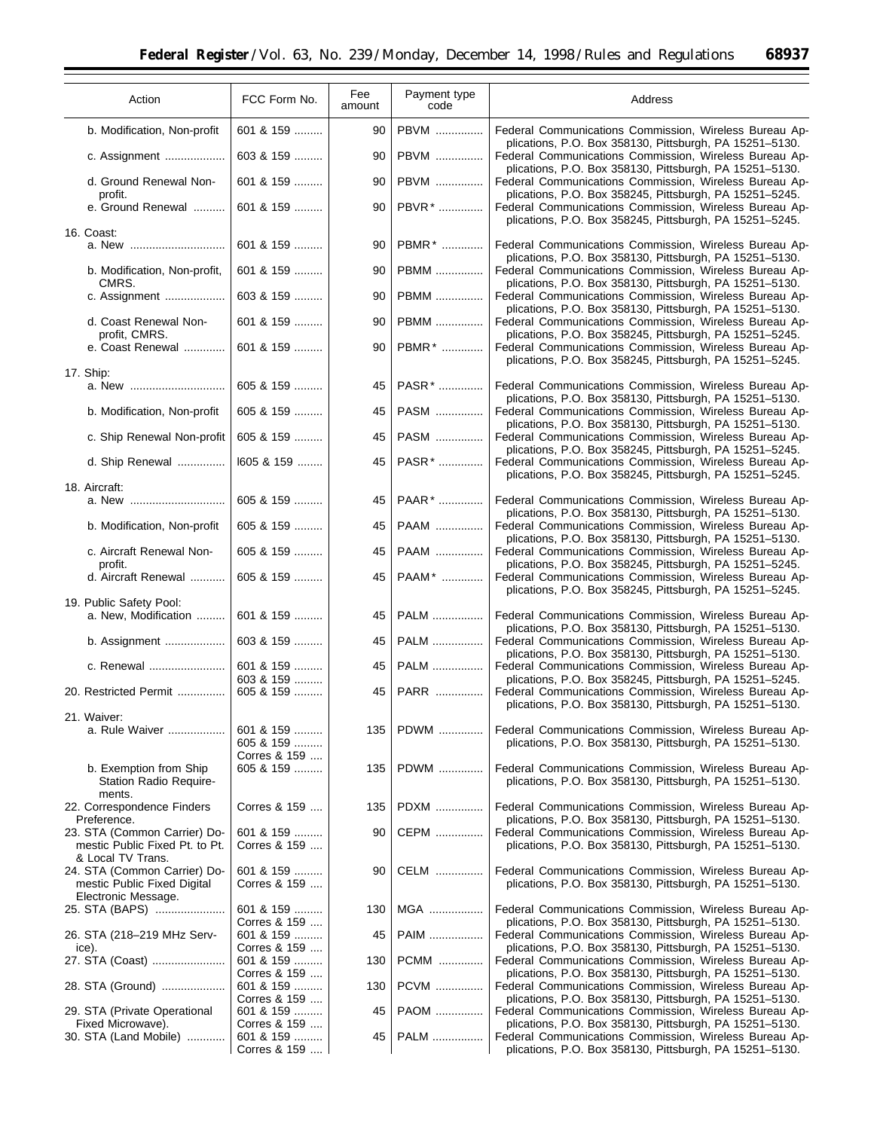۰

| Action                                                                              | FCC Form No.              | Fee<br>amount | Payment type<br>code | Address                                                                                                                                                                      |
|-------------------------------------------------------------------------------------|---------------------------|---------------|----------------------|------------------------------------------------------------------------------------------------------------------------------------------------------------------------------|
| b. Modification, Non-profit                                                         | 601 & 159                 | 90            | <b>PBVM</b>          | Federal Communications Commission, Wireless Bureau Ap-<br>plications, P.O. Box 358130, Pittsburgh, PA 15251-5130.                                                            |
| c. Assignment                                                                       | 603 & 159                 | 90            | <b>PBVM</b>          | Federal Communications Commission, Wireless Bureau Ap-<br>plications, P.O. Box 358130, Pittsburgh, PA 15251-5130.                                                            |
| d. Ground Renewal Non-<br>profit.                                                   | $601 & 8159$              | 90            | PBVM                 | Federal Communications Commission, Wireless Bureau Ap-<br>plications, P.O. Box 358245, Pittsburgh, PA 15251-5245.                                                            |
| e. Ground Renewal                                                                   | 601 & 159                 | 90            | PBVR *               | Federal Communications Commission, Wireless Bureau Ap-<br>plications, P.O. Box 358245, Pittsburgh, PA 15251-5245.                                                            |
| 16. Coast:                                                                          | $601 & 8159$              | 90            | PBMR *               | Federal Communications Commission, Wireless Bureau Ap-                                                                                                                       |
| b. Modification, Non-profit,                                                        | $601 & 8159$              | 90            | <b>PBMM</b>          | plications, P.O. Box 358130, Pittsburgh, PA 15251-5130.<br>Federal Communications Commission, Wireless Bureau Ap-                                                            |
| CMRS.<br>c. Assignment                                                              | $603 & 159$               | 90            | <b>PBMM</b>          | plications, P.O. Box 358130, Pittsburgh, PA 15251-5130.<br>Federal Communications Commission, Wireless Bureau Ap-<br>plications, P.O. Box 358130, Pittsburgh, PA 15251-5130. |
| d. Coast Renewal Non-<br>profit, CMRS.                                              | $601 & 8159$              | 90            | <b>PBMM</b>          | Federal Communications Commission, Wireless Bureau Ap-<br>plications, P.O. Box 358245, Pittsburgh, PA 15251-5245.                                                            |
| e. Coast Renewal                                                                    | 601 & 159                 | 90            | PBMR *               | Federal Communications Commission, Wireless Bureau Ap-<br>plications, P.O. Box 358245, Pittsburgh, PA 15251-5245.                                                            |
| 17. Ship:                                                                           | 605 & 159                 | 45            | PASR <sup>*</sup>    | Federal Communications Commission, Wireless Bureau Ap-<br>plications, P.O. Box 358130, Pittsburgh, PA 15251-5130.                                                            |
| b. Modification, Non-profit                                                         | $605$ & $159$             | 45            | <b>PASM</b>          | Federal Communications Commission, Wireless Bureau Ap-<br>plications, P.O. Box 358130, Pittsburgh, PA 15251-5130.                                                            |
| c. Ship Renewal Non-profit                                                          | 605 & 159                 | 45            | PASM                 | Federal Communications Commission, Wireless Bureau Ap-<br>plications, P.O. Box 358245, Pittsburgh, PA 15251-5245.                                                            |
| d. Ship Renewal                                                                     | $1605 & 159$              | 45            | PASR *               | Federal Communications Commission, Wireless Bureau Ap-<br>plications, P.O. Box 358245, Pittsburgh, PA 15251-5245.                                                            |
| 18. Aircraft:                                                                       | $605$ & $159$             | 45            | PAAR*                | Federal Communications Commission, Wireless Bureau Ap-                                                                                                                       |
| b. Modification, Non-profit                                                         | $605$ & $159$             | 45            | PAAM                 | plications, P.O. Box 358130, Pittsburgh, PA 15251-5130.<br>Federal Communications Commission, Wireless Bureau Ap-                                                            |
| c. Aircraft Renewal Non-<br>profit.                                                 | $605$ & $159$             | 45            | PAAM                 | plications, P.O. Box 358130, Pittsburgh, PA 15251-5130.<br>Federal Communications Commission, Wireless Bureau Ap-<br>plications, P.O. Box 358245, Pittsburgh, PA 15251-5245. |
| d. Aircraft Renewal                                                                 | $605$ & $159$             | 45            | PAAM*                | Federal Communications Commission, Wireless Bureau Ap-<br>plications, P.O. Box 358245, Pittsburgh, PA 15251-5245.                                                            |
| 19. Public Safety Pool:<br>a. New, Modification                                     | $601$ & $159$             | 45            | <b>PALM</b>          | Federal Communications Commission, Wireless Bureau Ap-                                                                                                                       |
| b. Assignment                                                                       | $603 & 159$               | 45            | PALM                 | plications, P.O. Box 358130, Pittsburgh, PA 15251-5130.<br>Federal Communications Commission, Wireless Bureau Ap-<br>plications, P.O. Box 358130, Pittsburgh, PA 15251-5130. |
| c. Renewal                                                                          | 601 & 159<br>603 & 159    | 45            | PALM                 | Federal Communications Commission, Wireless Bureau Ap-<br>plications, P.O. Box 358245, Pittsburgh, PA 15251-5245.                                                            |
| 20. Restricted Permit                                                               | 605 & 159                 | 45            | <b>PARR</b>          | Federal Communications Commission, Wireless Bureau Ap-<br>plications, P.O. Box 358130, Pittsburgh, PA 15251-5130.                                                            |
| 21. Waiver:<br>a. Rule Waiver                                                       | $601 & 159$               | 135           | PDWM                 | Federal Communications Commission, Wireless Bureau Ap-                                                                                                                       |
|                                                                                     | 605 & 159<br>Corres & 159 |               |                      | plications, P.O. Box 358130, Pittsburgh, PA 15251-5130.                                                                                                                      |
| b. Exemption from Ship<br><b>Station Radio Require-</b><br>ments.                   | 605 & 159                 | 135           | PDWM                 | Federal Communications Commission, Wireless Bureau Ap-<br>plications, P.O. Box 358130, Pittsburgh, PA 15251-5130.                                                            |
| 22. Correspondence Finders<br>Preference.                                           | Corres & 159              | 135           | PDXM                 | Federal Communications Commission, Wireless Bureau Ap-<br>plications, P.O. Box 358130, Pittsburgh, PA 15251-5130.                                                            |
| 23. STA (Common Carrier) Do-<br>mestic Public Fixed Pt. to Pt.<br>& Local TV Trans. | 601 & 159<br>Corres & 159 | 90            | CEPM                 | Federal Communications Commission, Wireless Bureau Ap-<br>plications, P.O. Box 358130, Pittsburgh, PA 15251-5130.                                                            |
| 24. STA (Common Carrier) Do-<br>mestic Public Fixed Digital<br>Electronic Message.  | 601 & 159<br>Corres & 159 | 90            | CELM                 | Federal Communications Commission, Wireless Bureau Ap-<br>plications, P.O. Box 358130, Pittsburgh, PA 15251-5130.                                                            |
| 25. STA (BAPS)                                                                      | 601 & 159<br>Corres & 159 | 130           | MGA                  | Federal Communications Commission, Wireless Bureau Ap-                                                                                                                       |
| 26. STA (218-219 MHz Serv-<br>ice).                                                 | 601 & 159<br>Corres & 159 | 45            | PAIM                 | plications, P.O. Box 358130, Pittsburgh, PA 15251-5130.<br>Federal Communications Commission, Wireless Bureau Ap-<br>plications, P.O. Box 358130, Pittsburgh, PA 15251-5130. |
| 27. STA (Coast)                                                                     | 601 & 159<br>Corres & 159 | 130           | PCMM                 | Federal Communications Commission, Wireless Bureau Ap-<br>plications, P.O. Box 358130, Pittsburgh, PA 15251-5130.                                                            |
| 28. STA (Ground)                                                                    | 601 & 159<br>Corres & 159 | 130           | PCVM                 | Federal Communications Commission, Wireless Bureau Ap-<br>plications, P.O. Box 358130, Pittsburgh, PA 15251-5130.                                                            |
| 29. STA (Private Operational<br>Fixed Microwave).                                   | 601 & 159<br>Corres & 159 | 45            | PAOM                 | Federal Communications Commission, Wireless Bureau Ap-<br>plications, P.O. Box 358130, Pittsburgh, PA 15251-5130.                                                            |
| 30. STA (Land Mobile)                                                               | 601 & 159<br>Corres & 159 | 45            | PALM                 | Federal Communications Commission, Wireless Bureau Ap-<br>plications, P.O. Box 358130, Pittsburgh, PA 15251-5130.                                                            |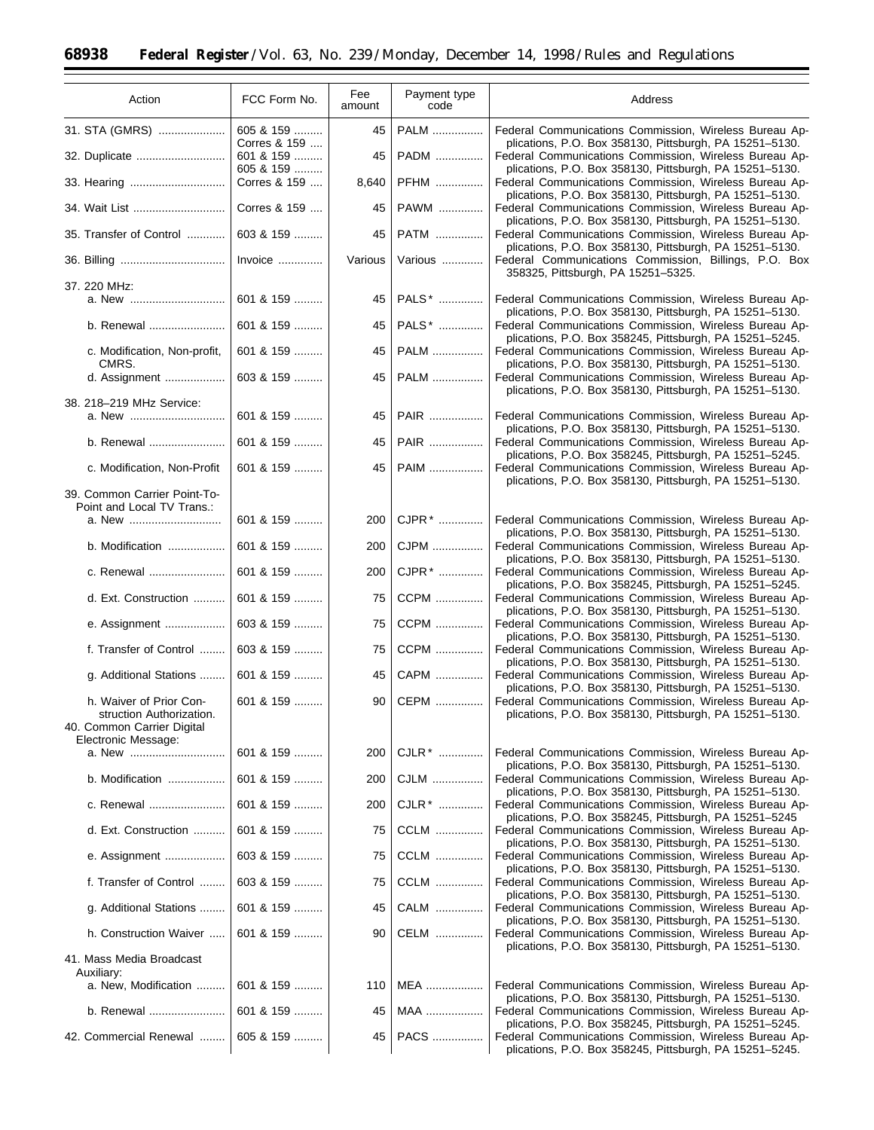۲

 $\equiv$ 

| Action                                                 | FCC Form No.                           | Fee<br>amount | Payment type<br>code | Address                                                                                                                                                                      |
|--------------------------------------------------------|----------------------------------------|---------------|----------------------|------------------------------------------------------------------------------------------------------------------------------------------------------------------------------|
| 31. STA (GMRS)                                         | 605 & 159                              | 45            | <b>PALM</b>          | Federal Communications Commission, Wireless Bureau Ap-                                                                                                                       |
| 32. Duplicate                                          | Corres & 159<br>601 & 159<br>605 & 159 | 45            | PADM                 | plications, P.O. Box 358130, Pittsburgh, PA 15251-5130.<br>Federal Communications Commission, Wireless Bureau Ap-<br>plications, P.O. Box 358130, Pittsburgh, PA 15251-5130. |
| 33. Hearing                                            | Corres & 159                           | 8,640         | <b>PFHM</b>          | Federal Communications Commission, Wireless Bureau Ap-<br>plications, P.O. Box 358130, Pittsburgh, PA 15251-5130.                                                            |
|                                                        | Corres & 159                           | 45            | PAWM                 | Federal Communications Commission, Wireless Bureau Ap-<br>plications, P.O. Box 358130, Pittsburgh, PA 15251-5130.                                                            |
| 35. Transfer of Control                                | 603 & 159                              | 45            | PATM                 | Federal Communications Commission, Wireless Bureau Ap-<br>plications, P.O. Box 358130, Pittsburgh, PA 15251-5130.                                                            |
|                                                        | Invoice                                | Various       | Various              | Federal Communications Commission, Billings, P.O. Box<br>358325, Pittsburgh, PA 15251-5325.                                                                                  |
| 37. 220 MHz:                                           | 601 & 159                              | 45            | PALS*                | Federal Communications Commission, Wireless Bureau Ap-                                                                                                                       |
|                                                        |                                        |               |                      | plications, P.O. Box 358130, Pittsburgh, PA 15251-5130.                                                                                                                      |
| b. Renewal                                             | $601$ & $159$                          | 45            | PALS *               | Federal Communications Commission, Wireless Bureau Ap-<br>plications, P.O. Box 358245, Pittsburgh, PA 15251-5245.                                                            |
| c. Modification, Non-profit,<br>CMRS.                  | 601 & 159                              | 45            | <b>PALM</b>          | Federal Communications Commission, Wireless Bureau Ap-<br>plications, P.O. Box 358130, Pittsburgh, PA 15251-5130.                                                            |
| d. Assignment                                          | 603 & 159                              | 45            | PALM                 | Federal Communications Commission, Wireless Bureau Ap-<br>plications, P.O. Box 358130, Pittsburgh, PA 15251-5130.                                                            |
| 38. 218-219 MHz Service:                               | $601$ & $159$                          | 45            | PAIR                 | Federal Communications Commission, Wireless Bureau Ap-                                                                                                                       |
| b. Renewal                                             | 601 & 159                              | 45            | PAIR                 | plications, P.O. Box 358130, Pittsburgh, PA 15251-5130.<br>Federal Communications Commission, Wireless Bureau Ap-                                                            |
| c. Modification, Non-Profit                            | 601 & 159                              | 45            | PAIM                 | plications, P.O. Box 358245, Pittsburgh, PA 15251-5245.<br>Federal Communications Commission, Wireless Bureau Ap-                                                            |
| 39. Common Carrier Point-To-                           |                                        |               |                      | plications, P.O. Box 358130, Pittsburgh, PA 15251-5130.                                                                                                                      |
| Point and Local TV Trans.:                             |                                        |               |                      |                                                                                                                                                                              |
| a. New                                                 | 601 & 159                              | 200           | CJPR *               | Federal Communications Commission, Wireless Bureau Ap-<br>plications, P.O. Box 358130, Pittsburgh, PA 15251-5130.                                                            |
| b. Modification                                        | 601 & 159                              | 200           | CJPM                 | Federal Communications Commission, Wireless Bureau Ap-<br>plications, P.O. Box 358130, Pittsburgh, PA 15251-5130.                                                            |
| c. Renewal                                             | 601 & 159                              | 200           | CJPR *               | Federal Communications Commission, Wireless Bureau Ap-<br>plications, P.O. Box 358245, Pittsburgh, PA 15251-5245.                                                            |
| d. Ext. Construction                                   | 601 & 159                              | 75            | CCPM                 | Federal Communications Commission, Wireless Bureau Ap-<br>plications, P.O. Box 358130, Pittsburgh, PA 15251-5130.                                                            |
| e. Assignment                                          | 603 & 159                              | 75            | CCPM                 | Federal Communications Commission, Wireless Bureau Ap-<br>plications, P.O. Box 358130, Pittsburgh, PA 15251-5130.                                                            |
| f. Transfer of Control                                 | 603 & 159                              | 75            | CCPM                 | Federal Communications Commission, Wireless Bureau Ap-                                                                                                                       |
| g. Additional Stations                                 | 601 & 159                              | 45            | CAPM                 | plications, P.O. Box 358130, Pittsburgh, PA 15251-5130.<br>Federal Communications Commission, Wireless Bureau Ap-                                                            |
| h. Waiver of Prior Con-                                | 601 & 159                              | 90            | CEPM                 | plications, P.O. Box 358130, Pittsburgh, PA 15251-5130.<br>Federal Communications Commission, Wireless Bureau Ap-                                                            |
| struction Authorization.<br>40. Common Carrier Digital |                                        |               |                      | plications, P.O. Box 358130, Pittsburgh, PA 15251-5130.                                                                                                                      |
| Electronic Message:                                    | 601 & 159                              | 200           | CJLR *               | Federal Communications Commission, Wireless Bureau Ap-                                                                                                                       |
| b. Modification                                        | 601 & 159                              | 200           | CJLM                 | plications, P.O. Box 358130, Pittsburgh, PA 15251-5130.<br>Federal Communications Commission, Wireless Bureau Ap-                                                            |
| c. Renewal                                             | 601 & 159                              | 200           | CJLR *               | plications, P.O. Box 358130, Pittsburgh, PA 15251-5130.<br>Federal Communications Commission, Wireless Bureau Ap-                                                            |
| d. Ext. Construction                                   |                                        |               |                      | plications, P.O. Box 358245, Pittsburgh, PA 15251-5245                                                                                                                       |
|                                                        | 601 & 159                              | 75            | CCLM                 | Federal Communications Commission, Wireless Bureau Ap-<br>plications, P.O. Box 358130, Pittsburgh, PA 15251-5130.                                                            |
| e. Assignment                                          | 603 & 159                              | 75            | <b>CCLM</b>          | Federal Communications Commission, Wireless Bureau Ap-<br>plications, P.O. Box 358130, Pittsburgh, PA 15251-5130.                                                            |
| f. Transfer of Control                                 | 603 & 159                              | 75            | CCLM                 | Federal Communications Commission, Wireless Bureau Ap-<br>plications, P.O. Box 358130, Pittsburgh, PA 15251-5130.                                                            |
| g. Additional Stations                                 | 601 & 159                              | 45            | CALM                 | Federal Communications Commission, Wireless Bureau Ap-<br>plications, P.O. Box 358130, Pittsburgh, PA 15251-5130.                                                            |
| h. Construction Waiver                                 | 601 & 159                              | 90            | CELM                 | Federal Communications Commission, Wireless Bureau Ap-<br>plications, P.O. Box 358130, Pittsburgh, PA 15251-5130.                                                            |
| 41. Mass Media Broadcast                               |                                        |               |                      |                                                                                                                                                                              |
| Auxiliary:<br>a. New, Modification                     | 601 & 159                              | 110           | MEA                  | Federal Communications Commission, Wireless Bureau Ap-                                                                                                                       |
| b. Renewal                                             | 601 & 159                              | 45            | MAA                  | plications, P.O. Box 358130, Pittsburgh, PA 15251-5130.<br>Federal Communications Commission, Wireless Bureau Ap-                                                            |
| 42. Commercial Renewal                                 | 605 & 159                              | 45            | PACS                 | plications, P.O. Box 358245, Pittsburgh, PA 15251-5245.<br>Federal Communications Commission, Wireless Bureau Ap-                                                            |
|                                                        |                                        |               |                      | plications, P.O. Box 358245, Pittsburgh, PA 15251-5245.                                                                                                                      |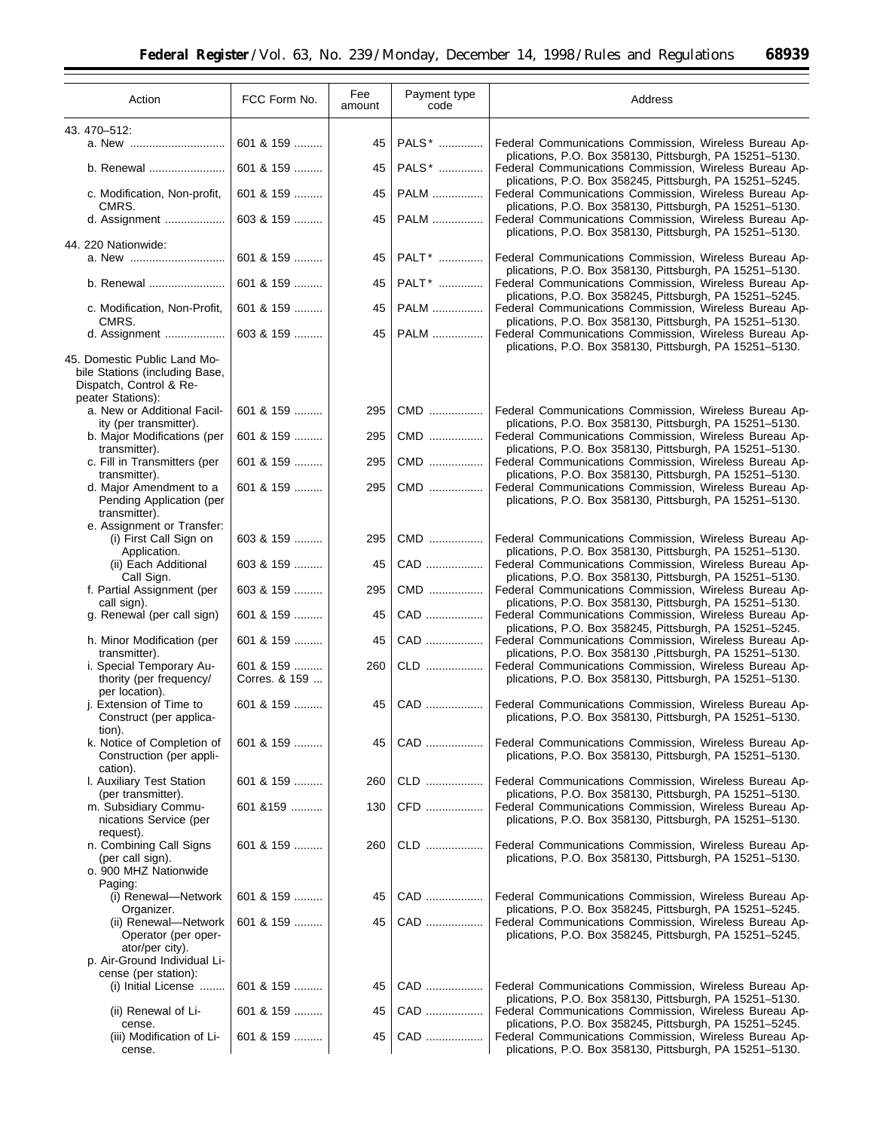| Action                                                                                                         | FCC Form No.  | Fee<br>amount | Payment type<br>code | Address                                                                                                                                                                      |
|----------------------------------------------------------------------------------------------------------------|---------------|---------------|----------------------|------------------------------------------------------------------------------------------------------------------------------------------------------------------------------|
| 43.470-512:<br>a. New                                                                                          | 601 & 159     | 45            | PALS*                | Federal Communications Commission, Wireless Bureau Ap-                                                                                                                       |
| b. Renewal                                                                                                     | $601 & 8159$  | 45            | PALS *               | plications, P.O. Box 358130, Pittsburgh, PA 15251-5130.<br>Federal Communications Commission, Wireless Bureau Ap-                                                            |
| c. Modification, Non-profit,                                                                                   | 601 & 159     | 45            | <b>PALM</b>          | plications, P.O. Box 358245, Pittsburgh, PA 15251-5245.<br>Federal Communications Commission, Wireless Bureau Ap-                                                            |
| CMRS.<br>d. Assignment                                                                                         | 603 & 159     | 45            | <b>PALM</b>          | plications, P.O. Box 358130, Pittsburgh, PA 15251-5130.<br>Federal Communications Commission, Wireless Bureau Ap-<br>plications, P.O. Box 358130, Pittsburgh, PA 15251-5130. |
| 44. 220 Nationwide:                                                                                            |               |               |                      |                                                                                                                                                                              |
|                                                                                                                | 601 & 159     | 45            | PALT*                | Federal Communications Commission, Wireless Bureau Ap-<br>plications, P.O. Box 358130, Pittsburgh, PA 15251-5130.                                                            |
| b. Renewal                                                                                                     | 601 & 159     | 45            | PALT*                | Federal Communications Commission, Wireless Bureau Ap-<br>plications, P.O. Box 358245, Pittsburgh, PA 15251-5245.                                                            |
| c. Modification, Non-Profit,<br>CMRS.                                                                          | 601 & 159     | 45            | <b>PALM </b>         | Federal Communications Commission, Wireless Bureau Ap-<br>plications, P.O. Box 358130, Pittsburgh, PA 15251-5130.                                                            |
| d. Assignment                                                                                                  | 603 & 159     | 45            | <b>PALM</b>          | Federal Communications Commission, Wireless Bureau Ap-<br>plications, P.O. Box 358130, Pittsburgh, PA 15251-5130.                                                            |
| 45. Domestic Public Land Mo-<br>bile Stations (including Base,<br>Dispatch, Control & Re-<br>peater Stations): |               |               |                      |                                                                                                                                                                              |
| a. New or Additional Facil-<br>ity (per transmitter).                                                          | 601 & 159     | 295           | CMD                  | Federal Communications Commission, Wireless Bureau Ap-<br>plications, P.O. Box 358130, Pittsburgh, PA 15251-5130.                                                            |
| b. Major Modifications (per<br>transmitter).                                                                   | 601 & 159     | 295           | CMD                  | Federal Communications Commission, Wireless Bureau Ap-<br>plications, P.O. Box 358130, Pittsburgh, PA 15251-5130.                                                            |
| c. Fill in Transmitters (per<br>transmitter).                                                                  | 601 & 159     | 295           | CMD                  | Federal Communications Commission, Wireless Bureau Ap-<br>plications, P.O. Box 358130, Pittsburgh, PA 15251-5130.                                                            |
| d. Major Amendment to a<br>Pending Application (per<br>transmitter).                                           | 601 & 159     | 295           | CMD                  | Federal Communications Commission, Wireless Bureau Ap-<br>plications, P.O. Box 358130, Pittsburgh, PA 15251-5130.                                                            |
| e. Assignment or Transfer:<br>(i) First Call Sign on                                                           | 603 & 159     | 295           | CMD                  | Federal Communications Commission, Wireless Bureau Ap-                                                                                                                       |
| Application.<br>(ii) Each Additional                                                                           | 603 & 159     | 45            | CAD                  | plications, P.O. Box 358130, Pittsburgh, PA 15251-5130.<br>Federal Communications Commission, Wireless Bureau Ap-                                                            |
| Call Sign.<br>f. Partial Assignment (per                                                                       | 603 & 159     | 295           | CMD                  | plications, P.O. Box 358130, Pittsburgh, PA 15251-5130.<br>Federal Communications Commission, Wireless Bureau Ap-                                                            |
| call sign).<br>g. Renewal (per call sign)                                                                      | 601 & 159     | 45            | CAD                  | plications, P.O. Box 358130, Pittsburgh, PA 15251-5130.<br>Federal Communications Commission, Wireless Bureau Ap-                                                            |
| h. Minor Modification (per                                                                                     | 601 & 159     | 45            | CAD                  | plications, P.O. Box 358245, Pittsburgh, PA 15251-5245.<br>Federal Communications Commission, Wireless Bureau Ap-                                                            |
| transmitter).<br>i. Special Temporary Au-                                                                      | 601 & 159     | 260           | CLD                  | plications, P.O. Box 358130 , Pittsburgh, PA 15251-5130.<br>Federal Communications Commission, Wireless Bureau Ap-                                                           |
| thority (per frequency/                                                                                        | Corres. & 159 |               |                      | plications, P.O. Box 358130, Pittsburgh, PA 15251-5130.                                                                                                                      |
| per location).<br>j. Extension of Time to<br>Construct (per applica-                                           | 601 & 159     | 45            | CAD                  | Federal Communications Commission, Wireless Bureau Ap-<br>plications, P.O. Box 358130, Pittsburgh, PA 15251-5130.                                                            |
| tion).<br>k. Notice of Completion of<br>Construction (per appli-                                               | 601 & 159     | 45            | CAD                  | Federal Communications Commission, Wireless Bureau Ap-<br>plications, P.O. Box 358130, Pittsburgh, PA 15251-5130.                                                            |
| cation).<br>I. Auxiliary Test Station                                                                          | 601 & 159     | 260           | CLD                  | Federal Communications Commission, Wireless Bureau Ap-                                                                                                                       |
| (per transmitter).<br>m. Subsidiary Commu-<br>nications Service (per                                           | 601 & 159     | 130           | CFD                  | plications, P.O. Box 358130, Pittsburgh, PA 15251-5130.<br>Federal Communications Commission, Wireless Bureau Ap-<br>plications, P.O. Box 358130, Pittsburgh, PA 15251-5130. |
| request).<br>n. Combining Call Signs<br>(per call sign).                                                       | 601 & 159     | 260           | CLD                  | Federal Communications Commission, Wireless Bureau Ap-<br>plications, P.O. Box 358130, Pittsburgh, PA 15251-5130.                                                            |
| o. 900 MHZ Nationwide<br>Paging:                                                                               |               |               |                      |                                                                                                                                                                              |
| (i) Renewal-Network<br>Organizer.                                                                              | 601 & 159     | 45            | CAD                  | Federal Communications Commission, Wireless Bureau Ap-<br>plications, P.O. Box 358245, Pittsburgh, PA 15251-5245.                                                            |
| (ii) Renewal-Network<br>Operator (per oper-<br>ator/per city).                                                 | 601 & 159     | 45            | CAD                  | Federal Communications Commission, Wireless Bureau Ap-<br>plications, P.O. Box 358245, Pittsburgh, PA 15251-5245.                                                            |
| p. Air-Ground Individual Li-<br>cense (per station):                                                           |               |               |                      |                                                                                                                                                                              |
| (i) Initial License                                                                                            | 601 & 159     | 45            | CAD                  | Federal Communications Commission, Wireless Bureau Ap-<br>plications, P.O. Box 358130, Pittsburgh, PA 15251-5130.                                                            |
| (ii) Renewal of Li-                                                                                            | 601 & 159     | 45            | CAD                  | Federal Communications Commission, Wireless Bureau Ap-                                                                                                                       |
| cense.<br>(iii) Modification of Li-<br>cense.                                                                  | 601 & 159     | 45            | CAD                  | plications, P.O. Box 358245, Pittsburgh, PA 15251-5245.<br>Federal Communications Commission, Wireless Bureau Ap-<br>plications, P.O. Box 358130, Pittsburgh, PA 15251-5130. |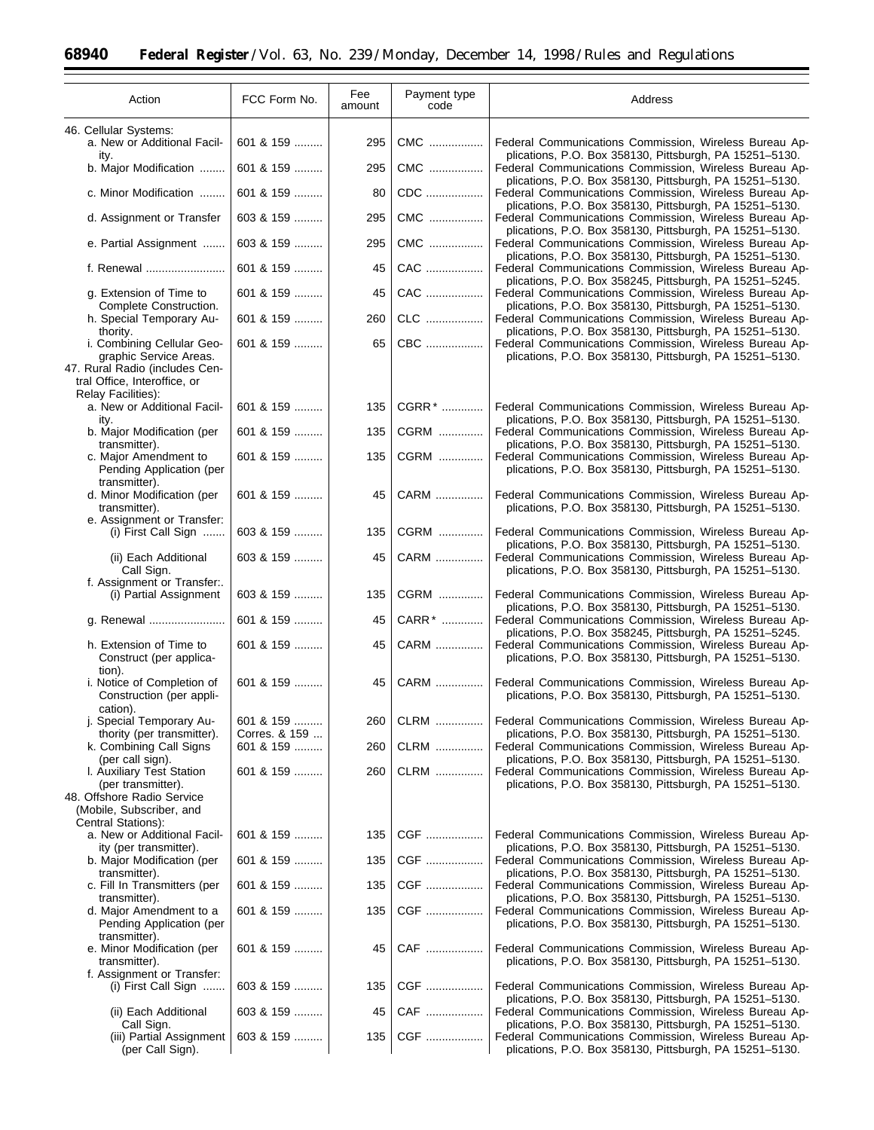$\equiv$ 

| Action                                                   | FCC Form No.  | Fee<br>amount | Payment type<br>code | Address                                                                                                           |
|----------------------------------------------------------|---------------|---------------|----------------------|-------------------------------------------------------------------------------------------------------------------|
| 46. Cellular Systems:                                    |               |               |                      |                                                                                                                   |
| a. New or Additional Facil-<br>ity.                      | $601$ & $159$ | 295           | CMC                  | Federal Communications Commission, Wireless Bureau Ap-<br>plications, P.O. Box 358130, Pittsburgh, PA 15251-5130. |
| b. Major Modification                                    | 601 & 159     | 295           | CMC                  | Federal Communications Commission, Wireless Bureau Ap-<br>plications, P.O. Box 358130, Pittsburgh, PA 15251-5130. |
| c. Minor Modification                                    | 601 & 159     | 80            | CDC                  | Federal Communications Commission, Wireless Bureau Ap-                                                            |
| d. Assignment or Transfer                                | $603 & 159$   | 295           | CMC                  | plications, P.O. Box 358130, Pittsburgh, PA 15251-5130.<br>Federal Communications Commission, Wireless Bureau Ap- |
| e. Partial Assignment                                    | 603 & 159     | 295           | CMC                  | plications, P.O. Box 358130, Pittsburgh, PA 15251-5130.<br>Federal Communications Commission, Wireless Bureau Ap- |
|                                                          |               |               |                      | plications, P.O. Box 358130, Pittsburgh, PA 15251-5130.                                                           |
| f. Renewal                                               | $601 & 8159$  | 45            | CAC                  | Federal Communications Commission, Wireless Bureau Ap-<br>plications, P.O. Box 358245, Pittsburgh, PA 15251-5245. |
| g. Extension of Time to<br>Complete Construction.        | 601 & 159     | 45            | CAC                  | Federal Communications Commission, Wireless Bureau Ap-<br>plications, P.O. Box 358130, Pittsburgh, PA 15251-5130. |
| h. Special Temporary Au-<br>thority.                     | 601 & 159     | 260           | CLC                  | Federal Communications Commission, Wireless Bureau Ap-<br>plications, P.O. Box 358130, Pittsburgh, PA 15251-5130. |
| i. Combining Cellular Geo-                               | $601 & 8159$  | 65            | CBC                  | Federal Communications Commission, Wireless Bureau Ap-                                                            |
| graphic Service Areas.<br>47. Rural Radio (includes Cen- |               |               |                      | plications, P.O. Box 358130, Pittsburgh, PA 15251-5130.                                                           |
| tral Office, Interoffice, or<br>Relay Facilities):       |               |               |                      |                                                                                                                   |
| a. New or Additional Facil-                              | $601 & 8159$  | 135           | CGRR *               | Federal Communications Commission, Wireless Bureau Ap-<br>plications, P.O. Box 358130, Pittsburgh, PA 15251-5130. |
| ity.<br>b. Major Modification (per                       | 601 & 159     | 135           | CGRM                 | Federal Communications Commission, Wireless Bureau Ap-                                                            |
| transmitter).<br>c. Major Amendment to                   | 601 & 159     | 135           | CGRM                 | plications, P.O. Box 358130, Pittsburgh, PA 15251-5130.<br>Federal Communications Commission, Wireless Bureau Ap- |
| Pending Application (per<br>transmitter).                |               |               |                      | plications, P.O. Box 358130, Pittsburgh, PA 15251-5130.                                                           |
| d. Minor Modification (per                               | 601 & 159     | 45            | CARM                 | Federal Communications Commission, Wireless Bureau Ap-                                                            |
| transmitter).<br>e. Assignment or Transfer:              |               |               |                      | plications, P.O. Box 358130, Pittsburgh, PA 15251-5130.                                                           |
| (i) First Call Sign                                      | $603 & 159$   | 135           | CGRM                 | Federal Communications Commission, Wireless Bureau Ap-<br>plications, P.O. Box 358130, Pittsburgh, PA 15251-5130. |
| (ii) Each Additional<br>Call Sign.                       | 603 & 159     | 45            | CARM                 | Federal Communications Commission, Wireless Bureau Ap-<br>plications, P.O. Box 358130, Pittsburgh, PA 15251-5130. |
| f. Assignment or Transfer:.                              |               |               |                      |                                                                                                                   |
| (i) Partial Assignment                                   | $603 & 159$   | 135           | CGRM                 | Federal Communications Commission, Wireless Bureau Ap-<br>plications, P.O. Box 358130, Pittsburgh, PA 15251-5130. |
| g. Renewal                                               | 601 & 159     | 45            | CARR*                | Federal Communications Commission, Wireless Bureau Ap-<br>plications, P.O. Box 358245, Pittsburgh, PA 15251-5245. |
| h. Extension of Time to<br>Construct (per applica-       | 601 & 159     | 45            | CARM                 | Federal Communications Commission, Wireless Bureau Ap-<br>plications, P.O. Box 358130, Pittsburgh, PA 15251-5130. |
| tion).                                                   |               |               |                      |                                                                                                                   |
| i. Notice of Completion of<br>Construction (per appli-   | 601 & 159     | 45            | CARM                 | Federal Communications Commission, Wireless Bureau Ap-<br>plications, P.O. Box 358130, Pittsburgh, PA 15251-5130. |
| cation).<br>j. Special Temporary Au-                     | 601 & 159     | 260           | CLRM                 | Federal Communications Commission, Wireless Bureau Ap-                                                            |
| thority (per transmitter).                               | Corres. & 159 |               |                      | plications, P.O. Box 358130, Pittsburgh, PA 15251-5130.                                                           |
| k. Combining Call Signs<br>(per call sign).              | 601 & 159     | 260           | CLRM                 | Federal Communications Commission, Wireless Bureau Ap-<br>plications, P.O. Box 358130, Pittsburgh, PA 15251-5130. |
| I. Auxiliary Test Station<br>(per transmitter).          | 601 & 159     | 260           | CLRM                 | Federal Communications Commission, Wireless Bureau Ap-<br>plications, P.O. Box 358130, Pittsburgh, PA 15251-5130. |
| 48. Offshore Radio Service<br>(Mobile, Subscriber, and   |               |               |                      |                                                                                                                   |
| Central Stations):                                       |               |               |                      |                                                                                                                   |
| a. New or Additional Facil-<br>ity (per transmitter).    | 601 & 159     | 135           | CGF                  | Federal Communications Commission, Wireless Bureau Ap-<br>plications, P.O. Box 358130, Pittsburgh, PA 15251-5130. |
| b. Major Modification (per<br>transmitter).              | 601 & 159     | 135           | CGF                  | Federal Communications Commission, Wireless Bureau Ap-<br>plications, P.O. Box 358130, Pittsburgh, PA 15251-5130. |
| c. Fill In Transmitters (per                             | $601$ & $159$ | 135           | CGF                  | Federal Communications Commission, Wireless Bureau Ap-<br>plications, P.O. Box 358130, Pittsburgh, PA 15251-5130. |
| transmitter).<br>d. Major Amendment to a                 | 601 & 159     | 135           | CGF                  | Federal Communications Commission, Wireless Bureau Ap-                                                            |
| Pending Application (per<br>transmitter).                |               |               |                      | plications, P.O. Box 358130, Pittsburgh, PA 15251-5130.                                                           |
| e. Minor Modification (per<br>transmitter).              | 601 & 159     | 45            | CAF                  | Federal Communications Commission, Wireless Bureau Ap-<br>plications, P.O. Box 358130, Pittsburgh, PA 15251-5130. |
| f. Assignment or Transfer:                               |               |               |                      |                                                                                                                   |
| (i) First Call Sign                                      | 603 & 159     | 135           | CGF                  | Federal Communications Commission, Wireless Bureau Ap-<br>plications, P.O. Box 358130, Pittsburgh, PA 15251-5130. |
| (ii) Each Additional<br>Call Sign.                       | 603 & 159     | 45            | CAF                  | Federal Communications Commission, Wireless Bureau Ap-<br>plications, P.O. Box 358130, Pittsburgh, PA 15251-5130. |
| (iii) Partial Assignment<br>(per Call Sign).             | 603 & 159     | 135           | CGF                  | Federal Communications Commission, Wireless Bureau Ap-<br>plications, P.O. Box 358130, Pittsburgh, PA 15251-5130. |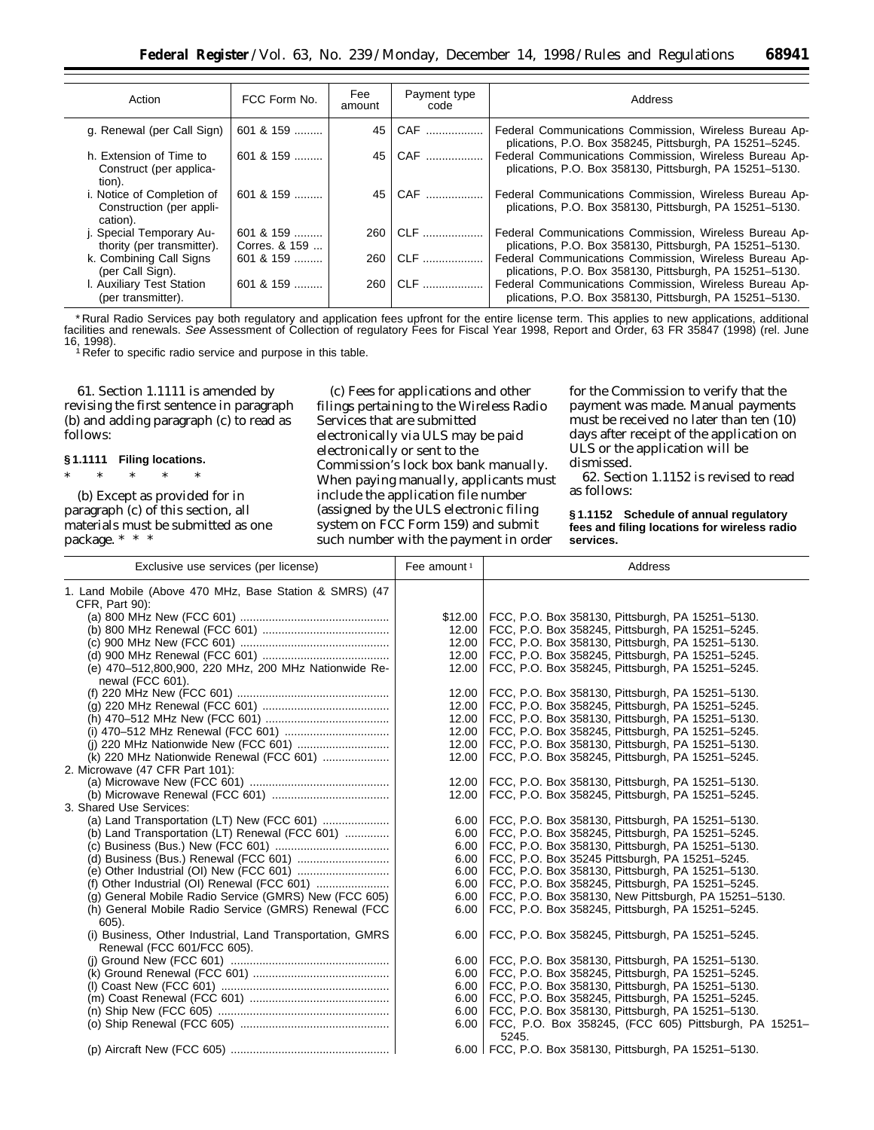| Action                                                             | FCC Form No.                 | Fee<br>amount   | Payment type<br>code | Address                                                                                                           |
|--------------------------------------------------------------------|------------------------------|-----------------|----------------------|-------------------------------------------------------------------------------------------------------------------|
| g. Renewal (per Call Sign)                                         | 601 & 159                    | 45 <sup>1</sup> | CAF                  | Federal Communications Commission, Wireless Bureau Ap-<br>plications, P.O. Box 358245, Pittsburgh, PA 15251-5245. |
| h. Extension of Time to<br>Construct (per applica-<br>tion).       | $601 & 159$                  | 45              | CAF                  | Federal Communications Commission, Wireless Bureau Ap-<br>plications, P.O. Box 358130, Pittsburgh, PA 15251-5130. |
| i. Notice of Completion of<br>Construction (per appli-<br>cation). | 601 & 159                    | $45 \vert$      | CAF                  | Federal Communications Commission, Wireless Bureau Ap-<br>plications, P.O. Box 358130, Pittsburgh, PA 15251-5130. |
| j. Special Temporary Au-<br>thority (per transmitter).             | $601 & 159$<br>Corres. & 159 | 260             | <b>CLF</b>           | Federal Communications Commission, Wireless Bureau Ap-<br>plications, P.O. Box 358130, Pittsburgh, PA 15251-5130. |
| k. Combining Call Signs<br>(per Call Sign).                        | $601 & 159$                  | 260             | CLF                  | Federal Communications Commission, Wireless Bureau Ap-<br>plications, P.O. Box 358130, Pittsburgh, PA 15251-5130. |
| I. Auxiliary Test Station<br>(per transmitter).                    | 601 & 159                    | 260             | <b>CLF</b>           | Federal Communications Commission, Wireless Bureau Ap-<br>plications, P.O. Box 358130, Pittsburgh, PA 15251-5130. |

\* Rural Radio Services pay both regulatory and application fees upfront for the entire license term. This applies to new applications, additional facilities and renewals. *See* Assessment of Collection of regulatory Fees for Fiscal Year 1998, Report and Order, 63 FR 35847 (1998) (rel. June 16, 1998).<br><sup>1</sup> Refer to specific radio service and purpose in this table.

61. Section 1.1111 is amended by revising the first sentence in paragraph (b) and adding paragraph (c) to read as follows:

# **§ 1.1111 Filing locations.** \* \* \* \* \*

(b) Except as provided for in paragraph (c) of this section, all materials must be submitted as one package. \* \* \*

(c) Fees for applications and other filings pertaining to the Wireless Radio Services that are submitted electronically via ULS may be paid electronically or sent to the Commission's lock box bank manually. When paying manually, applicants must include the application file number (assigned by the ULS electronic filing system on FCC Form 159) and submit such number with the payment in order

for the Commission to verify that the payment was made. Manual payments must be received no later than ten (10) days after receipt of the application on ULS or the application will be dismissed.

62. Section 1.1152 is revised to read as follows:

|           | §1.1152 Schedule of annual regulatory        |
|-----------|----------------------------------------------|
|           | fees and filing locations for wireless radio |
| services. |                                              |

| Exclusive use services (per license)                                     | Fee amount <sup>1</sup> | Address                                                        |
|--------------------------------------------------------------------------|-------------------------|----------------------------------------------------------------|
| 1. Land Mobile (Above 470 MHz, Base Station & SMRS) (47                  |                         |                                                                |
| CFR, Part 90):                                                           |                         |                                                                |
|                                                                          | \$12.00                 | FCC, P.O. Box 358130, Pittsburgh, PA 15251-5130.               |
|                                                                          | 12.00                   | FCC, P.O. Box 358245, Pittsburgh, PA 15251-5245.               |
|                                                                          | 12.00                   | FCC, P.O. Box 358130, Pittsburgh, PA 15251-5130.               |
|                                                                          | 12.00                   | FCC, P.O. Box 358245, Pittsburgh, PA 15251-5245.               |
| (e) 470-512,800,900, 220 MHz, 200 MHz Nationwide Re-<br>newal (FCC 601). | 12.00                   | FCC, P.O. Box 358245, Pittsburgh, PA 15251-5245.               |
|                                                                          | 12.00                   | FCC, P.O. Box 358130, Pittsburgh, PA 15251-5130.               |
|                                                                          | 12.00                   | FCC, P.O. Box 358245, Pittsburgh, PA 15251-5245.               |
|                                                                          | 12.00                   | FCC, P.O. Box 358130, Pittsburgh, PA 15251-5130.               |
|                                                                          | 12.00                   | FCC, P.O. Box 358245, Pittsburgh, PA 15251-5245.               |
|                                                                          | 12.00                   | FCC, P.O. Box 358130, Pittsburgh, PA 15251-5130.               |
| (k) 220 MHz Nationwide Renewal (FCC 601)                                 | 12.00                   | FCC, P.O. Box 358245, Pittsburgh, PA 15251-5245.               |
| 2. Microwave (47 CFR Part 101):                                          |                         |                                                                |
|                                                                          | 12.00                   | FCC, P.O. Box 358130, Pittsburgh, PA 15251-5130.               |
|                                                                          | 12.00                   | FCC, P.O. Box 358245, Pittsburgh, PA 15251-5245.               |
| 3. Shared Use Services:                                                  |                         |                                                                |
| (a) Land Transportation (LT) New (FCC 601)                               | 6.00                    | FCC, P.O. Box 358130, Pittsburgh, PA 15251-5130.               |
| (b) Land Transportation (LT) Renewal (FCC 601)                           | 6.00                    | FCC, P.O. Box 358245, Pittsburgh, PA 15251-5245.               |
|                                                                          | 6.00                    | FCC, P.O. Box 358130, Pittsburgh, PA 15251-5130.               |
|                                                                          | 6.00                    | FCC, P.O. Box 35245 Pittsburgh, PA 15251-5245.                 |
|                                                                          | 6.00                    | FCC, P.O. Box 358130, Pittsburgh, PA 15251-5130.               |
|                                                                          | 6.00                    | FCC, P.O. Box 358245, Pittsburgh, PA 15251-5245.               |
| (g) General Mobile Radio Service (GMRS) New (FCC 605)                    | 6.00                    | FCC, P.O. Box 358130, New Pittsburgh, PA 15251-5130.           |
| (h) General Mobile Radio Service (GMRS) Renewal (FCC                     | 6.00                    | FCC, P.O. Box 358245, Pittsburgh, PA 15251-5245.               |
| 605).                                                                    |                         |                                                                |
| (i) Business, Other Industrial, Land Transportation, GMRS                | 6.00                    | FCC, P.O. Box 358245, Pittsburgh, PA 15251-5245.               |
| Renewal (FCC 601/FCC 605).                                               |                         |                                                                |
|                                                                          | 6.00                    | FCC, P.O. Box 358130, Pittsburgh, PA 15251-5130.               |
|                                                                          | 6.00                    | FCC, P.O. Box 358245, Pittsburgh, PA 15251-5245.               |
|                                                                          | 6.00                    | FCC, P.O. Box 358130, Pittsburgh, PA 15251-5130.               |
|                                                                          | 6.00                    | FCC, P.O. Box 358245, Pittsburgh, PA 15251-5245.               |
|                                                                          | 6.00                    | FCC, P.O. Box 358130, Pittsburgh, PA 15251-5130.               |
|                                                                          | 6.00                    | FCC, P.O. Box 358245, (FCC 605) Pittsburgh, PA 15251-<br>5245. |
|                                                                          |                         | 6.00 FCC, P.O. Box 358130, Pittsburgh, PA 15251-5130.          |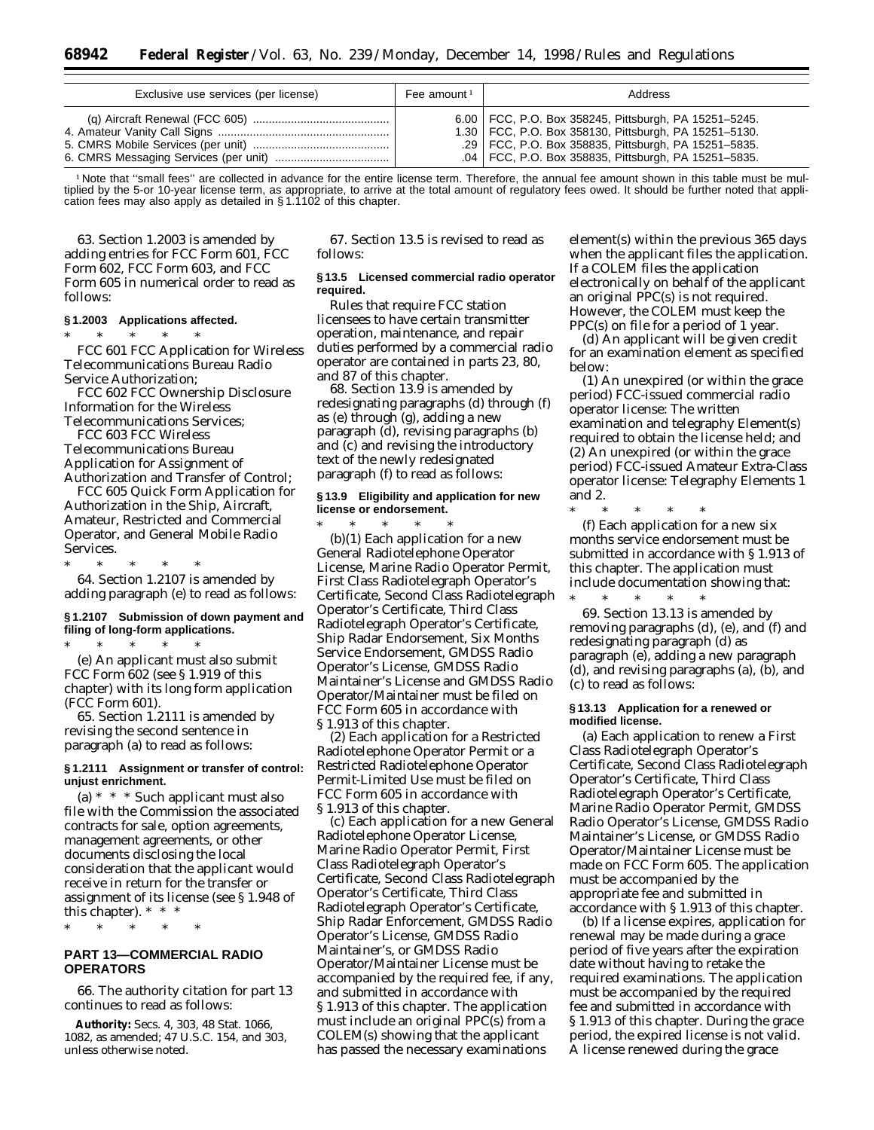| Exclusive use services (per license) | Fee amount <sup>1</sup> | Address                                                                                                                                                                                                                                |
|--------------------------------------|-------------------------|----------------------------------------------------------------------------------------------------------------------------------------------------------------------------------------------------------------------------------------|
|                                      |                         | 6.00   FCC, P.O. Box 358245, Pittsburgh, PA 15251-5245.<br>1.30   FCC, P.O. Box 358130, Pittsburgh, PA 15251-5130.<br>.29   FCC, P.O. Box 358835, Pittsburgh, PA 15251-5835.<br>.04   FCC, P.O. Box 358835, Pittsburgh, PA 15251-5835. |

1 Note that ''small fees'' are collected in advance for the entire license term. Therefore, the annual fee amount shown in this table must be multiplied by the 5-or 10-year license term, as appropriate, to arrive at the total amount of regulatory fees owed. It should be further noted that application fees may also apply as detailed in § 1.1102 of this chapter.

63. Section 1.2003 is amended by adding entries for FCC Form 601, FCC Form 602, FCC Form 603, and FCC Form 605 in numerical order to read as follows:

#### **§ 1.2003 Applications affected.**

\* \* \* \* \* FCC 601 FCC Application for Wireless Telecommunications Bureau Radio Service Authorization;

FCC 602 FCC Ownership Disclosure Information for the Wireless Telecommunications Services;

FCC 603 FCC Wireless

Telecommunications Bureau Application for Assignment of Authorization and Transfer of Control;

FCC 605 Quick Form Application for Authorization in the Ship, Aircraft, Amateur, Restricted and Commercial Operator, and General Mobile Radio Services.

\* \* \* \* \* 64. Section 1.2107 is amended by adding paragraph (e) to read as follows:

#### **§ 1.2107 Submission of down payment and filing of long-form applications.**

\* \* \* \* \* (e) An applicant must also submit FCC Form 602 (*see* § 1.919 of this chapter) with its long form application (FCC Form 601).

65. Section 1.2111 is amended by revising the second sentence in paragraph (a) to read as follows:

### **§ 1.2111 Assignment or transfer of control: unjust enrichment.**

(a)  $* * *$  Such applicant must also file with the Commission the associated contracts for sale, option agreements, management agreements, or other documents disclosing the local consideration that the applicant would receive in return for the transfer or assignment of its license (*see* § 1.948 of this chapter). \* \* \*

\* \* \* \* \*

### **PART 13—COMMERCIAL RADIO OPERATORS**

66. The authority citation for part 13 continues to read as follows:

**Authority:** Secs. 4, 303, 48 Stat. 1066, 1082, as amended; 47 U.S.C. 154, and 303, unless otherwise noted.

67. Section 13.5 is revised to read as follows:

#### **§ 13.5 Licensed commercial radio operator required.**

Rules that require FCC station licensees to have certain transmitter operation, maintenance, and repair duties performed by a commercial radio operator are contained in parts 23, 80, and 87 of this chapter.

68. Section 13.9 is amended by redesignating paragraphs (d) through (f) as (e) through (g), adding a new paragraph (d), revising paragraphs (b) and (c) and revising the introductory text of the newly redesignated paragraph (f) to read as follows:

#### **§ 13.9 Eligibility and application for new license or endorsement.**

\* \* \* \* \* (b)(1) Each application for a new General Radiotelephone Operator License, Marine Radio Operator Permit, First Class Radiotelegraph Operator's Certificate, Second Class Radiotelegraph Operator's Certificate, Third Class Radiotelegraph Operator's Certificate, Ship Radar Endorsement, Six Months Service Endorsement, GMDSS Radio Operator's License, GMDSS Radio Maintainer's License and GMDSS Radio Operator/Maintainer must be filed on FCC Form 605 in accordance with § 1.913 of this chapter.

(2) Each application for a Restricted Radiotelephone Operator Permit or a Restricted Radiotelephone Operator Permit-Limited Use must be filed on FCC Form 605 in accordance with § 1.913 of this chapter.

(c) Each application for a new General Radiotelephone Operator License, Marine Radio Operator Permit, First Class Radiotelegraph Operator's Certificate, Second Class Radiotelegraph Operator's Certificate, Third Class Radiotelegraph Operator's Certificate, Ship Radar Enforcement, GMDSS Radio Operator's License, GMDSS Radio Maintainer's, or GMDSS Radio Operator/Maintainer License must be accompanied by the required fee, if any, and submitted in accordance with § 1.913 of this chapter. The application must include an original PPC(s) from a COLEM(s) showing that the applicant has passed the necessary examinations

element(s) within the previous 365 days when the applicant files the application. If a COLEM files the application electronically on behalf of the applicant an original PPC(s) is not required. However, the COLEM must keep the PPC(s) on file for a period of 1 year.

(d) An applicant will be given credit for an examination element as specified below:

(1) An unexpired (or within the grace period) FCC-issued commercial radio operator license: The written examination and telegraphy Element(s) required to obtain the license held; and (2) An unexpired (or within the grace period) FCC-issued Amateur Extra-Class operator license: Telegraphy Elements 1 and 2.

\* \* \* \* \* (f) Each application for a new six months service endorsement must be submitted in accordance with § 1.913 of this chapter. The application must include documentation showing that:

\* \* \* \* \* 69. Section 13.13 is amended by removing paragraphs (d), (e), and (f) and redesignating paragraph (d) as paragraph (e), adding a new paragraph (d), and revising paragraphs (a), (b), and (c) to read as follows:

#### **§ 13.13 Application for a renewed or modified license.**

(a) Each application to renew a First Class Radiotelegraph Operator's Certificate, Second Class Radiotelegraph Operator's Certificate, Third Class Radiotelegraph Operator's Certificate, Marine Radio Operator Permit, GMDSS Radio Operator's License, GMDSS Radio Maintainer's License, or GMDSS Radio Operator/Maintainer License must be made on FCC Form 605. The application must be accompanied by the appropriate fee and submitted in accordance with § 1.913 of this chapter.

(b) If a license expires, application for renewal may be made during a grace period of five years after the expiration date without having to retake the required examinations. The application must be accompanied by the required fee and submitted in accordance with § 1.913 of this chapter. During the grace period, the expired license is not valid. A license renewed during the grace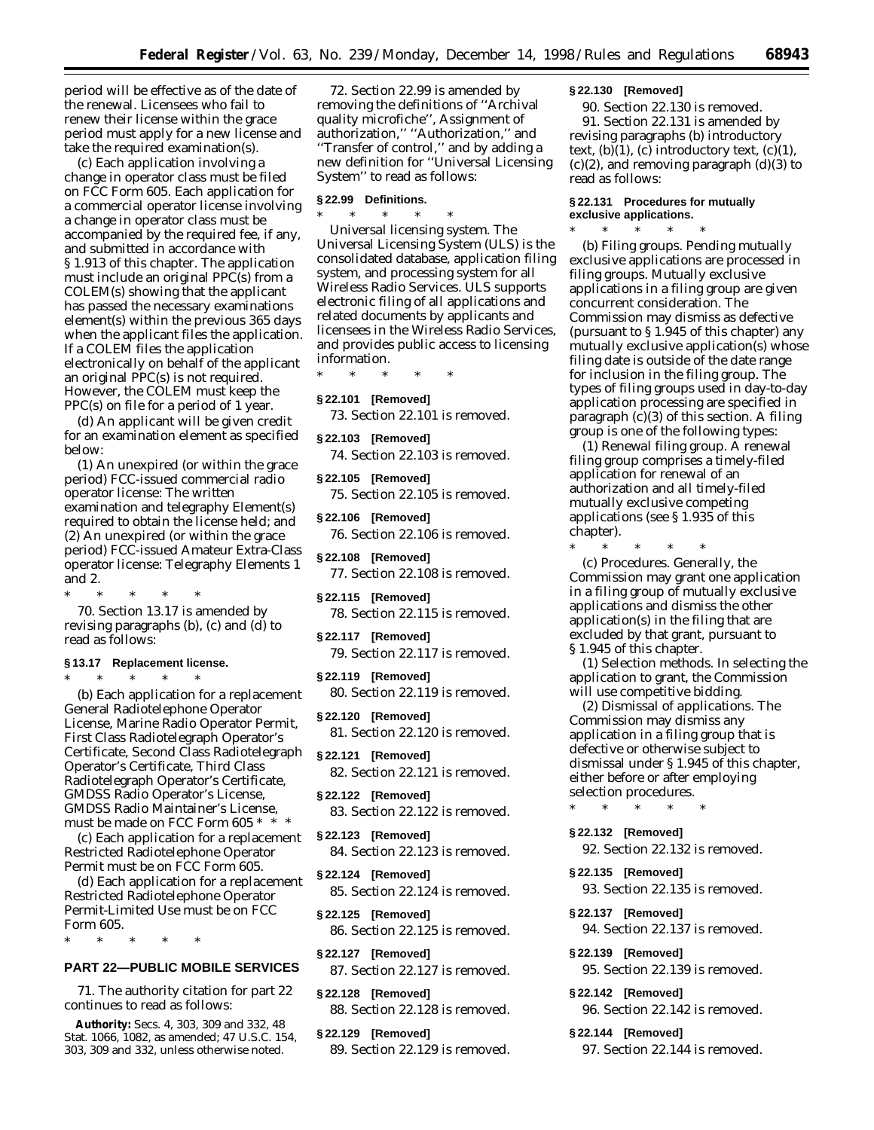period will be effective as of the date of the renewal. Licensees who fail to renew their license within the grace period must apply for a new license and take the required examination(s).

(c) Each application involving a change in operator class must be filed on FCC Form 605. Each application for a commercial operator license involving a change in operator class must be accompanied by the required fee, if any, and submitted in accordance with § 1.913 of this chapter. The application must include an original PPC(s) from a COLEM(s) showing that the applicant has passed the necessary examinations element(s) within the previous 365 days when the applicant files the application. If a COLEM files the application electronically on behalf of the applicant an original PPC(s) is not required. However, the COLEM must keep the PPC(s) on file for a period of 1 year.

(d) An applicant will be given credit for an examination element as specified below:

(1) An unexpired (or within the grace period) FCC-issued commercial radio operator license: The written examination and telegraphy Element(s) required to obtain the license held; and (2) An unexpired (or within the grace period) FCC-issued Amateur Extra-Class operator license: Telegraphy Elements 1 and 2.

\* \* \* \* \* 70. Section 13.17 is amended by revising paragraphs (b), (c) and (d) to read as follows:

#### **§ 13.17 Replacement license.**

\* \* \* \* \* (b) Each application for a replacement General Radiotelephone Operator License, Marine Radio Operator Permit, First Class Radiotelegraph Operator's Certificate, Second Class Radiotelegraph Operator's Certificate, Third Class Radiotelegraph Operator's Certificate, GMDSS Radio Operator's License, GMDSS Radio Maintainer's License, must be made on FCC Form 605 \* \* \*

(c) Each application for a replacement Restricted Radiotelephone Operator Permit must be on FCC Form 605.

(d) Each application for a replacement Restricted Radiotelephone Operator Permit-Limited Use must be on FCC Form 605.

\* \* \* \* \*

### **PART 22—PUBLIC MOBILE SERVICES**

71. The authority citation for part 22 continues to read as follows:

**Authority:** Secs. 4, 303, 309 and 332, 48 Stat. 1066, 1082, as amended; 47 U.S.C. 154, 303, 309 and 332, unless otherwise noted.

72. Section 22.99 is amended by removing the definitions of ''Archival quality microfiche'', Assignment of authorization,'' ''Authorization,'' and ''Transfer of control,'' and by adding a new definition for ''Universal Licensing System'' to read as follows:

### **§ 22.99 Definitions.**

\* \* \* \* \* *Universal licensing system.* The Universal Licensing System (ULS) is the consolidated database, application filing system, and processing system for all Wireless Radio Services. ULS supports electronic filing of all applications and related documents by applicants and licensees in the Wireless Radio Services, and provides public access to licensing information.

\* \* \* \* \*

**§ 22.101 [Removed]**

73. Section 22.101 is removed.

**§ 22.103 [Removed]**

74. Section 22.103 is removed.

- **§ 22.105 [Removed]** 75. Section 22.105 is removed.
- **§ 22.106 [Removed]** 76. Section 22.106 is removed.
- **§ 22.108 [Removed]** 77. Section 22.108 is removed.
- **§ 22.115 [Removed]** 78. Section 22.115 is removed.
- **§ 22.117 [Removed]** 79. Section 22.117 is removed.
- **§ 22.119 [Removed]** 80. Section 22.119 is removed.
- **§ 22.120 [Removed]** 81. Section 22.120 is removed.
- **§ 22.121 [Removed]** 82. Section 22.121 is removed.
- **§ 22.122 [Removed]** 83. Section 22.122 is removed.
- **§ 22.123 [Removed]** 84. Section 22.123 is removed.
- **§ 22.124 [Removed]** 85. Section 22.124 is removed.
- **§ 22.125 [Removed]** 86. Section 22.125 is removed.
- **§ 22.127 [Removed]** 87. Section 22.127 is removed.
- **§ 22.128 [Removed]** 88. Section 22.128 is removed.

**§ 22.129 [Removed]** 89. Section 22.129 is removed.

### **§ 22.130 [Removed]**

90. Section 22.130 is removed. 91. Section 22.131 is amended by revising paragraphs (b) introductory text,  $(b)(1)$ ,  $(c)$  introductory text,  $(c)(1)$ ,  $(c)(2)$ , and removing paragraph  $(d)(3)$  to read as follows:

#### **§ 22.131 Procedures for mutually exclusive applications.**

\* \* \* \* \* (b) *Filing groups.* Pending mutually exclusive applications are processed in filing groups. Mutually exclusive applications in a filing group are given concurrent consideration. The Commission may dismiss as defective (pursuant to § 1.945 of this chapter) any mutually exclusive application(s) whose filing date is outside of the date range for inclusion in the filing group. The types of filing groups used in day-to-day application processing are specified in paragraph (c)(3) of this section. A filing group is one of the following types:

(1) *Renewal filing group.* A renewal filing group comprises a timely-filed application for renewal of an authorization and all timely-filed mutually exclusive competing applications (*see* § 1.935 of this chapter).

\* \* \* \* \* (c) *Procedures.* Generally, the Commission may grant one application in a filing group of mutually exclusive applications and dismiss the other application(s) in the filing that are excluded by that grant, pursuant to § 1.945 of this chapter.

(1) *Selection methods.* In selecting the application to grant, the Commission will use competitive bidding.

(2) *Dismissal of applications.* The Commission may dismiss any application in a filing group that is defective or otherwise subject to dismissal under § 1.945 of this chapter, either before or after employing selection procedures.

\* \* \* \* \*

**§ 22.132 [Removed]**

92. Section 22.132 is removed.

**§ 22.135 [Removed]**

93. Section 22.135 is removed.

**§ 22.137 [Removed]** 94. Section 22.137 is removed.

**§ 22.139 [Removed]** 95. Section 22.139 is removed.

**§ 22.142 [Removed]** 96. Section 22.142 is removed.

**§ 22.144 [Removed]** 97. Section 22.144 is removed.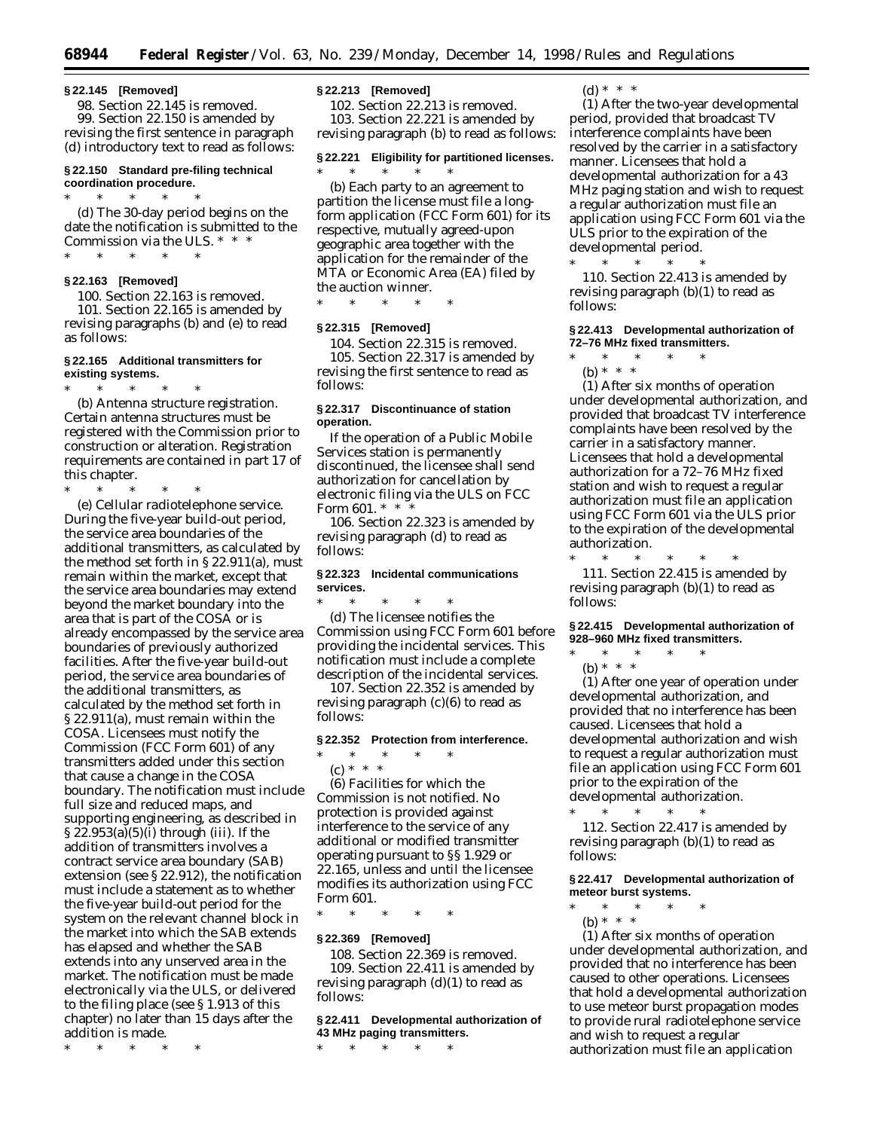#### **§ 22.145 [Removed]**

98. Section 22.145 is removed. 99. Section 22.150 is amended by revising the first sentence in paragraph (d) introductory text to read as follows:

### **§ 22.150 Standard pre-filing technical coordination procedure.**

 $*$  \* \* (d) The 30-day period begins on the date the notification is submitted to the Commission via the ULS. \* \* \* \* \* \* \* \*

### **§ 22.163 [Removed]**

100. Section 22.163 is removed. 101. Section 22.165 is amended by revising paragraphs (b) and (e) to read as follows:

#### **§ 22.165 Additional transmitters for existing systems.**

 $*$  \* (b) *Antenna structure registration.* Certain antenna structures must be registered with the Commission prior to construction or alteration. Registration requirements are contained in part 17 of this chapter.

\* \* \* \* \* (e) *Cellular radiotelephone service.* During the five-year build-out period, the service area boundaries of the additional transmitters, as calculated by the method set forth in § 22.911(a), must remain within the market, except that the service area boundaries may extend beyond the market boundary into the area that is part of the COSA or is already encompassed by the service area boundaries of previously authorized facilities. After the five-year build-out period, the service area boundaries of the additional transmitters, as calculated by the method set forth in § 22.911(a), must remain within the COSA. Licensees must notify the Commission (FCC Form 601) of any transmitters added under this section that cause a change in the COSA boundary. The notification must include full size and reduced maps, and supporting engineering, as described in § 22.953(a)(5)(i) through (iii). If the addition of transmitters involves a contract service area boundary (SAB) extension (see § 22.912), the notification must include a statement as to whether the five-year build-out period for the system on the relevant channel block in the market into which the SAB extends has elapsed and whether the SAB extends into any unserved area in the market. The notification must be made electronically via the ULS, or delivered to the filing place (see § 1.913 of this chapter) no later than 15 days after the addition is made.

\* \* \* \* \*

### **§ 22.213 [Removed]**

102. Section 22.213 is removed. 103. Section 22.221 is amended by revising paragraph (b) to read as follows:

### **§ 22.221 Eligibility for partitioned licenses.** \* \* \* \* \*

(b) Each party to an agreement to partition the license must file a longform application (FCC Form 601) for its respective, mutually agreed-upon geographic area together with the application for the remainder of the MTA or Economic Area (EA) filed by the auction winner.

\* \* \* \* \*

### **§ 22.315 [Removed]**

104. Section 22.315 is removed. 105. Section 22.317 is amended by revising the first sentence to read as follows:

#### **§ 22.317 Discontinuance of station operation.**

If the operation of a Public Mobile Services station is permanently discontinued, the licensee shall send authorization for cancellation by electronic filing via the ULS on FCC Form 601. \* \* \*

106. Section 22.323 is amended by revising paragraph (d) to read as follows:

### **§ 22.323 Incidental communications services.**

\* \* \* \* \* (d) The licensee notifies the Commission using FCC Form 601 before providing the incidental services. This notification must include a complete description of the incidental services.

107. Section 22.352 is amended by revising paragraph  $(c)(6)$  to read as follows:

### **§ 22.352 Protection from interference.**

\* \* \* \* \*  $(c) * * * *$ 

(6) *Facilities for which the Commission is not notified.* No protection is provided against interference to the service of any additional or modified transmitter operating pursuant to §§ 1.929 or 22.165, unless and until the licensee modifies its authorization using FCC Form 601.

\* \* \* \* \*

# **§ 22.369 [Removed]**

108. Section 22.369 is removed. 109. Section 22.411 is amended by revising paragraph (d)(1) to read as follows:

### **§ 22.411 Developmental authorization of 43 MHz paging transmitters.**

\* \* \* \* \*

 $(d) * * * *$ 

(1) After the two-year developmental period, provided that broadcast TV interference complaints have been resolved by the carrier in a satisfactory manner. Licensees that hold a developmental authorization for a 43 MHz paging station and wish to request a regular authorization must file an application using FCC Form 601 via the ULS prior to the expiration of the developmental period.

110. Section 22.413 is amended by revising paragraph (b)(1) to read as follows:

\* \* \* \* \*

### **§ 22.413 Developmental authorization of 72–76 MHz fixed transmitters.**

\* \* \* \* \* (b) \* \* \*

(1) After six months of operation under developmental authorization, and provided that broadcast TV interference complaints have been resolved by the carrier in a satisfactory manner. Licensees that hold a developmental authorization for a 72–76 MHz fixed station and wish to request a regular authorization must file an application using FCC Form 601 via the ULS prior to the expiration of the developmental authorization.

\* \* \* \* \* \* 111. Section 22.415 is amended by revising paragraph (b)(1) to read as follows:

#### **§ 22.415 Developmental authorization of 928–960 MHz fixed transmitters.**

\* \* \* \* \* (b)  $* * * *$ 

(1) After one year of operation under developmental authorization, and provided that no interference has been caused. Licensees that hold a developmental authorization and wish to request a regular authorization must file an application using FCC Form 601 prior to the expiration of the developmental authorization.

112. Section 22.417 is amended by revising paragraph (b)(1) to read as follows:

### **§ 22.417 Developmental authorization of meteor burst systems.**

\* \* \* \* \*

\* \* \* \* \*

(b) \* \* \*

(1) After six months of operation under developmental authorization, and provided that no interference has been caused to other operations. Licensees that hold a developmental authorization to use meteor burst propagation modes to provide rural radiotelephone service and wish to request a regular authorization must file an application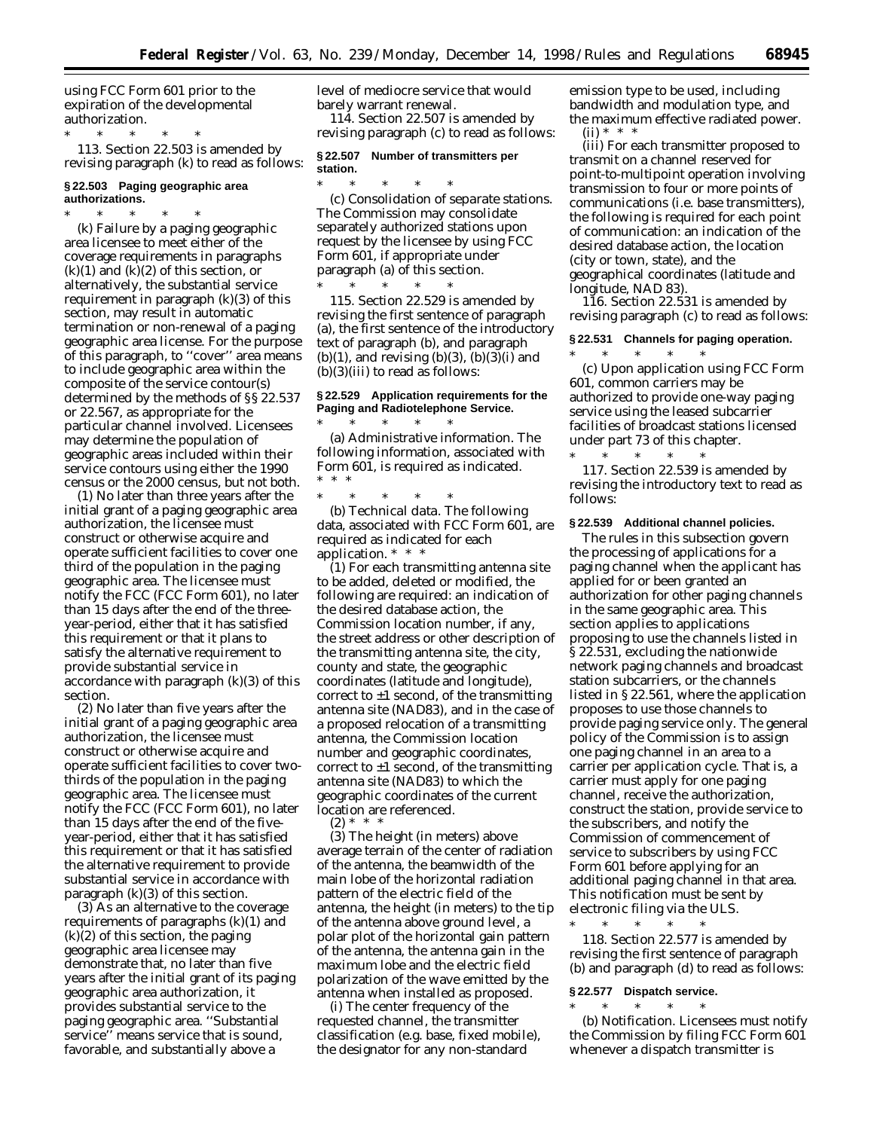using FCC Form 601 prior to the expiration of the developmental authorization.

\* \* \* \* \* 113. Section 22.503 is amended by revising paragraph (k) to read as follows:

### **§ 22.503 Paging geographic area authorizations.**

\* \* \* \* \* (k) Failure by a paging geographic area licensee to meet either of the coverage requirements in paragraphs  $(k)(1)$  and  $(k)(2)$  of this section, or alternatively, the substantial service requirement in paragraph (k)(3) of this section, may result in automatic termination or non-renewal of a paging geographic area license. For the purpose of this paragraph, to ''cover'' area means to include geographic area within the composite of the service contour(s) determined by the methods of §§ 22.537 or 22.567, as appropriate for the particular channel involved. Licensees may determine the population of geographic areas included within their service contours using either the 1990 census or the 2000 census, but not both.

(1) No later than three years after the initial grant of a paging geographic area authorization, the licensee must construct or otherwise acquire and operate sufficient facilities to cover one third of the population in the paging geographic area. The licensee must notify the FCC (FCC Form 601), no later than 15 days after the end of the threeyear-period, either that it has satisfied this requirement or that it plans to satisfy the alternative requirement to provide substantial service in accordance with paragraph (k)(3) of this section.

(2) No later than five years after the initial grant of a paging geographic area authorization, the licensee must construct or otherwise acquire and operate sufficient facilities to cover twothirds of the population in the paging geographic area. The licensee must notify the FCC (FCC Form 601), no later than 15 days after the end of the fiveyear-period, either that it has satisfied this requirement or that it has satisfied the alternative requirement to provide substantial service in accordance with paragraph (k)(3) of this section.

(3) As an alternative to the coverage requirements of paragraphs (k)(1) and (k)(2) of this section, the paging geographic area licensee may demonstrate that, no later than five years after the initial grant of its paging geographic area authorization, it provides substantial service to the paging geographic area. ''Substantial service'' means service that is sound, favorable, and substantially above a

level of mediocre service that would barely warrant renewal. 114. Section 22.507 is amended by

revising paragraph (c) to read as follows:

#### **§ 22.507 Number of transmitters per station.**

\* \* \* \* \* (c) *Consolidation of separate stations.* The Commission may consolidate separately authorized stations upon request by the licensee by using FCC Form 601, if appropriate under paragraph (a) of this section.

\* \* \* \* \* 115. Section 22.529 is amended by revising the first sentence of paragraph (a), the first sentence of the introductory text of paragraph (b), and paragraph  $(b)(1)$ , and revising  $(b)(3)$ ,  $(b)(3)(i)$  and (b)(3)(iii) to read as follows:

### **§ 22.529 Application requirements for the Paging and Radiotelephone Service.**

\* \* \* \* \* (a) *Administrative information.* The following information, associated with Form 601, is required as indicated. \* \* \*

\* \* \* \* \* (b) *Technical data.* The following data, associated with FCC Form 601, are required as indicated for each application. \* \* \*

(1) For each transmitting antenna site to be added, deleted or modified, the following are required: an indication of the desired database action, the Commission location number, if any, the street address or other description of the transmitting antenna site, the city, county and state, the geographic coordinates (latitude and longitude), correct to  $\pm 1$  second, of the transmitting antenna site (NAD83), and in the case of a proposed relocation of a transmitting antenna, the Commission location number and geographic coordinates, correct to  $\pm 1$  second, of the transmitting antenna site (NAD83) to which the geographic coordinates of the current location are referenced.  $(2) * * * *$ 

(3) The height (in meters) above average terrain of the center of radiation of the antenna, the beamwidth of the main lobe of the horizontal radiation pattern of the electric field of the antenna, the height (in meters) to the tip of the antenna above ground level, a polar plot of the horizontal gain pattern of the antenna, the antenna gain in the maximum lobe and the electric field polarization of the wave emitted by the antenna when installed as proposed.

(i) The center frequency of the requested channel, the transmitter classification (e.g. base, fixed mobile), the designator for any non-standard

emission type to be used, including bandwidth and modulation type, and the maximum effective radiated power.  $(ii) * * * *$ 

(iii) For each transmitter proposed to transmit on a channel reserved for point-to-multipoint operation involving transmission to four or more points of communications (i.e. base transmitters), the following is required for each point of communication: an indication of the desired database action, the location (city or town, state), and the geographical coordinates (latitude and longitude, NAD 83).

116. Section 22.531 is amended by revising paragraph (c) to read as follows:

## **§ 22.531 Channels for paging operation.** \* \* \* \* \*

(c) Upon application using FCC Form 601, common carriers may be authorized to provide one-way paging service using the leased subcarrier facilities of broadcast stations licensed under part 73 of this chapter.

 $\ast$   $\qquad$   $\ast$   $\qquad$   $\ast$ 117. Section 22.539 is amended by revising the introductory text to read as follows:

#### **§ 22.539 Additional channel policies.**

The rules in this subsection govern the processing of applications for a paging channel when the applicant has applied for or been granted an authorization for other paging channels in the same geographic area. This section applies to applications proposing to use the channels listed in § 22.531, excluding the nationwide network paging channels and broadcast station subcarriers, or the channels listed in § 22.561, where the application proposes to use those channels to provide paging service only. The general policy of the Commission is to assign one paging channel in an area to a carrier per application cycle. That is, a carrier must apply for one paging channel, receive the authorization, construct the station, provide service to the subscribers, and notify the Commission of commencement of service to subscribers by using FCC Form 601 before applying for an additional paging channel in that area. This notification must be sent by electronic filing via the ULS.

118. Section 22.577 is amended by revising the first sentence of paragraph (b) and paragraph (d) to read as follows:

### **§ 22.577 Dispatch service.**

\* \* \* \* \*

\* \* \* \* \* (b) *Notification.* Licensees must notify the Commission by filing FCC Form 601 whenever a dispatch transmitter is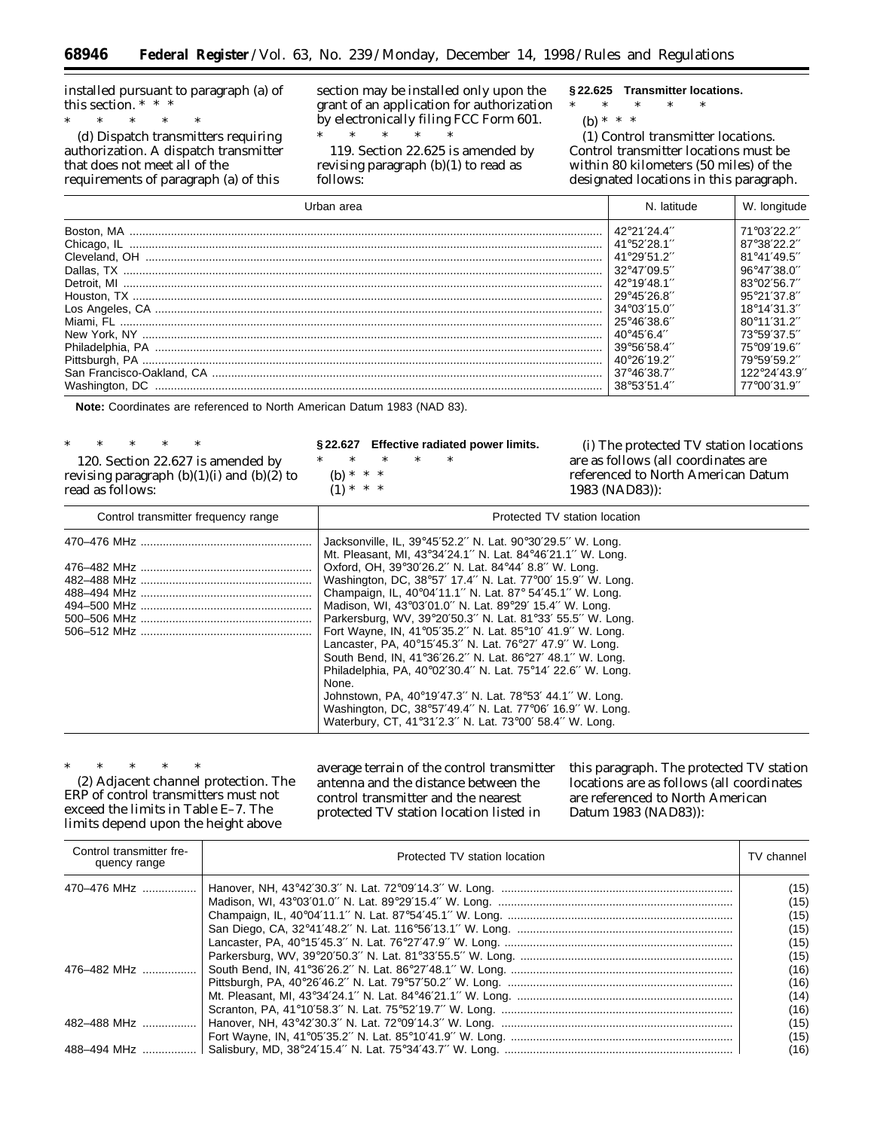installed pursuant to paragraph (a) of this section. \* \* \*

\* \* \* \* \* (d) Dispatch transmitters requiring authorization. A dispatch transmitter that does not meet all of the requirements of paragraph (a) of this

section may be installed only upon the grant of an application for authorization by electronically filing FCC Form 601. \* \* \* \* \*

119. Section 22.625 is amended by revising paragraph (b)(1) to read as follows:

### **§ 22.625 Transmitter locations.**

\* \* \* \* \*

(b) \* \* \*

(1) *Control transmitter locations.* Control transmitter locations must be within 80 kilometers (50 miles) of the designated locations in this paragraph.

| Urban area | N. latitude           | W. longitude          |
|------------|-----------------------|-----------------------|
|            | 42°21′24.4″           | 71°03′22 2″           |
|            | 41°52'28.1"           | 87°38′22.2″           |
|            | 41°29'51.2"           | $81^{\circ}41'49.5''$ |
|            | 32°47'09.5"           | $96^{\circ}47'38.0''$ |
|            | 42°19'48.1"           | 83°02′56.7″           |
|            | 29°45′26.8″           | 95°21′37.8″           |
|            | 34°03′15.0″           | 18°14′31.3″           |
|            | $25^{\circ}46'38.6''$ | $80^{\circ}11'31.2''$ |
|            | $40^{\circ}45'6.4''$  | 73°59′37.5″           |
|            | 39°56'58.4"           | 75°09'19.6"           |
|            | 40°26'19.2''          | 79°59′59.2″           |
|            | 37°46′38.7″           | 122°24′43.9′          |
|            | 38°53'51.4"           | 77°00′31.9″           |

**Note:** Coordinates are referenced to North American Datum 1983 (NAD 83).

| $\ast$ $\ast$ $\ast$ $\ast$ $\ast$             | § 22.627 Effective radiated power limits. | (i) The protected TV station locations |
|------------------------------------------------|-------------------------------------------|----------------------------------------|
| 120. Section 22.627 is amended by              | * * * * *                                 | are as follows (all coordinates are    |
| revising paragraph $(b)(1)(i)$ and $(b)(2)$ to | (b) * * *                                 | referenced to North American Datum     |
| read as follows:                               | $(1) * * * *$                             | $1983$ (NAD83)):                       |

| Control transmitter frequency range | Protected TV station location                                                                                                                                                                                                                                                                                                                                                                                                                                                                                                                                                                                                                                                                 |
|-------------------------------------|-----------------------------------------------------------------------------------------------------------------------------------------------------------------------------------------------------------------------------------------------------------------------------------------------------------------------------------------------------------------------------------------------------------------------------------------------------------------------------------------------------------------------------------------------------------------------------------------------------------------------------------------------------------------------------------------------|
|                                     | Jacksonville, IL, 39°45′52.2" N. Lat. 90°30′29.5" W. Long.<br>Mt. Pleasant, MI, 43°34'24.1" N. Lat. 84°46'21.1" W. Long.                                                                                                                                                                                                                                                                                                                                                                                                                                                                                                                                                                      |
|                                     | Oxford, OH, 39°30'26.2" N. Lat. 84°44' 8.8" W. Long.<br>Washington, DC, 38°57' 17.4" N. Lat. 77°00' 15.9" W. Long.<br>Champaign, IL, 40°04'11.1" N. Lat. 87° 54'45.1" W. Long.<br>Madison, WI, 43°03'01.0" N. Lat. 89°29' 15.4" W. Long.<br>Parkersburg, WV, 39°20'50.3" N. Lat. 81°33' 55.5" W. Long.<br>Fort Wayne, IN, 41°05'35.2" N. Lat. 85°10' 41.9" W. Long.<br>Lancaster, PA, 40°15'45.3" N. Lat. 76°27' 47.9" W. Long.<br>South Bend, IN, 41°36'26.2" N. Lat. 86°27' 48.1" W. Long.<br>Philadelphia, PA, 40°02'30.4" N. Lat. 75°14' 22.6" W. Long.<br>None.<br>Johnstown, PA, 40°19'47.3" N. Lat. 78°53' 44.1" W. Long.<br>Washington, DC, 38°57'49.4" N. Lat. 77°06' 16.9" W. Long. |
|                                     | Waterbury, CT, 41°31'2.3" N. Lat. 73°00' 58.4" W. Long.                                                                                                                                                                                                                                                                                                                                                                                                                                                                                                                                                                                                                                       |

\* \* \* \* \* (2) *Adjacent channel protection.* The ERP of control transmitters must not exceed the limits in Table E–7. The limits depend upon the height above

average terrain of the control transmitter antenna and the distance between the control transmitter and the nearest protected TV station location listed in

this paragraph. The protected TV station locations are as follows (all coordinates are referenced to North American Datum 1983 (NAD83)):

| Control transmitter fre-<br>quency range | Protected TV station location | TV channel |
|------------------------------------------|-------------------------------|------------|
| 470-476 MHz                              |                               | (15)       |
|                                          |                               | (15)       |
|                                          |                               | (15)       |
|                                          |                               | (15)       |
|                                          |                               | (15)       |
|                                          |                               | (15)       |
| 476-482 MHz                              |                               | (16)       |
|                                          |                               | (16)       |
|                                          |                               | (14)       |
|                                          |                               | (16)       |
| 482-488 MHz                              |                               | (15)       |
|                                          |                               | (15)       |
|                                          |                               | (16)       |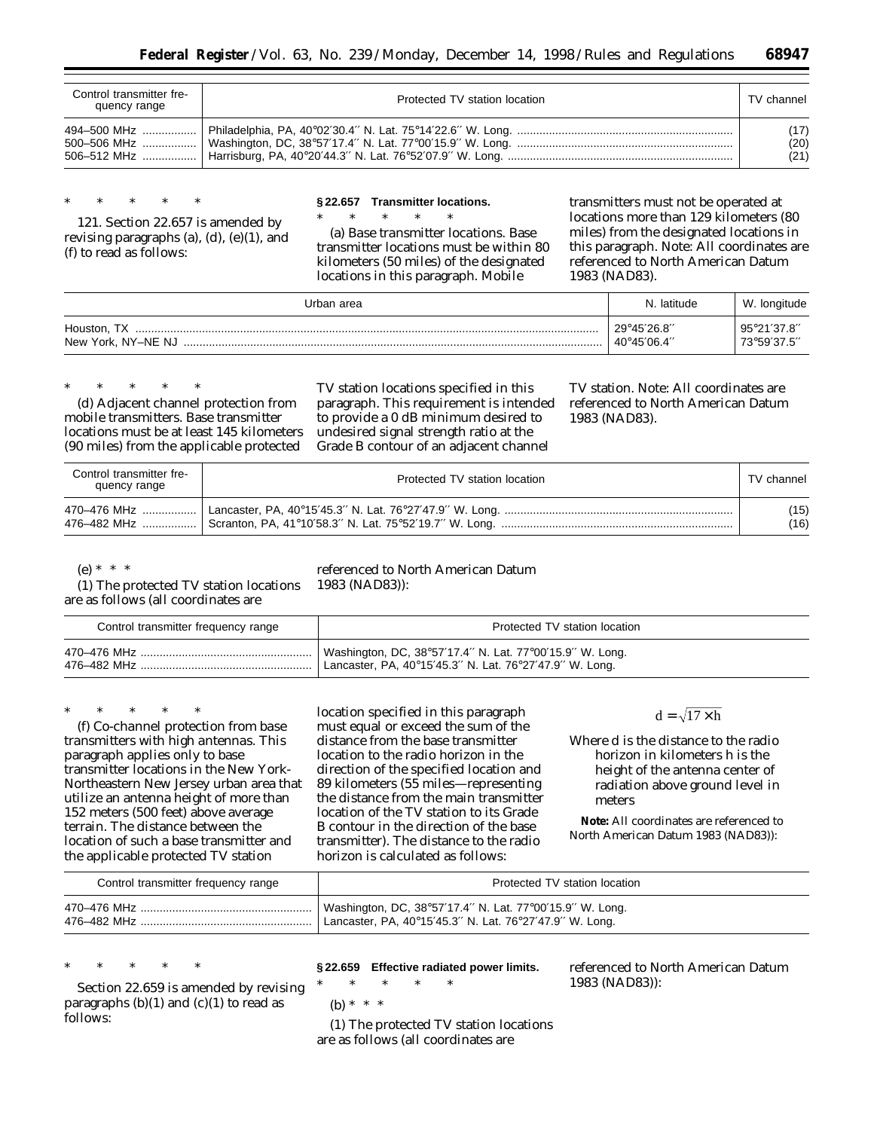| Control transmitter fre-<br>quency range | Protected TV station location | TV channel           |
|------------------------------------------|-------------------------------|----------------------|
|                                          |                               | (17)<br>(20)<br>(21) |

\* \* \* \* \*

**§ 22.657 Transmitter locations.** \* \* \* \* \*

121. Section 22.657 is amended by revising paragraphs  $(a)$ ,  $(d)$ ,  $(e)(1)$ , and (f) to read as follows:

(a) *Base transmitter locations.* Base transmitter locations must be within 80 kilometers (50 miles) of the designated locations in this paragraph. Mobile

transmitters must not be operated at locations more than 129 kilometers (80 miles) from the designated locations in this paragraph. Note: All coordinates are referenced to North American Datum 1983 (NAD83).

| Urban area                        | N. latitude                | W. longitude               |
|-----------------------------------|----------------------------|----------------------------|
| Houston, TX<br>New York, NY-NE NJ | 29°45'26.8"<br>40°45'06.4" | 95°21′37.8″<br>73°59′37.5″ |

\* \* \* \* \* (d) Adjacent channel protection from mobile transmitters. Base transmitter locations must be at least 145 kilometers (90 miles) from the applicable protected

TV station locations specified in this paragraph. This requirement is intended to provide a 0 dB minimum desired to undesired signal strength ratio at the Grade B contour of an adjacent channel

TV station. Note: All coordinates are referenced to North American Datum 1983 (NAD83).

| Control transmitter fre-<br>quency range | Protected TV station location | TV channel   |
|------------------------------------------|-------------------------------|--------------|
|                                          |                               | (15)<br>(16) |

(e) \* \* \*

(1) The protected TV station locations are as follows (all coordinates are

referenced to North American Datum 1983 (NAD83)):

| Control transmitter frequency range | Protected TV station location                           |
|-------------------------------------|---------------------------------------------------------|
|                                     | Lancaster, PA, 40°15'45.3" N. Lat. 76°27'47.9" W. Long. |

\* \* \* \* \* (f) *Co-channel protection from base transmitters with high antennas.* This paragraph applies only to base transmitter locations in the New York-Northeastern New Jersey urban area that utilize an antenna height of more than 152 meters (500 feet) above average terrain. The distance between the location of such a base transmitter and the applicable protected TV station

location specified in this paragraph must equal or exceed the sum of the distance from the base transmitter location to the radio horizon in the direction of the specified location and 89 kilometers (55 miles—representing the distance from the main transmitter location of the TV station to its Grade B contour in the direction of the base transmitter). The distance to the radio horizon is calculated as follows:

 $d = \sqrt{17 \times h}$ 

Where d is the distance to the radio horizon in kilometers h is the height of the antenna center of radiation above ground level in meters

**Note:** All coordinates are referenced to North American Datum 1983 (NAD83)):

| Control transmitter frequency range | Protected TV station location                            |
|-------------------------------------|----------------------------------------------------------|
|                                     | Washington, DC, 38°57'17.4" N. Lat. 77°00'15.9" W. Long. |
|                                     | Lancaster, PA, 40°15'45.3" N. Lat. 76°27'47.9" W. Long.  |

\* \* \* \* \* Section 22.659 is amended by revising paragraphs  $(b)(1)$  and  $(c)(1)$  to read as follows:

### **§ 22.659 Effective radiated power limits.**

\* \* \* \* \*

referenced to North American Datum 1983 (NAD83)):

(b) \* \* \*

(1) The protected TV station locations are as follows (all coordinates are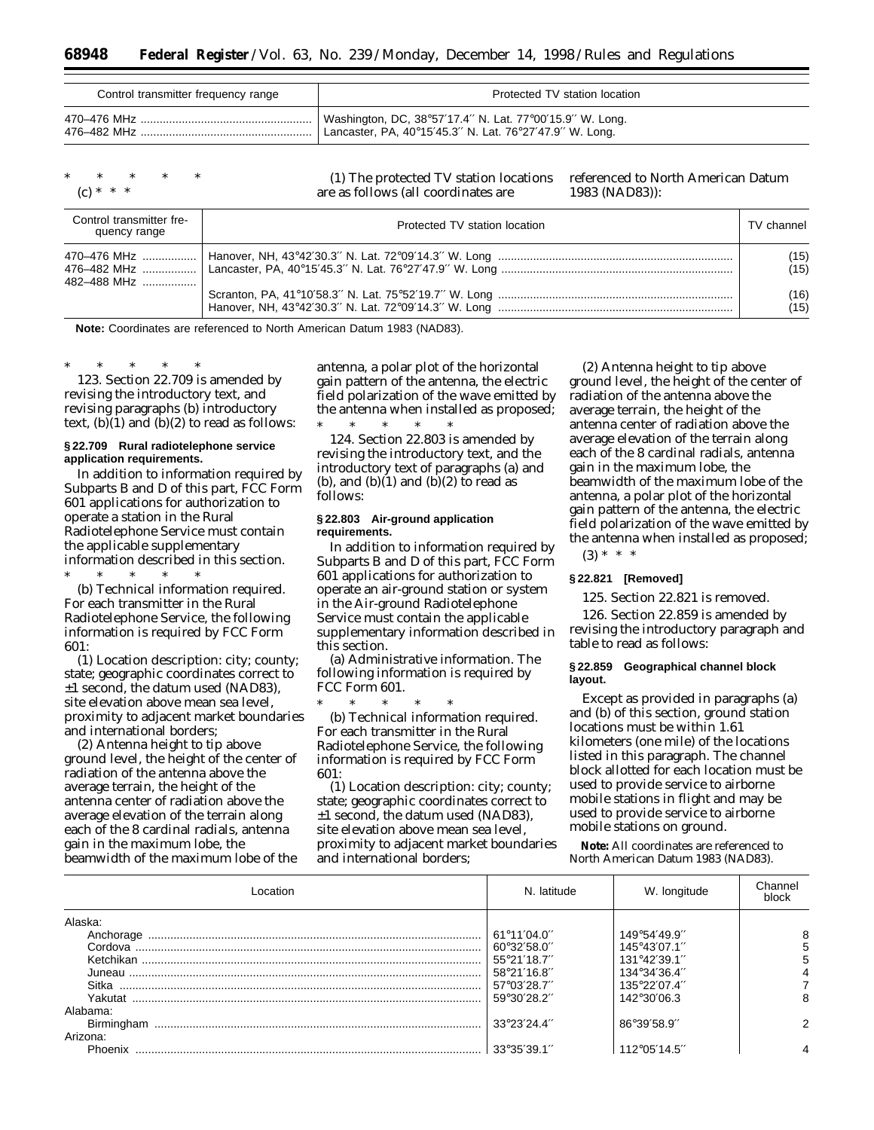| Control transmitter frequency range | Protected TV station location                           |
|-------------------------------------|---------------------------------------------------------|
|                                     | Lancaster, PA, 40°15'45.3" N. Lat. 76°27'47.9" W. Long. |

| $*$ $*$ $*$ $*$ |  | (1) The protected TV station locations referenced to North American Datum |                |
|-----------------|--|---------------------------------------------------------------------------|----------------|
| $(C) * * * *$   |  | are as follows (all coordinates are                                       | 1983 (NAD83)): |

| Control transmitter fre-<br>quency range | Protected TV station location | TV channel   |
|------------------------------------------|-------------------------------|--------------|
|                                          |                               | (15)<br>(15) |
|                                          |                               | (16)<br>(15) |

**Note:** Coordinates are referenced to North American Datum 1983 (NAD83).

\* \* \* \* \* 123. Section 22.709 is amended by revising the introductory text, and revising paragraphs (b) introductory

### **§ 22.709 Rural radiotelephone service application requirements.**

text,  $(b)(1)$  and  $(b)(2)$  to read as follows:

In addition to information required by Subparts B and D of this part, FCC Form 601 applications for authorization to operate a station in the Rural Radiotelephone Service must contain the applicable supplementary information described in this section.

\* \* \* \* \*

(b) *Technical information required*. For each transmitter in the Rural Radiotelephone Service, the following information is required by FCC Form 601:

(1) Location description: city; county; state; geographic coordinates correct to ±1 second, the datum used (NAD83), site elevation above mean sea level, proximity to adjacent market boundaries and international borders;

(2) Antenna height to tip above ground level, the height of the center of radiation of the antenna above the average terrain, the height of the antenna center of radiation above the average elevation of the terrain along each of the 8 cardinal radials, antenna gain in the maximum lobe, the beamwidth of the maximum lobe of the

antenna, a polar plot of the horizontal gain pattern of the antenna, the electric field polarization of the wave emitted by the antenna when installed as proposed; \* \* \* \* \*

124. Section 22.803 is amended by revising the introductory text, and the introductory text of paragraphs (a) and (b), and  $(b)(1)$  and  $(b)(2)$  to read as follows:

#### **§ 22.803 Air-ground application requirements.**

In addition to information required by Subparts B and D of this part, FCC Form 601 applications for authorization to operate an air-ground station or system in the Air-ground Radiotelephone Service must contain the applicable supplementary information described in this section.

(a) *Administrative information*. The following information is required by FCC Form 601.

\* \* \* \* \* (b) *Technical information required*. For each transmitter in the Rural Radiotelephone Service, the following information is required by FCC Form 601:

(1) Location description: city; county; state; geographic coordinates correct to ±1 second, the datum used (NAD83), site elevation above mean sea level, proximity to adjacent market boundaries and international borders;

(2) Antenna height to tip above ground level, the height of the center of radiation of the antenna above the average terrain, the height of the antenna center of radiation above the average elevation of the terrain along each of the 8 cardinal radials, antenna gain in the maximum lobe, the beamwidth of the maximum lobe of the antenna, a polar plot of the horizontal gain pattern of the antenna, the electric field polarization of the wave emitted by the antenna when installed as proposed;

 $(3) * * * *$ 

### **§ 22.821 [Removed]**

125. Section 22.821 is removed.

126. Section 22.859 is amended by revising the introductory paragraph and table to read as follows:

#### **§ 22.859 Geographical channel block layout.**

Except as provided in paragraphs (a) and (b) of this section, ground station locations must be within 1.61 kilometers (one mile) of the locations listed in this paragraph. The channel block allotted for each location must be used to provide service to airborne mobile stations in flight and may be used to provide service to airborne mobile stations on ground.

**Note:** All coordinates are referenced to North American Datum 1983 (NAD83).

| ∟ocation   | N. latitude           | W. longitude | Channel<br>block |
|------------|-----------------------|--------------|------------------|
| Alaska:    |                       |              |                  |
| Anchorage  | 61°11'04.0"           | 149°54'49.9" |                  |
|            | 60°32'58.0"           | 145°43′07.1″ |                  |
|            | $55^{\circ}21'18.7''$ | 131°42'39.1" |                  |
| Juneau     | 58°21'16.8''          | 134°34'36.4" |                  |
| Sitka      | $57^{\circ}03'28.7''$ | 135°22′07.4″ |                  |
| Yakutat    | 59°30′28.2″           | 142°30'06.3  |                  |
| Alabama:   |                       |              |                  |
| Birmingham | $33^{\circ}23'24.4''$ | 86°39'58.9"  |                  |
| Arizona:   |                       |              |                  |
| Phoenix    | $33^{\circ}35'39.1''$ | 112°05'14.5" |                  |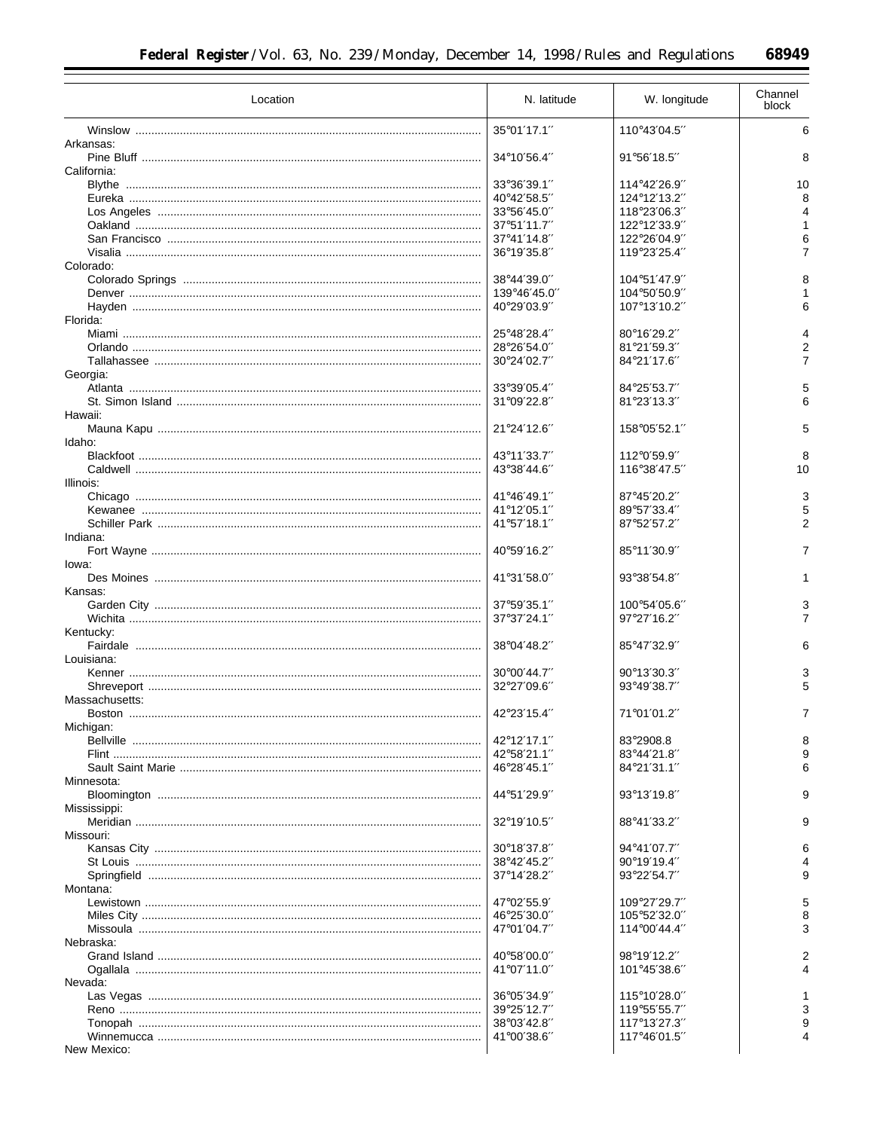| Location       | N. latitude                | W. longitude                         | Channel<br>block    |
|----------------|----------------------------|--------------------------------------|---------------------|
|                | 35°01'17.1"                | 110°43'04.5"                         | 6                   |
| Arkansas:      | 34°10'56.4"                | $91^{\circ}56'18.5''$                | 8                   |
| California:    |                            |                                      |                     |
|                | 33°36'39.1"                | 114°42'26.9"                         | 10                  |
|                | 40°42'58.5"                | 124°12'13.2"                         | 8                   |
|                | $33^{\circ}56'45.0''$      | 118°23'06.3"                         | 4                   |
|                | 37°51'11.7"<br>37°41'14.8" | 122°12'33.9"<br>122°26'04.9"         | 6                   |
|                | 36°19'35.8"                | 119°23'25.4"                         | 7                   |
| Colorado:      |                            |                                      |                     |
|                | 38°44'39.0"                | 104°51'47.9"                         |                     |
|                | 139°46'45.0"               | 104°50'50.9"                         |                     |
|                | 40°29'03.9"                | 107°13'10.2"                         | 6                   |
| Florida:       |                            |                                      |                     |
|                | 25°48'28.4"                | 80°16'29.2"                          |                     |
|                | 28°26'54.0"                | 81°21'59.3"                          | $\overline{2}$<br>7 |
| Georgia:       | 30°24'02.7"                | 84°21'17.6"                          |                     |
|                | 33°39'05.4"                | 84°25'53.7"                          | 5                   |
|                | 31°09'22.8"                | 81°23'13.3"                          | 6                   |
| Hawaii:        |                            |                                      |                     |
|                | 21°24'12.6"                | 158°05'52.1"                         | 5                   |
| Idaho:         |                            |                                      |                     |
|                | 43°11'33.7"                | 112°0'59.9"                          | 8                   |
|                | 43°38'44.6"                | 116°38'47.5"                         | 10                  |
| Illinois:      |                            |                                      |                     |
|                | 41°46′49.1″<br>41°12'05.1" | 87°45'20.2"<br>89°57'33.4"           | 3<br>5              |
|                | 41°57'18.1"                | 87°52'57.2"                          | $\overline{2}$      |
| Indiana:       |                            |                                      |                     |
|                | 40°59'16.2"                | 85°11'30.9"                          | 7                   |
| lowa:          |                            |                                      |                     |
|                | 41°31'58.0"                | $93^{\circ}38'54.8''$                |                     |
| Kansas:        |                            |                                      |                     |
|                | 37°59'35.1"                | 100°54'05.6"                         | 3<br>$\overline{7}$ |
| Kentucky:      | 37°37'24.1"                | 97°27'16.2"                          |                     |
|                | 38°04'48.2"                | 85°47'32.9"                          | 6                   |
| Louisiana:     |                            |                                      |                     |
|                | 30°00'44.7"                | 90°13'30.3"                          | 3                   |
|                | 32°27'09.6"                | 93°49'38.7"                          | 5                   |
| Massachusetts: |                            |                                      |                     |
|                | 42°23'15.4"                | 71°01′01.2″                          | 7                   |
| Michigan:      |                            |                                      | 8                   |
|                | 42°12'17.1″<br>42°58′21.1″ | 83°2908.8<br>83°44′21.8″             | 9                   |
|                | 46°28'45.1"                | 84°21′31.1″                          | 6                   |
| Minnesota:     |                            |                                      |                     |
|                | 44°51'29.9"                | 93°13'19.8"                          | 9                   |
| Mississippi:   |                            |                                      |                     |
|                | 32°19'10.5"                | 88°41'33.2"                          | 9                   |
| Missouri:      |                            |                                      |                     |
|                | $30^{\circ}18'37.8''$      | 94°41'07.7"                          | 6                   |
|                | 38°42'45.2"<br>37°14′28.2″ | $90^{\circ}19'19.4''$<br>93°22'54.7" | 4<br>9              |
| Montana:       |                            |                                      |                     |
|                | 47°02'55.9'                | 109°27'29.7"                         | 5                   |
|                | 46°25'30.0"                | 105°52'32.0"                         | 8                   |
|                | 47°01′04.7″                | 114°00'44.4"                         | 3                   |
| Nebraska:      |                            |                                      |                     |
|                | 40°58'00.0"                | 98°19'12.2"                          | 2                   |
| Nevada:        | 41°07'11.0"                | 101°45'38.6"                         | 4                   |
|                | 36°05'34.9"                | 115°10'28.0"                         |                     |
|                | 39°25'12.7"                | 119°55'55.7"                         |                     |
|                | $38^{\circ}03'42.8''$      | $117^{\circ}13'27.3''$               | 9                   |
|                | 41°00'38.6"                | 117°46'01.5"                         | 4                   |
| New Mexico:    |                            |                                      |                     |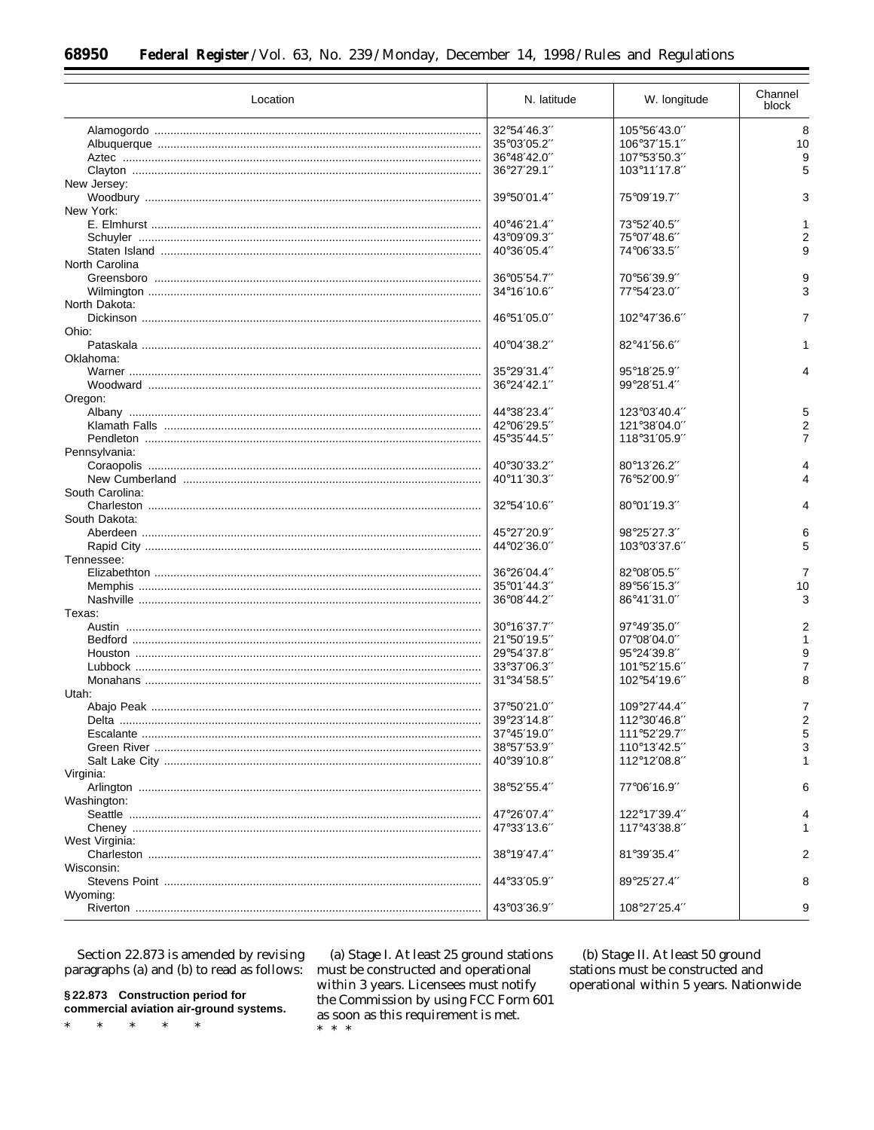| Location        | N. latitude           | W. longitude | Channel<br>block |
|-----------------|-----------------------|--------------|------------------|
|                 | 32°54'46.3"           | 105°56'43.0" | 8                |
|                 | $35^{\circ}03'05.2''$ | 106°37'15.1" | 10               |
|                 | 36°48'42.0"           | 107°53'50.3" | 9                |
|                 | 36°27'29.1"           | 103°11'17.8" | 5                |
| New Jersey:     |                       |              |                  |
|                 | 39°50'01.4"           | 75°09'19.7"  | 3                |
| New York:       |                       |              |                  |
|                 | 40°46'21.4"           | 73°52'40.5"  |                  |
|                 | 43°09'09.3"           | 75°07'48.6"  | 2                |
|                 | 40°36'05.4"           | 74°06'33.5"  | 9                |
| North Carolina  |                       |              |                  |
|                 | 36°05'54.7"           | 70°56'39.9"  | 9                |
|                 | 34°16'10.6"           | 77°54'23.0"  | 3                |
|                 |                       |              |                  |
| North Dakota:   |                       |              |                  |
|                 | 46°51′05.0″           | 102°47'36.6" | 7                |
| Ohio:           |                       |              |                  |
|                 | 40°04'38.2"           | 82°41'56.6"  |                  |
| Oklahoma:       |                       |              |                  |
|                 | 35°29'31.4"           | 95°18'25.9"  | 4                |
|                 | 36°24'42.1"           | 99°28'51.4"  |                  |
| Oregon:         |                       |              |                  |
|                 | 44°38'23.4"           | 123°03'40.4" | 5                |
|                 | 42°06'29.5"           | 121°38'04.0" | 2                |
|                 | 45°35'44.5"           | 118°31'05.9" | 7                |
| Pennsylvania:   |                       |              |                  |
|                 | 40°30'33.2"           | 80°13'26.2"  |                  |
|                 | 40°11'30.3"           | 76°52'00.9"  | 4                |
| South Carolina: |                       |              |                  |
|                 | 32°54'10.6"           | 80°01'19.3"  | 4                |
| South Dakota:   |                       |              |                  |
|                 | 45°27'20.9"           | 98°25'27.3"  | 6                |
|                 | 44°02'36.0"           | 103°03'37.6" | 5                |
| Tennessee:      |                       |              |                  |
|                 | 36°26′04.4″           | 82°08'05.5"  | 7                |
|                 | 35°01'44.3"           | 89°56'15.3"  | 10               |
|                 | 36°08′44.2″           | 86°41'31.0"  | 3                |
| Texas:          |                       |              |                  |
|                 | 30°16'37.7"           | 97°49'35.0"  | $\overline{2}$   |
|                 | 21°50'19.5"           | 07°08'04.0"  |                  |
|                 | 29°54′37.8″           | 95°24'39.8"  | 9                |
|                 | 33°37′06.3″           | 101°52'15.6" | 7                |
|                 | 31°34'58.5"           | 102°54'19.6" | 8                |
| Utah:           |                       |              |                  |
|                 | 37°50'21.0"           | 109°27'44.4" | 7                |
|                 |                       |              | 2                |
| Deltal          | 39°23'14.8"           | 112°30'46.8" |                  |
|                 | $37^{\circ}45'19.0''$ | 111°52'29.7" | 5                |
|                 | 38°57'53.9"           | 110°13'42.5" | 3                |
|                 | 40°39'10.8"           | 112°12'08.8" | 1                |
| Virginia:       |                       |              |                  |
|                 | 38°52'55.4"           | 77°06'16.9"  | 6                |
| Washington:     |                       |              |                  |
|                 | 47°26'07.4"           | 122°17'39.4" | 4                |
|                 | 47°33'13.6"           | 117°43′38.8″ | 1                |
| West Virginia:  |                       |              |                  |
|                 | 38°19'47.4"           | 81°39'35.4"  | 2                |
| Wisconsin:      |                       |              |                  |
|                 | 44°33'05.9"           | 89°25'27.4"  | 8                |
| Wyoming:        |                       |              |                  |
|                 | 43°03′36.9″           | 108°27'25.4" | 9                |

Section 22.873 is amended by revising paragraphs (a) and (b) to read as follows:

 $\ast$ 

§ 22.873 Construction period for commercial aviation air-ground systems.  $\ast$ 

 $\ast$ 

 $\ast$ 

 $\ast$ 

must be constructed and operational within 3 years. Licensees must notify the Commission by using FCC Form 601 as soon as this requirement is met.  $* * *$ 

(a) Stage I. At least 25 ground stations

(b) Stage II. At least 50 ground stations must be constructed and operational within 5 years. Nationwide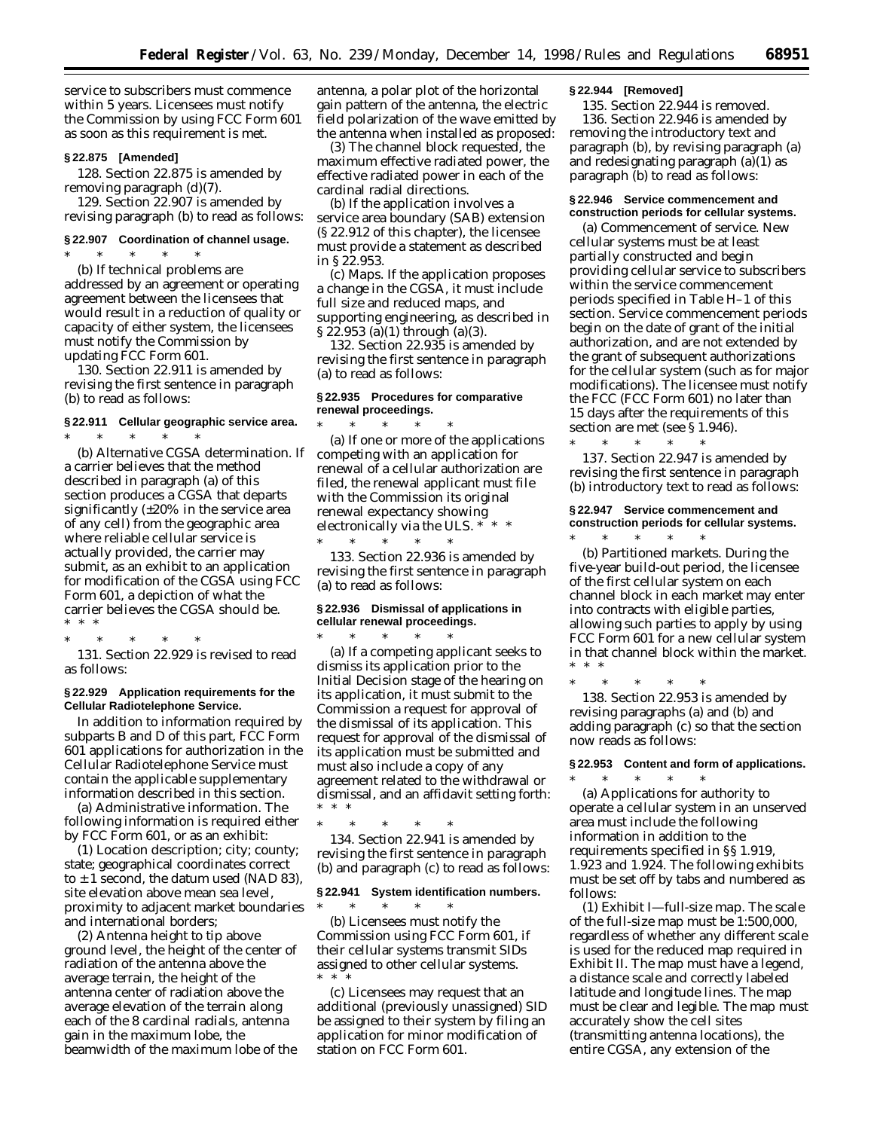service to subscribers must commence within 5 years. Licensees must notify the Commission by using FCC Form 601 as soon as this requirement is met.

#### **§ 22.875 [Amended]**

128. Section 22.875 is amended by removing paragraph (d)(7).

129. Section 22.907 is amended by revising paragraph (b) to read as follows:

#### **§ 22.907 Coordination of channel usage.**

\* \* \* \* \* (b) If technical problems are addressed by an agreement or operating agreement between the licensees that would result in a reduction of quality or capacity of either system, the licensees must notify the Commission by updating FCC Form 601.

130. Section 22.911 is amended by revising the first sentence in paragraph (b) to read as follows:

# **§ 22.911 Cellular geographic service area.**

\* \* \* \* \* (b) *Alternative CGSA determination*. If a carrier believes that the method described in paragraph (a) of this section produces a CGSA that departs significantly (±20% in the service area of any cell) from the geographic area where reliable cellular service is actually provided, the carrier may submit, as an exhibit to an application for modification of the CGSA using FCC Form 601, a depiction of what the carrier believes the CGSA should be. \* \* \*

\* \* \* \* \* 131. Section 22.929 is revised to read as follows:

#### **§ 22.929 Application requirements for the Cellular Radiotelephone Service.**

In addition to information required by subparts B and D of this part, FCC Form 601 applications for authorization in the Cellular Radiotelephone Service must contain the applicable supplementary information described in this section.

(a) *Administrative information*. The following information is required either by FCC Form 601, or as an exhibit:

(1) Location description; city; county; state; geographical coordinates correct to  $\pm$  1 second, the datum used (NAD 83), site elevation above mean sea level, proximity to adjacent market boundaries and international borders;

(2) Antenna height to tip above ground level, the height of the center of radiation of the antenna above the average terrain, the height of the antenna center of radiation above the average elevation of the terrain along each of the 8 cardinal radials, antenna gain in the maximum lobe, the beamwidth of the maximum lobe of the

antenna, a polar plot of the horizontal gain pattern of the antenna, the electric field polarization of the wave emitted by the antenna when installed as proposed:

(3) The channel block requested, the maximum effective radiated power, the effective radiated power in each of the cardinal radial directions.

(b) If the application involves a service area boundary (SAB) extension (§ 22.912 of this chapter), the licensee must provide a statement as described in § 22.953.

(c) *Maps*. If the application proposes a change in the CGSA, it must include full size and reduced maps, and supporting engineering, as described in § 22.953 (a)(1) through (a)(3).

132. Section 22.935 is amended by revising the first sentence in paragraph (a) to read as follows:

### **§ 22.935 Procedures for comparative renewal proceedings.**

\* \* \* \* \* (a) If one or more of the applications competing with an application for renewal of a cellular authorization are filed, the renewal applicant must file with the Commission its original WITH THE COMMISSION SHOWING electronically via the ULS. \* \* \* \* \* \*

133. Section 22.936 is amended by revising the first sentence in paragraph (a) to read as follows:

#### **§ 22.936 Dismissal of applications in cellular renewal proceedings.** \* \* \* \* \*

(a) If a competing applicant seeks to dismiss its application prior to the Initial Decision stage of the hearing on its application, it must submit to the Commission a request for approval of the dismissal of its application. This request for approval of the dismissal of its application must be submitted and must also include a copy of any agreement related to the withdrawal or dismissal, and an affidavit setting forth: \* \* \*

134. Section 22.941 is amended by revising the first sentence in paragraph (b) and paragraph (c) to read as follows:

\* \* \* \* \*

## **§ 22.941 System identification numbers.** \* \* \* \* \*

(b) Licensees must notify the Commission using FCC Form 601, if their cellular systems transmit SIDs assigned to other cellular systems. \* \* \*

(c) Licensees may request that an additional (previously unassigned) SID be assigned to their system by filing an application for minor modification of station on FCC Form 601.

### **§ 22.944 [Removed]**

135. Section 22.944 is removed. 136. Section 22.946 is amended by removing the introductory text and paragraph (b), by revising paragraph (a) and redesignating paragraph (a)(1) as paragraph (b) to read as follows:

#### **§ 22.946 Service commencement and construction periods for cellular systems.**

(a) *Commencement of service*. New cellular systems must be at least partially constructed and begin providing cellular service to subscribers within the service commencement periods specified in Table H–1 of this section. Service commencement periods begin on the date of grant of the initial authorization, and are not extended by the grant of subsequent authorizations for the cellular system (such as for major modifications). The licensee must notify the FCC (FCC Form 601) no later than 15 days after the requirements of this section are met (*see* § 1.946).

137. Section 22.947 is amended by revising the first sentence in paragraph (b) introductory text to read as follows:

\* \* \* \* \*

\* \* \* \* \*

### **§ 22.947 Service commencement and construction periods for cellular systems.**

(b) *Partitioned markets*. During the five-year build-out period, the licensee of the first cellular system on each channel block in each market may enter into contracts with eligible parties, allowing such parties to apply by using FCC Form 601 for a new cellular system in that channel block within the market. \* \* \*

\* \* \* \* \* 138. Section 22.953 is amended by revising paragraphs (a) and (b) and adding paragraph (c) so that the section now reads as follows:

### **§ 22.953 Content and form of applications.** \* \* \* \* \*

(a) Applications for authority to operate a cellular system in an unserved area must include the following information in addition to the requirements specified in §§ 1.919, 1.923 and 1.924. The following exhibits must be set off by tabs and numbered as follows:

(1) *Exhibit I—full-size map*. The scale of the full-size map must be 1:500,000, regardless of whether any different scale is used for the reduced map required in Exhibit II. The map must have a legend, a distance scale and correctly labeled latitude and longitude lines. The map must be clear and legible. The map must accurately show the cell sites (transmitting antenna locations), the entire CGSA, any extension of the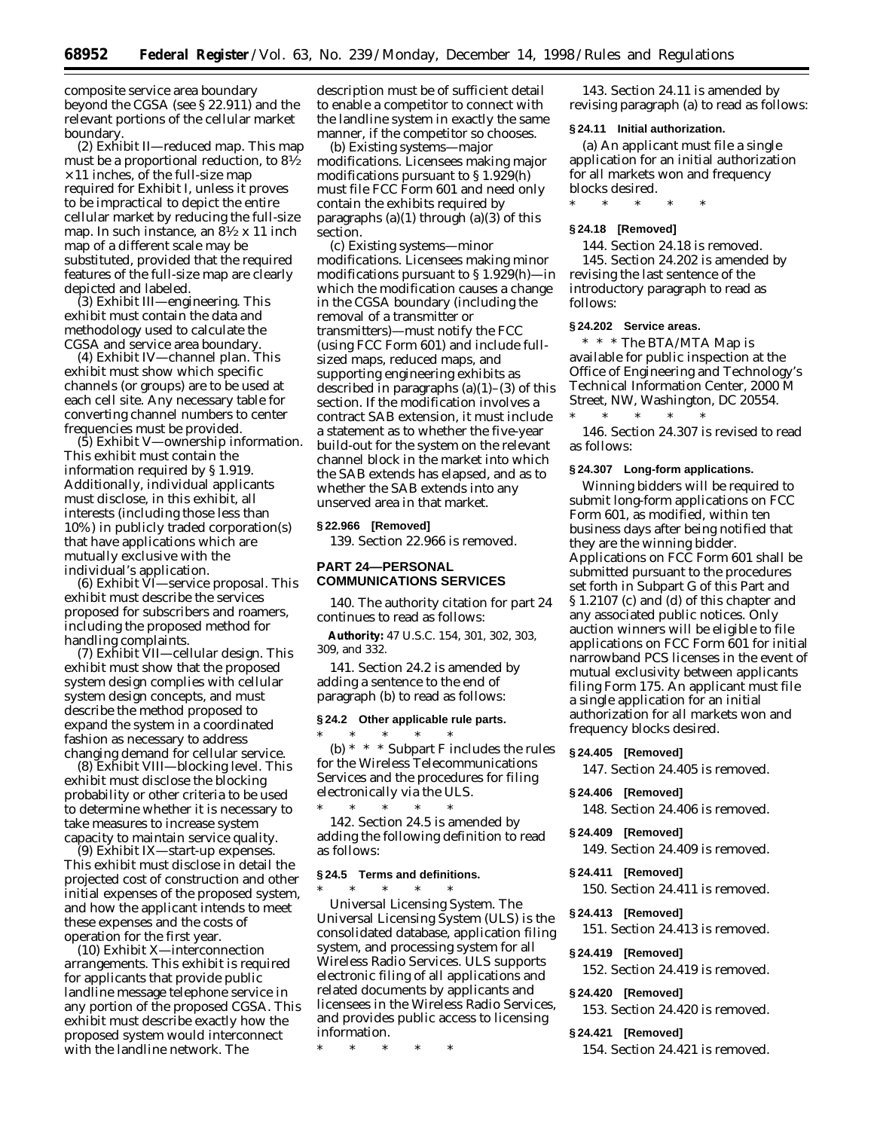composite service area boundary beyond the CGSA (*see* § 22.911) and the relevant portions of the cellular market boundary.

(2) *Exhibit II—reduced map*. This map must be a proportional reduction, to  $8\frac{1}{2}$  $\times$  11 inches, of the full-size map required for Exhibit I, unless it proves to be impractical to depict the entire cellular market by reducing the full-size map. In such instance, an 81⁄2 x 11 inch map of a different scale may be substituted, provided that the required features of the full-size map are clearly depicted and labeled.

(3) *Exhibit III—engineering*. This exhibit must contain the data and methodology used to calculate the CGSA and service area boundary.

(4) *Exhibit IV—channel plan*. This exhibit must show which specific channels (or groups) are to be used at each cell site. Any necessary table for converting channel numbers to center frequencies must be provided.

(5) *Exhibit V—ownership information*. This exhibit must contain the information required by § 1.919. Additionally, individual applicants must disclose, in this exhibit, all interests (including those less than 10%) in publicly traded corporation(s) that have applications which are mutually exclusive with the individual's application.

(6) *Exhibit VI—service proposal*. This exhibit must describe the services proposed for subscribers and roamers, including the proposed method for handling complaints.

(7) *Exhibit VII—cellular design*. This exhibit must show that the proposed system design complies with cellular system design concepts, and must describe the method proposed to expand the system in a coordinated fashion as necessary to address changing demand for cellular service.

(8) *Exhibit VIII—blocking level*. This exhibit must disclose the blocking probability or other criteria to be used to determine whether it is necessary to take measures to increase system capacity to maintain service quality.

(9) *Exhibit IX—start-up expenses*. This exhibit must disclose in detail the projected cost of construction and other initial expenses of the proposed system, and how the applicant intends to meet these expenses and the costs of operation for the first year.

(10) *Exhibit X—interconnection arrangements*. This exhibit is required for applicants that provide public landline message telephone service in any portion of the proposed CGSA. This exhibit must describe exactly how the proposed system would interconnect with the landline network. The

description must be of sufficient detail to enable a competitor to connect with the landline system in exactly the same manner, if the competitor so chooses.

(b) *Existing systems—major modifications*. Licensees making major modifications pursuant to § 1.929(h) must file FCC Form 601 and need only contain the exhibits required by paragraphs  $(a)(1)$  through  $(a)(3)$  of this section.

(c) *Existing systems—minor modifications*. Licensees making minor modifications pursuant to § 1.929(h)—in which the modification causes a change in the CGSA boundary (including the removal of a transmitter or transmitters)—must notify the FCC (using FCC Form 601) and include fullsized maps, reduced maps, and supporting engineering exhibits as described in paragraphs  $(a)(1)$ – $(3)$  of this section. If the modification involves a contract SAB extension, it must include a statement as to whether the five-year build-out for the system on the relevant channel block in the market into which the SAB extends has elapsed, and as to whether the SAB extends into any unserved area in that market.

#### **§ 22.966 [Removed]**

139. Section 22.966 is removed.

### **PART 24—PERSONAL COMMUNICATIONS SERVICES**

140. The authority citation for part 24 continues to read as follows:

**Authority:** 47 U.S.C. 154, 301, 302, 303, 309, and 332.

141. Section 24.2 is amended by adding a sentence to the end of paragraph (b) to read as follows:

### **§ 24.2 Other applicable rule parts.**

 $*$  \* \* (b)  $*$   $*$   $*$  Subpart F includes the rules for the Wireless Telecommunications Services and the procedures for filing electronically via the ULS.

\* \* \* \* \* 142. Section 24.5 is amended by adding the following definition to read as follows:

#### **§ 24.5 Terms and definitions.**

\* \* \* \* \* *Universal Licensing System*. The Universal Licensing System (ULS) is the consolidated database, application filing system, and processing system for all Wireless Radio Services. ULS supports electronic filing of all applications and related documents by applicants and licensees in the Wireless Radio Services, and provides public access to licensing information.

\* \* \* \* \*

143. Section 24.11 is amended by revising paragraph (a) to read as follows:

#### **§ 24.11 Initial authorization.**

(a) An applicant must file a single application for an initial authorization for all markets won and frequency blocks desired.

\* \* \* \* \*

### **§ 24.18 [Removed]**

144. Section 24.18 is removed. 145. Section 24.202 is amended by revising the last sentence of the introductory paragraph to read as follows:

### **§ 24.202 Service areas.**

\* \* \* The BTA/MTA Map is available for public inspection at the Office of Engineering and Technology's Technical Information Center, 2000 M Street, NW, Washington, DC 20554.

\* \* \* \* \* 146. Section 24.307 is revised to read as follows:

### **§ 24.307 Long-form applications.**

Winning bidders will be required to submit long-form applications on FCC Form 601, as modified, within ten business days after being notified that they are the winning bidder. Applications on FCC Form 601 shall be submitted pursuant to the procedures set forth in Subpart G of this Part and § 1.2107 (c) and (d) of this chapter and any associated public notices. Only auction winners will be eligible to file applications on FCC Form 601 for initial narrowband PCS licenses in the event of mutual exclusivity between applicants filing Form 175. An applicant must file a single application for an initial authorization for all markets won and frequency blocks desired.

### **§ 24.405 [Removed]**

147. Section 24.405 is removed.

#### **§ 24.406 [Removed]**

148. Section 24.406 is removed.

#### **§ 24.409 [Removed]**

149. Section 24.409 is removed.

### **§ 24.411 [Removed]**

150. Section 24.411 is removed.

#### **§ 24.413 [Removed]**

151. Section 24.413 is removed.

#### **§ 24.419 [Removed]**

152. Section 24.419 is removed.

#### **§ 24.420 [Removed]**

153. Section 24.420 is removed.

### **§ 24.421 [Removed]**

154. Section 24.421 is removed.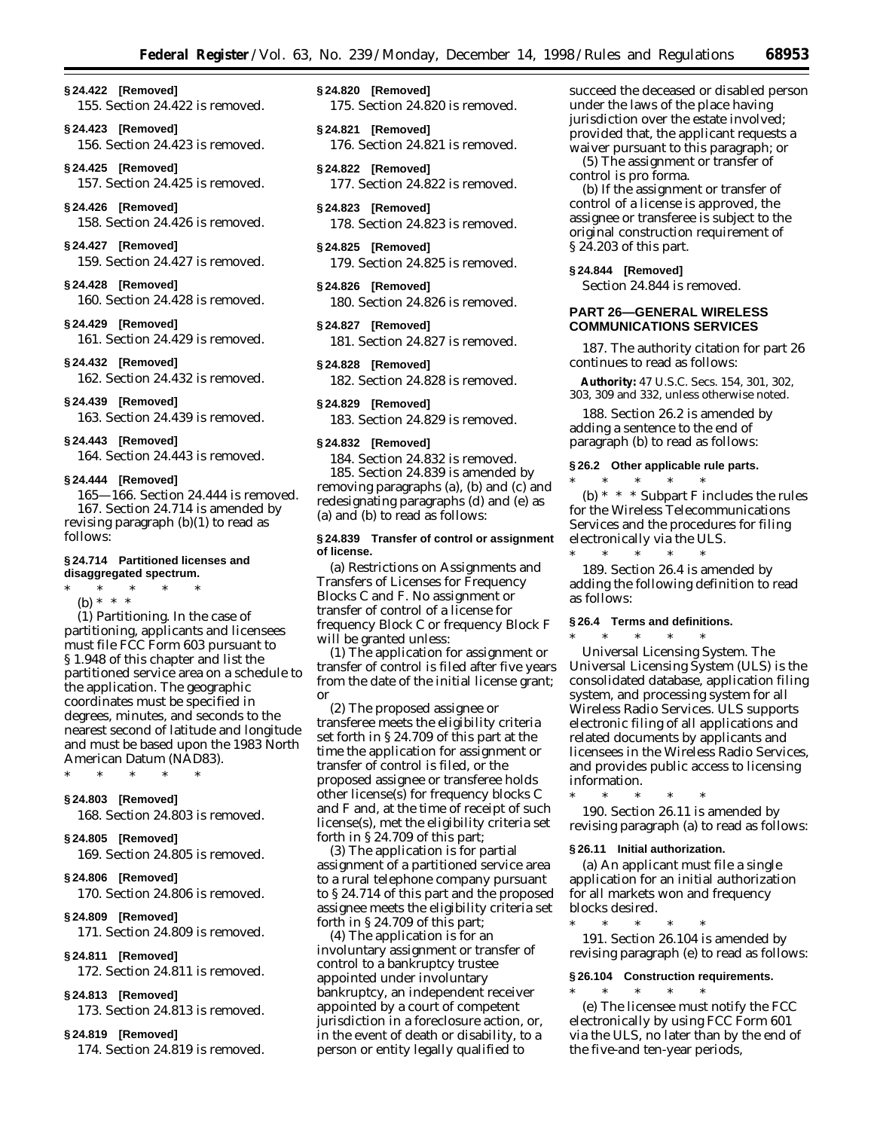**§ 24.422 [Removed]** 155. Section 24.422 is removed.

**§ 24.423 [Removed]** 156. Section 24.423 is removed.

**§ 24.425 [Removed]** 157. Section 24.425 is removed.

**§ 24.426 [Removed]** 158. Section 24.426 is removed.

**§ 24.427 [Removed]** 159. Section 24.427 is removed.

**§ 24.428 [Removed]** 160. Section 24.428 is removed.

**§ 24.429 [Removed]** 161. Section 24.429 is removed.

**§ 24.432 [Removed]** 162. Section 24.432 is removed.

**§ 24.439 [Removed]** 163. Section 24.439 is removed.

### **§ 24.443 [Removed]**

164. Section 24.443 is removed.

### **§ 24.444 [Removed]**

165—166. Section 24.444 is removed. 167. Section 24.714 is amended by revising paragraph (b)(1) to read as follows:

### **§ 24.714 Partitioned licenses and disaggregated spectrum.**

\* \* \* \* \* (b) \* \* \*

(1) *Partitioning.* In the case of partitioning, applicants and licensees must file FCC Form 603 pursuant to § 1.948 of this chapter and list the partitioned service area on a schedule to the application. The geographic coordinates must be specified in degrees, minutes, and seconds to the nearest second of latitude and longitude and must be based upon the 1983 North American Datum (NAD83).

\* \* \* \* \*

**§ 24.803 [Removed]** 168. Section 24.803 is removed.

**§ 24.805 [Removed]**

169. Section 24.805 is removed.

**§ 24.806 [Removed]** 170. Section 24.806 is removed.

**§ 24.809 [Removed]**

171. Section 24.809 is removed.

**§ 24.811 [Removed]**

172. Section 24.811 is removed.

**§ 24.813 [Removed]**

173. Section 24.813 is removed.

### **§ 24.819 [Removed]**

174. Section 24.819 is removed.

**§ 24.820 [Removed]** 175. Section 24.820 is removed.

**§ 24.821 [Removed]** 176. Section 24.821 is removed.

**§ 24.822 [Removed]** 177. Section 24.822 is removed.

**§ 24.823 [Removed]** 178. Section 24.823 is removed.

**§ 24.825 [Removed]** 179. Section 24.825 is removed.

**§ 24.826 [Removed]** 180. Section 24.826 is removed.

**§ 24.827 [Removed]** 181. Section 24.827 is removed.

**§ 24.828 [Removed]** 182. Section 24.828 is removed.

**§ 24.829 [Removed]** 183. Section 24.829 is removed.

#### **§ 24.832 [Removed]**

184. Section 24.832 is removed. 185. Section 24.839 is amended by removing paragraphs (a), (b) and (c) and redesignating paragraphs (d) and (e) as (a) and (b) to read as follows:

#### **§ 24.839 Transfer of control or assignment of license.**

(a) Restrictions on Assignments and Transfers of Licenses for Frequency Blocks C and F. No assignment or transfer of control of a license for frequency Block C or frequency Block F will be granted unless:

(1) The application for assignment or transfer of control is filed after five years from the date of the initial license grant; or

(2) The proposed assignee or transferee meets the eligibility criteria set forth in § 24.709 of this part at the time the application for assignment or transfer of control is filed, or the proposed assignee or transferee holds other license(s) for frequency blocks C and F and, at the time of receipt of such license(s), met the eligibility criteria set forth in § 24.709 of this part;

(3) The application is for partial assignment of a partitioned service area to a rural telephone company pursuant to § 24.714 of this part and the proposed assignee meets the eligibility criteria set forth in § 24.709 of this part;

(4) The application is for an involuntary assignment or transfer of control to a bankruptcy trustee appointed under involuntary bankruptcy, an independent receiver appointed by a court of competent jurisdiction in a foreclosure action, or, in the event of death or disability, to a person or entity legally qualified to

succeed the deceased or disabled person under the laws of the place having jurisdiction over the estate involved; provided that, the applicant requests a waiver pursuant to this paragraph; or

(5) The assignment or transfer of control is pro forma.

(b) If the assignment or transfer of control of a license is approved, the assignee or transferee is subject to the original construction requirement of § 24.203 of this part.

#### **§ 24.844 [Removed]**

Section 24.844 is removed.

### **PART 26—GENERAL WIRELESS COMMUNICATIONS SERVICES**

187. The authority citation for part 26 continues to read as follows:

**Authority:** 47 U.S.C. Secs. 154, 301, 302, 303, 309 and 332, unless otherwise noted.

188. Section 26.2 is amended by adding a sentence to the end of paragraph (b) to read as follows:

**§ 26.2 Other applicable rule parts.**

\* \* \* \* \* (b) \* \* \* Subpart F includes the rules for the Wireless Telecommunications Services and the procedures for filing electronically via the ULS.

\* \* \* \* \* 189. Section 26.4 is amended by adding the following definition to read as follows:

### **§ 26.4 Terms and definitions.**

 $\ast$   $\qquad$   $\ast$   $\qquad$   $\ast$ 

*Universal Licensing System.* The Universal Licensing System (ULS) is the consolidated database, application filing system, and processing system for all Wireless Radio Services. ULS supports electronic filing of all applications and related documents by applicants and licensees in the Wireless Radio Services, and provides public access to licensing information.

\* \* \* \* \* 190. Section 26.11 is amended by revising paragraph (a) to read as follows:

#### **§ 26.11 Initial authorization.**

(a) An applicant must file a single application for an initial authorization for all markets won and frequency blocks desired.

\* \* \* \* \* 191. Section 26.104 is amended by revising paragraph (e) to read as follows:

### **§ 26.104 Construction requirements.**

\* \* \* \* \*

(e) The licensee must notify the FCC electronically by using FCC Form 601 via the ULS, no later than by the end of the five-and ten-year periods,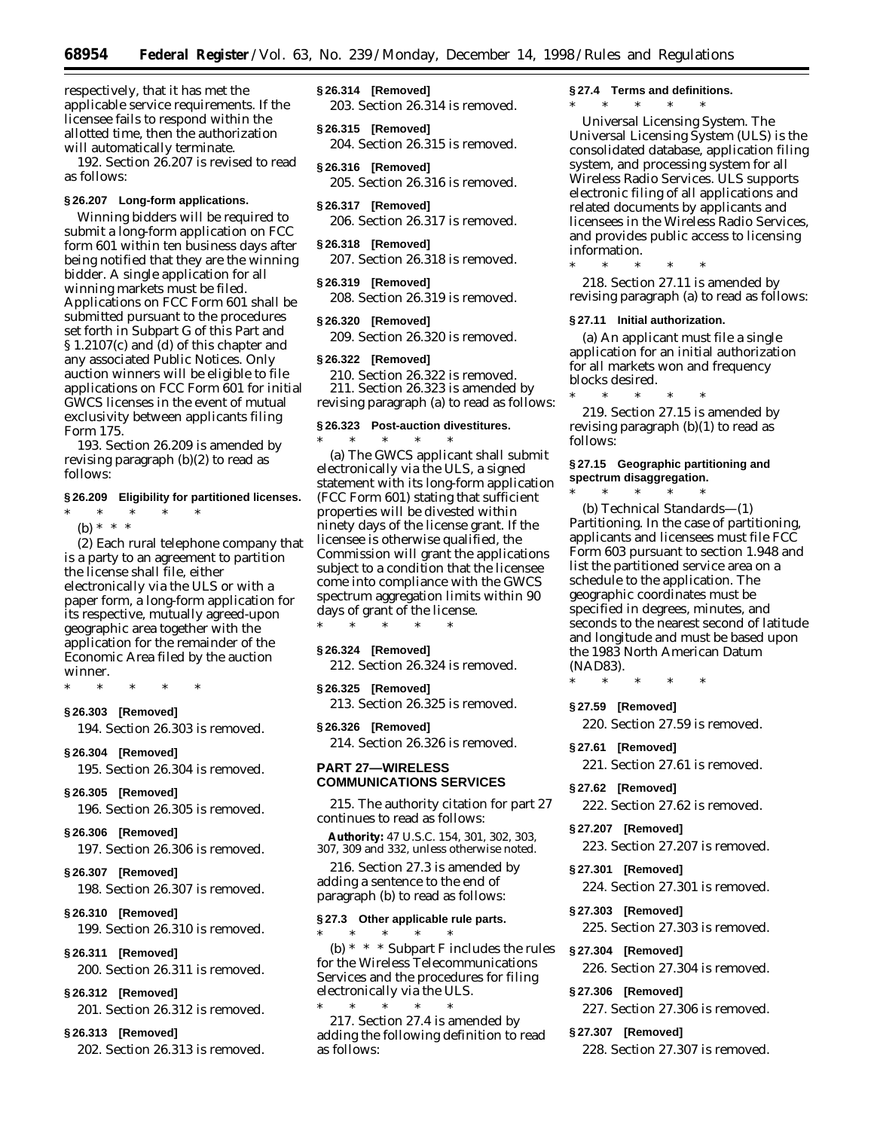respectively, that it has met the applicable service requirements. If the licensee fails to respond within the allotted time, then the authorization will automatically terminate.

192. Section 26.207 is revised to read as follows:

#### **§ 26.207 Long-form applications.**

Winning bidders will be required to submit a long-form application on FCC form 601 within ten business days after being notified that they are the winning bidder. A single application for all winning markets must be filed. Applications on FCC Form 601 shall be submitted pursuant to the procedures set forth in Subpart G of this Part and § 1.2107(c) and (d) of this chapter and any associated Public Notices. Only auction winners will be eligible to file applications on FCC Form 601 for initial GWCS licenses in the event of mutual exclusivity between applicants filing Form 175.

193. Section 26.209 is amended by revising paragraph (b)(2) to read as follows:

#### **§ 26.209 Eligibility for partitioned licenses.**

\* \* \* \* \*

(b) \* \* \*

(2) Each rural telephone company that is a party to an agreement to partition the license shall file, either electronically via the ULS or with a paper form, a long-form application for its respective, mutually agreed-upon geographic area together with the application for the remainder of the Economic Area filed by the auction winner.

\* \* \* \* \*

### **§ 26.303 [Removed]**

194. Section 26.303 is removed.

# **§ 26.304 [Removed]**

195. Section 26.304 is removed.

#### **§ 26.305 [Removed]**

196. Section 26.305 is removed.

#### **§ 26.306 [Removed]**

197. Section 26.306 is removed.

#### **§ 26.307 [Removed]**

198. Section 26.307 is removed.

#### **§ 26.310 [Removed]**

199. Section 26.310 is removed.

#### **§ 26.311 [Removed]**

200. Section 26.311 is removed.

#### **§ 26.312 [Removed]**

201. Section 26.312 is removed.

### **§ 26.313 [Removed]**

202. Section 26.313 is removed.

**§ 26.314 [Removed]** 203. Section 26.314 is removed.

**§ 26.315 [Removed]**

204. Section 26.315 is removed.

**§ 26.316 [Removed]** 205. Section 26.316 is removed.

**§ 26.317 [Removed]** 206. Section 26.317 is removed.

**§ 26.318 [Removed]** 207. Section 26.318 is removed.

**§ 26.319 [Removed]** 208. Section 26.319 is removed.

#### **§ 26.320 [Removed]**

209. Section 26.320 is removed.

#### **§ 26.322 [Removed]**

210. Section 26.322 is removed. 211. Section 26.323 is amended by revising paragraph (a) to read as follows:

### **§ 26.323 Post-auction divestitures.**

\* \* \* \* \* (a) The GWCS applicant shall submit electronically via the ULS, a signed statement with its long-form application (FCC Form 601) stating that sufficient properties will be divested within ninety days of the license grant. If the licensee is otherwise qualified, the Commission will grant the applications subject to a condition that the licensee come into compliance with the GWCS spectrum aggregation limits within 90 days of grant of the license.

#### **§ 26.324 [Removed]**

212. Section 26.324 is removed.

# **§ 26.325 [Removed]**

\* \* \* \* \*

213. Section 26.325 is removed.

### **§ 26.326 [Removed]**

214. Section 26.326 is removed.

### **PART 27—WIRELESS COMMUNICATIONS SERVICES**

215. The authority citation for part 27 continues to read as follows:

**Authority:** 47 U.S.C. 154, 301, 302, 303, 307, 309 and 332, unless otherwise noted.

216. Section 27.3 is amended by adding a sentence to the end of paragraph (b) to read as follows:

#### **§ 27.3 Other applicable rule parts.**

\* \* \* \* \* (b) \* \* \* Subpart F includes the rules for the Wireless Telecommunications Services and the procedures for filing electronically via the ULS.

\* \* \* \* \* 217. Section 27.4 is amended by adding the following definition to read as follows:

### **§ 27.4 Terms and definitions.**

 $*$  \*

*Universal Licensing System.* The Universal Licensing System (ULS) is the consolidated database, application filing system, and processing system for all Wireless Radio Services. ULS supports electronic filing of all applications and related documents by applicants and licensees in the Wireless Radio Services, and provides public access to licensing information.

\* \* \* \* \* 218. Section 27.11 is amended by revising paragraph (a) to read as follows:

#### **§ 27.11 Initial authorization.**

(a) An applicant must file a single application for an initial authorization for all markets won and frequency blocks desired.

\* \* \* \* \* 219. Section 27.15 is amended by revising paragraph (b)(1) to read as follows:

### **§ 27.15 Geographic partitioning and spectrum disaggregation.**

\* \* \* \* \*

(b) *Technical Standards*—(1) *Partitioning.* In the case of partitioning, applicants and licensees must file FCC Form 603 pursuant to section 1.948 and list the partitioned service area on a schedule to the application. The geographic coordinates must be specified in degrees, minutes, and seconds to the nearest second of latitude and longitude and must be based upon the 1983 North American Datum (NAD83).

\* \* \* \* \*

### **§ 27.59 [Removed]** 220. Section 27.59 is removed.

**§ 27.61 [Removed]**

### 221. Section 27.61 is removed.

#### **§ 27.62 [Removed]**

222. Section 27.62 is removed.

#### **§ 27.207 [Removed]**

223. Section 27.207 is removed.

### **§ 27.301 [Removed]**

224. Section 27.301 is removed.

# **§ 27.303 [Removed]**

225. Section 27.303 is removed.

#### **§ 27.304 [Removed]**

226. Section 27.304 is removed.

#### **§ 27.306 [Removed]**

227. Section 27.306 is removed.

#### **§ 27.307 [Removed]**

228. Section 27.307 is removed.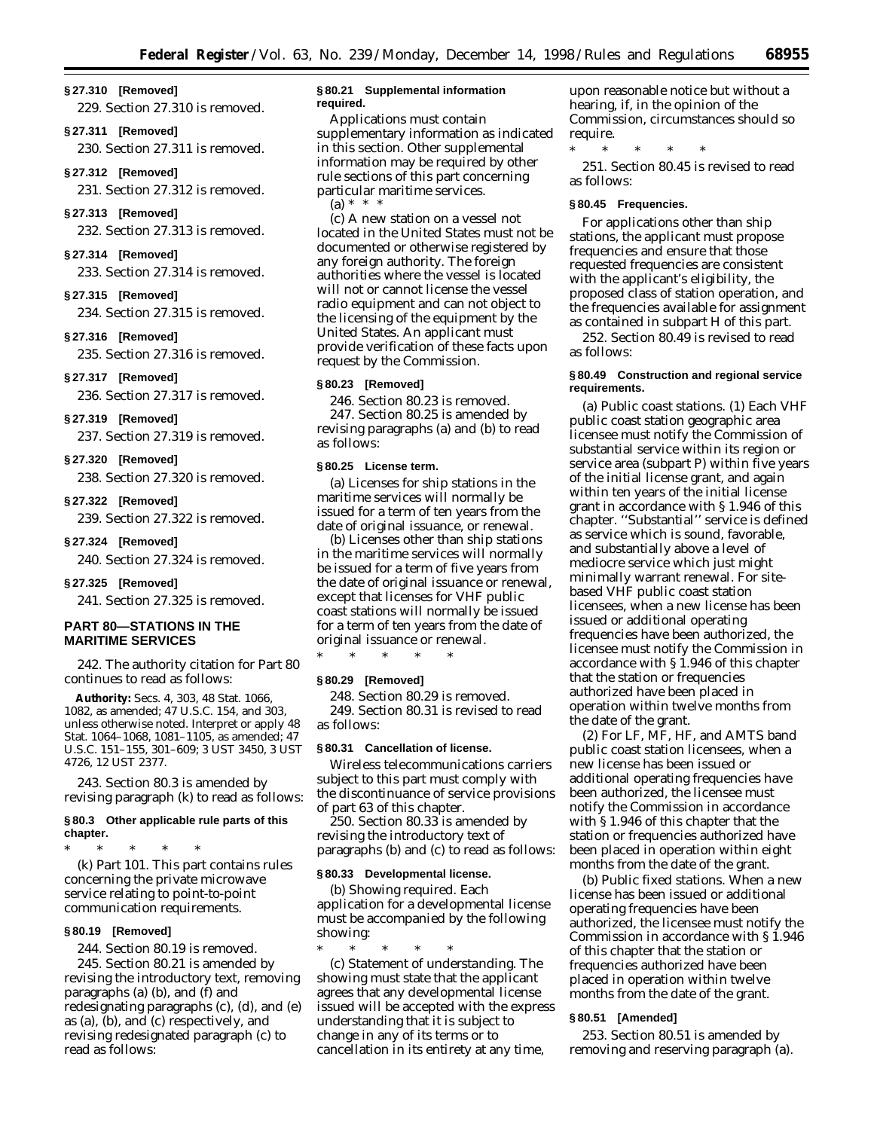#### **§ 27.310 [Removed]**

229. Section 27.310 is removed.

### **§ 27.311 [Removed]**

230. Section 27.311 is removed.

### **§ 27.312 [Removed]**

231. Section 27.312 is removed.

#### **§ 27.313 [Removed]**

232. Section 27.313 is removed.

#### **§ 27.314 [Removed]**

233. Section 27.314 is removed.

#### **§ 27.315 [Removed]**

234. Section 27.315 is removed.

#### **§ 27.316 [Removed]**

235. Section 27.316 is removed.

### **§ 27.317 [Removed]**

236. Section 27.317 is removed.

### **§ 27.319 [Removed]**

237. Section 27.319 is removed.

#### **§ 27.320 [Removed]**

238. Section 27.320 is removed.

#### **§ 27.322 [Removed]**

239. Section 27.322 is removed.

### **§ 27.324 [Removed]** 240. Section 27.324 is removed.

#### **§ 27.325 [Removed]**

241. Section 27.325 is removed.

### **PART 80—STATIONS IN THE MARITIME SERVICES**

242. The authority citation for Part 80 continues to read as follows:

**Authority:** Secs. 4, 303, 48 Stat. 1066, 1082, as amended; 47 U.S.C. 154, and 303, unless otherwise noted. Interpret or apply 48 Stat. 1064–1068, 1081–1105, as amended; 47 U.S.C. 151–155, 301–609; 3 UST 3450, 3 UST 4726, 12 UST 2377.

243. Section 80.3 is amended by revising paragraph (k) to read as follows:

#### **§ 80.3 Other applicable rule parts of this chapter.**

\* \* \* \* \* (k) *Part 101.* This part contains rules concerning the private microwave service relating to point-to-point communication requirements.

### **§ 80.19 [Removed]**

244. Section 80.19 is removed. 245. Section 80.21 is amended by revising the introductory text, removing paragraphs (a) (b), and (f) and redesignating paragraphs (c), (d), and (e) as (a), (b), and (c) respectively, and revising redesignated paragraph (c) to read as follows:

#### **§ 80.21 Supplemental information required.**

Applications must contain supplementary information as indicated in this section. Other supplemental information may be required by other rule sections of this part concerning particular maritime services.  $(a) * *$ 

(c) A new station on a vessel not located in the United States must not be documented or otherwise registered by any foreign authority. The foreign authorities where the vessel is located will not or cannot license the vessel radio equipment and can not object to the licensing of the equipment by the United States. An applicant must provide verification of these facts upon request by the Commission.

### **§ 80.23 [Removed]**

246. Section 80.23 is removed. 247. Section 80.25 is amended by revising paragraphs (a) and (b) to read as follows:

#### **§ 80.25 License term.**

(a) Licenses for ship stations in the maritime services will normally be issued for a term of ten years from the date of original issuance, or renewal.

(b) Licenses other than ship stations in the maritime services will normally be issued for a term of five years from the date of original issuance or renewal, except that licenses for VHF public coast stations will normally be issued for a term of ten years from the date of original issuance or renewal.

### **§ 80.29 [Removed]**

\* \* \* \* \*

248. Section 80.29 is removed. 249. Section 80.31 is revised to read as follows:

#### **§ 80.31 Cancellation of license.**

Wireless telecommunications carriers subject to this part must comply with the discontinuance of service provisions of part 63 of this chapter.

250. Section 80.33 is amended by revising the introductory text of paragraphs (b) and (c) to read as follows:

### **§ 80.33 Developmental license.**

(b) *Showing required.* Each application for a developmental license must be accompanied by the following showing:

\* \* \* \* \* (c) *Statement of understanding.* The showing must state that the applicant agrees that any developmental license issued will be accepted with the express understanding that it is subject to change in any of its terms or to cancellation in its entirety at any time,

upon reasonable notice but without a hearing, if, in the opinion of the Commission, circumstances should so require.

\* \* \* \* \*

251. Section 80.45 is revised to read as follows:

#### **§ 80.45 Frequencies.**

For applications other than ship stations, the applicant must propose frequencies and ensure that those requested frequencies are consistent with the applicant's eligibility, the proposed class of station operation, and the frequencies available for assignment as contained in subpart H of this part.

252. Section 80.49 is revised to read as follows:

#### **§ 80.49 Construction and regional service requirements.**

(a) *Public coast stations.* (1) Each VHF public coast station geographic area licensee must notify the Commission of substantial service within its region or service area (subpart P) within five years of the initial license grant, and again within ten years of the initial license grant in accordance with § 1.946 of this chapter. ''Substantial'' service is defined as service which is sound, favorable, and substantially above a level of mediocre service which just might minimally warrant renewal. For sitebased VHF public coast station licensees, when a new license has been issued or additional operating frequencies have been authorized, the licensee must notify the Commission in accordance with § 1.946 of this chapter that the station or frequencies authorized have been placed in operation within twelve months from the date of the grant.

(2) For LF, MF, HF, and AMTS band public coast station licensees, when a new license has been issued or additional operating frequencies have been authorized, the licensee must notify the Commission in accordance with § 1.946 of this chapter that the station or frequencies authorized have been placed in operation within eight months from the date of the grant.

(b) *Public fixed stations.* When a new license has been issued or additional operating frequencies have been authorized, the licensee must notify the Commission in accordance with § 1.946 of this chapter that the station or frequencies authorized have been placed in operation within twelve months from the date of the grant.

### **§ 80.51 [Amended]**

253. Section 80.51 is amended by removing and reserving paragraph (a).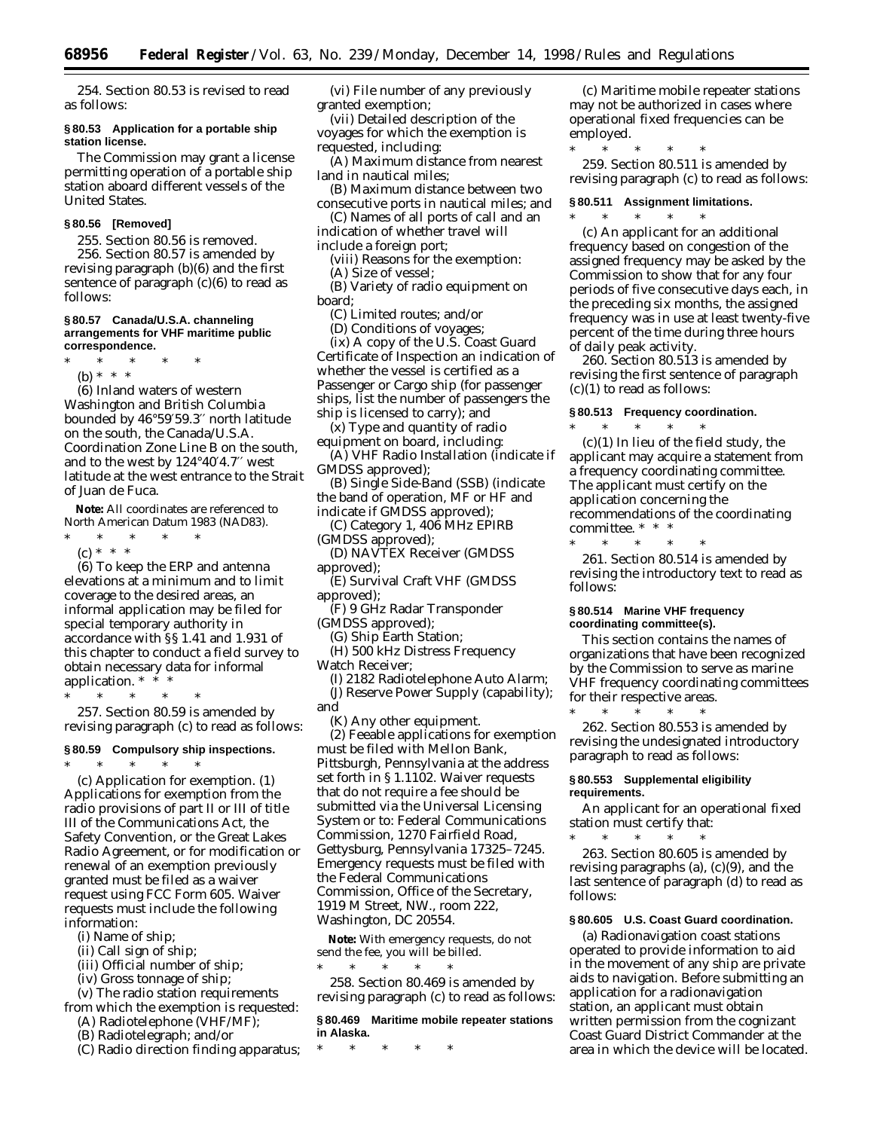254. Section 80.53 is revised to read as follows:

### **§ 80.53 Application for a portable ship station license.**

The Commission may grant a license permitting operation of a portable ship station aboard different vessels of the United States.

#### **§ 80.56 [Removed]**

255. Section 80.56 is removed. 256. Section 80.57 is amended by revising paragraph (b)(6) and the first sentence of paragraph (c)(6) to read as follows:

#### **§ 80.57 Canada/U.S.A. channeling arrangements for VHF maritime public correspondence.**

\* \* \* \* \*

(b) \* \* \*

(6) Inland waters of western Washington and British Columbia bounded by 46°59′59.3′′ north latitude on the south, the Canada/U.S.A. Coordination Zone Line B on the south, and to the west by 124°40′4.7′′ west latitude at the west entrance to the Strait of Juan de Fuca.

**Note:** All coordinates are referenced to North American Datum 1983 (NAD83).

- \* \* \* \* \*
- (c) \* \* \*

(6) To keep the ERP and antenna elevations at a minimum and to limit coverage to the desired areas, an informal application may be filed for special temporary authority in accordance with §§ 1.41 and 1.931 of this chapter to conduct a field survey to obtain necessary data for informal application. \* \* \*

\* \* \* \* \*

257. Section 80.59 is amended by revising paragraph (c) to read as follows:

### **§ 80.59 Compulsory ship inspections.**

\* \* \* \* \* (c) *Application for exemption.* (1) Applications for exemption from the radio provisions of part II or III of title III of the Communications Act, the Safety Convention, or the Great Lakes Radio Agreement, or for modification or renewal of an exemption previously granted must be filed as a waiver request using FCC Form 605. Waiver requests must include the following information:

- (i) Name of ship;
- (ii) Call sign of ship;
- (iii) Official number of ship;
- (iv) Gross tonnage of ship;
- (v) The radio station requirements
- from which the exemption is requested:
	- (A) Radiotelephone (VHF/MF);
	- (B) Radiotelegraph; and/or
	- (C) Radio direction finding apparatus;

(vi) File number of any previously granted exemption;

(vii) Detailed description of the voyages for which the exemption is requested, including:

(A) Maximum distance from nearest land in nautical miles;

(B) Maximum distance between two consecutive ports in nautical miles; and

(C) Names of all ports of call and an

indication of whether travel will

include a foreign port;

(viii) Reasons for the exemption: (A) Size of vessel;

(B) Variety of radio equipment on board;

(C) Limited routes; and/or

(D) Conditions of voyages;

(ix) A copy of the U.S. Coast Guard Certificate of Inspection an indication of whether the vessel is certified as a Passenger or Cargo ship (for passenger ships, list the number of passengers the ship is licensed to carry); and

(x) Type and quantity of radio

equipment on board, including: (A) VHF Radio Installation (indicate if GMDSS approved);

(B) Single Side-Band (SSB) (indicate the band of operation, MF or HF and indicate if GMDSS approved);

(C) Category 1, 406 MHz EPIRB (GMDSS approved);

(D) NAVTEX Receiver (GMDSS approved);

(E) Survival Craft VHF (GMDSS approved);

(F) 9 GHz Radar Transponder

(GMDSS approved);

(G) Ship Earth Station;

(H) 500 kHz Distress Frequency Watch Receiver;

(I) 2182 Radiotelephone Auto Alarm; (J) Reserve Power Supply (capability); and

(K) Any other equipment.

(2) Feeable applications for exemption must be filed with Mellon Bank, Pittsburgh, Pennsylvania at the address set forth in § 1.1102. Waiver requests that do not require a fee should be submitted via the Universal Licensing System or to: Federal Communications Commission, 1270 Fairfield Road, Gettysburg, Pennsylvania 17325–7245. Emergency requests must be filed with the Federal Communications Commission, Office of the Secretary, 1919 M Street, NW., room 222, Washington, DC 20554.

**Note:** With emergency requests, do not send the fee, you will be billed. \* \* \* \* \*

258. Section 80.469 is amended by revising paragraph (c) to read as follows:

#### **§ 80.469 Maritime mobile repeater stations in Alaska.**

\* \* \* \* \*

(c) Maritime mobile repeater stations may not be authorized in cases where operational fixed frequencies can be employed.

\* \* \* \* \* 259. Section 80.511 is amended by revising paragraph (c) to read as follows:

#### **§ 80.511 Assignment limitations.**

\* \* \* \* \*

(c) An applicant for an additional frequency based on congestion of the assigned frequency may be asked by the Commission to show that for any four periods of five consecutive days each, in the preceding six months, the assigned frequency was in use at least twenty-five percent of the time during three hours of daily peak activity.

260. Section 80.513 is amended by revising the first sentence of paragraph (c)(1) to read as follows:

#### **§ 80.513 Frequency coordination.**

\* \* \* \* \*

(c)(1) In lieu of the field study, the applicant may acquire a statement from a frequency coordinating committee. The applicant must certify on the application concerning the recommendations of the coordinating committee. \* \* \*

\* \* \* \* \* 261. Section 80.514 is amended by revising the introductory text to read as follows:

### **§ 80.514 Marine VHF frequency coordinating committee(s).**

This section contains the names of organizations that have been recognized by the Commission to serve as marine VHF frequency coordinating committees for their respective areas.

\* \* \* \* \* 262. Section 80.553 is amended by revising the undesignated introductory paragraph to read as follows:

#### **§ 80.553 Supplemental eligibility requirements.**

An applicant for an operational fixed station must certify that:<br> $*$   $*$   $*$   $*$   $*$ 

\* \* \* \* \* 263. Section 80.605 is amended by revising paragraphs  $(a)$ ,  $(c)(9)$ , and the last sentence of paragraph (d) to read as follows:

#### **§ 80.605 U.S. Coast Guard coordination.**

(a) Radionavigation coast stations operated to provide information to aid in the movement of any ship are private aids to navigation. Before submitting an application for a radionavigation station, an applicant must obtain written permission from the cognizant Coast Guard District Commander at the area in which the device will be located.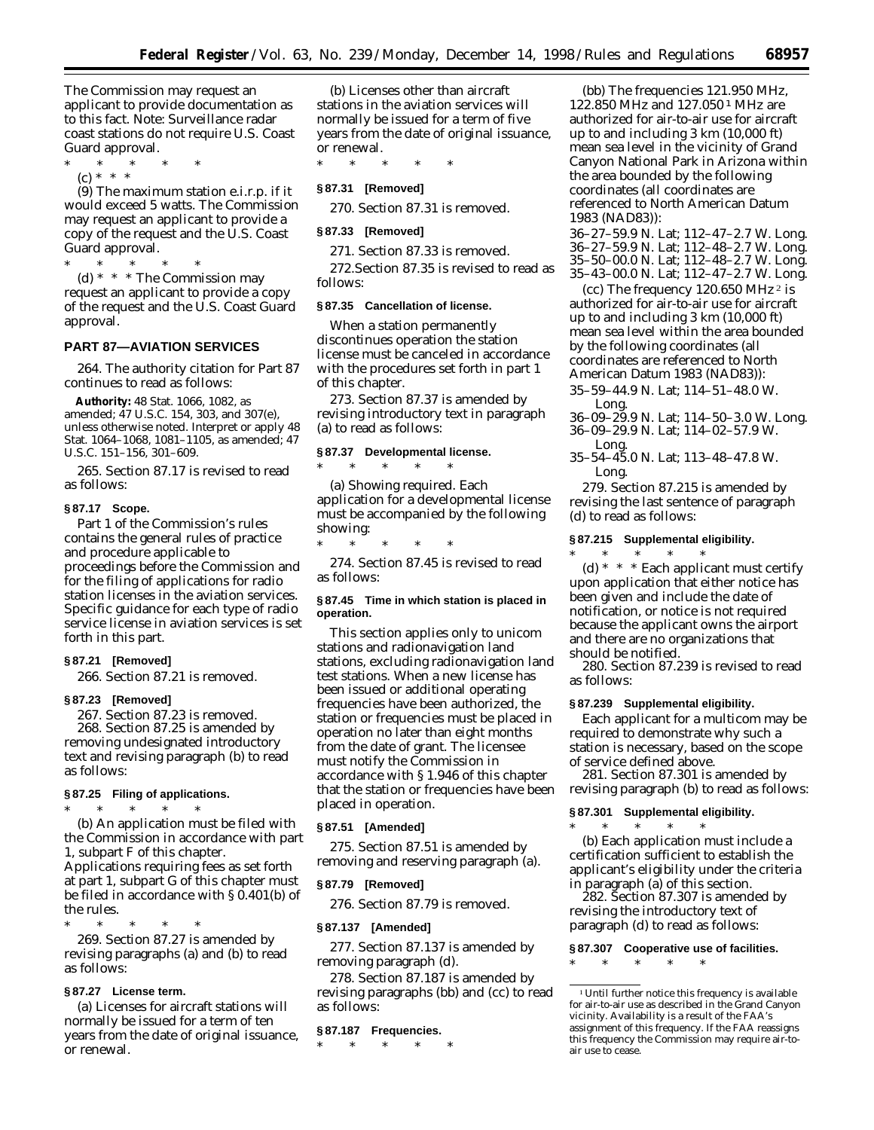The Commission may request an applicant to provide documentation as to this fact. Note: Surveillance radar coast stations do not require U.S. Coast Guard approval.

\* \* \* \* \*

(c) \* \* \*

 $(9)$  The maximum station e.i.r.p. if it would exceed 5 watts. The Commission may request an applicant to provide a copy of the request and the U.S. Coast Guard approval.

\* \* \* \* \* (d) \* \* \* The Commission may request an applicant to provide a copy of the request and the U.S. Coast Guard approval.

### **PART 87—AVIATION SERVICES**

264. The authority citation for Part 87 continues to read as follows:

**Authority:** 48 Stat. 1066, 1082, as amended; 47 U.S.C. 154, 303, and 307(e), unless otherwise noted. Interpret or apply 48 Stat. 1064–1068, 1081–1105, as amended; 47 U.S.C. 151–156, 301–609.

265. Section 87.17 is revised to read as follows:

#### **§ 87.17 Scope.**

Part 1 of the Commission's rules contains the general rules of practice and procedure applicable to proceedings before the Commission and for the filing of applications for radio station licenses in the aviation services. Specific guidance for each type of radio service license in aviation services is set forth in this part.

### **§ 87.21 [Removed]**

266. Section 87.21 is removed.

### **§ 87.23 [Removed]**

267. Section 87.23 is removed. 268. Section 87.25 is amended by removing undesignated introductory text and revising paragraph (b) to read as follows:

#### **§ 87.25 Filing of applications.**

\* \* \* \* \* (b) An application must be filed with the Commission in accordance with part 1, subpart F of this chapter. Applications requiring fees as set forth at part 1, subpart G of this chapter must be filed in accordance with § 0.401(b) of the rules.

\* \* \* \* \* 269. Section 87.27 is amended by revising paragraphs (a) and (b) to read as follows:

### **§ 87.27 License term.**

(a) Licenses for aircraft stations will normally be issued for a term of ten years from the date of original issuance, or renewal.

(b) Licenses other than aircraft stations in the aviation services will normally be issued for a term of five years from the date of original issuance, or renewal.

\* \* \* \* \*

### **§ 87.31 [Removed]**

270. Section 87.31 is removed.

#### **§ 87.33 [Removed]**

271. Section 87.33 is removed. 272.Section 87.35 is revised to read as follows:

#### **§ 87.35 Cancellation of license.**

When a station permanently discontinues operation the station license must be canceled in accordance with the procedures set forth in part 1 of this chapter.

273. Section 87.37 is amended by revising introductory text in paragraph (a) to read as follows:

### **§ 87.37 Developmental license.**

\* \* \* \* \*

\* \* \* \* \* (a) *Showing required.* Each application for a developmental license must be accompanied by the following showing:

274. Section 87.45 is revised to read as follows:

### **§ 87.45 Time in which station is placed in operation.**

This section applies only to unicom stations and radionavigation land stations, excluding radionavigation land test stations. When a new license has been issued or additional operating frequencies have been authorized, the station or frequencies must be placed in operation no later than eight months from the date of grant. The licensee must notify the Commission in accordance with § 1.946 of this chapter that the station or frequencies have been placed in operation.

#### **§ 87.51 [Amended]**

275. Section 87.51 is amended by removing and reserving paragraph (a).

#### **§ 87.79 [Removed]**

276. Section 87.79 is removed.

#### **§ 87.137 [Amended]**

277. Section 87.137 is amended by removing paragraph (d).

278. Section 87.187 is amended by revising paragraphs (bb) and (cc) to read as follows:

#### **§ 87.187 Frequencies.**

\* \* \* \* \*

(bb) The frequencies 121.950 MHz, 122.850 MHz and 127.050 1 MHz are authorized for air-to-air use for aircraft up to and including 3 km (10,000 ft) mean sea level in the vicinity of Grand Canyon National Park in Arizona within the area bounded by the following coordinates (all coordinates are referenced to North American Datum 1983 (NAD83)):

36–27–59.9 N. Lat; 112–47–2.7 W. Long. 36–27–59.9 N. Lat; 112–48–2.7 W. Long. 35–50–00.0 N. Lat; 112–48–2.7 W. Long. 35–43–00.0 N. Lat; 112–47–2.7 W. Long.

(cc) The frequency  $120.650$  MHz<sup>2</sup> is authorized for air-to-air use for aircraft up to and including 3 km (10,000 ft) mean sea level within the area bounded by the following coordinates (all coordinates are referenced to North American Datum 1983 (NAD83)): 35–59–44.9 N. Lat; 114–51–48.0 W.

- Long.
- 36–09–29.9 N. Lat; 114–50–3.0 W. Long. 36–09–29.9 N. Lat; 114–02–57.9 W. Long.
- 35–54–45.0 N. Lat; 113–48–47.8 W. Long.

279. Section 87.215 is amended by revising the last sentence of paragraph (d) to read as follows:

### **§ 87.215 Supplemental eligibility.**

\* \* \* \* \* (d) \* \* \* Each applicant must certify upon application that either notice has been given and include the date of notification, or notice is not required because the applicant owns the airport and there are no organizations that should be notified.

280. Section 87.239 is revised to read as follows:

#### **§ 87.239 Supplemental eligibility.**

Each applicant for a multicom may be required to demonstrate why such a station is necessary, based on the scope of service defined above.

281. Section 87.301 is amended by revising paragraph (b) to read as follows:

#### **§ 87.301 Supplemental eligibility.**

\* \* \* \* \* (b) Each application must include a certification sufficient to establish the applicant's eligibility under the criteria in paragraph (a) of this section.

282. Section 87.307 is amended by revising the introductory text of paragraph (d) to read as follows:

**§ 87.307 Cooperative use of facilities.**

<sup>\* \* \* \* \*</sup>

<sup>&</sup>lt;sup>1</sup> Until further notice this frequency is available for air-to-air use as described in the Grand Canyon vicinity. Availability is a result of the FAA's assignment of this frequency. If the FAA reassigns this frequency the Commission may require air-toair use to cease.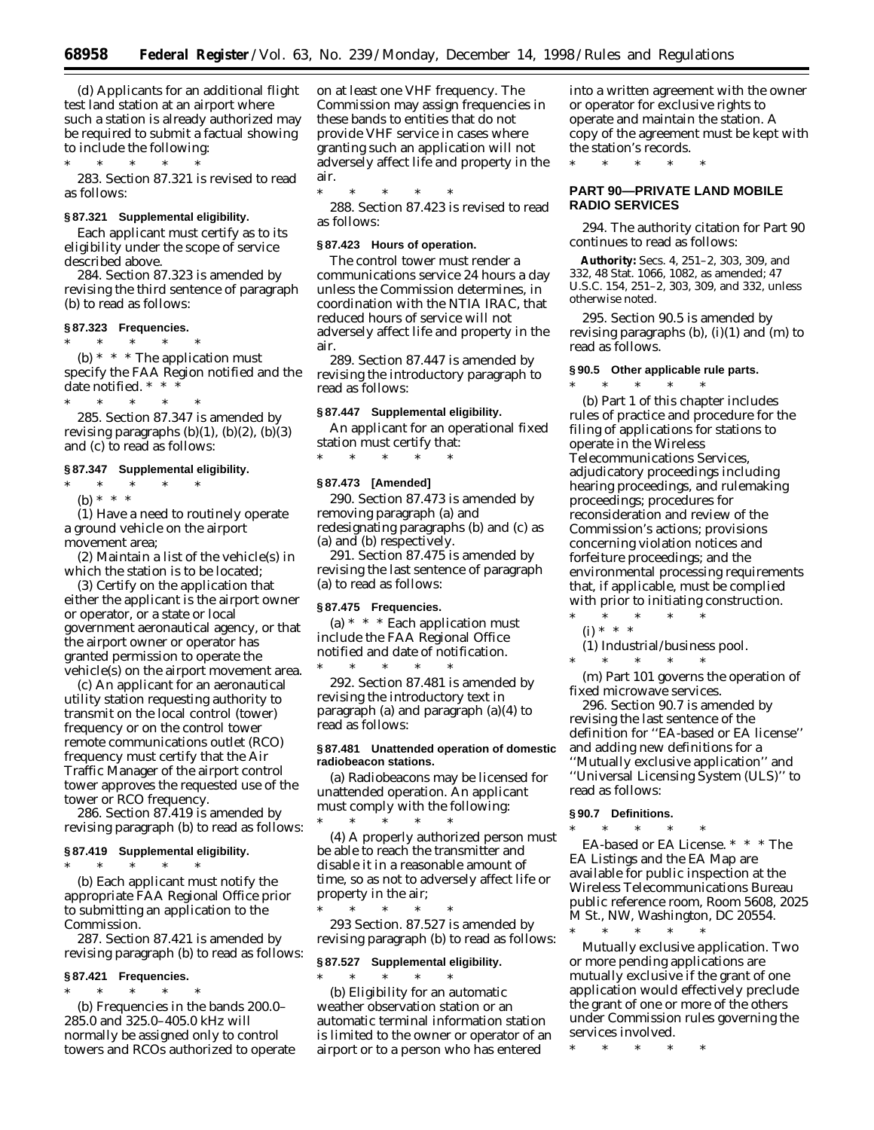(d) Applicants for an additional flight test land station at an airport where such a station is already authorized may be required to submit a factual showing to include the following:

\* \* \* \* \*

283. Section 87.321 is revised to read as follows:

#### **§ 87.321 Supplemental eligibility.**

Each applicant must certify as to its eligibility under the scope of service described above.

284. Section 87.323 is amended by revising the third sentence of paragraph (b) to read as follows:

#### **§ 87.323 Frequencies.**

 $*$  \* \*

(b) \* \* \* The application must specify the FAA Region notified and the date notified. \* \* \* \* \* \* \* \*

285. Section 87.347 is amended by revising paragraphs  $(b)(1)$ ,  $(b)(2)$ ,  $(b)(3)$ and (c) to read as follows:

#### **§ 87.347 Supplemental eligibility.**

\* \* \* \* \*

(b) \* \* \*

(1) Have a need to routinely operate a ground vehicle on the airport movement area;

(2) Maintain a list of the vehicle(s) in which the station is to be located;

(3) Certify on the application that either the applicant is the airport owner or operator, or a state or local government aeronautical agency, or that the airport owner or operator has granted permission to operate the vehicle(s) on the airport movement area.

(c) An applicant for an aeronautical utility station requesting authority to transmit on the local control (tower) frequency or on the control tower remote communications outlet (RCO) frequency must certify that the Air Traffic Manager of the airport control tower approves the requested use of the tower or RCO frequency.

286. Section 87.419 is amended by revising paragraph (b) to read as follows:

#### **§ 87.419 Supplemental eligibility.**

 $*$  \* \* (b) Each applicant must notify the appropriate FAA Regional Office prior to submitting an application to the Commission.

287. Section 87.421 is amended by revising paragraph (b) to read as follows:

### **§ 87.421 Frequencies.** \* \* \* \* \*

(b) Frequencies in the bands 200.0– 285.0 and 325.0–405.0 kHz will normally be assigned only to control towers and RCOs authorized to operate on at least one VHF frequency. The Commission may assign frequencies in these bands to entities that do not provide VHF service in cases where granting such an application will not adversely affect life and property in the air.

\* \* \* \* \* 288. Section 87.423 is revised to read as follows:

### **§ 87.423 Hours of operation.**

The control tower must render a communications service 24 hours a day unless the Commission determines, in coordination with the NTIA IRAC, that reduced hours of service will not adversely affect life and property in the air.

289. Section 87.447 is amended by revising the introductory paragraph to read as follows:

#### **§ 87.447 Supplemental eligibility.**

An applicant for an operational fixed station must certify that:

\* \* \* \* \*

#### **§ 87.473 [Amended]**

290. Section 87.473 is amended by removing paragraph (a) and redesignating paragraphs (b) and (c) as (a) and (b) respectively.

291. Section 87.475 is amended by revising the last sentence of paragraph (a) to read as follows:

#### **§ 87.475 Frequencies.**

(a)  $* * *$  Each application must include the FAA Regional Office notified and date of notification. \* \* \* \* \*

292. Section 87.481 is amended by revising the introductory text in paragraph (a) and paragraph (a)(4) to read as follows:

### **§ 87.481 Unattended operation of domestic radiobeacon stations.**

(a) Radiobeacons may be licensed for unattended operation. An applicant must comply with the following:  $*$  \* \*

(4) A properly authorized person must be able to reach the transmitter and disable it in a reasonable amount of time, so as not to adversely affect life or property in the air; \* \* \* \* \*

293 Section. 87.527 is amended by revising paragraph (b) to read as follows:

### **§ 87.527 Supplemental eligibility.**

\* \* \* \* \* (b) Eligibility for an automatic weather observation station or an automatic terminal information station is limited to the owner or operator of an airport or to a person who has entered

into a written agreement with the owner or operator for exclusive rights to operate and maintain the station. A copy of the agreement must be kept with the station's records.

\* \* \* \* \*

### **PART 90—PRIVATE LAND MOBILE RADIO SERVICES**

294. The authority citation for Part 90 continues to read as follows:

**Authority:** Secs. 4, 251–2, 303, 309, and 332, 48 Stat. 1066, 1082, as amended; 47 U.S.C. 154, 251–2, 303, 309, and 332, unless otherwise noted.

295. Section 90.5 is amended by revising paragraphs  $(b)$ ,  $(i)(1)$  and  $(m)$  to read as follows.

# **§ 90.5 Other applicable rule parts.**

\* \* \* \* \* (b) Part 1 of this chapter includes rules of practice and procedure for the filing of applications for stations to operate in the Wireless Telecommunications Services, adjudicatory proceedings including hearing proceedings, and rulemaking proceedings; procedures for reconsideration and review of the Commission's actions; provisions concerning violation notices and forfeiture proceedings; and the environmental processing requirements that, if applicable, must be complied with prior to initiating construction.

\* \* \* \* \* (i) \* \* \*

(1) Industrial/business pool.

\* \* \* \* \*

(m) Part 101 governs the operation of fixed microwave services.

296. Section 90.7 is amended by revising the last sentence of the definition for ''EA-based or EA license'' and adding new definitions for a ''Mutually exclusive application'' and ''Universal Licensing System (ULS)'' to read as follows:

### **§ 90.7 Definitions.**

\* \* \* \* \* *EA-based or EA License.* \* \* \* The EA Listings and the EA Map are available for public inspection at the Wireless Telecommunications Bureau public reference room, Room 5608, 2025 M St., NW, Washington, DC 20554. \* \* \* \* \*

*Mutually exclusive application.* Two or more pending applications are mutually exclusive if the grant of one application would effectively preclude the grant of one or more of the others under Commission rules governing the services involved.

\* \* \* \* \*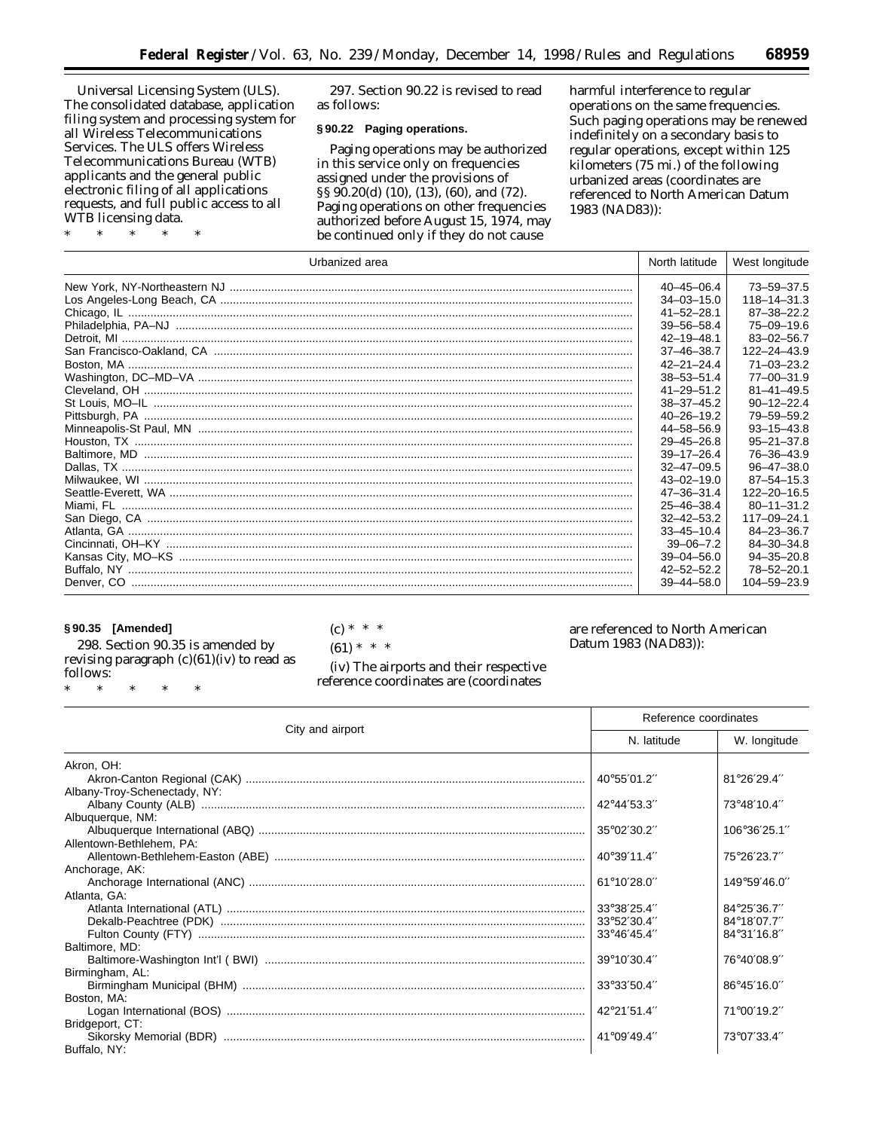*Universal Licensing System (ULS).* The consolidated database, application filing system and processing system for all Wireless Telecommunications Services. The ULS offers Wireless Telecommunications Bureau (WTB) applicants and the general public electronic filing of all applications requests, and full public access to all WTB licensing data.

\* \* \* \* \*

297. Section 90.22 is revised to read as follows:

### **§ 90.22 Paging operations.**

Paging operations may be authorized in this service only on frequencies assigned under the provisions of §§ 90.20(d) (10), (13), (60), and (72). Paging operations on other frequencies authorized before August 15, 1974, may be continued only if they do not cause

harmful interference to regular operations on the same frequencies. Such paging operations may be renewed indefinitely on a secondary basis to regular operations, except within 125 kilometers (75 mi.) of the following urbanized areas (coordinates are referenced to North American Datum 1983 (NAD83)):

| Urbanized area | North latitude   | West longitude    |
|----------------|------------------|-------------------|
|                | $40 - 45 - 06.4$ | 73-59-37.5        |
|                | $34 - 03 - 15.0$ | $118 - 14 - 31.3$ |
|                | $41 - 52 - 28.1$ | $87 - 38 - 22.2$  |
|                | 39-56-58.4       | 75-09-19.6        |
|                | 42-19-48.1       | $83 - 02 - 56.7$  |
|                | 37-46-38.7       | 122-24-43.9       |
|                | $42 - 21 - 24.4$ | $71 - 03 - 23.2$  |
|                | $38 - 53 - 51.4$ | 77-00-31.9        |
|                | $41 - 29 - 51.2$ | $81 - 41 - 49.5$  |
|                | $38 - 37 - 45.2$ | $90 - 12 - 22.4$  |
|                | $40 - 26 - 19.2$ | 79-59-59.2        |
|                | 44-58-56.9       | $93 - 15 - 43.8$  |
|                | 29-45-26.8       | $95 - 21 - 37.8$  |
|                | $39 - 17 - 26.4$ | 76-36-43.9        |
|                | $32 - 47 - 09.5$ | $96 - 47 - 38.0$  |
|                | $43 - 02 - 19.0$ | $87 - 54 - 15.3$  |
|                | 47-36-31.4       | $122 - 20 - 16.5$ |
|                | 25-46-38.4       | $80 - 11 - 31.2$  |
|                | $32 - 42 - 53.2$ | $117 - 09 - 24.1$ |
|                | $33 - 45 - 10.4$ | $84 - 23 - 36.7$  |
|                | $39 - 06 - 7.2$  | 84-30-34.8        |
|                | $39 - 04 - 56.0$ | $94 - 35 - 20.8$  |
|                | $42 - 52 - 52.2$ | 78-52-20.1        |
|                | $39 - 44 - 58.0$ | 104-59-23.9       |

#### **§ 90.35 [Amended]**

298. Section 90.35 is amended by revising paragraph (c)(61)(iv) to read as follows: \* \* \* \* \*

 $(c) * * * *$ 

 $(61) * * * *$ 

(iv) The airports and their respective reference coordinates are (coordinates

are referenced to North American Datum 1983 (NAD83)):

| City and airport             | Reference coordinates                    |              |  |
|------------------------------|------------------------------------------|--------------|--|
|                              | N. latitude                              | W. longitude |  |
| Akron, OH:                   |                                          |              |  |
|                              | 40°55'01.2"                              | 81°26'29.4"  |  |
| Albany-Troy-Schenectady, NY: |                                          |              |  |
|                              | 42°44′53.3″                              | 73°48'10.4"  |  |
| Albuquerque, NM:             |                                          |              |  |
|                              | 35°02'30.2"                              | 106°36'25.1" |  |
| Allentown-Bethlehem, PA:     |                                          |              |  |
|                              | 40°39'11.4"                              | 75°26'23.7"  |  |
| Anchorage, AK:               |                                          |              |  |
|                              | $61^\circ 10^\prime 28.0^{\prime\prime}$ | 149°59′46.0″ |  |
| Atlanta, GA:                 |                                          |              |  |
|                              | 33°38'25.4"                              | 84°25'36.7"  |  |
|                              |                                          | 84°18′07.7″  |  |
|                              | 33°46'45.4"                              | 84°31'16.8"  |  |
| Baltimore, MD:               |                                          |              |  |
|                              | 39°10'30.4"                              | 76°40'08.9"  |  |
| Birmingham, AL:              |                                          |              |  |
|                              | 33°33'50.4"                              | 86°45'16.0"  |  |
| Boston, MA:                  |                                          |              |  |
|                              |                                          | 71°00'19.2"  |  |
| Bridgeport, CT:              |                                          |              |  |
|                              | 41°09'49.4"                              | 73°07'33.4"  |  |
| Buffalo, NY:                 |                                          |              |  |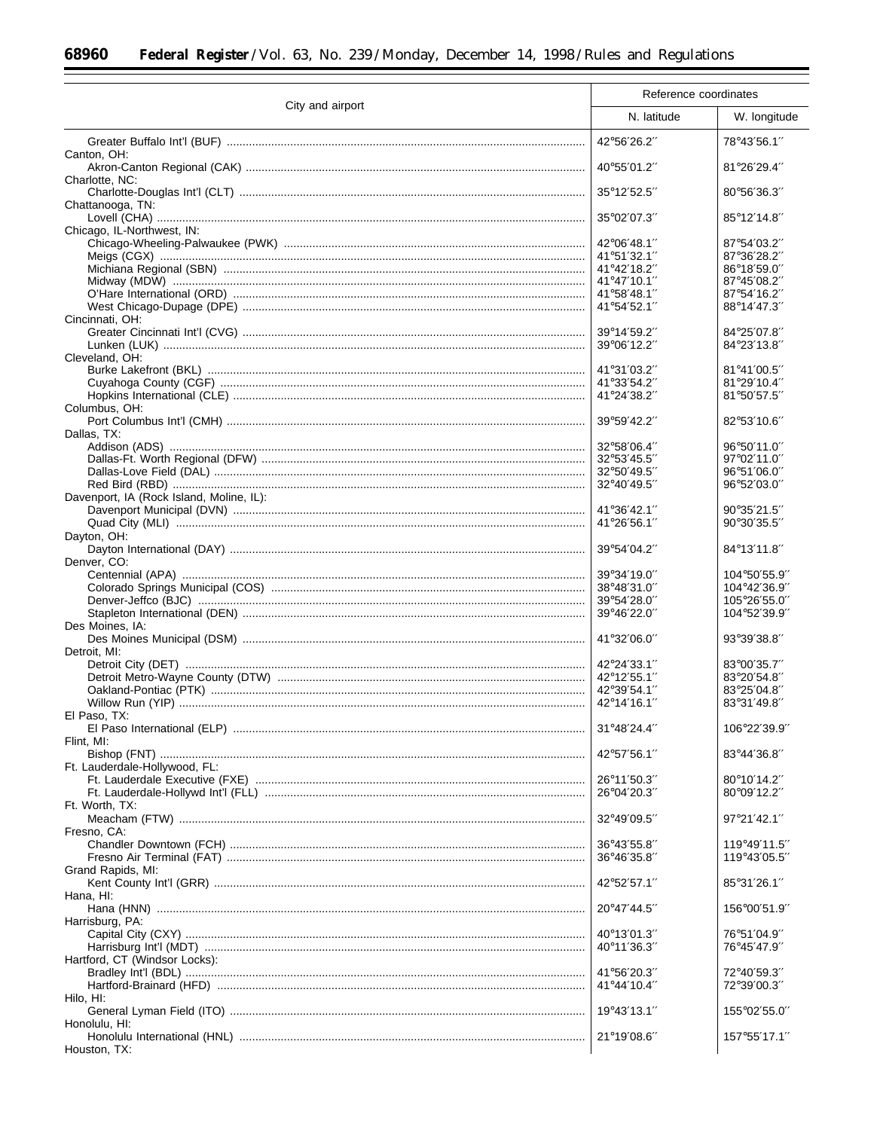$\equiv$ 

|                                          | Reference coordinates      |                            |
|------------------------------------------|----------------------------|----------------------------|
| City and airport                         | N. latitude                | W. longitude               |
|                                          | 42°56'26.2"                | 78°43'56.1"                |
| Canton, OH:                              | 40°55'01.2"                | 81°26'29.4"                |
| Charlotte, NC:                           | 35°12'52.5"                | 80°56'36.3"                |
| Chattanooga, TN:                         | 35°02'07.3"                | 85°12'14.8"                |
| Chicago, IL-Northwest, IN:               | 42°06'48.1"                | 87°54'03.2"                |
|                                          | 41°51′32.1″                | 87°36′28.2″                |
|                                          | 41°42'18.2"                | 86°18'59.0"                |
|                                          | 41°47'10.1"                | 87°45′08.2″                |
|                                          | 41°58'48.1"                | 87°54'16.2"                |
|                                          | 41°54'52.1″                | 88°14'47.3"                |
| Cincinnati, OH:                          | 39°14'59.2"                | 84°25′07.8″                |
|                                          | 39°06'12.2"                | 84°23'13.8"                |
| Cleveland, OH:                           |                            |                            |
|                                          | 41°31'03.2"                | 81°41'00.5"                |
|                                          | 41°33'54.2"                | 81°29'10.4"                |
|                                          | 41°24'38.2"                | 81°50'57.5"                |
| Columbus, OH:                            |                            |                            |
|                                          | 39°59'42.2"                | 82°53'10.6"                |
| Dallas, TX:                              | 32°58'06.4"                | 96°50'11.0"                |
|                                          | 32°53'45.5"                | $97^{\circ}02'11.0''$      |
|                                          | 32°50'49.5"                | 96°51′06.0″                |
|                                          | $32^{\circ}40'49.5''$      | 96°52′03.0″                |
| Davenport, IA (Rock Island, Moline, IL): |                            |                            |
|                                          | 41°36'42.1"                | $90^{\circ}35'21.5''$      |
|                                          | 41°26'56.1"                | $90^{\circ}30'35.5''$      |
| Dayton, OH:                              |                            |                            |
|                                          | 39°54'04.2"                | 84°13'11.8"                |
| Denver, CO:                              | 39°34'19.0"                | $104^{\circ}50'55.9''$     |
|                                          | 38°48'31.0"                | 104°42'36.9"               |
|                                          | 39°54'28.0"                | 105°26'55.0"               |
|                                          | 39°46'22.0"                | 104°52'39.9"               |
| Des Moines, IA:                          |                            |                            |
|                                          | 41°32'06.0"                | $93^{\circ}39'38.8''$      |
| Detroit, MI:                             |                            |                            |
|                                          | 42°24′33.1″                | $83^{\circ}00'35.7''$      |
|                                          | 42°12'55.1"                | 83°20'54.8"                |
|                                          | 42°39'54.1"<br>42°14'16.1" | 83°25′04.8″<br>83°31'49.8" |
| El Paso, TX:                             |                            |                            |
|                                          | 31°48'24.4"                | 106°22'39.9"               |
| Flint, MI:                               |                            |                            |
|                                          | 42°57'56.1"                | 83°44′36.8″                |
| Ft. Lauderdale-Hollywood, FL:            |                            |                            |
|                                          | 26°11'50.3"                | 80°10'14.2"                |
|                                          | 26°04'20.3"                | 80°09'12.2"                |
| Ft. Worth, TX:                           | 32°49'09.5"                | $97^{\circ}21'42.1''$      |
| Fresno, CA:                              |                            |                            |
|                                          | 36°43'55.8"                | 119°49'11.5"               |
|                                          | 36°46'35.8"                | 119°43'05.5"               |
| Grand Rapids, MI:                        |                            |                            |
|                                          | 42°52′57.1″                | 85°31′26.1″                |
| Hana, HI:                                |                            |                            |
| Harrisburg, PA:                          | 20°47'44.5"                | $156^{\circ}00'51.9''$     |
|                                          | 40°13'01.3"                | 76°51′04.9″                |
|                                          | 40°11'36.3"                | 76°45′47.9″                |
| Hartford, CT (Windsor Locks):            |                            |                            |
|                                          | 41°56'20.3"                | 72°40'59.3"                |
|                                          | 41°44'10.4"                | 72°39′00.3″                |
| Hilo, HI:                                |                            |                            |
|                                          | 19°43'13.1″                | $155^{\circ}02'55.0''$     |
| Honolulu, HI:                            | 21°19'08.6"                |                            |
| Houston, TX:                             |                            | 157°55′17.1″               |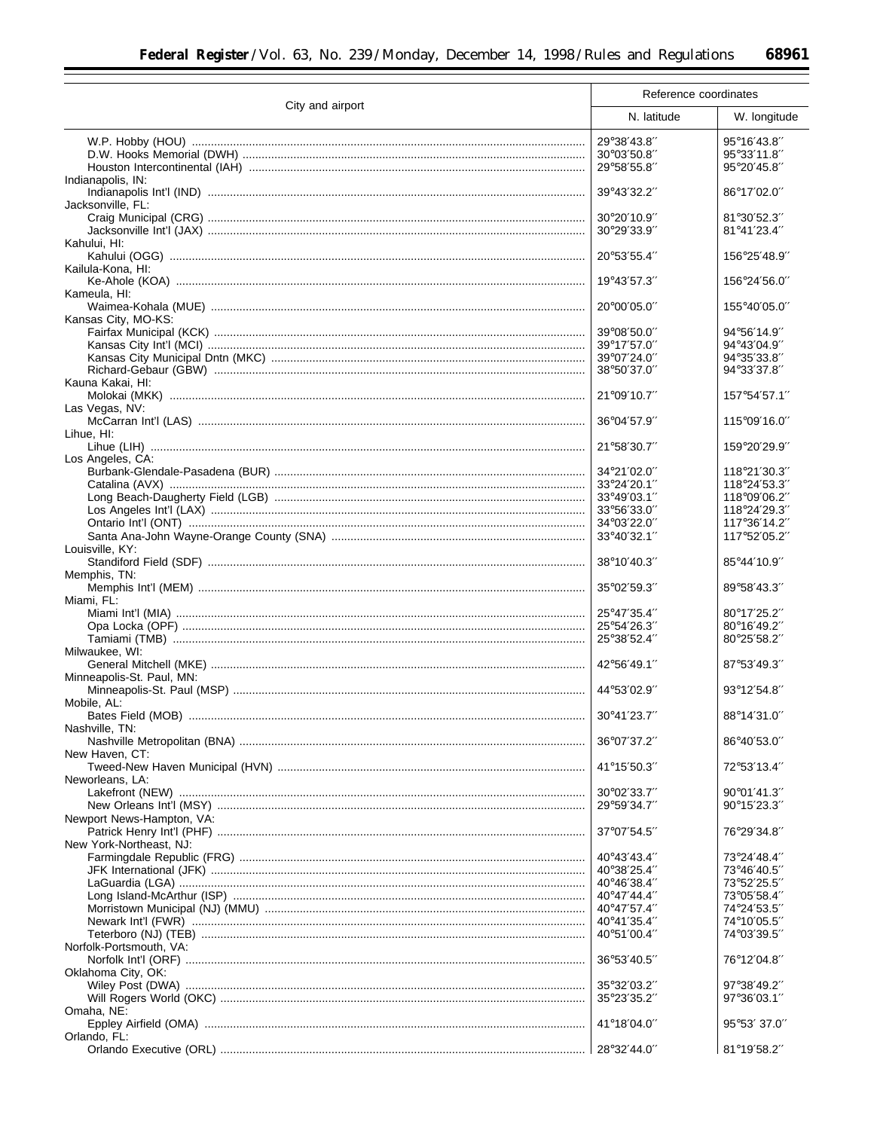|                           | Reference coordinates                |                                            |
|---------------------------|--------------------------------------|--------------------------------------------|
| City and airport          | N. latitude                          | W. longitude                               |
|                           |                                      |                                            |
|                           | 29°38'43.8"                          | $95^{\circ}16'43.8''$                      |
|                           | $30^{\circ}03'50.8''$<br>29°58'55.8" | 95°33'11.8''<br>95°20'45.8"                |
| Indianapolis, IN:         |                                      |                                            |
|                           | 39°43'32.2"                          | 86°17'02.0"                                |
| Jacksonville, FL:         |                                      |                                            |
|                           | 30°20'10.9"                          | 81°30'52.3"                                |
|                           | 30°29'33.9"                          | $81^{\circ}41^{\prime}23.4^{\prime\prime}$ |
| Kahului, HI:              |                                      |                                            |
|                           | 20°53'55.4"                          | 156°25'48.9"                               |
| Kailula-Kona, HI:         |                                      |                                            |
|                           | 19°43'57.3"                          | 156°24'56.0"                               |
| Kameula, HI:              | 20°00'05.0"                          | 155°40'05.0"                               |
| Kansas City, MO-KS:       |                                      |                                            |
|                           | 39°08'50.0"                          | 94°56'14.9"                                |
|                           | 39°17'57.0"                          | 94°43′04.9″                                |
|                           | 39°07'24.0"                          | 94°35′33.8″                                |
|                           | 38°50'37.0"                          | 94°33'37.8"                                |
| Kauna Kakai, HI:          |                                      |                                            |
|                           | 21°09'10.7"                          | 157°54′57.1″                               |
| Las Vegas, NV:            |                                      |                                            |
| Lihue, HI:                | 36°04'57.9"                          | 115°09'16.0"                               |
|                           | 21°58'30.7"                          | 159°20′29.9″                               |
| Los Angeles, CA:          |                                      |                                            |
|                           | 34°21'02.0"                          | 118°21′30.3″                               |
|                           | 33°24'20.1"                          | 118°24'53.3"                               |
|                           | $33^{\circ}49'03.1''$                | 118°09'06.2"                               |
|                           | $33^{\circ}56'33.0''$                | 118°24'29.3"                               |
|                           | 34°03'22.0"                          | 117°36'14.2"                               |
|                           | 33°40'32.1"                          | 117°52'05.2"                               |
| Louisville, KY:           |                                      |                                            |
|                           | 38°10'40.3"                          | 85°44'10.9"                                |
| Memphis, TN:              |                                      |                                            |
| Miami, FL:                | 35°02'59.3"                          | 89°58'43.3"                                |
|                           | 25°47'35.4"                          | 80°17'25.2"                                |
|                           | 25°54'26.3"                          | 80°16'49.2"                                |
|                           | 25°38'52.4"                          | 80°25'58.2"                                |
| Milwaukee, WI:            |                                      |                                            |
|                           | 42°56'49.1"                          | 87°53'49.3"                                |
| Minneapolis-St. Paul, MN: |                                      |                                            |
|                           | 44°53'02.9"                          | 93°12'54.8"                                |
| Mobile, AL:               |                                      |                                            |
|                           | 30°41'23.7"                          | 88°14'31.0"                                |
| Nashville, IN:            | 36°07'37.2"                          | 86°40'53.0"                                |
| New Haven, CT:            |                                      |                                            |
|                           | 41°15'50.3"                          | 72°53′13.4″                                |
| Neworleans, LA:           |                                      |                                            |
|                           | 30°02'33.7"                          | 90°01'41.3"                                |
|                           | 29°59'34.7"                          | $90^{\circ}15'23.3''$                      |
| Newport News-Hampton, VA: |                                      |                                            |
|                           | 37°07'54.5"                          | 76°29′34.8″                                |
| New York-Northeast, NJ:   | 40°43'43.4"                          | 73°24′48.4″                                |
|                           | 40°38'25.4"                          | 73°46′40.5″                                |
|                           | 40°46′38.4″                          | 73°52′25.5″                                |
|                           | 40°47'44.4"                          | 73°05′58.4″                                |
|                           | 40°47′57.4″                          | 74°24'53.5"                                |
|                           | 40°41′35.4″                          | 74°10′05.5″                                |
|                           | 40°51′00.4″                          | 74°03′39.5″                                |
| Norfolk-Portsmouth, VA:   |                                      |                                            |
|                           | 36°53'40.5"                          | 76°12′04.8″                                |
| Oklahoma City, OK:        |                                      |                                            |
|                           | 35°32′03.2″                          | 97°38'49.2"                                |
|                           | $35^{\circ}23'35.2''$                | $97^{\circ}36'03.1''$                      |
| Omaha, NE:                | 41°18'04.0"                          | 95°53′ 37.0″                               |
| Orlando, FL:              |                                      |                                            |
|                           | 28°32'44.0"                          | 81°19'58.2"                                |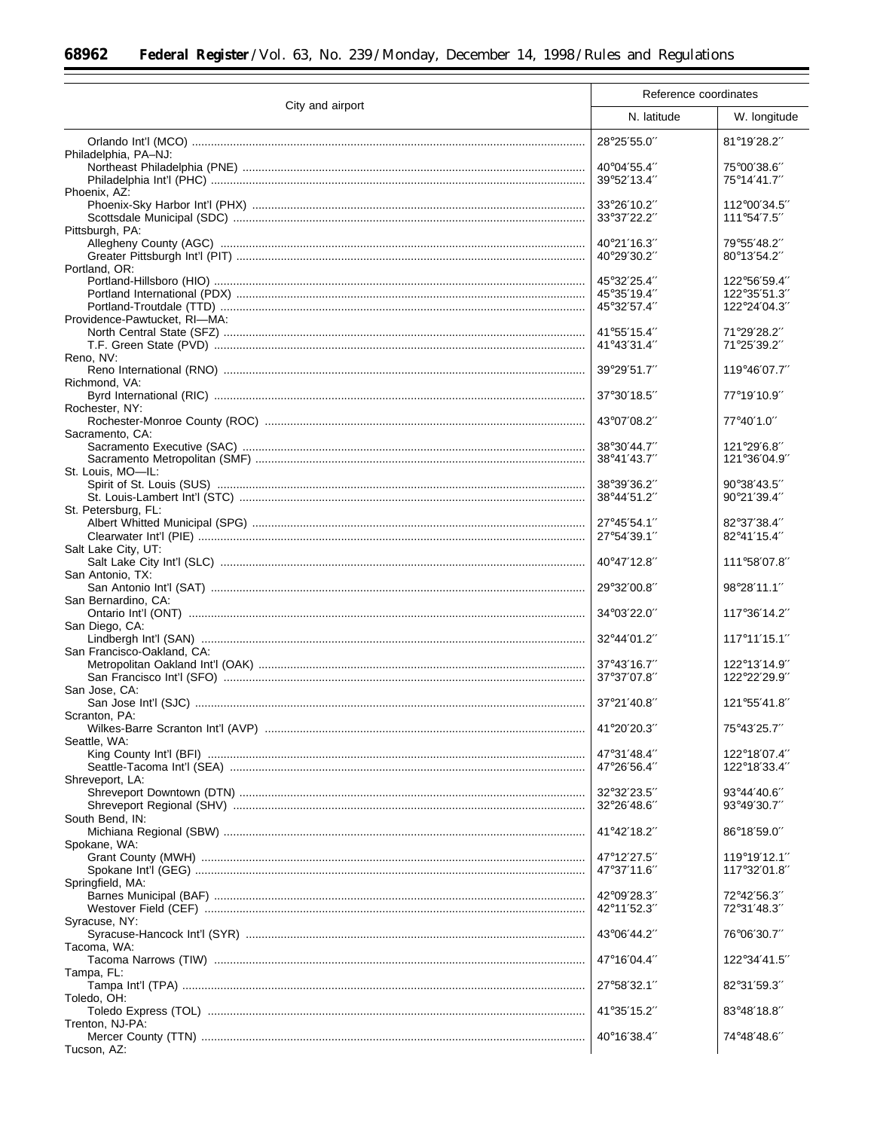| N. latitude<br>W. longitude<br>28°25'55.0"<br>81°19'28.2"<br>Philadelphia, PA-NJ:<br>40°04'55.4"<br>75°00'38.6"<br>75°14'41.7"<br>39°52'13.4"<br>Phoenix, AZ:<br>33°26'10.2"<br>112°00'34.5"<br>33°37'22.2"<br>$111^{\circ}54'7.5''$<br>Pittsburgh, PA:<br>40°21'16.3"<br>79°55'48.2"<br>40°29'30.2"<br>80°13'54.2"<br>Portland, OR:<br>45°32'25.4"<br>122°56'59.4"<br>45°35'19.4"<br>122°35'51.3"<br>45°32′57.4″<br>122°24′04.3″<br>Providence-Pawtucket, RI-MA:<br>41°55'15.4"<br>71°29'28.2"<br>71°25'39.2"<br>41°43'31.4"<br>Reno, NV:<br>39°29'51.7"<br>119°46'07.7"<br>Richmond, VA:<br>37°30'18.5"<br>77°19'10.9"<br>Rochester, NY:<br>43°07'08.2"<br>77°40'1.0"<br>Sacramento, CA:<br>38°30'44.7"<br>121°29'6.8"<br>38°41'43.7"<br>121°36'04.9"<br>St. Louis, MO-IL:<br>38°39'36.2"<br>90°38'43.5"<br>90°21'39.4"<br>38°44'51.2"<br>St. Petersburg, FL:<br>27°45'54.1"<br>82°37'38.4"<br>27°54'39.1"<br>82°41'15.4"<br>Salt Lake City, UT:<br>40°47'12.8"<br>111°58'07.8"<br>San Antonio, TX:<br>29°32'00.8"<br>98°28'11.1"<br>San Bernardino, CA:<br>34°03'22.0"<br>117°36'14.2"<br>San Diego, CA:<br>32°44'01.2"<br>$117^{\circ}11'15.1''$<br>San Francisco-Oakland, CA:<br>37°43'16.7"<br>122°13'14.9"<br>37°37'07.8"<br>122°22′29.9″<br>San Jose, CA:<br>37°21'40.8"<br>121°55'41.8"<br>Scranton, PA:<br>41°20'20.3"<br>75°43'25.7"<br>Seattle, WA:<br>47°31'48.4"<br>122°18'07.4"<br>47°26′56.4″<br>122°18'33.4"<br>Shreveport, LA:<br>32°32'23.5"<br>93°44'40.6"<br>32°26'48.6"<br>93°49'30.7"<br>South Bend, IN:<br>41°42'18.2"<br>86°18'59.0"<br>Spokane, WA:<br>47°12'27.5"<br>119°19'12.1″<br>47°37'11.6"<br>117°32'01.8"<br>Springfield, MA:<br>42°09'28.3"<br>72°42'56.3"<br>42°11'52.3"<br>72°31′48.3″<br>Syracuse, NY:<br>76°06'30.7"<br>43°06′44.2″<br>Tacoma, WA:<br>47°16′04.4″<br>122°34'41.5"<br>Tampa, FL:<br>27°58'32.1"<br>82°31'59.3"<br>Toledo, OH:<br>41°35'15.2"<br>83°48'18.8"<br>Trenton, NJ-PA:<br>40°16'38.4"<br>74°48′48.6″<br>Tucson, AZ: |                  | Reference coordinates |  |  |
|-----------------------------------------------------------------------------------------------------------------------------------------------------------------------------------------------------------------------------------------------------------------------------------------------------------------------------------------------------------------------------------------------------------------------------------------------------------------------------------------------------------------------------------------------------------------------------------------------------------------------------------------------------------------------------------------------------------------------------------------------------------------------------------------------------------------------------------------------------------------------------------------------------------------------------------------------------------------------------------------------------------------------------------------------------------------------------------------------------------------------------------------------------------------------------------------------------------------------------------------------------------------------------------------------------------------------------------------------------------------------------------------------------------------------------------------------------------------------------------------------------------------------------------------------------------------------------------------------------------------------------------------------------------------------------------------------------------------------------------------------------------------------------------------------------------------------------------------------------------------------------------------------------------------------------------------------------------------------------------|------------------|-----------------------|--|--|
|                                                                                                                                                                                                                                                                                                                                                                                                                                                                                                                                                                                                                                                                                                                                                                                                                                                                                                                                                                                                                                                                                                                                                                                                                                                                                                                                                                                                                                                                                                                                                                                                                                                                                                                                                                                                                                                                                                                                                                                   | City and airport |                       |  |  |
|                                                                                                                                                                                                                                                                                                                                                                                                                                                                                                                                                                                                                                                                                                                                                                                                                                                                                                                                                                                                                                                                                                                                                                                                                                                                                                                                                                                                                                                                                                                                                                                                                                                                                                                                                                                                                                                                                                                                                                                   |                  |                       |  |  |
|                                                                                                                                                                                                                                                                                                                                                                                                                                                                                                                                                                                                                                                                                                                                                                                                                                                                                                                                                                                                                                                                                                                                                                                                                                                                                                                                                                                                                                                                                                                                                                                                                                                                                                                                                                                                                                                                                                                                                                                   |                  |                       |  |  |
|                                                                                                                                                                                                                                                                                                                                                                                                                                                                                                                                                                                                                                                                                                                                                                                                                                                                                                                                                                                                                                                                                                                                                                                                                                                                                                                                                                                                                                                                                                                                                                                                                                                                                                                                                                                                                                                                                                                                                                                   |                  |                       |  |  |
|                                                                                                                                                                                                                                                                                                                                                                                                                                                                                                                                                                                                                                                                                                                                                                                                                                                                                                                                                                                                                                                                                                                                                                                                                                                                                                                                                                                                                                                                                                                                                                                                                                                                                                                                                                                                                                                                                                                                                                                   |                  |                       |  |  |
|                                                                                                                                                                                                                                                                                                                                                                                                                                                                                                                                                                                                                                                                                                                                                                                                                                                                                                                                                                                                                                                                                                                                                                                                                                                                                                                                                                                                                                                                                                                                                                                                                                                                                                                                                                                                                                                                                                                                                                                   |                  |                       |  |  |
|                                                                                                                                                                                                                                                                                                                                                                                                                                                                                                                                                                                                                                                                                                                                                                                                                                                                                                                                                                                                                                                                                                                                                                                                                                                                                                                                                                                                                                                                                                                                                                                                                                                                                                                                                                                                                                                                                                                                                                                   |                  |                       |  |  |
|                                                                                                                                                                                                                                                                                                                                                                                                                                                                                                                                                                                                                                                                                                                                                                                                                                                                                                                                                                                                                                                                                                                                                                                                                                                                                                                                                                                                                                                                                                                                                                                                                                                                                                                                                                                                                                                                                                                                                                                   |                  |                       |  |  |
|                                                                                                                                                                                                                                                                                                                                                                                                                                                                                                                                                                                                                                                                                                                                                                                                                                                                                                                                                                                                                                                                                                                                                                                                                                                                                                                                                                                                                                                                                                                                                                                                                                                                                                                                                                                                                                                                                                                                                                                   |                  |                       |  |  |
|                                                                                                                                                                                                                                                                                                                                                                                                                                                                                                                                                                                                                                                                                                                                                                                                                                                                                                                                                                                                                                                                                                                                                                                                                                                                                                                                                                                                                                                                                                                                                                                                                                                                                                                                                                                                                                                                                                                                                                                   |                  |                       |  |  |
|                                                                                                                                                                                                                                                                                                                                                                                                                                                                                                                                                                                                                                                                                                                                                                                                                                                                                                                                                                                                                                                                                                                                                                                                                                                                                                                                                                                                                                                                                                                                                                                                                                                                                                                                                                                                                                                                                                                                                                                   |                  |                       |  |  |
|                                                                                                                                                                                                                                                                                                                                                                                                                                                                                                                                                                                                                                                                                                                                                                                                                                                                                                                                                                                                                                                                                                                                                                                                                                                                                                                                                                                                                                                                                                                                                                                                                                                                                                                                                                                                                                                                                                                                                                                   |                  |                       |  |  |
|                                                                                                                                                                                                                                                                                                                                                                                                                                                                                                                                                                                                                                                                                                                                                                                                                                                                                                                                                                                                                                                                                                                                                                                                                                                                                                                                                                                                                                                                                                                                                                                                                                                                                                                                                                                                                                                                                                                                                                                   |                  |                       |  |  |
|                                                                                                                                                                                                                                                                                                                                                                                                                                                                                                                                                                                                                                                                                                                                                                                                                                                                                                                                                                                                                                                                                                                                                                                                                                                                                                                                                                                                                                                                                                                                                                                                                                                                                                                                                                                                                                                                                                                                                                                   |                  |                       |  |  |
|                                                                                                                                                                                                                                                                                                                                                                                                                                                                                                                                                                                                                                                                                                                                                                                                                                                                                                                                                                                                                                                                                                                                                                                                                                                                                                                                                                                                                                                                                                                                                                                                                                                                                                                                                                                                                                                                                                                                                                                   |                  |                       |  |  |
|                                                                                                                                                                                                                                                                                                                                                                                                                                                                                                                                                                                                                                                                                                                                                                                                                                                                                                                                                                                                                                                                                                                                                                                                                                                                                                                                                                                                                                                                                                                                                                                                                                                                                                                                                                                                                                                                                                                                                                                   |                  |                       |  |  |
|                                                                                                                                                                                                                                                                                                                                                                                                                                                                                                                                                                                                                                                                                                                                                                                                                                                                                                                                                                                                                                                                                                                                                                                                                                                                                                                                                                                                                                                                                                                                                                                                                                                                                                                                                                                                                                                                                                                                                                                   |                  |                       |  |  |
|                                                                                                                                                                                                                                                                                                                                                                                                                                                                                                                                                                                                                                                                                                                                                                                                                                                                                                                                                                                                                                                                                                                                                                                                                                                                                                                                                                                                                                                                                                                                                                                                                                                                                                                                                                                                                                                                                                                                                                                   |                  |                       |  |  |
|                                                                                                                                                                                                                                                                                                                                                                                                                                                                                                                                                                                                                                                                                                                                                                                                                                                                                                                                                                                                                                                                                                                                                                                                                                                                                                                                                                                                                                                                                                                                                                                                                                                                                                                                                                                                                                                                                                                                                                                   |                  |                       |  |  |
|                                                                                                                                                                                                                                                                                                                                                                                                                                                                                                                                                                                                                                                                                                                                                                                                                                                                                                                                                                                                                                                                                                                                                                                                                                                                                                                                                                                                                                                                                                                                                                                                                                                                                                                                                                                                                                                                                                                                                                                   |                  |                       |  |  |
|                                                                                                                                                                                                                                                                                                                                                                                                                                                                                                                                                                                                                                                                                                                                                                                                                                                                                                                                                                                                                                                                                                                                                                                                                                                                                                                                                                                                                                                                                                                                                                                                                                                                                                                                                                                                                                                                                                                                                                                   |                  |                       |  |  |
|                                                                                                                                                                                                                                                                                                                                                                                                                                                                                                                                                                                                                                                                                                                                                                                                                                                                                                                                                                                                                                                                                                                                                                                                                                                                                                                                                                                                                                                                                                                                                                                                                                                                                                                                                                                                                                                                                                                                                                                   |                  |                       |  |  |
|                                                                                                                                                                                                                                                                                                                                                                                                                                                                                                                                                                                                                                                                                                                                                                                                                                                                                                                                                                                                                                                                                                                                                                                                                                                                                                                                                                                                                                                                                                                                                                                                                                                                                                                                                                                                                                                                                                                                                                                   |                  |                       |  |  |
|                                                                                                                                                                                                                                                                                                                                                                                                                                                                                                                                                                                                                                                                                                                                                                                                                                                                                                                                                                                                                                                                                                                                                                                                                                                                                                                                                                                                                                                                                                                                                                                                                                                                                                                                                                                                                                                                                                                                                                                   |                  |                       |  |  |
|                                                                                                                                                                                                                                                                                                                                                                                                                                                                                                                                                                                                                                                                                                                                                                                                                                                                                                                                                                                                                                                                                                                                                                                                                                                                                                                                                                                                                                                                                                                                                                                                                                                                                                                                                                                                                                                                                                                                                                                   |                  |                       |  |  |
|                                                                                                                                                                                                                                                                                                                                                                                                                                                                                                                                                                                                                                                                                                                                                                                                                                                                                                                                                                                                                                                                                                                                                                                                                                                                                                                                                                                                                                                                                                                                                                                                                                                                                                                                                                                                                                                                                                                                                                                   |                  |                       |  |  |
|                                                                                                                                                                                                                                                                                                                                                                                                                                                                                                                                                                                                                                                                                                                                                                                                                                                                                                                                                                                                                                                                                                                                                                                                                                                                                                                                                                                                                                                                                                                                                                                                                                                                                                                                                                                                                                                                                                                                                                                   |                  |                       |  |  |
|                                                                                                                                                                                                                                                                                                                                                                                                                                                                                                                                                                                                                                                                                                                                                                                                                                                                                                                                                                                                                                                                                                                                                                                                                                                                                                                                                                                                                                                                                                                                                                                                                                                                                                                                                                                                                                                                                                                                                                                   |                  |                       |  |  |
|                                                                                                                                                                                                                                                                                                                                                                                                                                                                                                                                                                                                                                                                                                                                                                                                                                                                                                                                                                                                                                                                                                                                                                                                                                                                                                                                                                                                                                                                                                                                                                                                                                                                                                                                                                                                                                                                                                                                                                                   |                  |                       |  |  |
|                                                                                                                                                                                                                                                                                                                                                                                                                                                                                                                                                                                                                                                                                                                                                                                                                                                                                                                                                                                                                                                                                                                                                                                                                                                                                                                                                                                                                                                                                                                                                                                                                                                                                                                                                                                                                                                                                                                                                                                   |                  |                       |  |  |
|                                                                                                                                                                                                                                                                                                                                                                                                                                                                                                                                                                                                                                                                                                                                                                                                                                                                                                                                                                                                                                                                                                                                                                                                                                                                                                                                                                                                                                                                                                                                                                                                                                                                                                                                                                                                                                                                                                                                                                                   |                  |                       |  |  |
|                                                                                                                                                                                                                                                                                                                                                                                                                                                                                                                                                                                                                                                                                                                                                                                                                                                                                                                                                                                                                                                                                                                                                                                                                                                                                                                                                                                                                                                                                                                                                                                                                                                                                                                                                                                                                                                                                                                                                                                   |                  |                       |  |  |
|                                                                                                                                                                                                                                                                                                                                                                                                                                                                                                                                                                                                                                                                                                                                                                                                                                                                                                                                                                                                                                                                                                                                                                                                                                                                                                                                                                                                                                                                                                                                                                                                                                                                                                                                                                                                                                                                                                                                                                                   |                  |                       |  |  |
|                                                                                                                                                                                                                                                                                                                                                                                                                                                                                                                                                                                                                                                                                                                                                                                                                                                                                                                                                                                                                                                                                                                                                                                                                                                                                                                                                                                                                                                                                                                                                                                                                                                                                                                                                                                                                                                                                                                                                                                   |                  |                       |  |  |
|                                                                                                                                                                                                                                                                                                                                                                                                                                                                                                                                                                                                                                                                                                                                                                                                                                                                                                                                                                                                                                                                                                                                                                                                                                                                                                                                                                                                                                                                                                                                                                                                                                                                                                                                                                                                                                                                                                                                                                                   |                  |                       |  |  |
|                                                                                                                                                                                                                                                                                                                                                                                                                                                                                                                                                                                                                                                                                                                                                                                                                                                                                                                                                                                                                                                                                                                                                                                                                                                                                                                                                                                                                                                                                                                                                                                                                                                                                                                                                                                                                                                                                                                                                                                   |                  |                       |  |  |
|                                                                                                                                                                                                                                                                                                                                                                                                                                                                                                                                                                                                                                                                                                                                                                                                                                                                                                                                                                                                                                                                                                                                                                                                                                                                                                                                                                                                                                                                                                                                                                                                                                                                                                                                                                                                                                                                                                                                                                                   |                  |                       |  |  |
|                                                                                                                                                                                                                                                                                                                                                                                                                                                                                                                                                                                                                                                                                                                                                                                                                                                                                                                                                                                                                                                                                                                                                                                                                                                                                                                                                                                                                                                                                                                                                                                                                                                                                                                                                                                                                                                                                                                                                                                   |                  |                       |  |  |
|                                                                                                                                                                                                                                                                                                                                                                                                                                                                                                                                                                                                                                                                                                                                                                                                                                                                                                                                                                                                                                                                                                                                                                                                                                                                                                                                                                                                                                                                                                                                                                                                                                                                                                                                                                                                                                                                                                                                                                                   |                  |                       |  |  |
|                                                                                                                                                                                                                                                                                                                                                                                                                                                                                                                                                                                                                                                                                                                                                                                                                                                                                                                                                                                                                                                                                                                                                                                                                                                                                                                                                                                                                                                                                                                                                                                                                                                                                                                                                                                                                                                                                                                                                                                   |                  |                       |  |  |
|                                                                                                                                                                                                                                                                                                                                                                                                                                                                                                                                                                                                                                                                                                                                                                                                                                                                                                                                                                                                                                                                                                                                                                                                                                                                                                                                                                                                                                                                                                                                                                                                                                                                                                                                                                                                                                                                                                                                                                                   |                  |                       |  |  |
|                                                                                                                                                                                                                                                                                                                                                                                                                                                                                                                                                                                                                                                                                                                                                                                                                                                                                                                                                                                                                                                                                                                                                                                                                                                                                                                                                                                                                                                                                                                                                                                                                                                                                                                                                                                                                                                                                                                                                                                   |                  |                       |  |  |
|                                                                                                                                                                                                                                                                                                                                                                                                                                                                                                                                                                                                                                                                                                                                                                                                                                                                                                                                                                                                                                                                                                                                                                                                                                                                                                                                                                                                                                                                                                                                                                                                                                                                                                                                                                                                                                                                                                                                                                                   |                  |                       |  |  |
|                                                                                                                                                                                                                                                                                                                                                                                                                                                                                                                                                                                                                                                                                                                                                                                                                                                                                                                                                                                                                                                                                                                                                                                                                                                                                                                                                                                                                                                                                                                                                                                                                                                                                                                                                                                                                                                                                                                                                                                   |                  |                       |  |  |
|                                                                                                                                                                                                                                                                                                                                                                                                                                                                                                                                                                                                                                                                                                                                                                                                                                                                                                                                                                                                                                                                                                                                                                                                                                                                                                                                                                                                                                                                                                                                                                                                                                                                                                                                                                                                                                                                                                                                                                                   |                  |                       |  |  |
|                                                                                                                                                                                                                                                                                                                                                                                                                                                                                                                                                                                                                                                                                                                                                                                                                                                                                                                                                                                                                                                                                                                                                                                                                                                                                                                                                                                                                                                                                                                                                                                                                                                                                                                                                                                                                                                                                                                                                                                   |                  |                       |  |  |
|                                                                                                                                                                                                                                                                                                                                                                                                                                                                                                                                                                                                                                                                                                                                                                                                                                                                                                                                                                                                                                                                                                                                                                                                                                                                                                                                                                                                                                                                                                                                                                                                                                                                                                                                                                                                                                                                                                                                                                                   |                  |                       |  |  |
|                                                                                                                                                                                                                                                                                                                                                                                                                                                                                                                                                                                                                                                                                                                                                                                                                                                                                                                                                                                                                                                                                                                                                                                                                                                                                                                                                                                                                                                                                                                                                                                                                                                                                                                                                                                                                                                                                                                                                                                   |                  |                       |  |  |
|                                                                                                                                                                                                                                                                                                                                                                                                                                                                                                                                                                                                                                                                                                                                                                                                                                                                                                                                                                                                                                                                                                                                                                                                                                                                                                                                                                                                                                                                                                                                                                                                                                                                                                                                                                                                                                                                                                                                                                                   |                  |                       |  |  |
|                                                                                                                                                                                                                                                                                                                                                                                                                                                                                                                                                                                                                                                                                                                                                                                                                                                                                                                                                                                                                                                                                                                                                                                                                                                                                                                                                                                                                                                                                                                                                                                                                                                                                                                                                                                                                                                                                                                                                                                   |                  |                       |  |  |
|                                                                                                                                                                                                                                                                                                                                                                                                                                                                                                                                                                                                                                                                                                                                                                                                                                                                                                                                                                                                                                                                                                                                                                                                                                                                                                                                                                                                                                                                                                                                                                                                                                                                                                                                                                                                                                                                                                                                                                                   |                  |                       |  |  |
|                                                                                                                                                                                                                                                                                                                                                                                                                                                                                                                                                                                                                                                                                                                                                                                                                                                                                                                                                                                                                                                                                                                                                                                                                                                                                                                                                                                                                                                                                                                                                                                                                                                                                                                                                                                                                                                                                                                                                                                   |                  |                       |  |  |
|                                                                                                                                                                                                                                                                                                                                                                                                                                                                                                                                                                                                                                                                                                                                                                                                                                                                                                                                                                                                                                                                                                                                                                                                                                                                                                                                                                                                                                                                                                                                                                                                                                                                                                                                                                                                                                                                                                                                                                                   |                  |                       |  |  |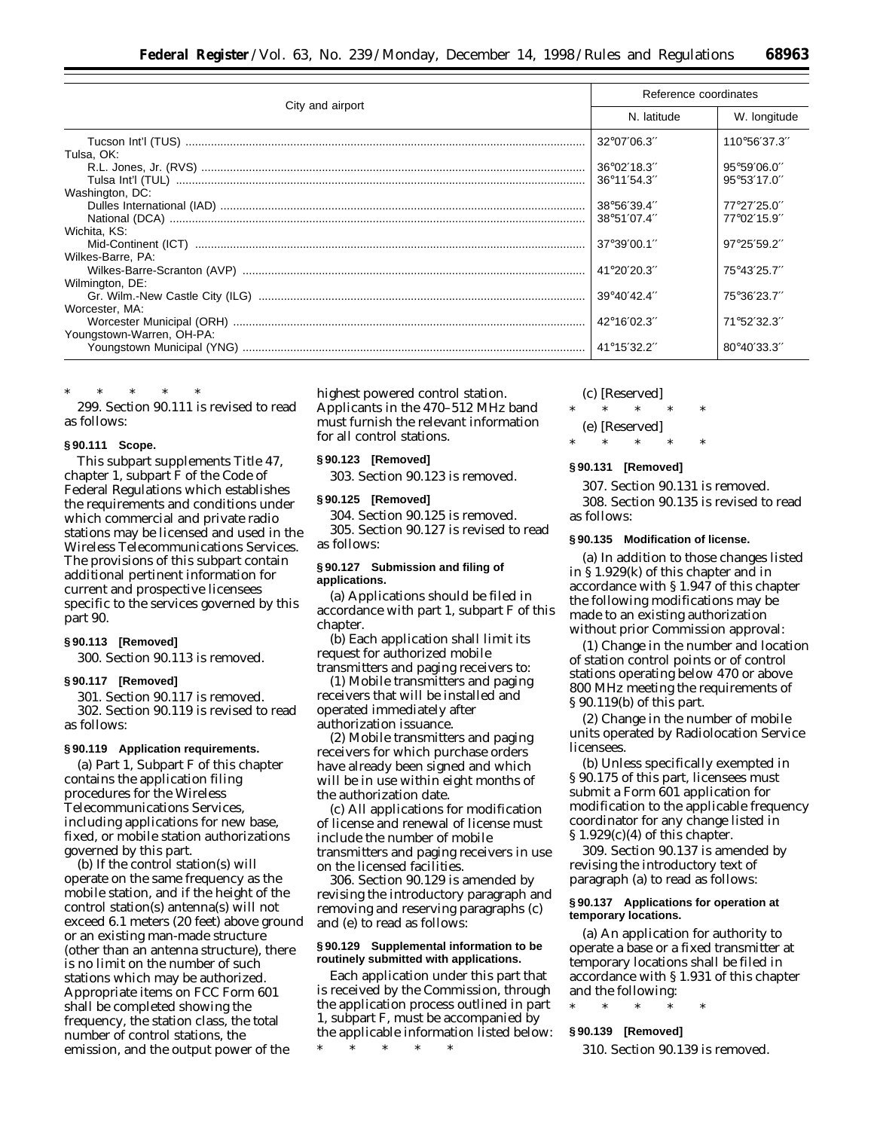|                           | Reference coordinates |                       |  |
|---------------------------|-----------------------|-----------------------|--|
| City and airport          | N. latitude           | W. longitude          |  |
|                           | 32°07′06.3″           | 110°56'37.3"          |  |
| Tulsa, OK:                |                       |                       |  |
|                           | 36°02'18.3"           | $95^{\circ}59'06.0''$ |  |
|                           | 36°11'54.3"           | $95^{\circ}53'17.0''$ |  |
| Washington, DC:           |                       |                       |  |
|                           | 38°56'39.4"           | 77°27′25.0″           |  |
|                           | 38°51′07.4″           | 77°02'15.9"           |  |
| Wichita, KS:              |                       |                       |  |
|                           | 37°39'00.1"           | 97°25'59.2"           |  |
| Wilkes-Barre, PA:         |                       |                       |  |
|                           | 41°20'20.3"           | 75°43'25.7"           |  |
| Wilmington, DE:           |                       |                       |  |
|                           | 39°40'42.4"           | 75°36′23.7″           |  |
| Worcester, MA:            |                       |                       |  |
|                           | 42°16'02.3"           | 71°52'32.3"           |  |
| Youngstown-Warren, OH-PA: |                       |                       |  |
|                           | 41°15'32.2"           | $80^{\circ}40'33.3'$  |  |

\* \* \* \* \*

299. Section 90.111 is revised to read as follows:

### **§ 90.111 Scope.**

This subpart supplements Title 47, chapter 1, subpart F of the Code of Federal Regulations which establishes the requirements and conditions under which commercial and private radio stations may be licensed and used in the Wireless Telecommunications Services. The provisions of this subpart contain additional pertinent information for current and prospective licensees specific to the services governed by this part 90.

#### **§ 90.113 [Removed]**

300. Section 90.113 is removed.

### **§ 90.117 [Removed]**

301. Section 90.117 is removed. 302. Section 90.119 is revised to read as follows:

#### **§ 90.119 Application requirements.**

(a) Part 1, Subpart F of this chapter contains the application filing procedures for the Wireless Telecommunications Services, including applications for new base, fixed, or mobile station authorizations governed by this part.

(b) If the control station(s) will operate on the same frequency as the mobile station, and if the height of the control station(s) antenna(s) will not exceed 6.1 meters (20 feet) above ground or an existing man-made structure (other than an antenna structure), there is no limit on the number of such stations which may be authorized. Appropriate items on FCC Form 601 shall be completed showing the frequency, the station class, the total number of control stations, the emission, and the output power of the

highest powered control station. Applicants in the 470–512 MHz band must furnish the relevant information for all control stations.

### **§ 90.123 [Removed]**

303. Section 90.123 is removed.

#### **§ 90.125 [Removed]**

304. Section 90.125 is removed. 305. Section 90.127 is revised to read as follows:

#### **§ 90.127 Submission and filing of applications.**

(a) Applications should be filed in accordance with part 1, subpart F of this chapter.

(b) Each application shall limit its request for authorized mobile transmitters and paging receivers to:

(1) Mobile transmitters and paging receivers that will be installed and operated immediately after authorization issuance.

(2) Mobile transmitters and paging receivers for which purchase orders have already been signed and which will be in use within eight months of the authorization date.

(c) All applications for modification of license and renewal of license must include the number of mobile transmitters and paging receivers in use on the licensed facilities.

306. Section 90.129 is amended by revising the introductory paragraph and removing and reserving paragraphs (c) and (e) to read as follows:

### **§ 90.129 Supplemental information to be routinely submitted with applications.**

Each application under this part that is received by the Commission, through the application process outlined in part 1, subpart F, must be accompanied by the applicable information listed below: \* \* \* \* \*

#### (c) [Reserved]

\* \* \* \* \* (e) [Reserved]

\* \* \* \* \*

### **§ 90.131 [Removed]**

307. Section 90.131 is removed. 308. Section 90.135 is revised to read as follows:

### **§ 90.135 Modification of license.**

(a) In addition to those changes listed in § 1.929(k) of this chapter and in accordance with § 1.947 of this chapter the following modifications may be made to an existing authorization without prior Commission approval:

(1) Change in the number and location of station control points or of control stations operating below 470 or above 800 MHz meeting the requirements of § 90.119(b) of this part.

(2) Change in the number of mobile units operated by Radiolocation Service licensees.

(b) Unless specifically exempted in § 90.175 of this part, licensees must submit a Form 601 application for modification to the applicable frequency coordinator for any change listed in  $\S 1.929(c)(4)$  of this chapter.

309. Section 90.137 is amended by revising the introductory text of paragraph (a) to read as follows:

### **§ 90.137 Applications for operation at temporary locations.**

(a) An application for authority to operate a base or a fixed transmitter at temporary locations shall be filed in accordance with § 1.931 of this chapter and the following:

\* \* \* \* \*

### **§ 90.139 [Removed]**

310. Section 90.139 is removed.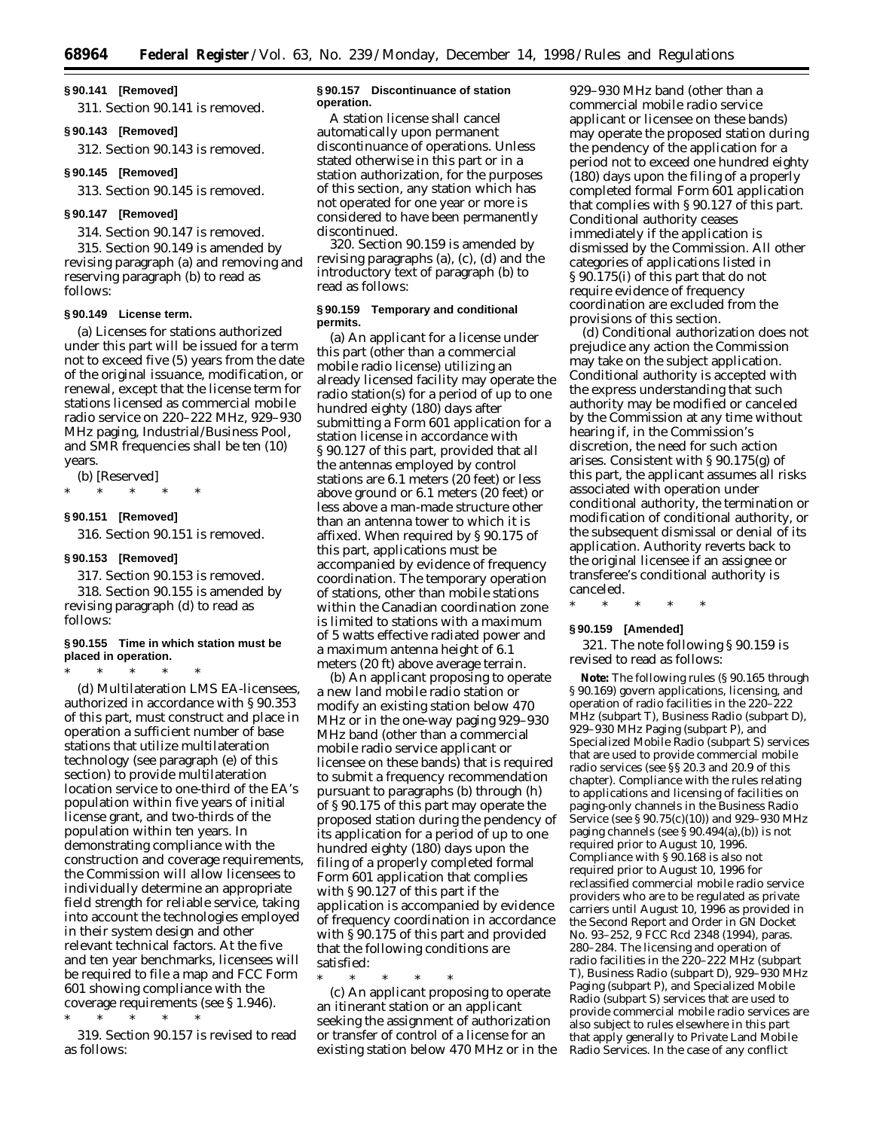#### **§ 90.141 [Removed]**

311. Section 90.141 is removed.

#### **§ 90.143 [Removed]**

312. Section 90.143 is removed.

### **§ 90.145 [Removed]**

313. Section 90.145 is removed.

#### **§ 90.147 [Removed]**

314. Section 90.147 is removed. 315. Section 90.149 is amended by revising paragraph (a) and removing and reserving paragraph (b) to read as follows:

### **§ 90.149 License term.**

(a) Licenses for stations authorized under this part will be issued for a term not to exceed five (5) years from the date of the original issuance, modification, or renewal, except that the license term for stations licensed as commercial mobile radio service on 220–222 MHz, 929–930 MHz paging, Industrial/Business Pool, and SMR frequencies shall be ten (10) years.

(b) [Reserved]

\* \* \* \* \*

**§ 90.151 [Removed]**

316. Section 90.151 is removed.

#### **§ 90.153 [Removed]**

317. Section 90.153 is removed. 318. Section 90.155 is amended by revising paragraph (d) to read as follows:

#### **§ 90.155 Time in which station must be placed in operation.**

\* \* \* \* \*

(d) Multilateration LMS EA-licensees, authorized in accordance with § 90.353 of this part, must construct and place in operation a sufficient number of base stations that utilize multilateration technology (see paragraph (e) of this section) to provide multilateration location service to one-third of the EA's population within five years of initial license grant, and two-thirds of the population within ten years. In demonstrating compliance with the construction and coverage requirements, the Commission will allow licensees to individually determine an appropriate field strength for reliable service, taking into account the technologies employed in their system design and other relevant technical factors. At the five and ten year benchmarks, licensees will be required to file a map and FCC Form 601 showing compliance with the coverage requirements (*see* § 1.946).

\* \* \* \* \* 319. Section 90.157 is revised to read as follows:

### **§ 90.157 Discontinuance of station operation.**

A station license shall cancel automatically upon permanent discontinuance of operations. Unless stated otherwise in this part or in a station authorization, for the purposes of this section, any station which has not operated for one year or more is considered to have been permanently discontinued.

320. Section 90.159 is amended by revising paragraphs (a), (c), (d) and the introductory text of paragraph (b) to read as follows:

#### **§ 90.159 Temporary and conditional permits.**

(a) An applicant for a license under this part (other than a commercial mobile radio license) utilizing an already licensed facility may operate the radio station(s) for a period of up to one hundred eighty (180) days after submitting a Form 601 application for a station license in accordance with § 90.127 of this part, provided that all the antennas employed by control stations are 6.1 meters (20 feet) or less above ground or 6.1 meters (20 feet) or less above a man-made structure other than an antenna tower to which it is affixed. When required by § 90.175 of this part, applications must be accompanied by evidence of frequency coordination. The temporary operation of stations, other than mobile stations within the Canadian coordination zone is limited to stations with a maximum of 5 watts effective radiated power and a maximum antenna height of 6.1 meters (20 ft) above average terrain.

(b) An applicant proposing to operate a new land mobile radio station or modify an existing station below 470 MHz or in the one-way paging 929–930 MHz band (other than a commercial mobile radio service applicant or licensee on these bands) that is required to submit a frequency recommendation pursuant to paragraphs (b) through (h) of § 90.175 of this part may operate the proposed station during the pendency of its application for a period of up to one hundred eighty (180) days upon the filing of a properly completed formal Form 601 application that complies with § 90.127 of this part if the application is accompanied by evidence of frequency coordination in accordance with § 90.175 of this part and provided that the following conditions are satisfied:

\* \* \* \* \*

(c) An applicant proposing to operate an itinerant station or an applicant seeking the assignment of authorization or transfer of control of a license for an existing station below 470 MHz or in the 929–930 MHz band (other than a commercial mobile radio service applicant or licensee on these bands) may operate the proposed station during the pendency of the application for a period not to exceed one hundred eighty (180) days upon the filing of a properly completed formal Form 601 application that complies with § 90.127 of this part. Conditional authority ceases immediately if the application is dismissed by the Commission. All other categories of applications listed in § 90.175(i) of this part that do not require evidence of frequency coordination are excluded from the provisions of this section.

(d) Conditional authorization does not prejudice any action the Commission may take on the subject application. Conditional authority is accepted with the express understanding that such authority may be modified or canceled by the Commission at any time without hearing if, in the Commission's discretion, the need for such action arises. Consistent with § 90.175(g) of this part, the applicant assumes all risks associated with operation under conditional authority, the termination or modification of conditional authority, or the subsequent dismissal or denial of its application. Authority reverts back to the original licensee if an assignee or transferee's conditional authority is canceled.

\* \* \* \* \*

## **§ 90.159 [Amended]**

321. The note following § 90.159 is revised to read as follows:

**Note:** The following rules (§ 90.165 through § 90.169) govern applications, licensing, and operation of radio facilities in the 220–222 MHz (subpart T), Business Radio (subpart D), 929–930 MHz Paging (subpart P), and Specialized Mobile Radio (subpart S) services that are used to provide commercial mobile radio services (see §§ 20.3 and 20.9 of this chapter). Compliance with the rules relating to applications and licensing of facilities on paging-only channels in the Business Radio Service (see § 90.75(c)(10)) and 929–930 MHz paging channels (see § 90.494(a),(b)) is not required prior to August 10, 1996. Compliance with § 90.168 is also not required prior to August 10, 1996 for reclassified commercial mobile radio service providers who are to be regulated as private carriers until August 10, 1996 as provided in the Second Report and Order in GN Docket No. 93–252, 9 FCC Rcd 2348 (1994), paras. 280–284. The licensing and operation of radio facilities in the 220–222 MHz (subpart T), Business Radio (subpart D), 929–930 MHz Paging (subpart P), and Specialized Mobile Radio (subpart S) services that are used to provide commercial mobile radio services are also subject to rules elsewhere in this part that apply generally to Private Land Mobile Radio Services. In the case of any conflict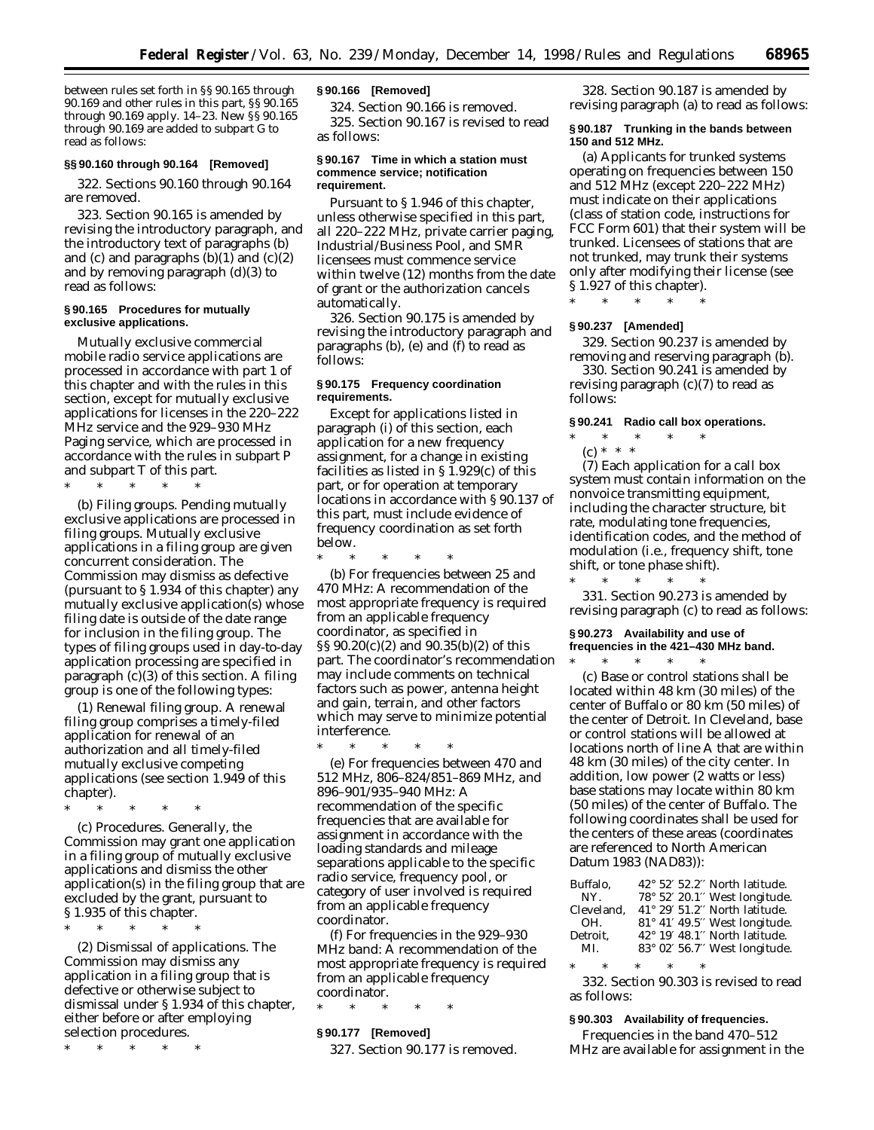between rules set forth in §§ 90.165 through 90.169 and other rules in this part, §§ 90.165 through 90.169 apply. 14–23. New §§ 90.165 through 90.169 are added to subpart G to read as follows:

#### **§§ 90.160 through 90.164 [Removed]**

322. Sections 90.160 through 90.164 are removed.

323. Section 90.165 is amended by revising the introductory paragraph, and the introductory text of paragraphs (b) and (c) and paragraphs  $(b)(1)$  and  $(c)(2)$ and by removing paragraph (d)(3) to read as follows:

#### **§ 90.165 Procedures for mutually exclusive applications.**

Mutually exclusive commercial mobile radio service applications are processed in accordance with part 1 of this chapter and with the rules in this section, except for mutually exclusive applications for licenses in the 220–222 MHz service and the 929–930 MHz Paging service, which are processed in accordance with the rules in subpart P and subpart T of this part.

\* \* \* \* \*

(b) *Filing groups.* Pending mutually exclusive applications are processed in filing groups. Mutually exclusive applications in a filing group are given concurrent consideration. The Commission may dismiss as defective (pursuant to § 1.934 of this chapter) any mutually exclusive application(s) whose filing date is outside of the date range for inclusion in the filing group. The types of filing groups used in day-to-day application processing are specified in paragraph (c)(3) of this section. A filing group is one of the following types:

(1) *Renewal filing group.* A renewal filing group comprises a timely-filed application for renewal of an authorization and all timely-filed mutually exclusive competing applications (see section 1.949 of this chapter).

\* \* \* \* \*

(c) *Procedures.* Generally, the Commission may grant one application in a filing group of mutually exclusive applications and dismiss the other application(s) in the filing group that are excluded by the grant, pursuant to § 1.935 of this chapter.

\* \* \* \* \*

(2) *Dismissal of applications.* The Commission may dismiss any application in a filing group that is defective or otherwise subject to dismissal under § 1.934 of this chapter, either before or after employing selection procedures.

\* \* \* \* \*

### **§ 90.166 [Removed]**

324. Section 90.166 is removed. 325. Section 90.167 is revised to read as follows:

#### **§ 90.167 Time in which a station must commence service; notification requirement.**

Pursuant to § 1.946 of this chapter, unless otherwise specified in this part, all 220–222 MHz, private carrier paging, Industrial/Business Pool, and SMR licensees must commence service within twelve (12) months from the date of grant or the authorization cancels automatically.

326. Section 90.175 is amended by revising the introductory paragraph and paragraphs (b), (e) and (f) to read as follows:

#### **§ 90.175 Frequency coordination requirements.**

Except for applications listed in paragraph (i) of this section, each application for a new frequency assignment, for a change in existing facilities as listed in § 1.929(c) of this part, or for operation at temporary locations in accordance with § 90.137 of this part, must include evidence of frequency coordination as set forth below.

\* \* \* \* \* (b) *For frequencies between 25 and 470 MHz:* A recommendation of the most appropriate frequency is required from an applicable frequency coordinator, as specified in §§ 90.20(c)(2) and 90.35(b)(2) of this part. The coordinator's recommendation may include comments on technical factors such as power, antenna height and gain, terrain, and other factors which may serve to minimize potential interference.

\* \* \* \* \* (e) *For frequencies between 470 and 512 MHz, 806–824/851–869 MHz, and 896–901/935–940 MHz:* A recommendation of the specific frequencies that are available for assignment in accordance with the loading standards and mileage separations applicable to the specific radio service, frequency pool, or category of user involved is required from an applicable frequency coordinator.

(f) *For frequencies in the 929–930 MHz band:* A recommendation of the most appropriate frequency is required from an applicable frequency coordinator.

\* \* \* \* \*

### **§ 90.177 [Removed]**

327. Section 90.177 is removed.

328. Section 90.187 is amended by revising paragraph (a) to read as follows:

### **§ 90.187 Trunking in the bands between 150 and 512 MHz.**

(a) Applicants for trunked systems operating on frequencies between 150 and 512 MHz (except 220–222 MHz) must indicate on their applications (class of station code, instructions for FCC Form 601) that their system will be trunked. Licensees of stations that are not trunked, may trunk their systems only after modifying their license (see § 1.927 of this chapter).

\* \* \* \* \*

### **§ 90.237 [Amended]**

329. Section 90.237 is amended by removing and reserving paragraph (b). 330. Section 90.241 is amended by

revising paragraph (c)(7) to read as follows:

#### **§ 90.241 Radio call box operations.**

\* \* \* \* \*

\* \* \* \* \*

(c) \* \* \*

(7) Each application for a call box system must contain information on the nonvoice transmitting equipment, including the character structure, bit rate, modulating tone frequencies, identification codes, and the method of modulation (i.e., frequency shift, tone shift, or tone phase shift).

331. Section 90.273 is amended by revising paragraph (c) to read as follows:

## **§ 90.273 Availability and use of frequencies in the 421–430 MHz band.**

\* \* \* \* \* (c) Base or control stations shall be located within 48 km (30 miles) of the center of Buffalo or 80 km (50 miles) of the center of Detroit. In Cleveland, base or control stations will be allowed at locations north of line A that are within 48 km (30 miles) of the city center. In addition, low power (2 watts or less) base stations may locate within 80 km (50 miles) of the center of Buffalo. The following coordinates shall be used for the centers of these areas (coordinates are referenced to North American Datum 1983 (NAD83)):

| Buffalo,   |        |        |   | $42^{\circ}$ 52' 52.2" North latitude. |
|------------|--------|--------|---|----------------------------------------|
| NY.        |        |        |   | 78° 52' 20.1" West longitude.          |
| Cleveland. |        |        |   | 41° 29' 51.2" North latitude.          |
| OH.        |        |        |   | $81^{\circ}$ 41' 49.5" West longitude. |
| Detroit.   |        |        |   | $42^{\circ}$ 19' 48.1" North latitude. |
| MI.        |        |        |   | 83° 02' 56.7" West longitude.          |
| ж<br>ж     | $\ast$ | $\ast$ | ж |                                        |

332. Section 90.303 is revised to read as follows:

#### **§ 90.303 Availability of frequencies.**

Frequencies in the band 470–512 MHz are available for assignment in the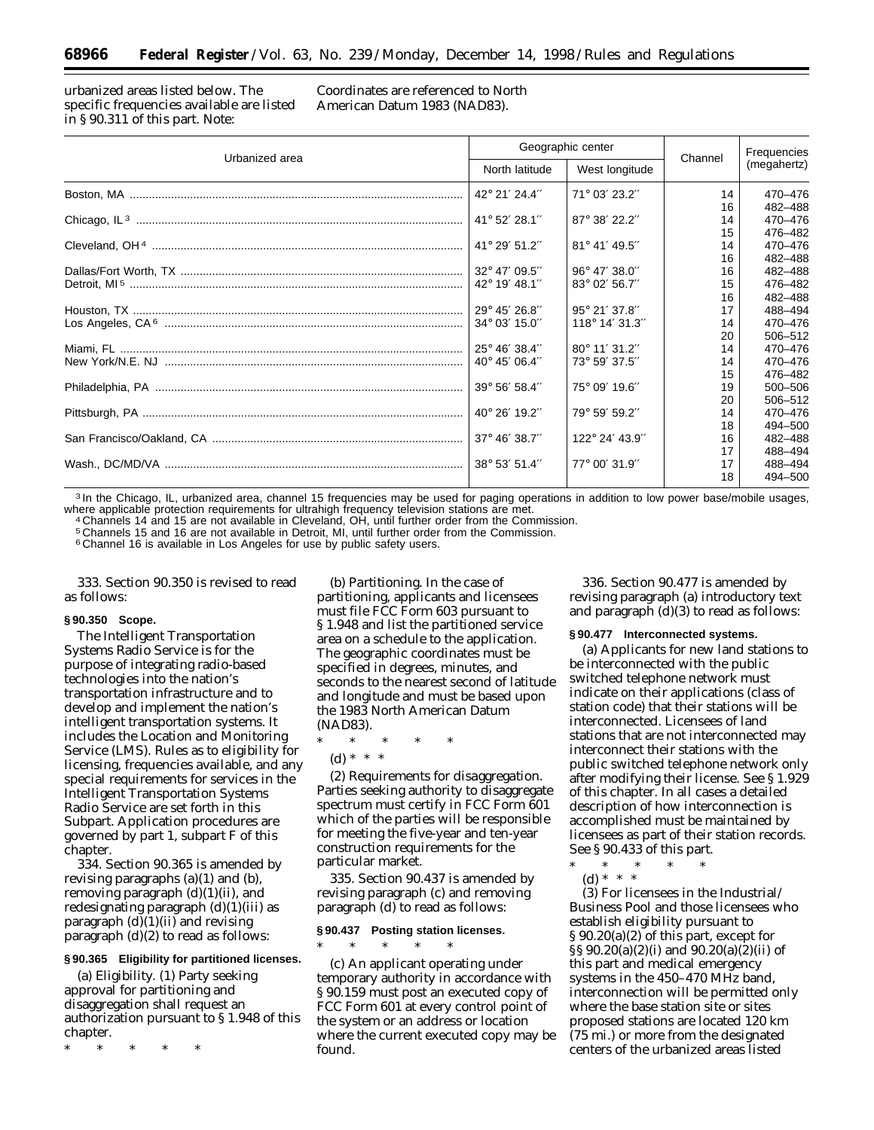urbanized areas listed below. The specific frequencies available are listed in § 90.311 of this part. Note:

Coordinates are referenced to North American Datum 1983 (NAD83).

|                | Geographic center |                |         | Frequencies |  |
|----------------|-------------------|----------------|---------|-------------|--|
| Urbanized area | North latitude    | West longitude | Channel | (megahertz) |  |
|                | 42° 21' 24.4"     | 71° 03' 23.2"  | 14      | 470-476     |  |
|                |                   |                | 16      | 482-488     |  |
|                |                   | 87° 38' 22.2"  | 14      | 470-476     |  |
|                |                   |                | 15      | 476-482     |  |
|                | 41° 29' 51.2"     | 81° 41' 49.5"  | 14      | 470-476     |  |
|                |                   |                | 16      | 482-488     |  |
|                |                   | 96° 47' 38.0"  | 16      | 482-488     |  |
|                | 42° 19' 48.1"     | 83° 02' 56.7"  | 15      | 476-482     |  |
|                |                   |                | 16      | 482-488     |  |
|                |                   | 95° 21' 37.8"  | 17      | 488-494     |  |
|                | 34° 03' 15.0"     | 118° 14' 31.3" | 14      | 470-476     |  |
|                |                   |                | 20      | 506-512     |  |
|                |                   | 80° 11' 31.2"  | 14      | 470-476     |  |
|                | 40° 45' 06.4"     | 73° 59' 37.5"  | 14      | 470-476     |  |
|                |                   |                | 15      | 476-482     |  |
|                | 39° 56' 58.4"     | 75° 09' 19.6"  | 19      | 500-506     |  |
|                |                   |                | 20      | 506-512     |  |
|                |                   | 79° 59' 59.2"  | 14      | 470-476     |  |
|                |                   |                | 18      | 494-500     |  |
|                | 37° 46' 38.7"     | 122° 24' 43.9" | 16      | 482-488     |  |
|                |                   |                | 17      | 488-494     |  |
|                |                   | 77° 00' 31.9"  | 17      | 488-494     |  |
|                |                   |                | 18      | 494-500     |  |

<sup>3</sup> In the Chicago, IL, urbanized area, channel 15 frequencies may be used for paging operations in addition to low power base/mobile usages, where applicable protection requirements for ultrahigh frequency television stations are met.

<sup>4</sup> Channels 14 and 15 are not available in Cleveland, OH, until further order from the Commission.<br><sup>5</sup> Channels 15 and 16 are not available in Detroit, MI, until further order from the Commission.

<sup>6</sup> Channel 16 is available in Los Angeles for use by public safety users.

333. Section 90.350 is revised to read as follows:

#### **§ 90.350 Scope.**

The Intelligent Transportation Systems Radio Service is for the purpose of integrating radio-based technologies into the nation's transportation infrastructure and to develop and implement the nation's intelligent transportation systems. It includes the Location and Monitoring Service (LMS). Rules as to eligibility for licensing, frequencies available, and any special requirements for services in the Intelligent Transportation Systems Radio Service are set forth in this Subpart. Application procedures are governed by part 1, subpart F of this chapter.

334. Section 90.365 is amended by revising paragraphs (a)(1) and (b), removing paragraph (d)(1)(ii), and redesignating paragraph (d)(1)(iii) as paragraph  $(d)(1)(ii)$  and revising paragraph (d)(2) to read as follows:

#### **§ 90.365 Eligibility for partitioned licenses.**

(a) *Eligibility*. (1) Party seeking approval for partitioning and disaggregation shall request an authorization pursuant to § 1.948 of this chapter.

\* \* \* \* \*

(b) *Partitioning.* In the case of partitioning, applicants and licensees must file FCC Form 603 pursuant to § 1.948 and list the partitioned service area on a schedule to the application. The geographic coordinates must be specified in degrees, minutes, and seconds to the nearest second of latitude and longitude and must be based upon the 1983 North American Datum (NAD83).

\* \* \* \* \*

(d)  $* * * *$ 

(2) *Requirements for disaggregation.* Parties seeking authority to disaggregate spectrum must certify in FCC Form 601 which of the parties will be responsible for meeting the five-year and ten-year construction requirements for the particular market.

335. Section 90.437 is amended by revising paragraph (c) and removing paragraph (d) to read as follows:

### **§ 90.437 Posting station licenses.**

\* \* \* \* \*

(c) An applicant operating under temporary authority in accordance with § 90.159 must post an executed copy of FCC Form 601 at every control point of the system or an address or location where the current executed copy may be found.

336. Section 90.477 is amended by revising paragraph (a) introductory text and paragraph (d)(3) to read as follows:

#### **§ 90.477 Interconnected systems.**

(a) Applicants for new land stations to be interconnected with the public switched telephone network must indicate on their applications (class of station code) that their stations will be interconnected. Licensees of land stations that are not interconnected may interconnect their stations with the public switched telephone network only after modifying their license. *See* § 1.929 of this chapter. In all cases a detailed description of how interconnection is accomplished must be maintained by licensees as part of their station records. See § 90.433 of this part.

- \* \* \* \* \*
- (d) \* \* \*

(3) For licensees in the Industrial/ Business Pool and those licensees who establish eligibility pursuant to § 90.20(a)(2) of this part, except for §§ 90.20(a)(2)(i) and 90.20(a)(2)(ii) of this part and medical emergency systems in the 450–470 MHz band, interconnection will be permitted only where the base station site or sites proposed stations are located 120 km (75 mi.) or more from the designated centers of the urbanized areas listed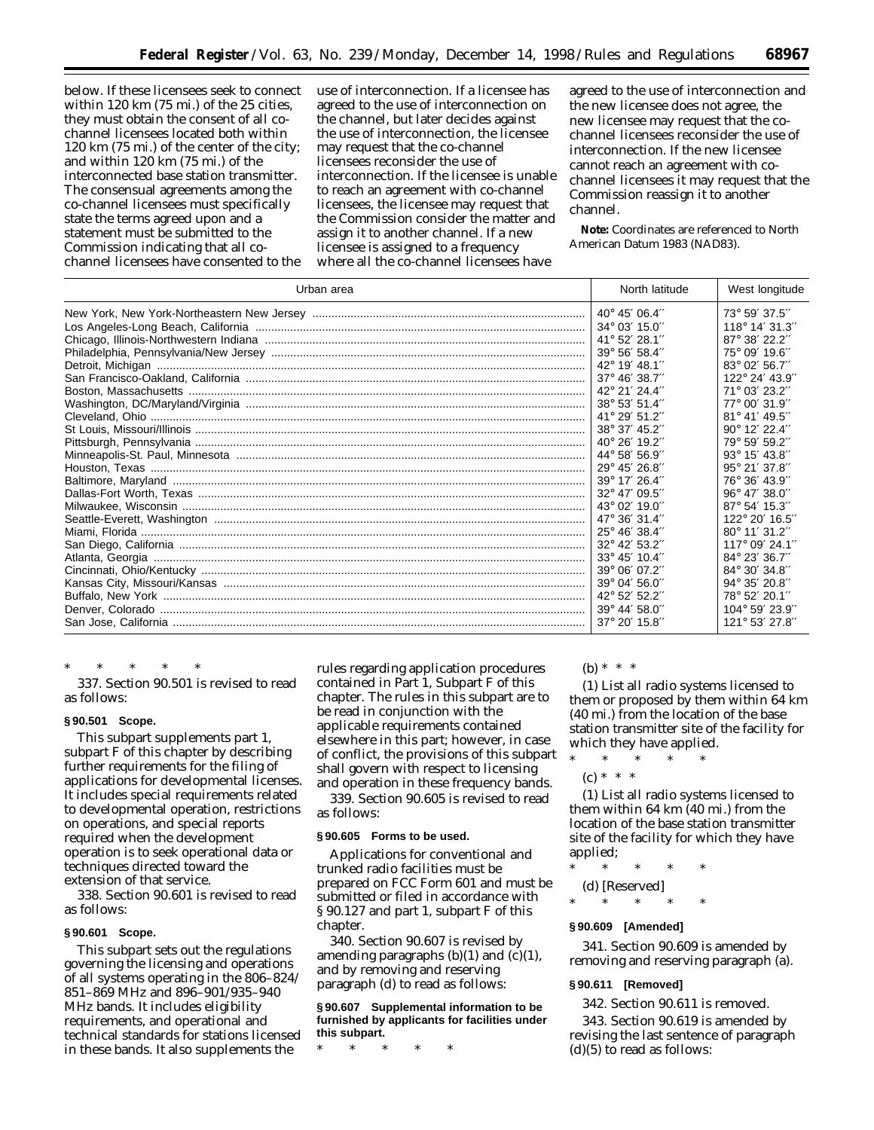below. If these licensees seek to connect within 120 km (75 mi.) of the 25 cities, they must obtain the consent of all cochannel licensees located both within 120 km (75 mi.) of the center of the city; and within 120 km (75 mi.) of the interconnected base station transmitter. The consensual agreements among the co-channel licensees must specifically state the terms agreed upon and a statement must be submitted to the Commission indicating that all cochannel licensees have consented to the

use of interconnection. If a licensee has agreed to the use of interconnection on the channel, but later decides against the use of interconnection, the licensee may request that the co-channel licensees reconsider the use of interconnection. If the licensee is unable to reach an agreement with co-channel licensees, the licensee may request that the Commission consider the matter and assign it to another channel. If a new licensee is assigned to a frequency where all the co-channel licensees have

agreed to the use of interconnection and the new licensee does not agree, the new licensee may request that the cochannel licensees reconsider the use of interconnection. If the new licensee cannot reach an agreement with cochannel licensees it may request that the Commission reassign it to another channel.

**Note:** Coordinates are referenced to North American Datum 1983 (NAD83).

| Urban area | North latitude         | West longitude          |
|------------|------------------------|-------------------------|
|            | 40° 45′ 06.4″          | 73° 59' 37.5"           |
|            | 34° 03' 15.0"          | $118^{\circ}$ 14' 31.3" |
|            | 41° 52' 28.1"          | 87° 38' 22.2"           |
|            | $39^{\circ}$ 56' 58.4" | 75° 09' 19.6"           |
|            | 42° 19' 48.1"          | 83° 02' 56.7"           |
|            | 37° 46' 38.7"          | 122° 24' 43.9"          |
|            | 42° 21' 24.4"          | 71° 03' 23.2"           |
|            | 38° 53' 51.4"          | 77° 00' 31.9"           |
|            | 41° 29' 51.2"          | $81^{\circ}$ 41' 49.5"  |
|            | 38° 37' 45.2"          | $90^{\circ}$ 12' 22.4"  |
|            | 40° 26' 19.2"          | 79° 59' 59.2"           |
|            | 44° 58' 56.9"          | $93^{\circ}$ 15' 43.8"  |
|            | 29° 45' 26.8"          | $95^{\circ}$ 21' 37.8"  |
|            | 39° 17' 26.4"          | 76° 36' 43.9"           |
|            | 32° 47' 09.5"          | $96^{\circ}$ 47' 38.0"  |
|            | 43° 02' 19.0"          | 87° 54' 15.3"           |
|            | 47° 36' 31.4"          | 122° 20' 16.5"          |
|            | 25° 46' 38.4"          | 80° 11' 31.2"           |
|            | 32° 42' 53.2"          | 117° 09' 24.1"          |
|            | 33° 45' 10.4"          | 84° 23' 36.7"           |
|            | 39° 06' 07.2"          | 84° 30' 34.8"           |
|            | $39^{\circ}$ 04' 56.0" | 94° 35' 20.8"           |
|            | 42° 52' 52.2"          | 78° 52' 20.1"           |
|            | 39° 44' 58.0"          | 104° 59' 23.9"          |
|            | 37° 20' 15.8"          | 121° 53' 27.8"          |

\* \* \* \* \* 337. Section 90.501 is revised to read as follows:

#### **§ 90.501 Scope.**

This subpart supplements part 1, subpart F of this chapter by describing further requirements for the filing of applications for developmental licenses. It includes special requirements related to developmental operation, restrictions on operations, and special reports required when the development operation is to seek operational data or techniques directed toward the extension of that service.

338. Section 90.601 is revised to read as follows:

#### **§ 90.601 Scope.**

This subpart sets out the regulations governing the licensing and operations of all systems operating in the 806–824/ 851–869 MHz and 896–901/935–940 MHz bands. It includes eligibility requirements, and operational and technical standards for stations licensed in these bands. It also supplements the

rules regarding application procedures contained in Part 1, Subpart F of this chapter. The rules in this subpart are to be read in conjunction with the applicable requirements contained elsewhere in this part; however, in case of conflict, the provisions of this subpart shall govern with respect to licensing and operation in these frequency bands.

339. Section 90.605 is revised to read as follows:

#### **§ 90.605 Forms to be used.**

Applications for conventional and trunked radio facilities must be prepared on FCC Form 601 and must be submitted or filed in accordance with § 90.127 and part 1, subpart F of this chapter.

340. Section 90.607 is revised by amending paragraphs  $(b)(1)$  and  $(c)(1)$ , and by removing and reserving paragraph (d) to read as follows:

**§ 90.607 Supplemental information to be furnished by applicants for facilities under this subpart.**

\* \* \* \* \*

(b) \* \* \*

(1) List all radio systems licensed to them or proposed by them within 64 km (40 mi.) from the location of the base station transmitter site of the facility for which they have applied.

 $(c) * * * *$ 

\* \* \* \* \*

(1) List all radio systems licensed to them within 64 km (40 mi.) from the location of the base station transmitter site of the facility for which they have applied;

\* \* \* \* \*

(d) [Reserved]

# \* \* \* \* \*

## **§ 90.609 [Amended]**

341. Section 90.609 is amended by removing and reserving paragraph (a).

#### **§ 90.611 [Removed]**

342. Section 90.611 is removed.

343. Section 90.619 is amended by revising the last sentence of paragraph (d)(5) to read as follows: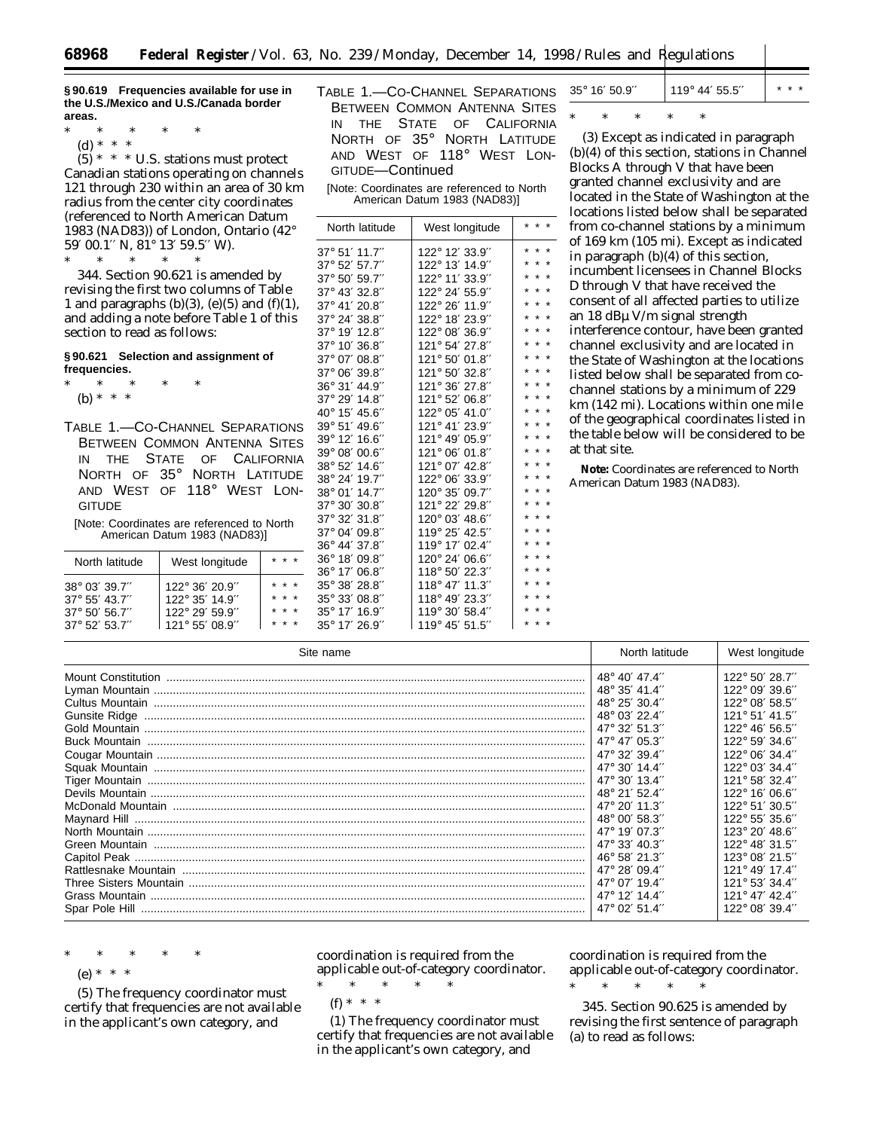L

**§ 90.619 Frequencies available for use in the U.S./Mexico and U.S./Canada border areas.**

- \* \* \* \* \*
	- (d) \* \* \*

 $(5)$  \* \* \* U.S. stations must protect Canadian stations operating on channels 121 through 230 within an area of 30 km radius from the center city coordinates (referenced to North American Datum 1983 (NAD83)) of London, Ontario (42° 59′ 00.1′′ N, 81° 13′ 59.5′′ W).

\* \* \* \* \* 344. Section 90.621 is amended by revising the first two columns of Table 1 and paragraphs (b)(3), (e)(5) and (f)(1), and adding a note before Table 1 of this section to read as follows:

#### **§ 90.621 Selection and assignment of frequencies.**

\* \* \* \* \* (b)  $*$ 

TABLE 1.—CO-CHANNEL SEPARATIONS BETWEEN COMMON ANTENNA SITES IN THE STATE OF CALIFORNIA NORTH OF 35° NORTH LATITUDE AND WEST OF 118° WEST LON-**GITUDE** 

[Note: Coordinates are referenced to North American Datum 1983 (NAD83)]

| North latitude                                                            | West longitude                                                       |  |  |
|---------------------------------------------------------------------------|----------------------------------------------------------------------|--|--|
| 38° 03' 39.7"<br>37° 55' 43.7"<br>37° 50' 56.7"<br>$37^{\circ}$ 52' 53.7" | 122° 36' 20.9"<br>122° 35' 14.9"<br>122° 29' 59.9"<br>121° 55' 08.9" |  |  |

TABLE 1.—CO-CHANNEL SEPARATIONS BETWEEN COMMON ANTENNA SITES IN THE STATE OF CALIFORNIA NORTH OF 35° NORTH LATITUDE AND WEST OF 118° WEST LON-GITUDE—Continued

[Note: Coordinates are referenced to North American Datum 1983 (NAD83)]

| North latitude          | West longitude |       | * * *                   |         |
|-------------------------|----------------|-------|-------------------------|---------|
| 37° 51' 11.7"           | 122° 12' 33.9" | $* *$ |                         | $\star$ |
| $37^\circ$ 52' 57.7''   | 122° 13' 14.9" |       | $***$                   |         |
| $37^\circ$ 50′ 59.7″    | 122° 11' 33.9" | $* *$ |                         | $\star$ |
| $37^{\circ}$ 43' 32.8"  | 122° 24' 55.9" | $* *$ |                         | $\star$ |
| $37^\circ$ 41′ 20.8″    | 122° 26' 11.9" | $* *$ |                         | $\star$ |
| $37^{\circ}$ 24′ 38.8″  | 122° 18' 23.9" |       | $***$                   |         |
| 37° 19' 12.8"           | 122° 08' 36.9" |       | * * *                   |         |
| $37^\circ$ 10' 36.8"    | 121° 54' 27.8" |       | * * *                   |         |
| $37^\circ$ 07' 08.8''   | 121° 50' 01.8" |       | * * *                   |         |
| $37^{\circ}$ 06' 39.8"  | 121° 50' 32.8" |       | * * *                   |         |
| 36° 31′ 44.9″           | 121° 36' 27.8" |       | * * *                   |         |
| 37° 29' 14.8"           | 121° 52' 06.8" |       | $***$                   |         |
| 40° 15' 45.6"           | 122° 05' 41.0" |       | $***$                   |         |
| 39° 51′ 49.6″           | 121° 41' 23.9" |       | $* *$                   | $\star$ |
| 39° 12' 16.6″           | 121° 49' 05.9" |       | * *                     | $\star$ |
| $39^{\circ}$ 08' 00.6"  | 121° 06' 01.8" |       | $* * *$                 |         |
| $38^{\circ}$ 52' 14.6"  | 121° 07' 42.8" |       | $\star$ $\star$ $\star$ |         |
| 38° 24′ 19.7″           | 122° 06' 33.9" |       | $* * *$                 |         |
| 38° 01' 14.7"           | 120° 35' 09.7" |       | * * *                   |         |
| $37^{\circ}$ 30' 30.8"  | 121° 22' 29.8" |       | $***$                   |         |
| 37° 32' 31.8"           | 120° 03' 48.6" |       | $\star$                 | $\star$ |
| 37° 04' 09.8"           | 119° 25' 42.5" |       | $* * *$                 |         |
| 36° 44′ 37.8″           | 119° 17' 02.4" |       | $* * *$                 |         |
| 36° 18′ 09.8″           | 120° 24' 06.6" |       | $* *$                   | $\star$ |
| 36° 17′ 06.8″           | 118° 50' 22.3" |       | $* *$                   | $\star$ |
| $35^{\circ}$ 38' 28.8'' | 118° 47' 11.3" |       | $* *$                   | $\star$ |
| 35° 33' 08.8"           | 118° 49' 23.3" |       | * * *                   |         |
| 35° 17′ 16.9″           | 119° 30' 58.4" |       | $***$                   |         |
| $35^{\circ}$ 17' 26.9'' | 119° 45' 51.5" |       |                         | $\star$ |
|                         |                |       |                         |         |

| $35^{\circ}$ 16' 50.9" | 119° 44' 55.5" |  |
|------------------------|----------------|--|
|                        |                |  |

\* \* \* \* \*

(3) Except as indicated in paragraph (b)(4) of this section, stations in Channel Blocks A through V that have been granted channel exclusivity and are located in the State of Washington at the locations listed below shall be separated from co-channel stations by a minimum of 169 km (105 mi). Except as indicated in paragraph (b)(4) of this section, incumbent licensees in Channel Blocks D through V that have received the consent of all affected parties to utilize an 18 dBµ V/m signal strength interference contour, have been granted channel exclusivity and are located in the State of Washington at the locations listed below shall be separated from cochannel stations by a minimum of 229 km (142 mi). Locations within one mile of the geographical coordinates listed in the table below will be considered to be at that site.

**Note:** Coordinates are referenced to North American Datum 1983 (NAD83).

| Site name | North latitude | West longitude |
|-----------|----------------|----------------|
|           | 48° 40' 47.4"  | 122° 50' 28.7" |
|           | 48° 35' 41.4"  | 122° 09' 39.6" |
|           | 48° 25' 30.4"  | 122° 08' 58.5" |
|           | 48° 03' 22.4"  | 121° 51' 41.5" |
|           | 47° 32' 51.3"  | 122° 46' 56.5" |
|           | 47° 47' 05.3"  | 122° 59' 34.6" |
|           | 47° 32' 39.4"  | 122° 06' 34.4" |
|           | 47° 30' 14.4"  | 122° 03' 34.4" |
|           | 47° 30' 13.4"  | 121° 58' 32.4" |
|           | 48° 21' 52.4"  | 122° 16' 06.6" |
|           | 47° 20' 11.3"  | 122° 51' 30.5" |
|           | 48° 00' 58.3"  | 122° 55' 35.6" |
|           | 47° 19' 07.3"  | 123° 20' 48.6" |
|           | 47° 33' 40.3"  | 122° 48' 31.5" |
|           | 46° 58' 21.3"  | 123° 08' 21.5" |
|           | 47° 28' 09.4"  | 121° 49' 17.4" |
|           | 47° 07' 19.4"  | 121° 53' 34.4" |
|           | 47° 12' 14.4"  | 121° 47' 42.4" |
|           | 47° 02' 51.4"  | 122° 08' 39.4" |

\* \* \* \* \*

(e)

(5) The frequency coordinator must certify that frequencies are not available in the applicant's own category, and

coordination is required from the applicable out-of-category coordinator.

\* \* \* \* \*

(f) \* \* \*

(1) The frequency coordinator must certify that frequencies are not available in the applicant's own category, and

coordination is required from the applicable out-of-category coordinator. \* \* \* \* \*

345. Section 90.625 is amended by revising the first sentence of paragraph (a) to read as follows: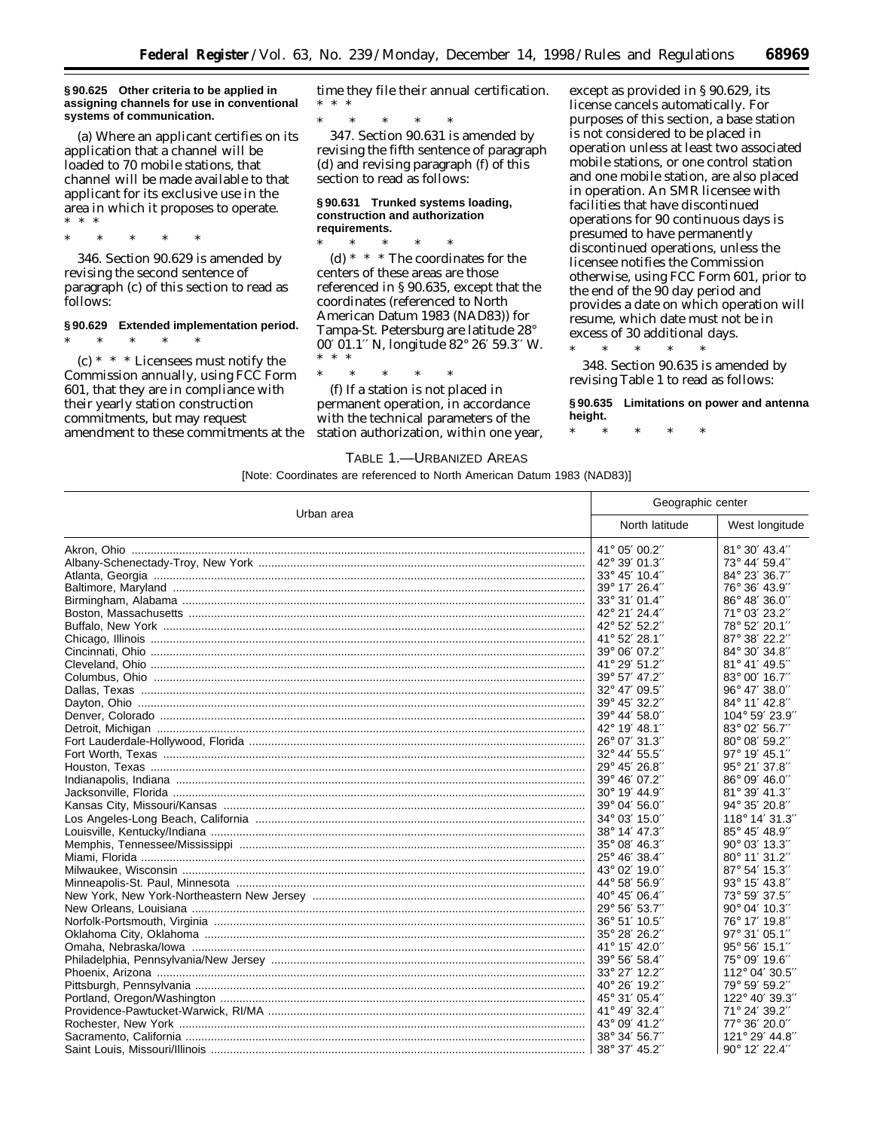#### **§ 90.625 Other criteria to be applied in assigning channels for use in conventional systems of communication.**

(a) Where an applicant certifies on its application that a channel will be loaded to 70 mobile stations, that channel will be made available to that applicant for its exclusive use in the area in which it proposes to operate. \* \* \*

\* \* \* \* \*

346. Section 90.629 is amended by revising the second sentence of paragraph (c) of this section to read as follows:

#### **§ 90.629 Extended implementation period.**

\* \* \* \* \*

(c) \* \* \* Licensees must notify the Commission annually, using FCC Form 601, that they are in compliance with their yearly station construction commitments, but may request amendment to these commitments at the time they file their annual certification. \* \* \*

\* \* \* \* \* 347. Section 90.631 is amended by revising the fifth sentence of paragraph (d) and revising paragraph (f) of this section to read as follows:

#### **§ 90.631 Trunked systems loading, construction and authorization requirements.**

\* \* \* \* \* (d) \* \* \* The coordinates for the centers of these areas are those referenced in § 90.635, except that the coordinates (referenced to North American Datum 1983 (NAD83)) for Tampa-St. Petersburg are latitude 28° 00′ 01.1′′ N, longitude 82° 26′ 59.3′′ W. \* \* \*

\* \* \* \* \* (f) If a station is not placed in permanent operation, in accordance with the technical parameters of the station authorization, within one year,

except as provided in § 90.629, its license cancels automatically. For purposes of this section, a base station is not considered to be placed in operation unless at least two associated mobile stations, or one control station and one mobile station, are also placed in operation. An SMR licensee with facilities that have discontinued operations for 90 continuous days is presumed to have permanently discontinued operations, unless the licensee notifies the Commission otherwise, using FCC Form 601, prior to the end of the 90 day period and provides a date on which operation will resume, which date must not be in excess of 30 additional days.

\* \* \* \* \* 348. Section 90.635 is amended by revising Table 1 to read as follows:

**§ 90.635 Limitations on power and antenna height.**

\* \* \* \* \*

#### TABLE 1.—URBANIZED AREAS

[Note: Coordinates are referenced to North American Datum 1983 (NAD83)]

|            | Geographic center       |                         |  |
|------------|-------------------------|-------------------------|--|
| Urban area | North latitude          | West longitude          |  |
|            | 41° 05' 00.2"           | 81° 30' 43.4"           |  |
|            | 42° 39' 01.3"           | 73° 44' 59.4"           |  |
|            | 33° 45' 10.4"           | 84° 23' 36.7"           |  |
|            | 39° 17' 26.4"           | 76° 36' 43.9"           |  |
|            | $33^{\circ}$ 31' 01.4"  | $86^{\circ}$ 48' 36.0"  |  |
|            | 42° 21′ 24.4″           | 71° 03' 23.2"           |  |
|            | 42° 52' 52.2"           | 78° 52' 20.1"           |  |
|            | 41° 52' 28.1"           | 87° 38' 22.2"           |  |
|            | 39° 06' 07.2"           | $84^{\circ}$ 30' 34.8"  |  |
|            | 41° 29' 51.2"           | $81^{\circ}$ 41' 49.5"  |  |
|            | 39° 57' 47.2"           | 83° 00' 16.7"           |  |
|            | 32° 47' 09.5"           | $96^{\circ}$ 47' 38.0"  |  |
|            | 39° 45' 32.2"           | $84^{\circ}$ 11' 42.8"  |  |
|            | 39° 44' 58.0"           | 104° 59' 23.9"          |  |
|            | $42^{\circ}$ 19' 48.1"  | $83^{\circ}$ 02' 56.7"  |  |
|            | 26° 07' 31.3"           | $80^{\circ}$ 08' 59.2"  |  |
|            | 32° 44' 55.5"           | $97^{\circ}$ 19' 45.1"  |  |
|            | 29° 45' 26.8"           | 95° 21' 37.8"           |  |
|            | $39^{\circ}$ 46' 07.2"  | $86^{\circ}$ 09' 46.0"  |  |
|            | 30° 19' 44.9"           | 81° 39' 41.3"           |  |
|            | 39° 04' 56.0"           | $94^{\circ}$ 35' 20.8"  |  |
|            | 34° 03' 15.0"           | 118° 14' 31.3"          |  |
|            | 38° 14' 47.3"           | 85° 45' 48.9"           |  |
|            | 35° 08' 46.3"           | $90^{\circ}$ 03' 13.3"  |  |
|            | 25° 46' 38.4"           | 80° 11' 31.2"           |  |
|            | 43° 02' 19.0"           | $87^{\circ}$ 54' 15.3"  |  |
|            | 44° 58' 56.9"           | $93^{\circ}$ 15' 43.8"  |  |
|            | 40° 45' 06.4"           | 73° 59' 37.5"           |  |
|            | 29° 56' 53.7"           | $90^{\circ}$ 04' 10.3"  |  |
|            | $36^{\circ} 51' 10.5''$ | 76° 17' 19.8"           |  |
|            | 35° 28' 26.2"           | $97^{\circ}$ 31' 05.1"  |  |
|            | 41° 15' 42.0"           | 95° 56' 15.1"           |  |
|            | 39° 56' 58.4"           | 75° 09' 19.6"           |  |
|            | 33° 27' 12.2"           | 112° 04' 30.5"          |  |
|            | 40° 26' 19.2"           | 79° 59' 59.2"           |  |
|            | 45° 31′ 05.4″           | $122^{\circ}$ 40' 39.3" |  |
|            | 41° 49' 32.4"           | 71° 24' 39.2"           |  |
|            | 43° 09' 41.2"           | 77° 36' 20.0"           |  |
|            |                         | 121° 29' 44.8"          |  |
|            |                         | $90^{\circ}$ 12' 22.4"  |  |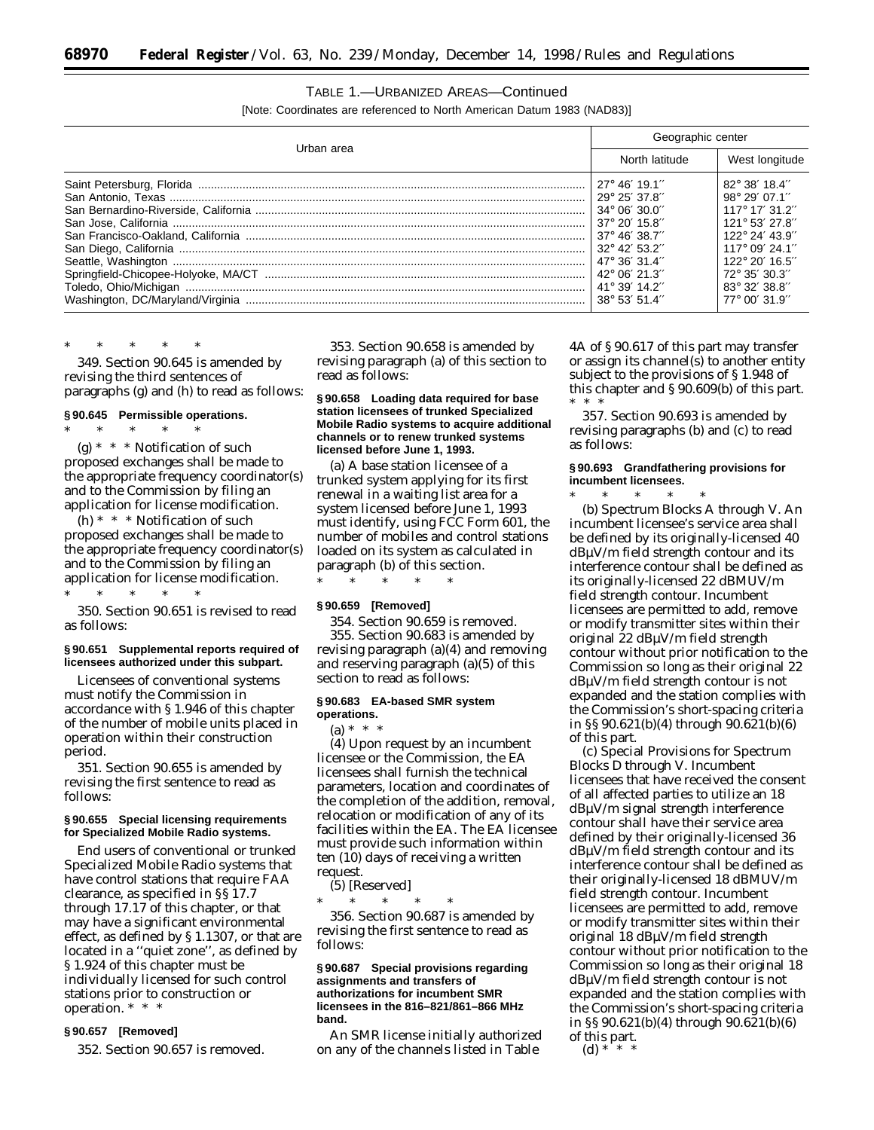TABLE 1.—URBANIZED AREAS—Continued

[Note: Coordinates are referenced to North American Datum 1983 (NAD83)]

| Urban area | Geographic center                                                                                                                                                                                       |                                                                                                                                                                                                               |  |
|------------|---------------------------------------------------------------------------------------------------------------------------------------------------------------------------------------------------------|---------------------------------------------------------------------------------------------------------------------------------------------------------------------------------------------------------------|--|
|            | North latitude                                                                                                                                                                                          | West longitude                                                                                                                                                                                                |  |
|            | $27^{\circ}$ 46' 19.1"<br>29° 25' 37.8"<br>34° 06' 30.0"<br>37° 20' 15.8"<br>$37^{\circ}$ 46' 38.7"<br>$\pm$ 32° 42′ 53.2″<br>47° 36' 31.4"<br>42° 06' 21.3"<br>41° 39' 14.2"<br>$38^{\circ}$ 53' 51.4" | 82° 38' 18.4"<br>$98^{\circ}$ 29' 07.1"<br>$117^{\circ}$ 17' 31.2"<br>$121^\circ$ 53' 27.8"<br>122° 24' 43.9"<br>$117^{\circ}$ 09' 24.1"<br>122° 20' 16.5"<br>72° 35' 30.3"<br>83° 32' 38.8"<br>77° 00' 31.9" |  |

\* \* \* \* \*

349. Section 90.645 is amended by revising the third sentences of paragraphs (g) and (h) to read as follows:

#### **§ 90.645 Permissible operations.**

\* \* \* \* \* (g) \* \* \* Notification of such proposed exchanges shall be made to the appropriate frequency coordinator(s) and to the Commission by filing an application for license modification.

(h) \* \* \* Notification of such proposed exchanges shall be made to the appropriate frequency coordinator(s) and to the Commission by filing an application for license modification.

\* \* \* \* \*

350. Section 90.651 is revised to read as follows:

#### **§ 90.651 Supplemental reports required of licensees authorized under this subpart.**

Licensees of conventional systems must notify the Commission in accordance with § 1.946 of this chapter of the number of mobile units placed in operation within their construction period.

351. Section 90.655 is amended by revising the first sentence to read as follows:

#### **§ 90.655 Special licensing requirements for Specialized Mobile Radio systems.**

End users of conventional or trunked Specialized Mobile Radio systems that have control stations that require FAA clearance, as specified in §§ 17.7 through 17.17 of this chapter, or that may have a significant environmental effect, as defined by § 1.1307, or that are located in a ''quiet zone'', as defined by § 1.924 of this chapter must be individually licensed for such control stations prior to construction or operation. \* \* \*

### **§ 90.657 [Removed]**

352. Section 90.657 is removed.

353. Section 90.658 is amended by revising paragraph (a) of this section to read as follows:

**§ 90.658 Loading data required for base station licensees of trunked Specialized Mobile Radio systems to acquire additional channels or to renew trunked systems licensed before June 1, 1993.**

(a) A base station licensee of a trunked system applying for its first renewal in a waiting list area for a system licensed before June 1, 1993 must identify, using FCC Form 601, the number of mobiles and control stations loaded on its system as calculated in paragraph (b) of this section. \* \* \* \* \*

#### **§ 90.659 [Removed]**

354. Section 90.659 is removed. 355. Section 90.683 is amended by revising paragraph (a)(4) and removing and reserving paragraph (a)(5) of this section to read as follows:

#### **§ 90.683 EA-based SMR system operations.**

 $(a) * * * *$ 

(4) Upon request by an incumbent licensee or the Commission, the EA licensees shall furnish the technical parameters, location and coordinates of the completion of the addition, removal, relocation or modification of any of its facilities within the EA. The EA licensee must provide such information within ten (10) days of receiving a written request.

 $(5)$  [Reserved]

\* \* \* \* \*

356. Section 90.687 is amended by revising the first sentence to read as follows:

#### **§ 90.687 Special provisions regarding assignments and transfers of authorizations for incumbent SMR licensees in the 816–821/861–866 MHz band.**

An SMR license initially authorized on any of the channels listed in Table

4A of § 90.617 of this part may transfer or assign its channel(s) to another entity subject to the provisions of § 1.948 of this chapter and § 90.609(b) of this part. \* \* \*

357. Section 90.693 is amended by revising paragraphs (b) and (c) to read as follows:

### **§ 90.693 Grandfathering provisions for incumbent licensees.**

\* \* \* \* \* (b) Spectrum Blocks A through V. An incumbent licensee's service area shall be defined by its originally-licensed 40 dBµV/m field strength contour and its interference contour shall be defined as its originally-licensed 22 dBMUV/m field strength contour. Incumbent licensees are permitted to add, remove or modify transmitter sites within their original 22 dBµV/m field strength contour without prior notification to the Commission so long as their original 22 dBµV/m field strength contour is not expanded and the station complies with the Commission's short-spacing criteria in §§ 90.621(b)(4) through 90.621(b)(6) of this part.

(c) Special Provisions for Spectrum Blocks D through V. Incumbent licensees that have received the consent of all affected parties to utilize an 18 dBµV/m signal strength interference contour shall have their service area defined by their originally-licensed 36 dBµV/m field strength contour and its interference contour shall be defined as their originally-licensed 18 dBMUV/m field strength contour. Incumbent licensees are permitted to add, remove or modify transmitter sites within their original 18 dBµV/m field strength contour without prior notification to the Commission so long as their original 18 dBµV/m field strength contour is not expanded and the station complies with the Commission's short-spacing criteria in §§ 90.621(b)(4) through 90.621(b)(6) of this part.

 $(d)$  \*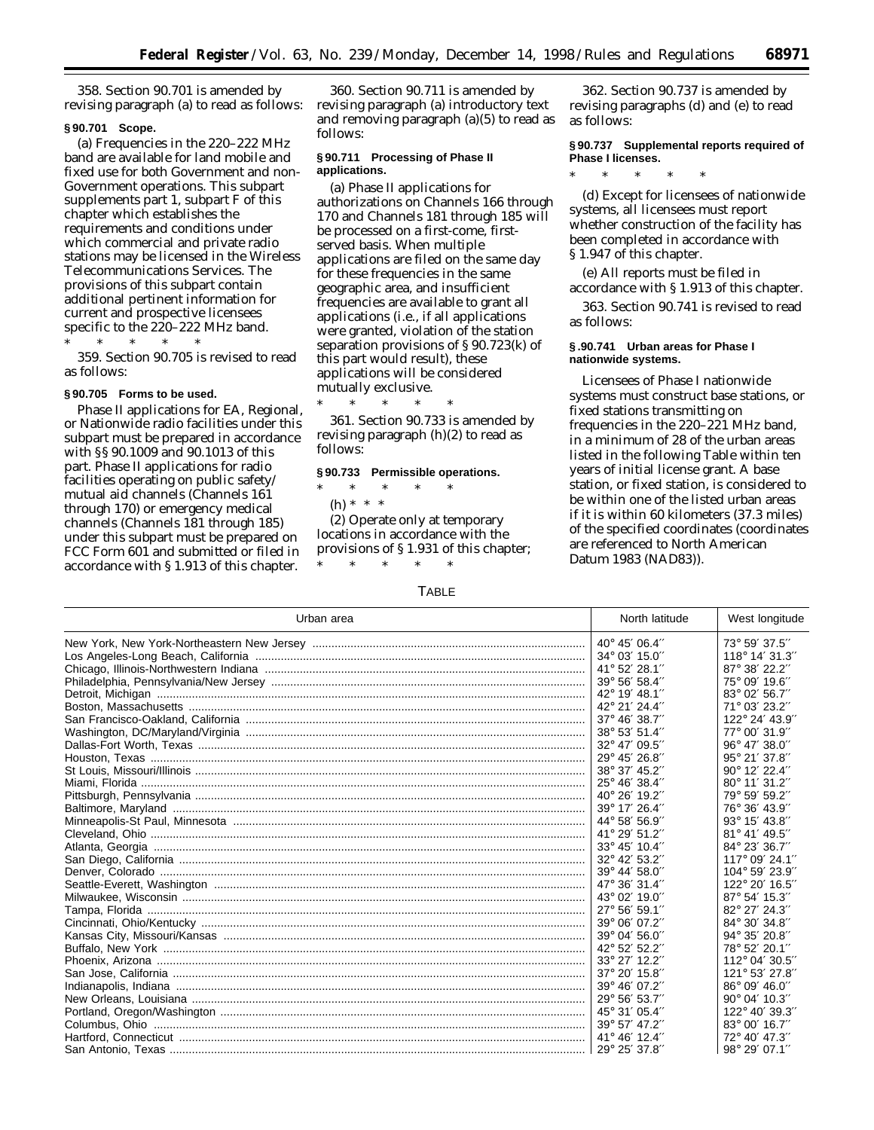358. Section 90.701 is amended by revising paragraph (a) to read as follows:

### **§ 90.701 Scope.**

(a) Frequencies in the 220–222 MHz band are available for land mobile and fixed use for both Government and non-Government operations. This subpart supplements part 1, subpart F of this chapter which establishes the requirements and conditions under which commercial and private radio stations may be licensed in the Wireless Telecommunications Services. The provisions of this subpart contain additional pertinent information for current and prospective licensees specific to the 220–222 MHz band. \* \* \* \* \*

359. Section 90.705 is revised to read as follows:

#### **§ 90.705 Forms to be used.**

Phase II applications for EA, Regional, or Nationwide radio facilities under this subpart must be prepared in accordance with §§ 90.1009 and 90.1013 of this part. Phase II applications for radio facilities operating on public safety/ mutual aid channels (Channels 161 through 170) or emergency medical channels (Channels 181 through 185) under this subpart must be prepared on FCC Form 601 and submitted or filed in accordance with § 1.913 of this chapter.

360. Section 90.711 is amended by revising paragraph (a) introductory text and removing paragraph (a)(5) to read as follows:

#### **§ 90.711 Processing of Phase II applications.**

(a) Phase II applications for authorizations on Channels 166 through 170 and Channels 181 through 185 will be processed on a first-come, firstserved basis. When multiple applications are filed on the same day for these frequencies in the same geographic area, and insufficient frequencies are available to grant all applications (i.e., if all applications were granted, violation of the station separation provisions of § 90.723(k) of this part would result), these applications will be considered mutually exclusive.

\* \* \* \* \* 361. Section 90.733 is amended by revising paragraph (h)(2) to read as follows:

### **§ 90.733 Permissible operations.**

- \* \* \* \* \*
	- (h) \* \* \*

(2) Operate only at temporary locations in accordance with the provisions of § 1.931 of this chapter; \* \* \* \* \*

# TABLE

362. Section 90.737 is amended by revising paragraphs (d) and (e) to read as follows:

**§ 90.737 Supplemental reports required of Phase I licenses.**

\* \* \* \* \*

(d) Except for licensees of nationwide systems, all licensees must report whether construction of the facility has been completed in accordance with § 1.947 of this chapter.

(e) All reports must be filed in accordance with § 1.913 of this chapter.

363. Section 90.741 is revised to read as follows:

### **§ .90.741 Urban areas for Phase I nationwide systems.**

Licensees of Phase I nationwide systems must construct base stations, or fixed stations transmitting on frequencies in the 220–221 MHz band, in a minimum of 28 of the urban areas listed in the following Table within ten years of initial license grant. A base station, or fixed station, is considered to be within one of the listed urban areas if it is within 60 kilometers (37.3 miles) of the specified coordinates (coordinates are referenced to North American Datum 1983 (NAD83)).

| Urban area                                                                                                                                                                                                                     | North latitude | West longitude          |
|--------------------------------------------------------------------------------------------------------------------------------------------------------------------------------------------------------------------------------|----------------|-------------------------|
|                                                                                                                                                                                                                                | 40° 45' 06.4"  | 73° 59' 37.5"           |
|                                                                                                                                                                                                                                |                | 118° 14' 31.3"          |
|                                                                                                                                                                                                                                |                | 87° 38' 22.2"           |
|                                                                                                                                                                                                                                |                | 75° 09' 19.6"           |
|                                                                                                                                                                                                                                |                | $83^{\circ}$ 02' 56.7"  |
|                                                                                                                                                                                                                                |                | 71° 03' 23.2"           |
|                                                                                                                                                                                                                                |                | 122° 24' 43.9"          |
|                                                                                                                                                                                                                                |                | $77^{\circ}$ 00' 31.9"  |
|                                                                                                                                                                                                                                |                | $96^{\circ}$ 47' 38.0"  |
|                                                                                                                                                                                                                                |                | 95° 21' 37.8"           |
|                                                                                                                                                                                                                                |                | $90^{\circ}$ 12' 22.4"  |
|                                                                                                                                                                                                                                |                | 80° 11' 31.2"           |
|                                                                                                                                                                                                                                |                | 79° 59' 59.2"           |
|                                                                                                                                                                                                                                |                | 76° 36' 43.9"           |
|                                                                                                                                                                                                                                |                | $93^{\circ}$ 15' 43.8"  |
|                                                                                                                                                                                                                                |                | $81^{\circ}$ 41' 49.5"  |
|                                                                                                                                                                                                                                |                | 84° 23' 36.7"           |
|                                                                                                                                                                                                                                |                | $117^{\circ}$ 09' 24.1" |
|                                                                                                                                                                                                                                |                | 104° 59' 23.9"          |
|                                                                                                                                                                                                                                |                | 122° 20' 16.5"          |
|                                                                                                                                                                                                                                |                | $87^{\circ}$ 54' 15.3"  |
|                                                                                                                                                                                                                                |                | 82° 27' 24.3"           |
|                                                                                                                                                                                                                                |                | 84° 30' 34.8"           |
|                                                                                                                                                                                                                                |                | $94^{\circ} 35' 20.8''$ |
|                                                                                                                                                                                                                                |                | 78° 52' 20.1"           |
|                                                                                                                                                                                                                                |                | 112° 04' 30.5"          |
|                                                                                                                                                                                                                                |                | 121° 53' 27.8"          |
|                                                                                                                                                                                                                                |                | 86° 09' 46.0"           |
|                                                                                                                                                                                                                                |                | $90^{\circ}$ 04' 10.3"  |
|                                                                                                                                                                                                                                |                | 122° 40' 39.3"          |
|                                                                                                                                                                                                                                |                | $83^{\circ}$ 00' 16.7"  |
| "41° 46′ 12.4″ metricul metalurum metricul metricul distribution and the term in the term in the term of the term and the term of the term of the term of the term of the term of term and term of the term of term of term of |                | 72° 40' 47.3"           |
|                                                                                                                                                                                                                                |                | 98° 29' 07.1"           |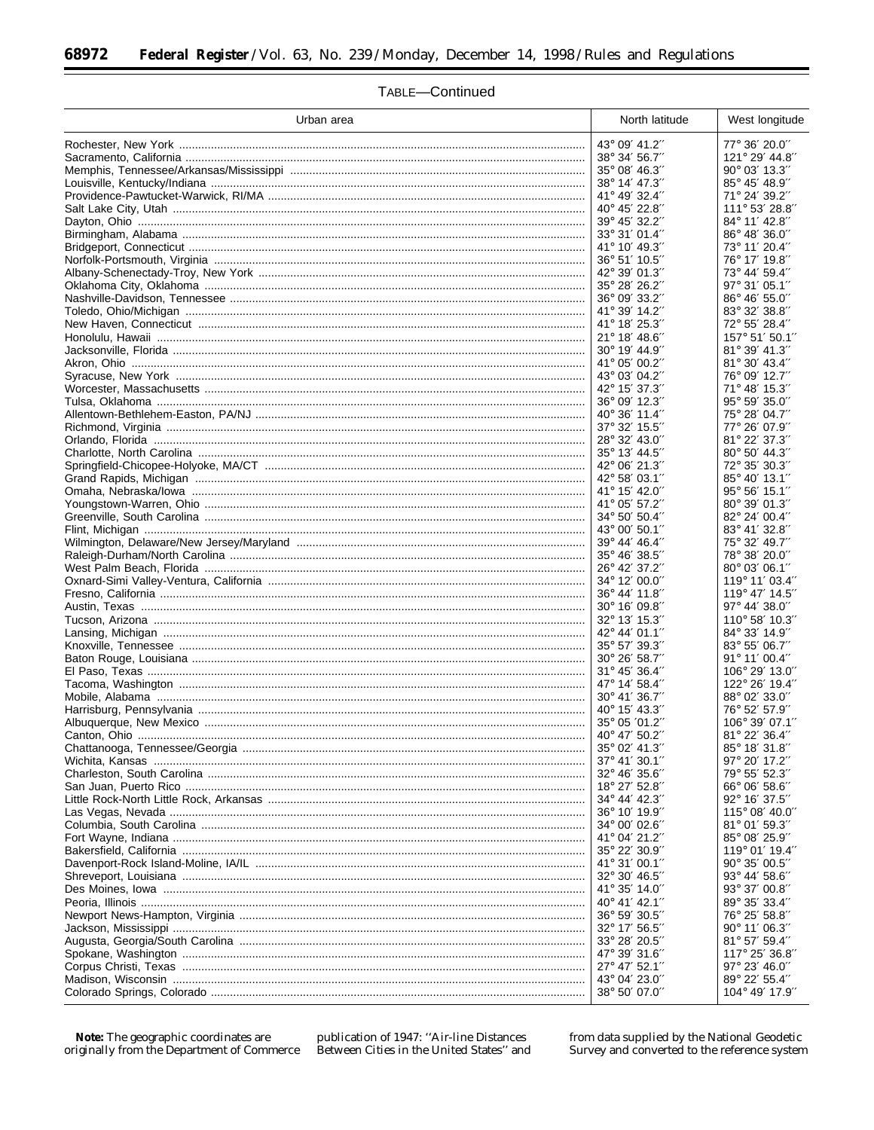| Urban area | North latitude |  |
|------------|----------------|--|
|            | 43° 09' 41.2"  |  |
|            | 38° 34' 56.7"  |  |
|            | 35° 08' 46.3"  |  |
|            | 38° 14' 47.3"  |  |
|            | 41° 49' 32.4"  |  |
|            | 40° 45' 22.8"  |  |
|            | 39° 45' 32.2"  |  |
|            | 33° 31' 01.4"  |  |
|            | 41° 10' 49.3"  |  |
|            | 36° 51' 10.5"  |  |
|            | 42° 39' 01.3"  |  |
|            | 35° 28' 26.2"  |  |
|            | 36° 09' 33.2"  |  |
|            | 41° 39' 14.2"  |  |
|            | 41° 18' 25.3"  |  |
|            | 21° 18' 48.6"  |  |
|            | 30° 19' 44.9"  |  |
|            | 41° 05' 00.2"  |  |
|            | 43° 03' 04.2"  |  |
|            | 42° 15' 37.3"  |  |
|            | 36° 09' 12.3"  |  |
|            | 40° 36' 11.4"  |  |
|            | 37° 32' 15.5"  |  |
|            | 28° 32' 43.0"  |  |

### TABLE-Continued

|                            | 43° 09' 41.2"                           | 77° 36' 20.0"            |
|----------------------------|-----------------------------------------|--------------------------|
|                            | $38^{\circ}$ 34' 56.7"                  | 121° 29' 44.8"           |
|                            | $35^{\circ}$ 08' 46.3"                  | $90^{\circ}$ 03' 13.3"   |
|                            | $38^{\circ}$ 14' 47.3"                  | 85° 45' 48.9"            |
|                            |                                         |                          |
|                            | $41^{\circ}$ 49' 32.4"                  | 71° 24' 39.2"            |
|                            | $40^{\circ}$ 45' 22.8"                  | $111^{\circ} 53' 28.8''$ |
|                            | 39° 45' 32.2"                           | 84° 11' 42.8"            |
|                            | 33° 31' 01.4"                           | $86^{\circ}$ 48' 36.0"   |
|                            | $41^{\circ}$ 10' 49.3"                  | 73° 11' 20.4"            |
|                            | $36^{\circ}$ 51' 10.5"                  | 76° 17' 19.8"            |
|                            | 42° 39' 01.3"                           | 73° 44' 59.4"            |
|                            | $35^{\circ}$ 28' 26.2"                  | $97^{\circ}$ 31' 05.1"   |
|                            | 36° 09' 33.2"                           | $86^{\circ}$ 46' 55.0"   |
|                            | 41° 39' 14.2"                           | $83^{\circ}$ 32' 38.8"   |
|                            | 41° 18' 25.3"                           | 72° 55' 28.4"            |
|                            | $21^{\circ}$ 18' 48.6"                  | $157^{\circ}$ 51' 50.1"  |
|                            | $30^{\circ}$ 19' 44.9"                  | $81^\circ 39' 41.3''$    |
|                            | $41^{\circ}$ 05' 00.2"                  | $81^\circ 30' 43.4''$    |
|                            | 43° 03′ 04.2″                           | 76° 09' 12.7"            |
|                            | 42° 15' 37.3"                           | 71° 48' 15.3"            |
|                            |                                         |                          |
|                            | $36^{\circ}$ 09' 12.3"                  | $95^{\circ} 59' 35.0''$  |
|                            | $40^{\circ}$ 36' 11.4"                  | 75° 28′ 04.7″            |
|                            | 37° 32' 15.5"                           | 77° 26' 07.9"            |
|                            | 28° 32' 43.0"                           | $81^{\circ}$ 22' 37.3"   |
|                            | $35^{\circ}$ 13' 44.5"                  | $80^{\circ}$ 50' 44.3"   |
|                            | 42° 06' 21.3"                           | 72° 35' 30.3"            |
|                            | 42° 58' 03.1"                           | $85^{\circ}$ 40' 13.1"   |
|                            | 41° 15′ 42.0″                           | $95^{\circ} 56' 15.1''$  |
|                            | 41° 05' 57.2"                           | $80^{\circ}$ 39' 01.3"   |
|                            | $34^{\circ}$ 50' 50.4"                  | $82^{\circ}$ 24' 00.4"   |
|                            | $43^{\circ}$ 00' 50.1"                  | $83^{\circ}$ 41' 32.8"   |
|                            | 39° 44' 46.4"                           | 75° 32' 49.7"            |
|                            | $35^{\circ}$ 46' 38.5"                  | 78° 38' 20.0"            |
|                            | 26° 42' 37.2"                           | $80^{\circ}$ 03' 06.1"   |
|                            | $34^{\circ}$ 12' 00.0"                  | 119° 11' 03.4"           |
|                            | $36^{\circ}$ 44' 11.8"                  | $119^{\circ}$ 47' 14.5"  |
|                            |                                         | $97^{\circ}$ 44' 38.0"   |
|                            | $30^{\circ}$ 16' 09.8"<br>32° 13' 15.3" |                          |
|                            |                                         | $110^{\circ}$ 58' 10.3"  |
|                            | 42° 44' 01.1"                           | $84^{\circ}$ 33' 14.9"   |
|                            | $35^{\circ}$ 57' $39.3''$               | $83^{\circ}$ 55' 06.7"   |
|                            | $30^{\circ}$ 26' 58.7"                  | $91^{\circ}$ 11' 00.4"   |
|                            | $31^{\circ}$ 45' 36.4"                  | $106^{\circ}$ 29' 13.0"  |
|                            | 47° 14′ 58.4″                           | 122° 26' 19.4"           |
|                            | $30^{\circ}$ 41' 36.7"                  | $88^{\circ}$ 02' 33.0"   |
|                            | $40^{\circ}$ 15' 43.3"                  | 76° 52' 57.9"            |
|                            | $35^{\circ}$ 05 '01.2"                  | 106° 39' 07.1"           |
|                            | $40^{\circ}$ 47' 50.2"                  | $81^{\circ}$ 22' 36.4"   |
|                            | $35^{\circ}$ 02' 41.3"                  | $85^{\circ}$ 18' 31.8"   |
|                            | $37^{\circ}$ 41' 30.1"                  | 97° 20' 17.2"            |
| Charleston, South Carolina | 32° 46' 35.6"                           | 79° 55' 52.3"            |
|                            | 18° 27' 52.8"                           | $66^{\circ}$ 06' 58.6"   |
|                            | $34^{\circ}$ 44' 42.3"                  | 92° 16' 37.5"            |
|                            | 36° 10' 19.9"                           | $115^{\circ}$ 08' 40.0"  |
|                            | 34° 00' 02.6"                           | $81^{\circ}$ 01' 59.3"   |
|                            | 41° 04' 21.2"                           | $85^{\circ}$ 08' 25.9"   |
|                            | $35^{\circ}$ 22' $30.9''$               | 119° 01' 19.4"           |
|                            |                                         |                          |
|                            | $41^{\circ}$ 31' 00.1"                  | $90^{\circ}$ 35' 00.5"   |
|                            | $32^{\circ}$ 30' 46.5"                  | $93^{\circ}$ 44' 58.6"   |
|                            | 41° 35' 14.0"                           | $93^{\circ}$ 37' 00.8"   |
|                            | $40^{\circ}$ 41' 42.1"                  | $89^{\circ}$ 35' 33.4"   |
|                            | $36^{\circ}$ 59' $30.5''$               | 76° 25' 58.8"            |
|                            | $32^{\circ}$ 17' 56.5"                  | $90^{\circ}$ 11' 06.3"   |
|                            | $33^{\circ}$ 28' 20.5"                  | 81° 57' 59.4"            |
|                            | 47° 39' 31.6"                           | 117° 25' 36.8"           |
|                            | $27^{\circ}$ 47' 52.1"                  | $97^{\circ}$ 23' 46.0"   |
|                            | 43° 04' 23.0"                           | $89^{\circ}$ 22' 55.4"   |
|                            | $38^{\circ} 50' 07.0''$                 | $104^{\circ}$ 49' 17.9"  |

**Note:** The geographic coordinates are<br>originally from the Department of Commerce

п

publication of 1947: "Air-line Distances<br>Between Cities in the United States" and

from data supplied by the National Geodetic<br>Survey and converted to the reference system

West longitude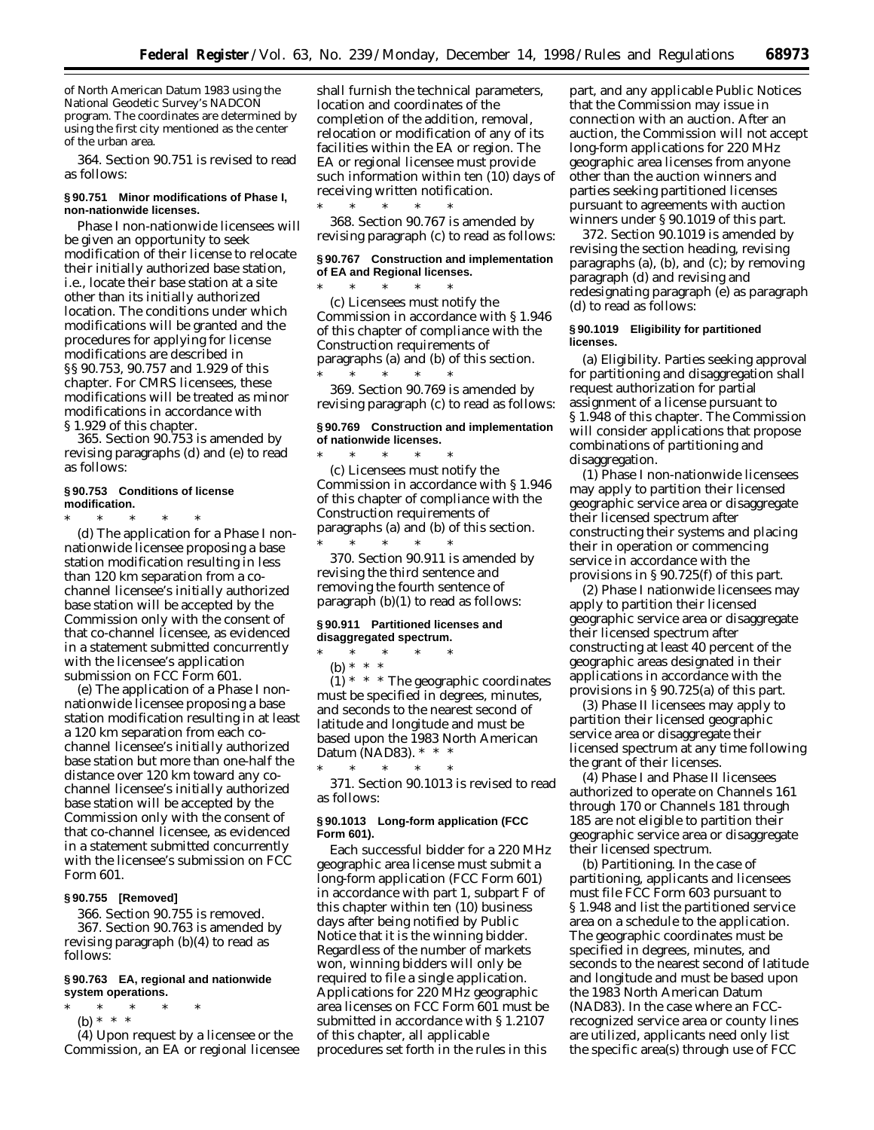of North American Datum 1983 using the National Geodetic Survey's NADCON program. The coordinates are determined by using the first city mentioned as the center of the urban area.

364. Section 90.751 is revised to read as follows:

#### **§ 90.751 Minor modifications of Phase I, non-nationwide licenses.**

Phase I non-nationwide licensees will be given an opportunity to seek modification of their license to relocate their initially authorized base station, i.e., locate their base station at a site other than its initially authorized location. The conditions under which modifications will be granted and the procedures for applying for license modifications are described in §§ 90.753, 90.757 and 1.929 of this chapter. For CMRS licensees, these modifications will be treated as minor modifications in accordance with § 1.929 of this chapter.

365. Section 90.753 is amended by revising paragraphs (d) and (e) to read as follows:

#### **§ 90.753 Conditions of license modification.**

 $*$  \*

(d) The application for a Phase I nonnationwide licensee proposing a base station modification resulting in less than 120 km separation from a cochannel licensee's initially authorized base station will be accepted by the Commission only with the consent of that co-channel licensee, as evidenced in a statement submitted concurrently with the licensee's application submission on FCC Form 601.

(e) The application of a Phase I nonnationwide licensee proposing a base station modification resulting in at least a 120 km separation from each cochannel licensee's initially authorized base station but more than one-half the distance over 120 km toward any cochannel licensee's initially authorized base station will be accepted by the Commission only with the consent of that co-channel licensee, as evidenced in a statement submitted concurrently with the licensee's submission on FCC Form 601.

#### **§ 90.755 [Removed]**

366. Section 90.755 is removed. 367. Section 90.763 is amended by revising paragraph (b)(4) to read as follows:

### **§ 90.763 EA, regional and nationwide system operations.**

\* \* \* \* \*

(b) \* \* \*

(4) Upon request by a licensee or the Commission, an EA or regional licensee

shall furnish the technical parameters, location and coordinates of the completion of the addition, removal, relocation or modification of any of its facilities within the EA or region. The EA or regional licensee must provide such information within ten (10) days of receiving written notification.

\* \* \* \* \* 368. Section 90.767 is amended by revising paragraph (c) to read as follows:

### **§ 90.767 Construction and implementation of EA and Regional licenses.**

\* \* \* \* \* (c) Licensees must notify the Commission in accordance with § 1.946 of this chapter of compliance with the Construction requirements of paragraphs (a) and (b) of this section. \* \* \* \* \*

369. Section 90.769 is amended by revising paragraph (c) to read as follows:

#### **§ 90.769 Construction and implementation of nationwide licenses.**

\* \* \* \* \* (c) Licensees must notify the Commission in accordance with § 1.946 of this chapter of compliance with the Construction requirements of paragraphs (a) and (b) of this section. \* \* \* \* \*

370. Section 90.911 is amended by revising the third sentence and removing the fourth sentence of paragraph (b)(1) to read as follows:

#### **§ 90.911 Partitioned licenses and disaggregated spectrum.**

\* \* \* \* \* (b) \* \* \*

 $(1) * * *$  The geographic coordinates must be specified in degrees, minutes, and seconds to the nearest second of latitude and longitude and must be based upon the 1983 North American Datum (NAD83). \* \* \*

\* \* \* \* \* 371. Section 90.1013 is revised to read as follows:

### **§ 90.1013 Long-form application (FCC Form 601).**

Each successful bidder for a 220 MHz geographic area license must submit a long-form application (FCC Form 601) in accordance with part 1, subpart F of this chapter within ten (10) business days after being notified by Public Notice that it is the winning bidder. Regardless of the number of markets won, winning bidders will only be required to file a single application. Applications for 220 MHz geographic area licenses on FCC Form 601 must be submitted in accordance with § 1.2107 of this chapter, all applicable procedures set forth in the rules in this

part, and any applicable Public Notices that the Commission may issue in connection with an auction. After an auction, the Commission will not accept long-form applications for 220 MHz geographic area licenses from anyone other than the auction winners and parties seeking partitioned licenses pursuant to agreements with auction winners under § 90.1019 of this part.

372. Section 90.1019 is amended by revising the section heading, revising paragraphs (a), (b), and (c); by removing paragraph (d) and revising and redesignating paragraph (e) as paragraph (d) to read as follows:

#### **§ 90.1019 Eligibility for partitioned licenses.**

(a) *Eligibility.* Parties seeking approval for partitioning and disaggregation shall request authorization for partial assignment of a license pursuant to § 1.948 of this chapter. The Commission will consider applications that propose combinations of partitioning and disaggregation.

(1) Phase I non-nationwide licensees may apply to partition their licensed geographic service area or disaggregate their licensed spectrum after constructing their systems and placing their in operation or commencing service in accordance with the provisions in § 90.725(f) of this part.

(2) Phase I nationwide licensees may apply to partition their licensed geographic service area or disaggregate their licensed spectrum after constructing at least 40 percent of the geographic areas designated in their applications in accordance with the provisions in § 90.725(a) of this part.

(3) Phase II licensees may apply to partition their licensed geographic service area or disaggregate their licensed spectrum at any time following the grant of their licenses.

(4) Phase I and Phase II licensees authorized to operate on Channels 161 through 170 or Channels 181 through 185 are not eligible to partition their geographic service area or disaggregate their licensed spectrum.

(b) *Partitioning.* In the case of partitioning, applicants and licensees must file FCC Form 603 pursuant to § 1.948 and list the partitioned service area on a schedule to the application. The geographic coordinates must be specified in degrees, minutes, and seconds to the nearest second of latitude and longitude and must be based upon the 1983 North American Datum (NAD83). In the case where an FCCrecognized service area or county lines are utilized, applicants need only list the specific area(s) through use of FCC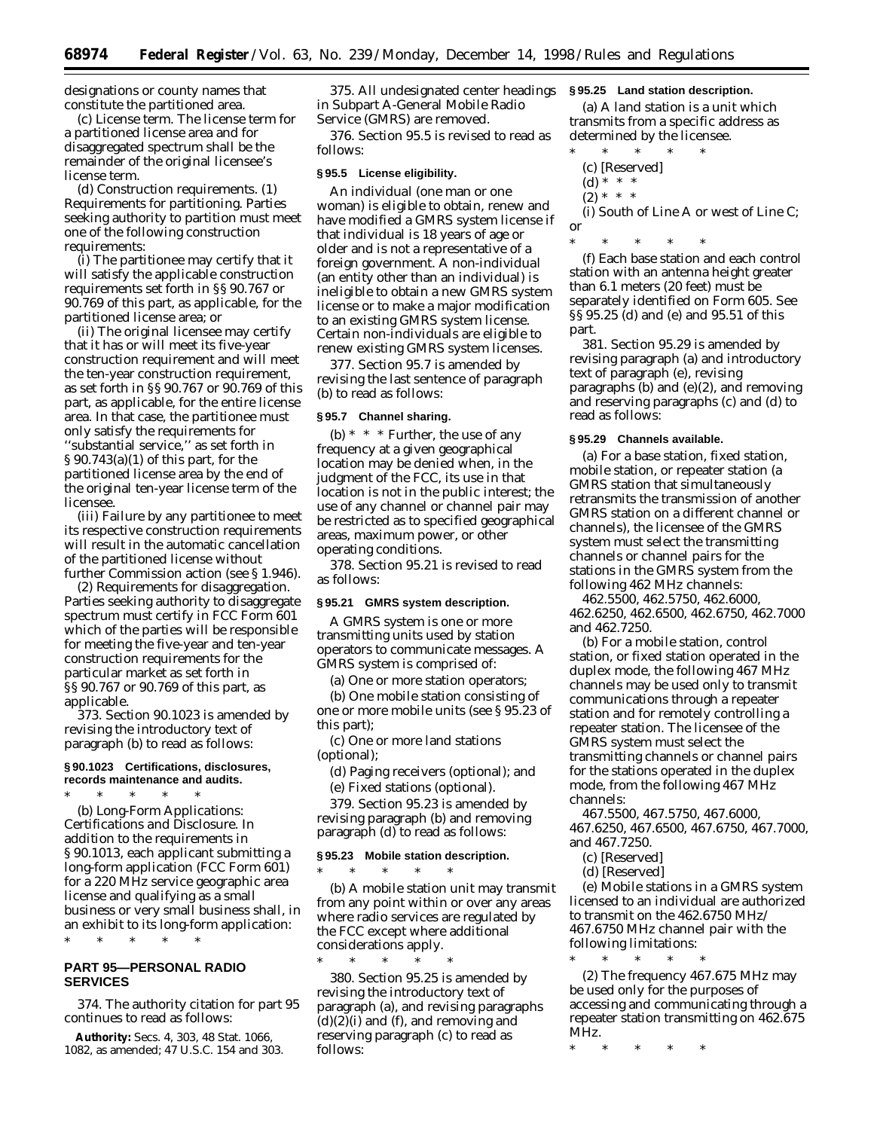designations or county names that constitute the partitioned area.

(c) *License term.* The license term for a partitioned license area and for disaggregated spectrum shall be the remainder of the original licensee's license term.

(d) *Construction requirements.* (1) Requirements for partitioning. Parties seeking authority to partition must meet one of the following construction requirements:

(i) The partitionee may certify that it will satisfy the applicable construction requirements set forth in §§ 90.767 or 90.769 of this part, as applicable, for the partitioned license area; or

(ii) The original licensee may certify that it has or will meet its five-year construction requirement and will meet the ten-year construction requirement, as set forth in §§ 90.767 or 90.769 of this part, as applicable, for the entire license area. In that case, the partitionee must only satisfy the requirements for ''substantial service,'' as set forth in § 90.743(a)(1) of this part, for the partitioned license area by the end of the original ten-year license term of the licensee.

(iii) Failure by any partitionee to meet its respective construction requirements will result in the automatic cancellation of the partitioned license without further Commission action (*see* § 1.946).

(2) *Requirements for disaggregation.* Parties seeking authority to disaggregate spectrum must certify in FCC Form 601 which of the parties will be responsible for meeting the five-year and ten-year construction requirements for the particular market as set forth in §§ 90.767 or 90.769 of this part, as applicable.

373. Section 90.1023 is amended by revising the introductory text of paragraph (b) to read as follows:

#### **§ 90.1023 Certifications, disclosures, records maintenance and audits.**

\* \* \* \* \* (b) *Long-Form Applications: Certifications and Disclosure.* In addition to the requirements in § 90.1013, each applicant submitting a long-form application (FCC Form 601) for a 220 MHz service geographic area license and qualifying as a small business or very small business shall, in an exhibit to its long-form application: \* \* \* \* \*

## **PART 95—PERSONAL RADIO SERVICES**

374. The authority citation for part 95 continues to read as follows:

**Authority:** Secs. 4, 303, 48 Stat. 1066, 1082, as amended; 47 U.S.C. 154 and 303.

375. All undesignated center headings **§ 95.25 Land station description.** in Subpart A-General Mobile Radio Service (GMRS) are removed.

376. Section 95.5 is revised to read as follows:

### **§ 95.5 License eligibility.**

An *individual* (one man or one woman) is eligible to obtain, renew and have modified a GMRS system license if that individual is 18 years of age or older and is not a representative of a foreign government. A *non-individual* (an entity other than an individual) is ineligible to obtain a new GMRS system license or to make a major modification to an existing GMRS system license. Certain non-individuals are eligible to renew existing GMRS system licenses.

377. Section 95.7 is amended by revising the last sentence of paragraph (b) to read as follows:

#### **§ 95.7 Channel sharing.**

(b)  $* * *$  Further, the use of any frequency at a given geographical location may be denied when, in the judgment of the FCC, its use in that location is not in the public interest; the use of any channel or channel pair may be restricted as to specified geographical areas, maximum power, or other operating conditions.

378. Section 95.21 is revised to read as follows:

### **§ 95.21 GMRS system description.**

A *GMRS system* is one or more transmitting units used by station operators to communicate messages. A GMRS system is comprised of:

(a) One or more station operators;

(b) One mobile station consisting of one or more mobile units (see § 95.23 of this part);

(c) One or more land stations (optional);

(d) Paging receivers (optional); and (e) Fixed stations (optional).

379. Section 95.23 is amended by revising paragraph (b) and removing paragraph (d) to read as follows:

### **§ 95.23 Mobile station description.**

\* \* \* \* \*

(b) A mobile station unit may transmit from any point within or over any areas where radio services are regulated by the FCC *except* where additional considerations apply.

\* \* \* \* \* 380. Section 95.25 is amended by revising the introductory text of paragraph (a), and revising paragraphs  $(d)(2)(i)$  and  $(f)$ , and removing and reserving paragraph (c) to read as follows:

(a) A *land station* is a unit which transmits from a specific address as determined by the licensee.

- \* \* \* \* \*
	- (c) [Reserved] (d) \* \* \*
- $(2) * * * *$
- 

(i) South of Line A or west of Line C; or

\* \* \* \* \* (f) Each base station and each control station with an antenna height greater than 6.1 meters (20 feet) must be separately identified on Form 605. *See* §§ 95.25 (d) and (e) and 95.51 of this part.

381. Section 95.29 is amended by revising paragraph (a) and introductory text of paragraph (e), revising paragraphs (b) and (e)(2), and removing and reserving paragraphs (c) and (d) to read as follows:

#### **§ 95.29 Channels available.**

(a) For a base station, fixed station, mobile station, or repeater station (a GMRS station that simultaneously retransmits the transmission of another GMRS station on a different channel or channels), the licensee of the GMRS system must select the transmitting channels or channel pairs for the stations in the GMRS system from the following 462 MHz channels:

462.5500, 462.5750, 462.6000, 462.6250, 462.6500, 462.6750, 462.7000 and 462.7250.

(b) For a mobile station, control station, or fixed station operated in the duplex mode, the following 467 MHz channels may be used only to transmit communications through a repeater station and for remotely controlling a repeater station. The licensee of the GMRS system must select the transmitting channels or channel pairs for the stations operated in the duplex mode, from the following 467 MHz channels:

467.5500, 467.5750, 467.6000, 467.6250, 467.6500, 467.6750, 467.7000, and 467.7250.

- (c) [Reserved]
- (d) [Reserved]

(e) Mobile stations in a GMRS system licensed to an individual are authorized to transmit on the 462.6750 MHz/ 467.6750 MHz channel pair with the following limitations:

\* \* \* \* \* (2) The frequency 467.675 MHz may be used only for the purposes of accessing and communicating through a repeater station transmitting on 462.675 MHz.

\* \* \* \* \*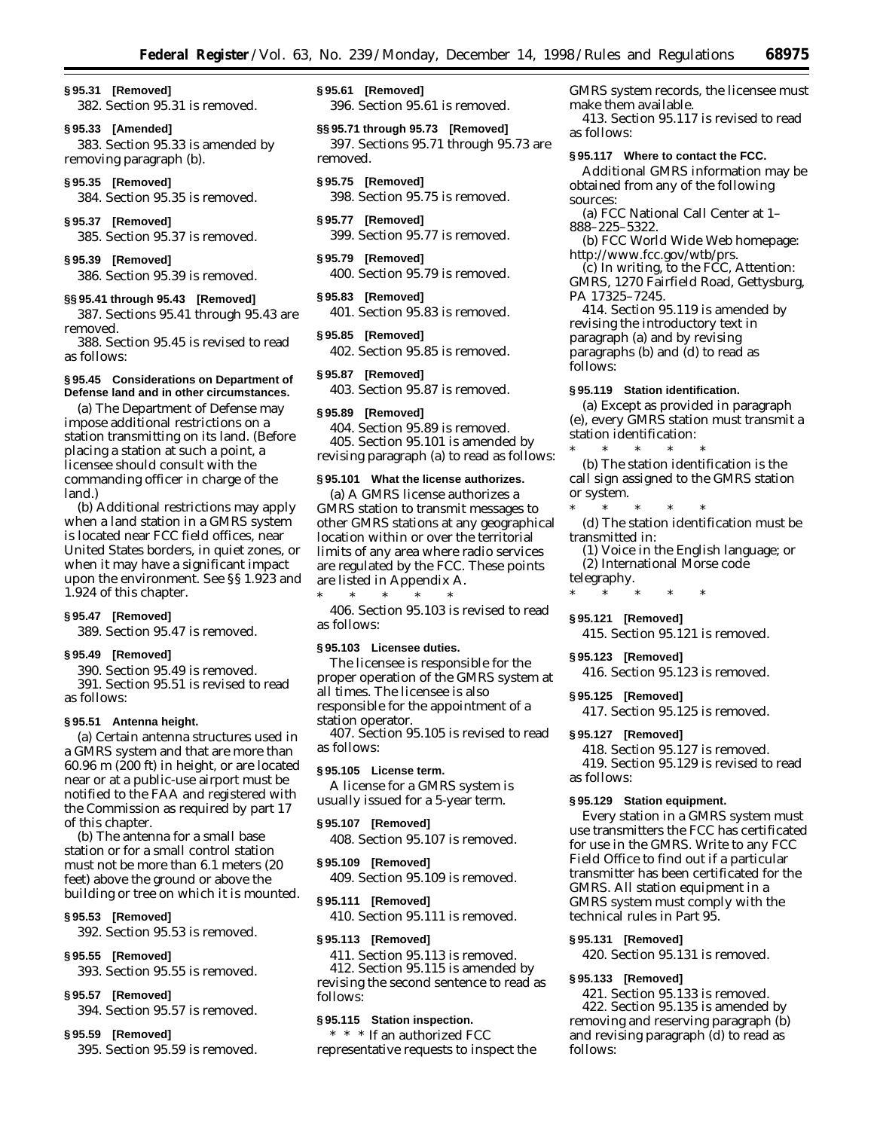**§ 95.31 [Removed]** 382. Section 95.31 is removed.

**§ 95.33 [Amended]**

383. Section 95.33 is amended by removing paragraph (b).

**§ 95.35 [Removed]** 384. Section 95.35 is removed.

**§ 95.37 [Removed]** 385. Section 95.37 is removed.

386. Section 95.39 is removed.

**§ 95.39 [Removed]**

**§§ 95.41 through 95.43 [Removed]** 387. Sections 95.41 through 95.43 are

removed. 388. Section 95.45 is revised to read as follows:

#### **§ 95.45 Considerations on Department of Defense land and in other circumstances.**

(a) The Department of Defense may impose additional restrictions on a station transmitting on its land. (Before placing a station at such a point, a licensee should consult with the commanding officer in charge of the land.)

(b) Additional restrictions may apply when a land station in a GMRS system is located near FCC field offices, near United States borders, in quiet zones, or when it may have a significant impact upon the environment. *See* §§ 1.923 and 1.924 of this chapter.

### **§ 95.47 [Removed]**

389. Section 95.47 is removed.

#### **§ 95.49 [Removed]**

390. Section 95.49 is removed. 391. Section 95.51 is revised to read as follows:

#### **§ 95.51 Antenna height.**

(a) Certain antenna structures used in a GMRS system and that are more than 60.96 m (200 ft) in height, or are located near or at a public-use airport must be notified to the FAA and registered with the Commission as required by part 17 of this chapter.

(b) The antenna for a small base station or for a small control station must not be more than 6.1 meters (20 feet) above the ground or above the building or tree on which it is mounted.

#### **§ 95.53 [Removed]**

392. Section 95.53 is removed.

### **§ 95.55 [Removed]**

393. Section 95.55 is removed.

#### **§ 95.57 [Removed]**

394. Section 95.57 is removed.

#### **§ 95.59 [Removed]**

395. Section 95.59 is removed.

**§ 95.61 [Removed]** 396. Section 95.61 is removed.

**§§ 95.71 through 95.73 [Removed]** 397. Sections 95.71 through 95.73 are removed.

**§ 95.75 [Removed]** 398. Section 95.75 is removed.

**§ 95.77 [Removed]** 399. Section 95.77 is removed.

**§ 95.79 [Removed]** 400. Section 95.79 is removed.

**§ 95.83 [Removed]**

401. Section 95.83 is removed.

**§ 95.85 [Removed]** 402. Section 95.85 is removed.

**§ 95.87 [Removed]** 403. Section 95.87 is removed.

#### **§ 95.89 [Removed]**

404. Section 95.89 is removed. 405. Section 95.101 is amended by revising paragraph (a) to read as follows:

### **§ 95.101 What the license authorizes.**

(a) A GMRS license authorizes a GMRS station to transmit messages to other GMRS stations at any geographical location within or over the territorial limits of any area where radio services are regulated by the FCC. These points are listed in Appendix A.

\* \* \* \* \* 406. Section 95.103 is revised to read as follows:

#### **§ 95.103 Licensee duties.**

The licensee is responsible for the proper operation of the GMRS system at all times. The licensee is also responsible for the appointment of a station operator.

407. Section 95.105 is revised to read as follows:

#### **§ 95.105 License term.**

A license for a GMRS system is usually issued for a 5-year term.

### **§ 95.107 [Removed]**

408. Section 95.107 is removed.

### **§ 95.109 [Removed]**

409. Section 95.109 is removed.

### **§ 95.111 [Removed]**

410. Section 95.111 is removed.

### **§ 95.113 [Removed]**

411. Section 95.113 is removed. 412. Section 95.115 is amended by revising the second sentence to read as follows:

#### **§ 95.115 Station inspection.**

\* \* \* If an authorized FCC representative requests to inspect the GMRS system records, the licensee must make them available.

413. Section 95.117 is revised to read as follows:

#### **§ 95.117 Where to contact the FCC.**

Additional GMRS information may be obtained from any of the following sources:

(a) FCC National Call Center at 1– 888–225–5322.

(b) FCC World Wide Web homepage: http://www.fcc.gov/wtb/prs.

(c) In writing, to the FCC, Attention: GMRS, 1270 Fairfield Road, Gettysburg, PA 17325–7245.

414. Section 95.119 is amended by revising the introductory text in paragraph (a) and by revising paragraphs (b) and (d) to read as follows:

#### **§ 95.119 Station identification.**

(a) Except as provided in paragraph (e), every GMRS station must transmit a station identification:

\* \* \* \* \* (b) The station identification is the call sign assigned to the GMRS station or system.

\* \* \* \* \* (d) The station identification must be transmitted in:

(1) Voice in the English language; or (2) International Morse code telegraphy.

\* \* \* \* \*

**§ 95.121 [Removed]**

415. Section 95.121 is removed.

# **§ 95.123 [Removed]** 416. Section 95.123 is removed. **§ 95.125 [Removed]**

417. Section 95.125 is removed.

#### **§ 95.127 [Removed]**

418. Section 95.127 is removed. 419. Section 95.129 is revised to read as follows:

#### **§ 95.129 Station equipment.**

Every station in a GMRS system must use transmitters the FCC has certificated for use in the GMRS. Write to any FCC Field Office to find out if a particular transmitter has been certificated for the GMRS. All station equipment in a GMRS system must comply with the technical rules in Part 95.

#### **§ 95.131 [Removed]**

420. Section 95.131 is removed.

### **§ 95.133 [Removed]**

421. Section 95.133 is removed. 422. Section 95.135 is amended by removing and reserving paragraph (b) and revising paragraph (d) to read as follows: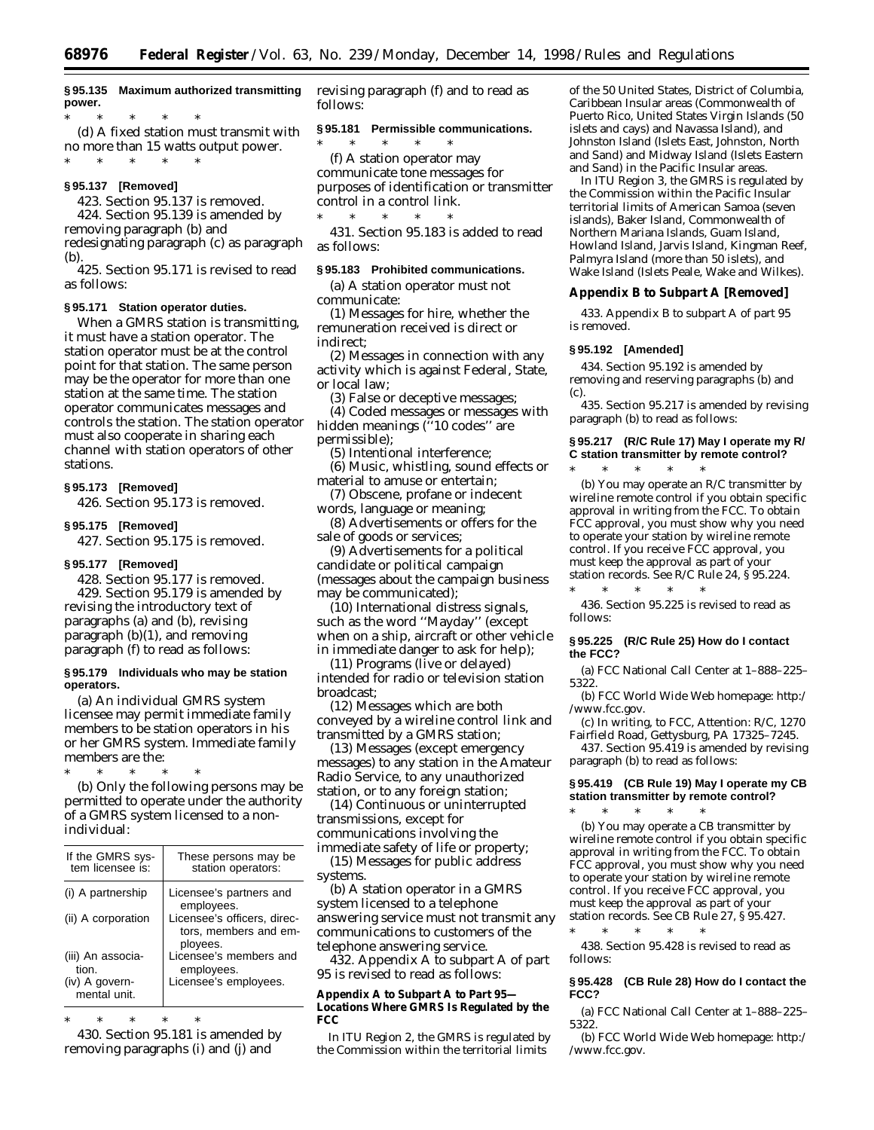**§ 95.135 Maximum authorized transmitting power.**

\* \* \* \* \* (d) A fixed station must transmit with no more than 15 watts output power. \* \* \* \* \*

# **§ 95.137 [Removed]**

423. Section 95.137 is removed. 424. Section 95.139 is amended by

removing paragraph (b) and redesignating paragraph (c) as paragraph (b).

425. Section 95.171 is revised to read as follows:

#### **§ 95.171 Station operator duties.**

When a GMRS station is transmitting, it must have a station operator. The station operator must be at the control point for that station. The same person may be the operator for more than one station at the same time. The station operator communicates messages and controls the station. The station operator must also cooperate in *sharing* each channel with station operators of other stations.

# **§ 95.173 [Removed]**

426. Section 95.173 is removed.

#### **§ 95.175 [Removed]**

427. Section 95.175 is removed.

# **§ 95.177 [Removed]**

428. Section 95.177 is removed. 429. Section 95.179 is amended by revising the introductory text of paragraphs (a) and (b), revising paragraph (b)(1), and removing paragraph (f) to read as follows:

# **§ 95.179 Individuals who may be station operators.**

(a) An individual GMRS system licensee may permit immediate family members to be station operators in his or her GMRS system. Immediate family members are the:

\* \* \* \* \*

(b) Only the following persons may be permitted to operate under the authority of a GMRS system licensed to a nonindividual:

| If the GMRS sys-<br>tem licensee is: | These persons may be<br>station operators:                       |
|--------------------------------------|------------------------------------------------------------------|
| (i) A partnership                    | Licensee's partners and<br>employees.                            |
| (ii) A corporation                   | Licensee's officers, direc-<br>tors, members and em-<br>ployees. |
| (iii) An associa-<br>tion.           | Licensee's members and<br>employees.                             |
| (iv) A govern-<br>mental unit.       | Licensee's employees.                                            |

\* \* \* \* \* 430. Section 95.181 is amended by removing paragraphs (i) and (j) and

revising paragraph (f) and to read as follows:

# **§ 95.181 Permissible communications.**

\* \* \* \* \* (f) A station operator may communicate tone messages for purposes of identification or transmitter control in a control link.

431. Section 95.183 is added to read as follows:

#### **§ 95.183 Prohibited communications.**

(a) A station operator must not communicate:

\* \* \* \* \*

(1) Messages for hire, whether the remuneration received is direct or indirect;

(2) Messages in connection with any activity which is against Federal, State, or local law;

(3) False or deceptive messages;

(4) Coded messages or messages with hidden meanings (''10 codes'' are permissible);

(5) Intentional interference;

(6) Music, whistling, sound effects or material to amuse or entertain;

(7) Obscene, profane or indecent words, language or meaning;

(8) Advertisements or offers for the sale of goods or services;

(9) Advertisements for a political candidate or political campaign (messages about the campaign business may be communicated);

(10) International distress signals, such as the word ''Mayday'' (except when on a ship, aircraft or other vehicle in immediate danger to ask for help);

(11) Programs (live or delayed) intended for radio or television station broadcast;

(12) Messages which are both conveyed by a wireline control link and transmitted by a GMRS station;

(13) Messages (except emergency messages) to any station in the Amateur Radio Service, to any unauthorized station, or to any foreign station;

(14) Continuous or uninterrupted transmissions, except for communications involving the immediate safety of life or property;

(15) Messages for public address systems.

(b) A station operator in a GMRS system licensed to a telephone answering service must not transmit any communications to customers of the telephone answering service.

432. Appendix A to subpart A of part 95 is revised to read as follows:

# **Appendix A to Subpart A to Part 95— Locations Where GMRS Is Regulated by the FCC**

In ITU Region 2, the GMRS is regulated by the Commission within the territorial limits

of the 50 United States, District of Columbia, Caribbean Insular areas (Commonwealth of Puerto Rico, United States Virgin Islands (50 islets and cays) and Navassa Island), and Johnston Island (Islets East, Johnston, North and Sand) and Midway Island (Islets Eastern and Sand) in the Pacific Insular areas.

In ITU Region 3, the GMRS is regulated by the Commission within the Pacific Insular territorial limits of American Samoa (seven islands), Baker Island, Commonwealth of Northern Mariana Islands, Guam Island, Howland Island, Jarvis Island, Kingman Reef, Palmyra Island (more than 50 islets), and Wake Island (Islets Peale, Wake and Wilkes).

# **Appendix B to Subpart A [Removed]**

433. Appendix B to subpart A of part 95 is removed.

### **§ 95.192 [Amended]**

434. Section 95.192 is amended by removing and reserving paragraphs (b) and (c).

435. Section 95.217 is amended by revising paragraph (b) to read as follows:

# **§ 95.217 (R/C Rule 17) May I operate my R/ C station transmitter by remote control?**

\* \* \* \* \* (b) You may operate an R/C transmitter by wireline remote control if you obtain specific approval in writing from the FCC. To obtain FCC approval, you must show why you need to operate your station by wireline remote control. If you receive FCC approval, you must keep the approval as part of your station records. *See* R/C Rule 24, § 95.224. \* \* \* \* \*

436. Section 95.225 is revised to read as follows:

# **§ 95.225 (R/C Rule 25) How do I contact the FCC?**

(a) FCC National Call Center at 1–888–225– 5322.

(b) FCC World Wide Web homepage: http:/ /www.fcc.gov.

(c) In writing, to FCC, Attention: R/C, 1270 Fairfield Road, Gettysburg, PA 17325–7245.

437. Section 95.419 is amended by revising paragraph (b) to read as follows:

# **§ 95.419 (CB Rule 19) May I operate my CB station transmitter by remote control?**

\* \* \* \* \* (b) You may operate a CB transmitter by wireline remote control if you obtain specific approval in writing from the FCC. To obtain FCC approval, you must show why you need to operate your station by wireline remote control. If you receive FCC approval, you must keep the approval as part of your station records. *See* CB Rule 27, § 95.427.

\* \* \* \* \* 438. Section 95.428 is revised to read as follows:

### **§ 95.428 (CB Rule 28) How do I contact the FCC?**

(a) FCC National Call Center at 1–888–225– 5322.

(b) FCC World Wide Web homepage: http:/ /www.fcc.gov.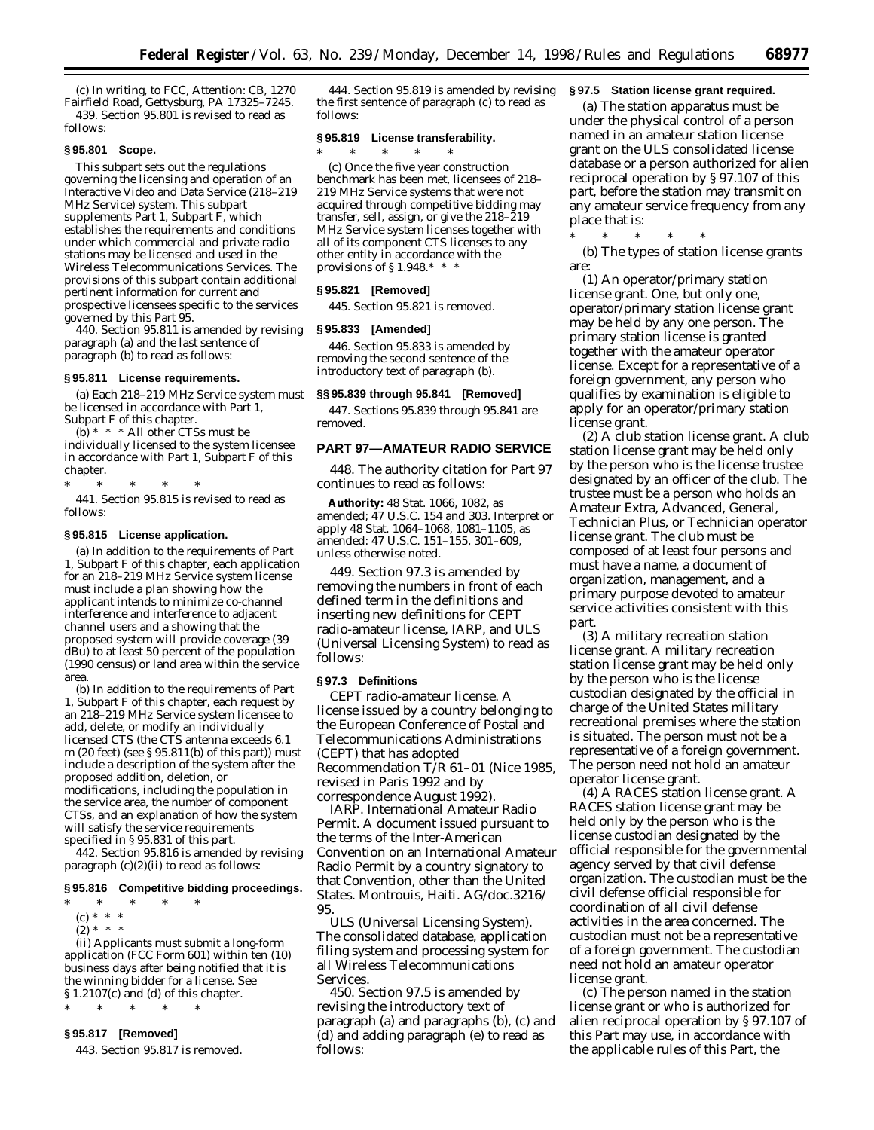(c) In writing, to FCC, Attention: CB, 1270 Fairfield Road, Gettysburg, PA 17325–7245. 439. Section 95.801 is revised to read as follows:

# **§ 95.801 Scope.**

This subpart sets out the regulations governing the licensing and operation of an Interactive Video and Data Service (218–219 MHz Service) system. This subpart supplements Part 1, Subpart F, which establishes the requirements and conditions under which commercial and private radio stations may be licensed and used in the Wireless Telecommunications Services. The provisions of this subpart contain additional pertinent information for current and prospective licensees specific to the services governed by this Part 95.

440. Section 95.811 is amended by revising paragraph (a) and the last sentence of paragraph (b) to read as follows:

#### **§ 95.811 License requirements.**

(a) Each 218–219 MHz Service system must be licensed in accordance with Part 1, Subpart F of this chapter.

(b)  $*$   $*$   $*$  All other CTSs must be individually licensed to the system licensee in accordance with Part 1, Subpart F of this chapter.

\* \* \* \* \* 441. Section 95.815 is revised to read as

follows:

### **§ 95.815 License application.**

(a) In addition to the requirements of Part 1, Subpart F of this chapter, each application for an 218–219 MHz Service system license must include a plan showing how the applicant intends to minimize co-channel interference and interference to adjacent channel users and a showing that the proposed system will provide coverage (39 dBu) to at least 50 percent of the population (1990 census) or land area within the service area.

(b) In addition to the requirements of Part 1, Subpart F of this chapter, each request by an 218–219 MHz Service system licensee to add, delete, or modify an individually licensed CTS (the CTS antenna exceeds 6.1 m (20 feet) (*see* § 95.811(b) of this part)) must include a description of the system after the proposed addition, deletion, or modifications, including the population in the service area, the number of component CTSs, and an explanation of how the system will satisfy the service requirements specified in § 95.831 of this part.

442. Section 95.816 is amended by revising paragraph  $(c)(2)(ii)$  to read as follows:

## **§ 95.816 Competitive bidding proceedings.**

- \* \* \* \* \*
- (c) \* \* \*
- $(2) * * * *$

(ii) Applicants must submit a long-form application (FCC Form 601) within ten (10) business days after being notified that it is the winning bidder for a license. *See* § 1.2107(c) and (d) of this chapter.

\* \* \* \* \*

# **§ 95.817 [Removed]**

443. Section 95.817 is removed.

444. Section 95.819 is amended by revising the first sentence of paragraph (c) to read as follows:

# **§ 95.819 License transferability.**

\* \* \* \* \* (c) Once the five year construction benchmark has been met, licensees of 218– 219 MHz Service systems that were not acquired through competitive bidding may transfer, sell, assign, or give the 218–219 MHz Service system licenses together with all of its component CTS licenses to any other entity in accordance with the provisions of § 1.948.\* \* \*

# **§ 95.821 [Removed]**

445. Section 95.821 is removed.

#### **§ 95.833 [Amended]**

446. Section 95.833 is amended by removing the second sentence of the introductory text of paragraph (b).

#### **§§ 95.839 through 95.841 [Removed]**

447. Sections 95.839 through 95.841 are removed.

### **PART 97—AMATEUR RADIO SERVICE**

448. The authority citation for Part 97 continues to read as follows:

**Authority:** 48 Stat. 1066, 1082, as amended; 47 U.S.C. 154 and 303. Interpret or apply 48 Stat. 1064–1068, 1081–1105, as amended: 47 U.S.C. 151–155, 301–609, unless otherwise noted.

449. Section 97.3 is amended by removing the numbers in front of each defined term in the definitions and inserting new definitions for CEPT radio-amateur license, IARP, and ULS (Universal Licensing System) to read as follows:

### **§ 97.3 Definitions**

*CEPT radio-amateur license.* A license issued by a country belonging to the European Conference of Postal and Telecommunications Administrations (CEPT) that has adopted Recommendation T/R 61–01 (Nice 1985, revised in Paris 1992 and by correspondence August 1992).

*IARP.* International Amateur Radio Permit. A document issued pursuant to the terms of the Inter-American Convention on an International Amateur Radio Permit by a country signatory to that Convention, other than the United States. Montrouis, Haiti. AG/doc.3216/ 95.

*ULS (Universal Licensing System).* The consolidated database, application filing system and processing system for all Wireless Telecommunications Services.

450. Section 97.5 is amended by revising the introductory text of paragraph (a) and paragraphs (b), (c) and (d) and adding paragraph (e) to read as follows:

# **§ 97.5 Station license grant required.**

(a) The station apparatus must be under the physical control of a person named in an amateur station license grant on the ULS consolidated license database or a person authorized for alien reciprocal operation by § 97.107 of this part, before the station may transmit on any amateur service frequency from any place that is:

\* \* \* \* \*

(b) The types of station license grants are:

(1) An operator/primary station license grant. One, but only one, operator/primary station license grant may be held by any one person. The primary station license is granted together with the amateur operator license. Except for a representative of a foreign government, any person who qualifies by examination is eligible to apply for an operator/primary station license grant.

(2) A club station license grant. A club station license grant may be held only by the person who is the license trustee designated by an officer of the club. The trustee must be a person who holds an Amateur Extra, Advanced, General, Technician Plus, or Technician operator license grant. The club must be composed of at least four persons and must have a name, a document of organization, management, and a primary purpose devoted to amateur service activities consistent with this part.

(3) A military recreation station license grant. A military recreation station license grant may be held only by the person who is the license custodian designated by the official in charge of the United States military recreational premises where the station is situated. The person must not be a representative of a foreign government. The person need not hold an amateur operator license grant.

(4) A RACES station license grant. A RACES station license grant may be held only by the person who is the license custodian designated by the official responsible for the governmental agency served by that civil defense organization. The custodian must be the civil defense official responsible for coordination of all civil defense activities in the area concerned. The custodian must not be a representative of a foreign government. The custodian need not hold an amateur operator license grant.

(c) The person named in the station license grant or who is authorized for alien reciprocal operation by § 97.107 of this Part may use, in accordance with the applicable rules of this Part, the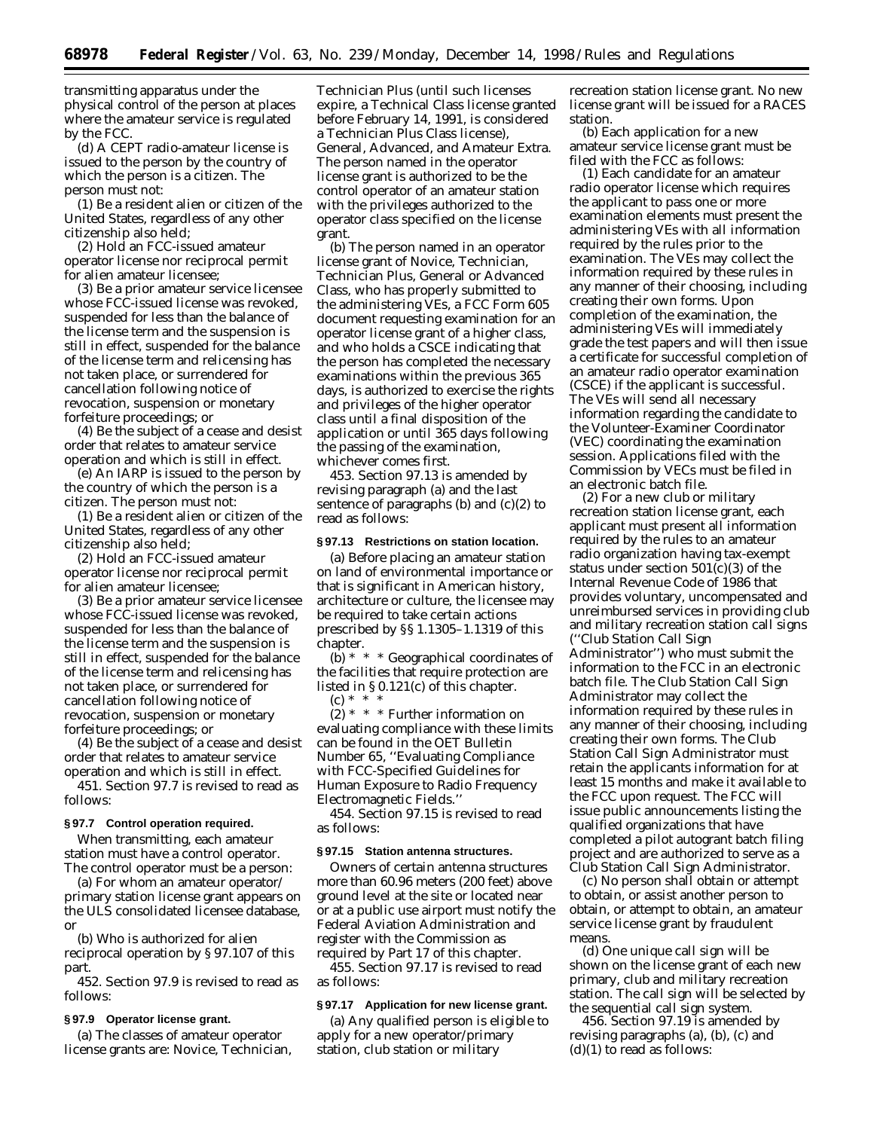transmitting apparatus under the physical control of the person at places where the amateur service is regulated by the FCC.

(d) A CEPT radio-amateur license is issued to the person by the country of which the person is a citizen. The person must not:

(1) Be a resident alien or citizen of the United States, regardless of any other citizenship also held;

(2) Hold an FCC-issued amateur operator license nor reciprocal permit for alien amateur licensee;

(3) Be a prior amateur service licensee whose FCC-issued license was revoked, suspended for less than the balance of the license term and the suspension is still in effect, suspended for the balance of the license term and relicensing has not taken place, or surrendered for cancellation following notice of revocation, suspension or monetary forfeiture proceedings; or

(4) Be the subject of a cease and desist order that relates to amateur service operation and which is still in effect.

(e) An IARP is issued to the person by the country of which the person is a citizen. The person must not:

(1) Be a resident alien or citizen of the United States, regardless of any other citizenship also held;

(2) Hold an FCC-issued amateur operator license nor reciprocal permit for alien amateur licensee;

(3) Be a prior amateur service licensee whose FCC-issued license was revoked, suspended for less than the balance of the license term and the suspension is still in effect, suspended for the balance of the license term and relicensing has not taken place, or surrendered for cancellation following notice of revocation, suspension or monetary forfeiture proceedings; or

(4) Be the subject of a cease and desist order that relates to amateur service operation and which is still in effect.

451. Section 97.7 is revised to read as follows:

#### **§ 97.7 Control operation required.**

When transmitting, each amateur station must have a control operator. The control operator must be a person:

(a) For whom an amateur operator/ primary station license grant appears on the ULS consolidated licensee database, or

(b) Who is authorized for alien reciprocal operation by § 97.107 of this part.

452. Section 97.9 is revised to read as follows:

#### **§ 97.9 Operator license grant.**

(a) The classes of amateur operator license grants are: Novice, Technician,

Technician Plus (until such licenses expire, a Technical Class license granted before February 14, 1991, is considered a Technician Plus Class license), General, Advanced, and Amateur Extra. The person named in the operator license grant is authorized to be the control operator of an amateur station with the privileges authorized to the operator class specified on the license grant.

(b) The person named in an operator license grant of Novice, Technician, Technician Plus, General or Advanced Class, who has properly submitted to the administering VEs, a FCC Form 605 document requesting examination for an operator license grant of a higher class, and who holds a CSCE indicating that the person has completed the necessary examinations within the previous 365 days, is authorized to exercise the rights and privileges of the higher operator class until a final disposition of the application or until 365 days following the passing of the examination, whichever comes first.

453. Section 97.13 is amended by revising paragraph (a) and the last sentence of paragraphs (b) and (c)(2) to read as follows:

## **§ 97.13 Restrictions on station location.**

(a) Before placing an amateur station on land of environmental importance or that is significant in American history, architecture or culture, the licensee may be required to take certain actions prescribed by §§ 1.1305–1.1319 of this chapter.

(b)  $* * * Geographical coordinates of$ the facilities that require protection are listed in § 0.121(c) of this chapter. (c) \* \* \*

 $(2)$  \* \* \* Further information on evaluating compliance with these limits can be found in the OET Bulletin Number 65, ''Evaluating Compliance with FCC-Specified Guidelines for Human Exposure to Radio Frequency Electromagnetic Fields.''

454. Section 97.15 is revised to read as follows:

### **§ 97.15 Station antenna structures.**

Owners of certain antenna structures more than 60.96 meters (200 feet) above ground level at the site or located near or at a public use airport must notify the Federal Aviation Administration and register with the Commission as required by Part 17 of this chapter.

455. Section 97.17 is revised to read as follows:

# **§ 97.17 Application for new license grant.**

(a) Any qualified person is eligible to apply for a new operator/primary station, club station or military

recreation station license grant. No new license grant will be issued for a RACES station.

(b) Each application for a new amateur service license grant must be filed with the FCC as follows:

(1) Each candidate for an amateur radio operator license which requires the applicant to pass one or more examination elements must present the administering VEs with all information required by the rules prior to the examination. The VEs may collect the information required by these rules in any manner of their choosing, including creating their own forms. Upon completion of the examination, the administering VEs will immediately grade the test papers and will then issue a certificate for successful completion of an amateur radio operator examination (CSCE) if the applicant is successful. The VEs will send all necessary information regarding the candidate to the Volunteer-Examiner Coordinator (VEC) coordinating the examination session. Applications filed with the Commission by VECs must be filed in an electronic batch file.

(2) For a new club or military recreation station license grant, each applicant must present all information required by the rules to an amateur radio organization having tax-exempt status under section  $501(c)(3)$  of the Internal Revenue Code of 1986 that provides voluntary, uncompensated and unreimbursed services in providing club and military recreation station call signs (''*Club Station Call Sign Administrator*'') who must submit the information to the FCC in an electronic batch file. The Club Station Call Sign Administrator may collect the information required by these rules in any manner of their choosing, including creating their own forms. The Club Station Call Sign Administrator must retain the applicants information for at least 15 months and make it available to the FCC upon request. The FCC will issue public announcements listing the qualified organizations that have completed a pilot autogrant batch filing project and are authorized to serve as a Club Station Call Sign Administrator.

(c) No person shall obtain or attempt to obtain, or assist another person to obtain, or attempt to obtain, an amateur service license grant by fraudulent means.

(d) One unique call sign will be shown on the license grant of each new primary, club and military recreation station. The call sign will be selected by the sequential call sign system.

456. Section 97.19 is amended by revising paragraphs (a), (b), (c) and  $(d)(1)$  to read as follows: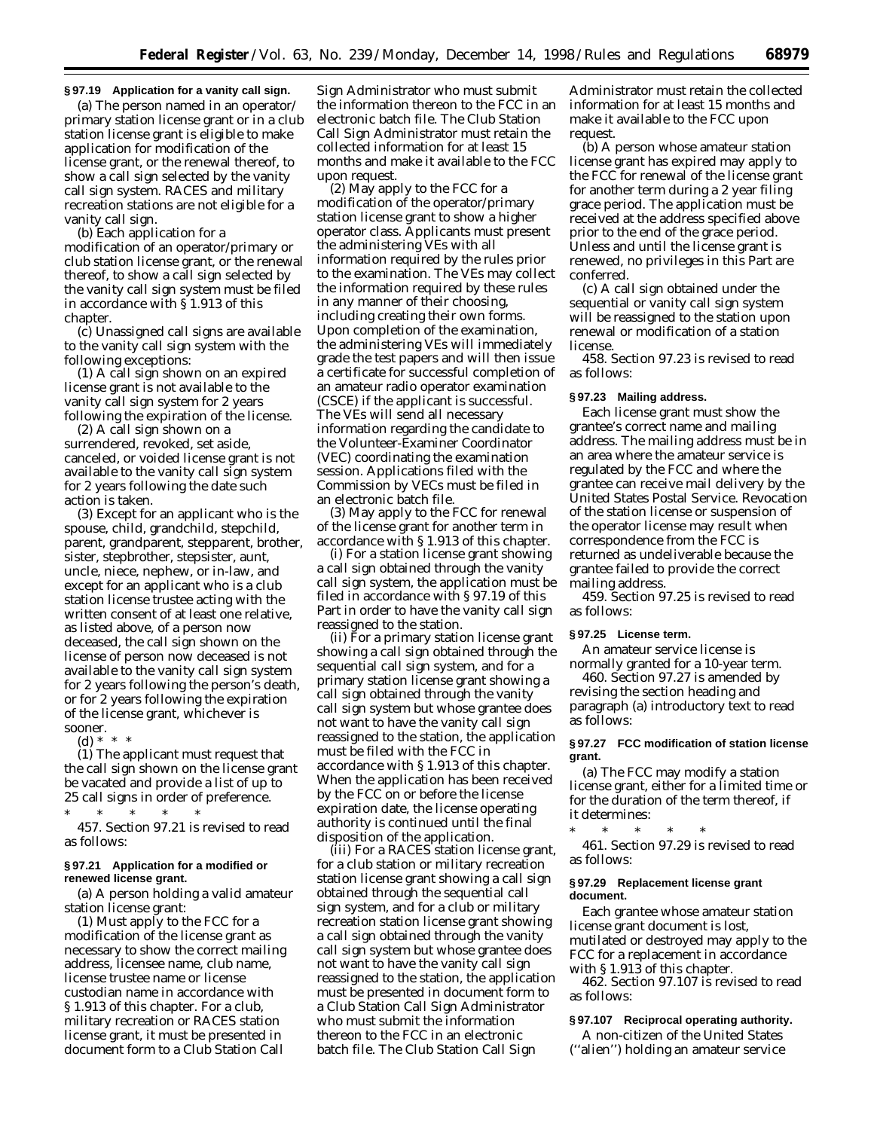# **§ 97.19 Application for a vanity call sign.**

(a) The person named in an operator/ primary station license grant or in a club station license grant is eligible to make application for modification of the license grant, or the renewal thereof, to show a call sign selected by the vanity call sign system. RACES and military recreation stations are not eligible for a vanity call sign.

(b) Each application for a modification of an operator/primary or club station license grant, or the renewal thereof, to show a call sign selected by the vanity call sign system must be filed in accordance with § 1.913 of this chapter.

(c) Unassigned call signs are available to the vanity call sign system with the following exceptions:

(1) A call sign shown on an expired license grant is not available to the vanity call sign system for 2 years following the expiration of the license.

(2) A call sign shown on a surrendered, revoked, set aside, canceled, or voided license grant is not available to the vanity call sign system for 2 years following the date such action is taken.

(3) Except for an applicant who is the spouse, child, grandchild, stepchild, parent, grandparent, stepparent, brother, sister, stepbrother, stepsister, aunt, uncle, niece, nephew, or in-law, and except for an applicant who is a club station license trustee acting with the written consent of at least one relative, as listed above, of a person now deceased, the call sign shown on the license of person now deceased is not available to the vanity call sign system for 2 years following the person's death, or for 2 years following the expiration of the license grant, whichever is sooner.

(d)  $* * * *$ 

(1) The applicant must request that the call sign shown on the license grant be vacated and provide a list of up to 25 call signs in order of preference.

\* \* \* \* \* 457. Section 97.21 is revised to read as follows:

# **§ 97.21 Application for a modified or renewed license grant.**

(a) A person holding a valid amateur station license grant:

(1) Must apply to the FCC for a modification of the license grant as necessary to show the correct mailing address, licensee name, club name, license trustee name or license custodian name in accordance with § 1.913 of this chapter. For a club, military recreation or RACES station license grant, it must be presented in document form to a Club Station Call

Sign Administrator who must submit the information thereon to the FCC in an electronic batch file. The Club Station Call Sign Administrator must retain the collected information for at least 15 months and make it available to the FCC upon request.

(2) May apply to the FCC for a modification of the operator/primary station license grant to show a higher operator class. Applicants must present the administering VEs with all information required by the rules prior to the examination. The VEs may collect the information required by these rules in any manner of their choosing, including creating their own forms. Upon completion of the examination, the administering VEs will immediately grade the test papers and will then issue a certificate for successful completion of an amateur radio operator examination (CSCE) if the applicant is successful. The VEs will send all necessary information regarding the candidate to the Volunteer-Examiner Coordinator (VEC) coordinating the examination session. Applications filed with the Commission by VECs must be filed in an electronic batch file.

(3) May apply to the FCC for renewal of the license grant for another term in accordance with § 1.913 of this chapter.

(i) For a station license grant showing a call sign obtained through the vanity call sign system, the application must be filed in accordance with § 97.19 of this Part in order to have the vanity call sign reassigned to the station.

(ii) For a primary station license grant showing a call sign obtained through the sequential call sign system, and for a primary station license grant showing a call sign obtained through the vanity call sign system but whose grantee does not want to have the vanity call sign reassigned to the station, the application must be filed with the FCC in accordance with § 1.913 of this chapter. When the application has been received by the FCC on or before the license expiration date, the license operating authority is continued until the final disposition of the application.

(iii) For a RACES station license grant, for a club station or military recreation station license grant showing a call sign obtained through the sequential call sign system, and for a club or military recreation station license grant showing a call sign obtained through the vanity call sign system but whose grantee does not want to have the vanity call sign reassigned to the station, the application must be presented in document form to a Club Station Call Sign Administrator who must submit the information thereon to the FCC in an electronic batch file. The Club Station Call Sign

Administrator must retain the collected information for at least 15 months and make it available to the FCC upon request.

(b) A person whose amateur station license grant has expired may apply to the FCC for renewal of the license grant for another term during a 2 year filing grace period. The application must be received at the address specified above prior to the end of the grace period. Unless and until the license grant is renewed, no privileges in this Part are conferred.

(c) A call sign obtained under the sequential or vanity call sign system will be reassigned to the station upon renewal or modification of a station license.

458. Section 97.23 is revised to read as follows:

# **§ 97.23 Mailing address.**

Each license grant must show the grantee's correct name and mailing address. The mailing address must be in an area where the amateur service is regulated by the FCC and where the grantee can receive mail delivery by the United States Postal Service. Revocation of the station license or suspension of the operator license may result when correspondence from the FCC is returned as undeliverable because the grantee failed to provide the correct mailing address.

459. Section 97.25 is revised to read as follows:

### **§ 97.25 License term.**

An amateur service license is normally granted for a 10-year term.

460. Section 97.27 is amended by revising the section heading and paragraph (a) introductory text to read as follows:

# **§ 97.27 FCC modification of station license grant.**

(a) The FCC may modify a station license grant, either for a limited time or for the duration of the term thereof, if it determines:

\* \* \* \* \* 461. Section 97.29 is revised to read as follows:

### **§ 97.29 Replacement license grant document.**

Each grantee whose amateur station license grant document is lost, mutilated or destroyed may apply to the FCC for a replacement in accordance with § 1.913 of this chapter.

462. Section 97.107 is revised to read as follows:

# **§ 97.107 Reciprocal operating authority.**

A non-citizen of the United States (''alien'') holding an amateur service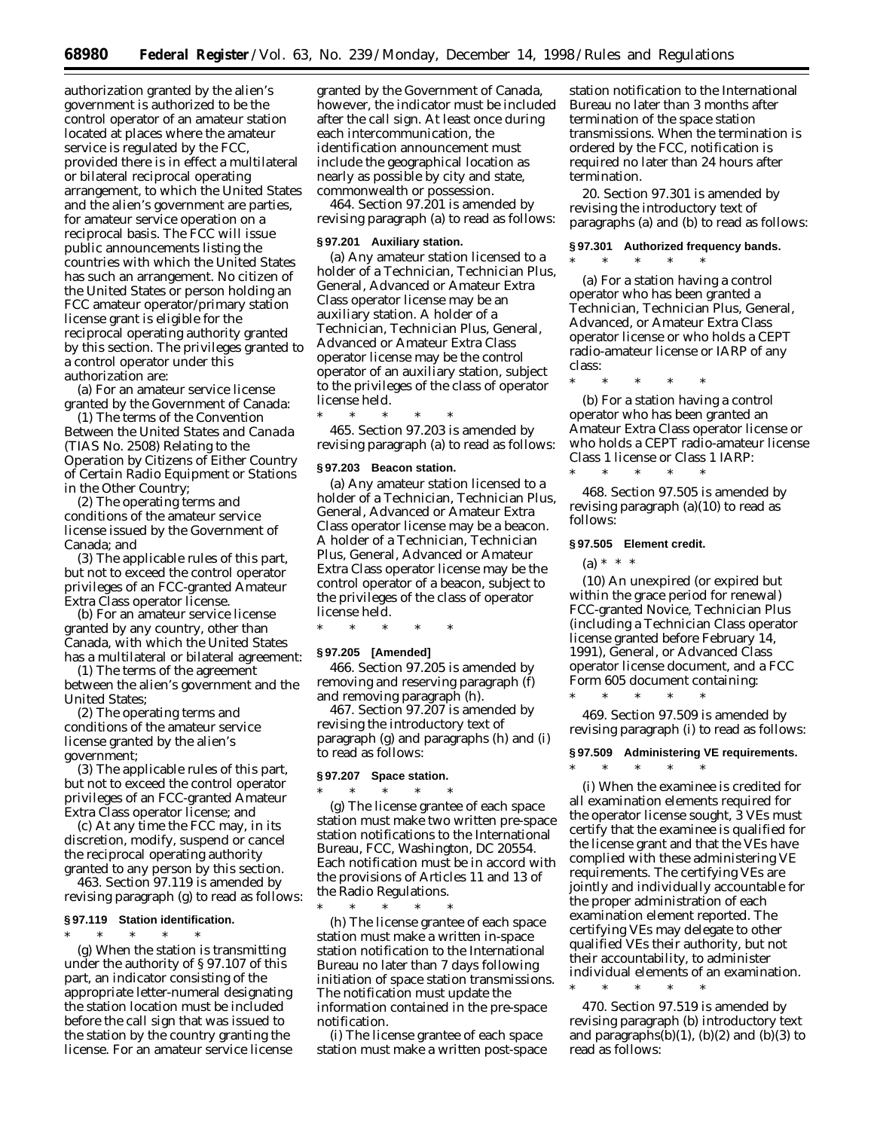authorization granted by the alien's government is authorized to be the control operator of an amateur station located at places where the amateur service is regulated by the FCC, provided there is in effect a multilateral or bilateral reciprocal operating arrangement, to which the United States and the alien's government are parties, for amateur service operation on a reciprocal basis. The FCC will issue public announcements listing the countries with which the United States has such an arrangement. No citizen of the United States or person holding an FCC amateur operator/primary station license grant is eligible for the reciprocal operating authority granted by this section. The privileges granted to a control operator under this authorization are:

(a) For an amateur service license granted by the Government of Canada:

(1) The terms of the *Convention Between the United States and Canada* (TIAS No. 2508) *Relating to the Operation by Citizens of Either Country of Certain Radio Equipment or Stations in the Other Country;*

(2) The operating terms and conditions of the amateur service license issued by the Government of Canada; and

(3) The applicable rules of this part, but not to exceed the control operator privileges of an FCC-granted Amateur Extra Class operator license.

(b) For an amateur service license granted by any country, other than Canada, with which the United States has a multilateral or bilateral agreement:

(1) The terms of the agreement between the alien's government and the United States;

(2) The operating terms and conditions of the amateur service license granted by the alien's government;

(3) The applicable rules of this part, but not to exceed the control operator privileges of an FCC-granted Amateur Extra Class operator license; and

(c) At any time the FCC may, in its discretion, modify, suspend or cancel the reciprocal operating authority granted to any person by this section.

463. Section 97.119 is amended by revising paragraph (g) to read as follows:

# **§ 97.119 Station identification.**

\* \* \* \* \*

(g) When the station is transmitting under the authority of § 97.107 of this part, an indicator consisting of the appropriate letter-numeral designating the station location must be included before the call sign that was issued to the station by the country granting the license. For an amateur service license

granted by the Government of Canada, however, the indicator must be included after the call sign. At least once during each intercommunication, the identification announcement must include the geographical location as nearly as possible by city and state, commonwealth or possession.

464. Section 97.201 is amended by revising paragraph (a) to read as follows:

# **§ 97.201 Auxiliary station.**

(a) Any amateur station licensed to a holder of a Technician, Technician Plus, General, Advanced or Amateur Extra Class operator license may be an auxiliary station. A holder of a Technician, Technician Plus, General, Advanced or Amateur Extra Class operator license may be the control operator of an auxiliary station, subject to the privileges of the class of operator license held.

\* \* \* \* \* 465. Section 97.203 is amended by revising paragraph (a) to read as follows:

# **§ 97.203 Beacon station.**

(a) Any amateur station licensed to a holder of a Technician, Technician Plus, General, Advanced or Amateur Extra Class operator license may be a beacon. A holder of a Technician, Technician Plus, General, Advanced or Amateur Extra Class operator license may be the control operator of a beacon, subject to the privileges of the class of operator license held.

\* \* \* \* \*

# **§ 97.205 [Amended]**

466. Section 97.205 is amended by removing and reserving paragraph (f) and removing paragraph (h).

467. Section 97.207 is amended by revising the introductory text of paragraph (g) and paragraphs (h) and (i) to read as follows:

# **§ 97.207 Space station.**  $*$  \* \*

(g) The license grantee of each space station must make two written pre-space station notifications to the International Bureau, FCC, Washington, DC 20554. Each notification must be in accord with the provisions of Articles 11 and 13 of the Radio Regulations.

\* \* \* \* \* (h) The license grantee of each space station must make a written in-space station notification to the International Bureau no later than 7 days following initiation of space station transmissions. The notification must update the information contained in the pre-space notification.

(i) The license grantee of each space station must make a written post-space

station notification to the International Bureau no later than 3 months after termination of the space station transmissions. When the termination is ordered by the FCC, notification is required no later than 24 hours after termination.

20. Section 97.301 is amended by revising the introductory text of paragraphs (a) and (b) to read as follows:

### **§ 97.301 Authorized frequency bands.**

(a) For a station having a control operator who has been granted a Technician, Technician Plus, General, Advanced, or Amateur Extra Class operator license or who holds a CEPT radio-amateur license or IARP of any class:

\* \* \* \* \*

\* \* \* \* \*

(b) For a station having a control operator who has been granted an Amateur Extra Class operator license or who holds a CEPT radio-amateur license Class 1 license or Class 1 IARP:

468. Section 97.505 is amended by revising paragraph  $(a)(10)$  to read as follows:

#### **§ 97.505 Element credit.**

\* \* \* \* \*

 $(a) * * * *$ 

(10) An unexpired (or expired but within the grace period for renewal) FCC-granted Novice, Technician Plus (including a Technician Class operator license granted before February 14, 1991), General, or Advanced Class operator license document, and a FCC Form 605 document containing: \* \* \* \* \*

469. Section 97.509 is amended by revising paragraph (i) to read as follows:

# **§ 97.509 Administering VE requirements.** \* \* \* \* \*

(i) When the examinee is credited for all examination elements required for the operator license sought, 3 VEs must certify that the examinee is qualified for the license grant and that the VEs have complied with these administering VE requirements. The certifying VEs are jointly and individually accountable for the proper administration of each examination element reported. The certifying VEs may delegate to other qualified VEs their authority, but not their accountability, to administer individual elements of an examination. \* \* \* \* \*

470. Section 97.519 is amended by revising paragraph (b) introductory text and paragraphs $(b)(1)$ ,  $(b)(2)$  and  $(b)(3)$  to read as follows: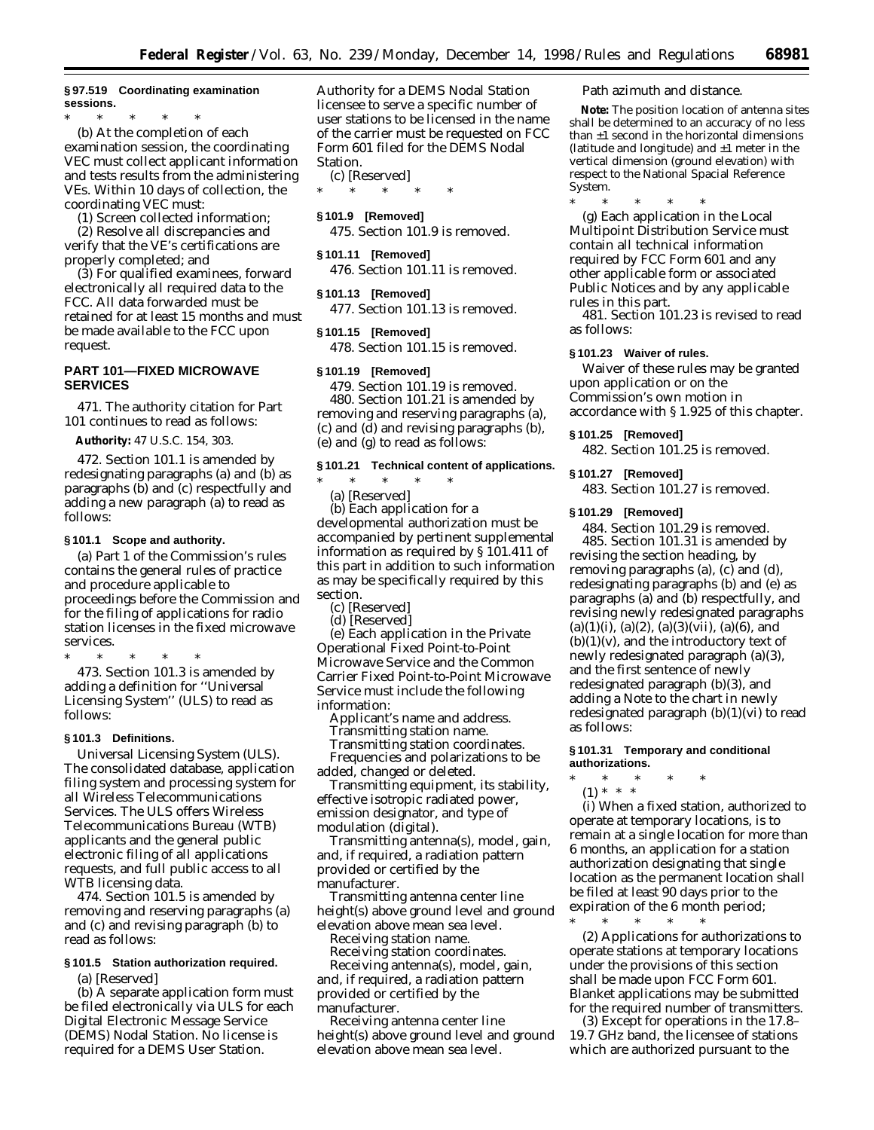### **§ 97.519 Coordinating examination sessions.**

\* \* \* \* \* (b) At the completion of each examination session, the coordinating VEC must collect applicant information and tests results from the administering VEs. Within 10 days of collection, the coordinating VEC must:

(1) Screen collected information;

(2) Resolve all discrepancies and verify that the VE's certifications are properly completed; and

(3) For qualified examinees, forward electronically all required data to the FCC. All data forwarded must be retained for at least 15 months and must be made available to the FCC upon request.

# **PART 101—FIXED MICROWAVE SERVICES**

471. The authority citation for Part 101 continues to read as follows:

**Authority:** 47 U.S.C. 154, 303.

472. Section 101.1 is amended by redesignating paragraphs (a) and (b) as paragraphs (b) and (c) respectfully and adding a new paragraph (a) to read as follows:

# **§ 101.1 Scope and authority.**

(a) Part 1 of the Commission's rules contains the general rules of practice and procedure applicable to proceedings before the Commission and for the filing of applications for radio station licenses in the fixed microwave services.

\* \* \* \* \* 473. Section 101.3 is amended by adding a definition for ''Universal Licensing System'' (ULS) to read as follows:

# **§ 101.3 Definitions.**

*Universal Licensing System (ULS).* The consolidated database, application filing system and processing system for all Wireless Telecommunications Services. The ULS offers Wireless Telecommunications Bureau (WTB) applicants and the general public electronic filing of all applications requests, and full public access to all WTB licensing data.

474. Section 101.5 is amended by removing and reserving paragraphs (a) and (c) and revising paragraph (b) to read as follows:

# **§ 101.5 Station authorization required.** (a) [Reserved]

(b) A separate application form must be filed electronically via ULS for each Digital Electronic Message Service (DEMS) Nodal Station. No license is required for a DEMS User Station.

Authority for a DEMS Nodal Station licensee to serve a specific number of user stations to be licensed in the name of the carrier must be requested on FCC Form 601 filed for the DEMS Nodal Station.

(c) [Reserved] \* \* \* \* \*

#### **§ 101.9 [Removed]**

475. Section 101.9 is removed.

#### **§ 101.11 [Removed]**

476. Section 101.11 is removed.

## **§ 101.13 [Removed]**

477. Section 101.13 is removed.

**§ 101.15 [Removed]** 478. Section 101.15 is removed.

### **§ 101.19 [Removed]**

479. Section 101.19 is removed. 480. Section 101.21 is amended by removing and reserving paragraphs (a), (c) and (d) and revising paragraphs (b), (e) and (g) to read as follows:

#### **§ 101.21 Technical content of applications.**

\* \* \* \* \*

(a) [Reserved]

(b) Each application for a developmental authorization must be accompanied by pertinent supplemental information as required by § 101.411 of this part in addition to such information as may be specifically required by this section.

(c) [Reserved]

(d) [Reserved]

(e) Each application in the Private Operational Fixed Point-to-Point Microwave Service and the Common Carrier Fixed Point-to-Point Microwave Service must include the following information:

Applicant's name and address.

Transmitting station name.

Transmitting station coordinates. Frequencies and polarizations to be added, changed or deleted.

Transmitting equipment, its stability, effective isotropic radiated power, emission designator, and type of modulation (digital).

Transmitting antenna(s), model, gain, and, if required, a radiation pattern provided or certified by the manufacturer.

Transmitting antenna center line height(s) above ground level and ground elevation above mean sea level.

Receiving station name.

Receiving station coordinates. Receiving antenna(s), model, gain, and, if required, a radiation pattern provided or certified by the manufacturer.

Receiving antenna center line height(s) above ground level and ground elevation above mean sea level.

# Path azimuth and distance.

**Note:** The position location of antenna sites shall be determined to an accuracy of no less than ±1 second in the horizontal dimensions (latitude and longitude) and  $\pm 1$  meter in the vertical dimension (ground elevation) with respect to the National Spacial Reference System.

\* \* \* \* \* (g) Each application in the Local Multipoint Distribution Service must contain all technical information required by FCC Form 601 and any other applicable form or associated Public Notices and by any applicable rules in this part.

481. Section 101.23 is revised to read as follows:

# **§ 101.23 Waiver of rules.**

Waiver of these rules may be granted upon application or on the Commission's own motion in accordance with § 1.925 of this chapter.

# **§ 101.25 [Removed]**

482. Section 101.25 is removed.

# **§ 101.27 [Removed]** 483. Section 101.27 is removed.

# **§ 101.29 [Removed]**

484. Section 101.29 is removed. 485. Section 101.31 is amended by revising the section heading, by removing paragraphs (a), (c) and (d), redesignating paragraphs (b) and (e) as paragraphs (a) and (b) respectfully, and revising newly redesignated paragraphs  $(a)(1)(i)$ ,  $(a)(2)$ ,  $(a)(3)(vii)$ ,  $(a)(6)$ , and  $(b)(1)(v)$ , and the introductory text of newly redesignated paragraph (a)(3), and the first sentence of newly redesignated paragraph (b)(3), and adding a Note to the chart in newly redesignated paragraph (b)(1)(vi) to read as follows:

# **§ 101.31 Temporary and conditional authorizations.**

\* \* \* \* \*

(1) \* \* \*

(i) When a fixed station, authorized to operate at temporary locations, is to remain at a single location for more than 6 months, an application for a station authorization designating that single location as the permanent location shall be filed at least 90 days prior to the expiration of the 6 month period;

\* \* \* \* \* (2) Applications for authorizations to operate stations at temporary locations under the provisions of this section shall be made upon FCC Form 601. Blanket applications may be submitted for the required number of transmitters.

(3) Except for operations in the 17.8– 19.7 GHz band, the licensee of stations which are authorized pursuant to the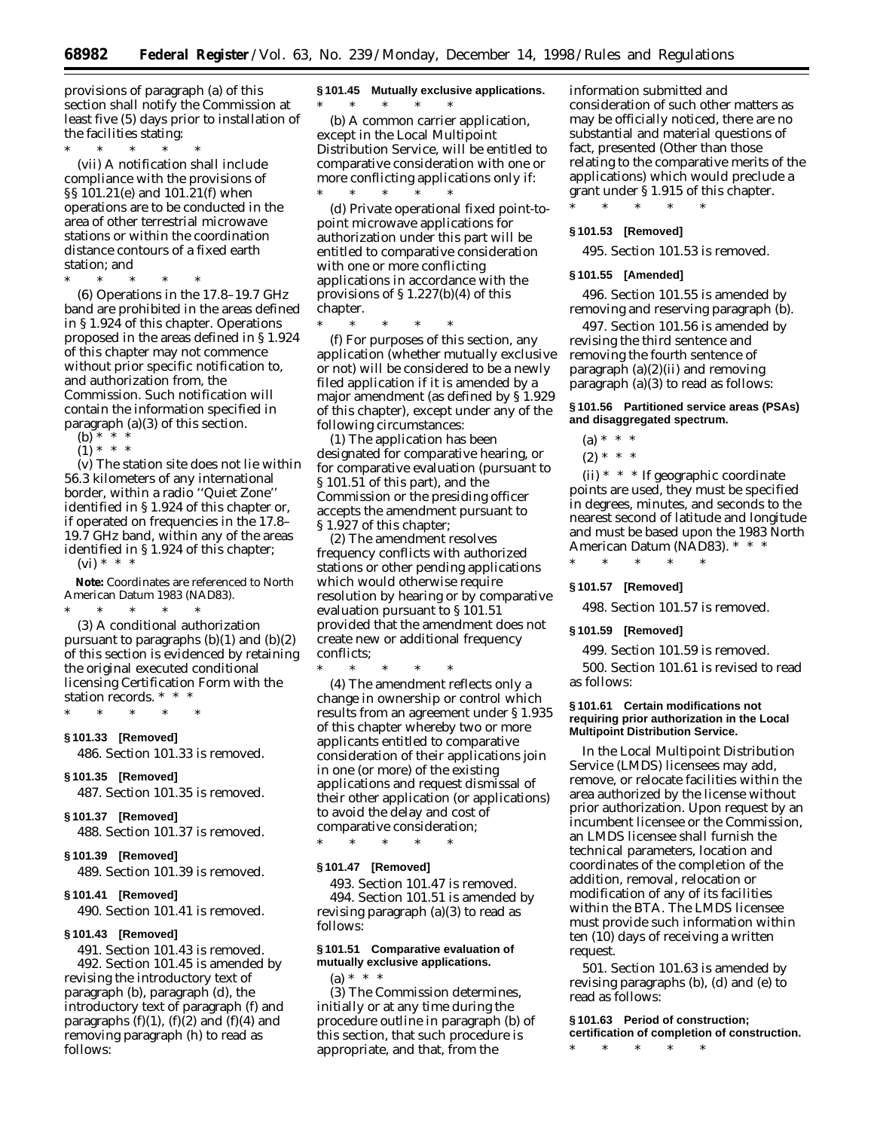provisions of paragraph (a) of this section shall notify the Commission at least five (5) days prior to installation of the facilities stating:

\* \* \* \* \*

(vii) A notification shall include compliance with the provisions of §§ 101.21(e) and 101.21(f) when operations are to be conducted in the area of other terrestrial microwave stations or within the coordination distance contours of a fixed earth station; and

\* \* \* \* \*

(6) Operations in the 17.8–19.7 GHz band are prohibited in the areas defined in § 1.924 of this chapter. Operations proposed in the areas defined in § 1.924 of this chapter may not commence without prior specific notification to, and authorization from, the Commission. Such notification will contain the information specified in paragraph (a)(3) of this section.

(b) \* \* \* (1) \* \* \*

(v) The station site does not lie within 56.3 kilometers of any international border, within a radio ''Quiet Zone'' identified in § 1.924 of this chapter or, if operated on frequencies in the 17.8– 19.7 GHz band, within any of the areas identified in § 1.924 of this chapter; (vi) \* \* \*

**Note:** Coordinates are referenced to North American Datum 1983 (NAD83). \* \* \* \* \*

(3) A conditional authorization pursuant to paragraphs  $(b)(1)$  and  $(b)(2)$ of this section is evidenced by retaining the original executed conditional licensing Certification Form with the station records. \* \* \*

\* \* \* \* \*

# **§ 101.33 [Removed]**

486. Section 101.33 is removed.

**§ 101.35 [Removed]**

487. Section 101.35 is removed.

**§ 101.37 [Removed]**

488. Section 101.37 is removed.

# **§ 101.39 [Removed]**

489. Section 101.39 is removed.

**§ 101.41 [Removed]**

490. Section 101.41 is removed.

# **§ 101.43 [Removed]**

491. Section 101.43 is removed. 492. Section 101.45 is amended by revising the introductory text of paragraph (b), paragraph (d), the introductory text of paragraph (f) and paragraphs  $(f)(1)$ ,  $(f)(2)$  and  $(f)(4)$  and removing paragraph (h) to read as follows:

# **§ 101.45 Mutually exclusive applications.**

\* \* \* \* \* (b) A common carrier application, except in the Local Multipoint Distribution Service, will be entitled to comparative consideration with one or more conflicting applications only if: \* \* \* \* \*

(d) Private operational fixed point-topoint microwave applications for authorization under this part will be entitled to comparative consideration with one or more conflicting applications in accordance with the provisions of  $\S 1.227(b)(4)$  of this chapter.

\* \* \* \* \* (f) For purposes of this section, any application (whether mutually exclusive or not) will be considered to be a newly filed application if it is amended by a major amendment (as defined by § 1.929 of this chapter), except under any of the following circumstances:

(1) The application has been designated for comparative hearing, or for comparative evaluation (pursuant to § 101.51 of this part), and the Commission or the presiding officer accepts the amendment pursuant to § 1.927 of this chapter;

(2) The amendment resolves frequency conflicts with authorized stations or other pending applications which would otherwise require resolution by hearing or by comparative evaluation pursuant to § 101.51 provided that the amendment does not create new or additional frequency conflicts;

\* \* \* \* \* (4) The amendment reflects only a change in ownership or control which results from an agreement under § 1.935 of this chapter whereby two or more applicants entitled to comparative consideration of their applications join in one (or more) of the existing applications and request dismissal of their other application (or applications) to avoid the delay and cost of comparative consideration;

\* \* \* \* \*

### **§ 101.47 [Removed]**

493. Section 101.47 is removed. 494. Section 101.51 is amended by revising paragraph (a)(3) to read as follows:

# **§ 101.51 Comparative evaluation of mutually exclusive applications.**

(a) \* \* \*

(3) The Commission determines, initially or at any time during the procedure outline in paragraph (b) of this section, that such procedure is appropriate, and that, from the

information submitted and consideration of such other matters as may be officially noticed, there are no substantial and material questions of fact, presented (Other than those relating to the comparative merits of the applications) which would preclude a grant under § 1.915 of this chapter.

\* \* \* \* \*

# **§ 101.53 [Removed]**

495. Section 101.53 is removed.

# **§ 101.55 [Amended]**

496. Section 101.55 is amended by removing and reserving paragraph (b).

497. Section 101.56 is amended by revising the third sentence and removing the fourth sentence of paragraph (a)(2)(ii) and removing paragraph (a)(3) to read as follows:

# **§ 101.56 Partitioned service areas (PSAs) and disaggregated spectrum.**

- $(a) * * * *$
- $(2) * * * *$

(ii) \* \* \* If geographic coordinate points are used, they must be specified in degrees, minutes, and seconds to the nearest second of latitude and longitude and must be based upon the 1983 North American Datum (NAD83). \* \* \*

\* \* \* \* \*

# **§ 101.57 [Removed]**

498. Section 101.57 is removed.

#### **§ 101.59 [Removed]**

499. Section 101.59 is removed.

500. Section 101.61 is revised to read as follows:

# **§ 101.61 Certain modifications not requiring prior authorization in the Local Multipoint Distribution Service.**

In the Local Multipoint Distribution Service (LMDS) licensees may add, remove, or relocate facilities within the area authorized by the license without prior authorization. Upon request by an incumbent licensee or the Commission, an LMDS licensee shall furnish the technical parameters, location and coordinates of the completion of the addition, removal, relocation or modification of any of its facilities within the BTA. The LMDS licensee must provide such information within ten (10) days of receiving a written request.

501. Section 101.63 is amended by revising paragraphs (b), (d) and (e) to read as follows:

**§ 101.63 Period of construction; certification of completion of construction.** \* \* \* \* \*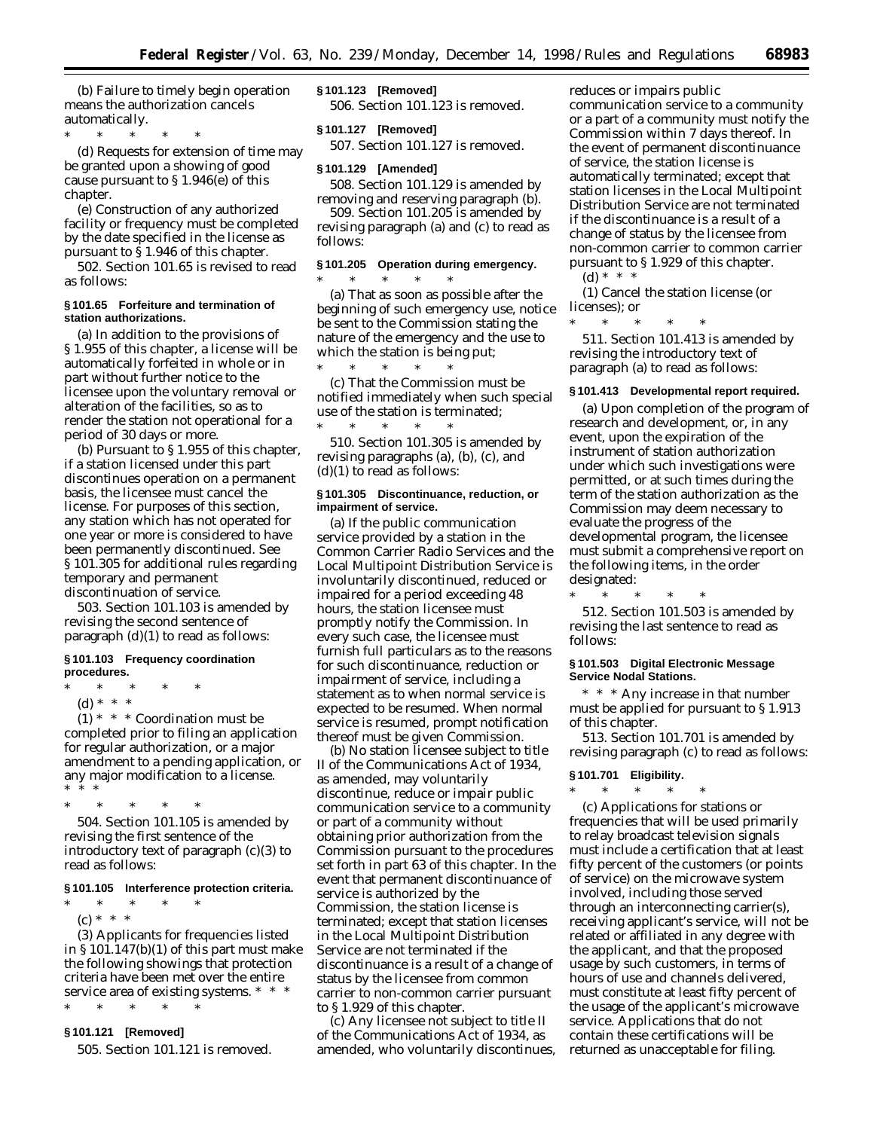(b) Failure to timely begin operation means the authorization cancels automatically.

\* \* \* \* \*

(d) Requests for extension of time may be granted upon a showing of good cause pursuant to § 1.946(e) of this chapter.

(e) Construction of any authorized facility or frequency must be completed by the date specified in the license as pursuant to § 1.946 of this chapter.

502. Section 101.65 is revised to read as follows:

### **§ 101.65 Forfeiture and termination of station authorizations.**

(a) In addition to the provisions of § 1.955 of this chapter, a license will be automatically forfeited in whole or in part without further notice to the licensee upon the voluntary removal or alteration of the facilities, so as to render the station not operational for a period of 30 days or more.

(b) Pursuant to § 1.955 of this chapter, if a station licensed under this part discontinues operation on a permanent basis, the licensee must cancel the license. For purposes of this section, any station which has not operated for one year or more is considered to have been permanently discontinued. *See* § 101.305 for additional rules regarding temporary and permanent discontinuation of service.

503. Section 101.103 is amended by revising the second sentence of paragraph (d)(1) to read as follows:

# **§ 101.103 Frequency coordination procedures.**

- \* \* \* \* \*
- (d) \* \* \*

 $(1)$  \* \* \* Coordination must be completed prior to filing an application for regular authorization, or a major amendment to a pending application, or any major modification to a license. \* \* \*

\* \* \* \* \* 504. Section 101.105 is amended by revising the first sentence of the introductory text of paragraph (c)(3) to read as follows:

## **§ 101.105 Interference protection criteria.**

\* \* \* \* \*  $(c) * * * *$ 

(3) Applicants for frequencies listed in § 101.147(b)(1) of this part must make the following showings that protection criteria have been met over the entire service area of existing systems. \* \* \* \* \* \* \* \*

# **§ 101.121 [Removed]**

505. Section 101.121 is removed.

# **§ 101.123 [Removed]**

506. Section 101.123 is removed.

#### **§ 101.127 [Removed]**

507. Section 101.127 is removed.

#### **§ 101.129 [Amended]**

 $*$  \* \*

508. Section 101.129 is amended by removing and reserving paragraph (b). 509. Section 101.205 is amended by revising paragraph (a) and (c) to read as follows:

# **§ 101.205 Operation during emergency.**

(a) That as soon as possible after the beginning of such emergency use, notice be sent to the Commission stating the nature of the emergency and the use to which the station is being put; \* \* \* \* \*

(c) That the Commission must be notified immediately when such special use of the station is terminated; \* \* \* \* \*

510. Section 101.305 is amended by revising paragraphs (a), (b), (c), and  $(d)(1)$  to read as follows:

# **§ 101.305 Discontinuance, reduction, or impairment of service.**

(a) If the public communication service provided by a station in the Common Carrier Radio Services and the Local Multipoint Distribution Service is involuntarily discontinued, reduced or impaired for a period exceeding 48 hours, the station licensee must promptly notify the Commission. In every such case, the licensee must furnish full particulars as to the reasons for such discontinuance, reduction or impairment of service, including a statement as to when normal service is expected to be resumed. When normal service is resumed, prompt notification thereof must be given Commission.

(b) No station licensee subject to title II of the Communications Act of 1934, as amended, may voluntarily discontinue, reduce or impair public communication service to a community or part of a community without obtaining prior authorization from the Commission pursuant to the procedures set forth in part 63 of this chapter. In the event that permanent discontinuance of service is authorized by the Commission, the station license is terminated; except that station licenses in the Local Multipoint Distribution Service are not terminated if the discontinuance is a result of a change of status by the licensee from common carrier to non-common carrier pursuant to § 1.929 of this chapter.

(c) Any licensee not subject to title II of the Communications Act of 1934, as amended, who voluntarily discontinues, reduces or impairs public communication service to a community or a part of a community must notify the Commission within 7 days thereof. In the event of permanent discontinuance of service, the station license is automatically terminated; except that station licenses in the Local Multipoint Distribution Service are not terminated if the discontinuance is a result of a change of status by the licensee from non-common carrier to common carrier pursuant to § 1.929 of this chapter.

(d) \* \* \*

(1) Cancel the station license (or licenses); or

\* \* \* \* \* 511. Section 101.413 is amended by

revising the introductory text of paragraph (a) to read as follows:

## **§ 101.413 Developmental report required.**

(a) Upon completion of the program of research and development, or, in any event, upon the expiration of the instrument of station authorization under which such investigations were permitted, or at such times during the term of the station authorization as the Commission may deem necessary to evaluate the progress of the developmental program, the licensee must submit a comprehensive report on the following items, in the order designated:

\* \* \* \* \* 512. Section 101.503 is amended by revising the last sentence to read as follows:

# **§ 101.503 Digital Electronic Message Service Nodal Stations.**

\* \* \* Any increase in that number must be applied for pursuant to § 1.913 of this chapter.

513. Section 101.701 is amended by revising paragraph (c) to read as follows:

# **§ 101.701 Eligibility.**

\* \* \* \* \* (c) Applications for stations or frequencies that will be used primarily to relay broadcast television signals must include a certification that at least fifty percent of the customers (or points of service) on the microwave system involved, including those served through an interconnecting carrier(s), receiving applicant's service, will not be related or affiliated in any degree with the applicant, and that the proposed usage by such customers, in terms of hours of use and channels delivered, must constitute at least fifty percent of the usage of the applicant's microwave service. Applications that do not contain these certifications will be returned as unacceptable for filing.